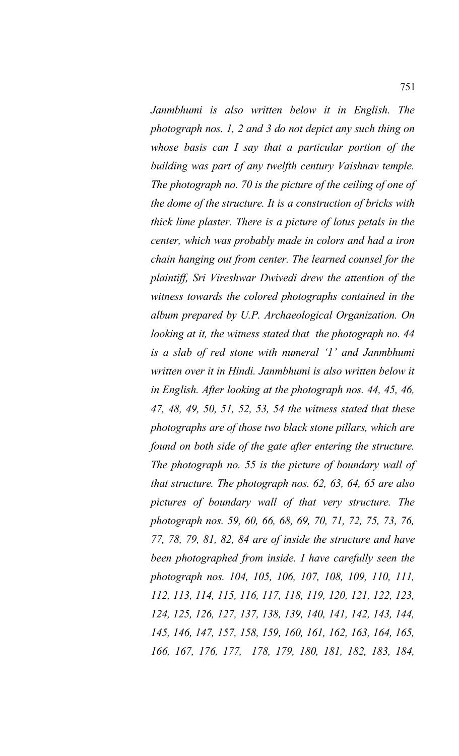*Janmbhumi is also written below it in English. The photograph nos. 1, 2 and 3 do not depict any such thing on whose basis can I say that a particular portion of the building was part of any twelfth century Vaishnav temple. The photograph no. 70 is the picture of the ceiling of one of the dome of the structure. It is a construction of bricks with thick lime plaster. There is a picture of lotus petals in the center, which was probably made in colors and had a iron chain hanging out from center. The learned counsel for the plaintiff, Sri Vireshwar Dwivedi drew the attention of the witness towards the colored photographs contained in the album prepared by U.P. Archaeological Organization. On looking at it, the witness stated that the photograph no. 44 is a slab of red stone with numeral '1' and Janmbhumi written over it in Hindi. Janmbhumi is also written below it in English. After looking at the photograph nos. 44, 45, 46, 47, 48, 49, 50, 51, 52, 53, 54 the witness stated that these photographs are of those two black stone pillars, which are found on both side of the gate after entering the structure. The photograph no. 55 is the picture of boundary wall of that structure. The photograph nos. 62, 63, 64, 65 are also pictures of boundary wall of that very structure. The photograph nos. 59, 60, 66, 68, 69, 70, 71, 72, 75, 73, 76, 77, 78, 79, 81, 82, 84 are of inside the structure and have been photographed from inside. I have carefully seen the photograph nos. 104, 105, 106, 107, 108, 109, 110, 111, 112, 113, 114, 115, 116, 117, 118, 119, 120, 121, 122, 123, 124, 125, 126, 127, 137, 138, 139, 140, 141, 142, 143, 144, 145, 146, 147, 157, 158, 159, 160, 161, 162, 163, 164, 165, 166, 167, 176, 177, 178, 179, 180, 181, 182, 183, 184,*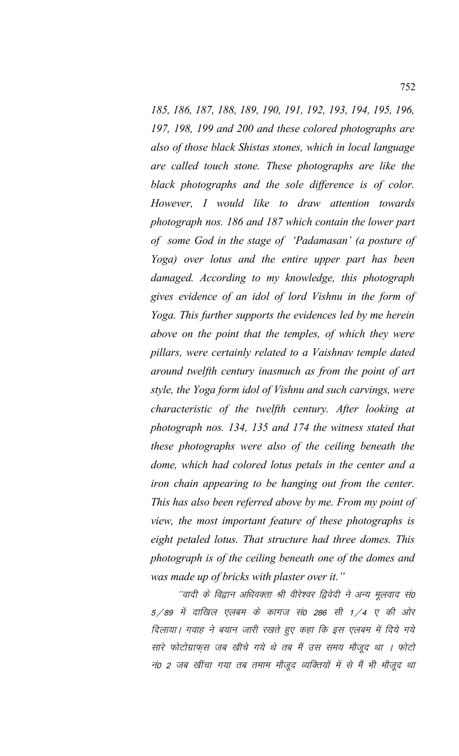*185, 186, 187, 188, 189, 190, 191, 192, 193, 194, 195, 196, 197, 198, 199 and 200 and these colored photographs are also of those black Shistas stones, which in local language are called touch stone. These photographs are like the black photographs and the sole difference is of color. However, I would like to draw attention towards photograph nos. 186 and 187 which contain the lower part of some God in the stage of 'Padamasan' (a posture of Yoga) over lotus and the entire upper part has been damaged. According to my knowledge, this photograph gives evidence of an idol of lord Vishnu in the form of Yoga. This further supports the evidences led by me herein above on the point that the temples, of which they were pillars, were certainly related to a Vaishnav temple dated around twelfth century inasmuch as from the point of art style, the Yoga form idol of Vishnu and such carvings, were characteristic of the twelfth century. After looking at photograph nos. 134, 135 and 174 the witness stated that these photographs were also of the ceiling beneath the dome, which had colored lotus petals in the center and a iron chain appearing to be hanging out from the center. This has also been referred above by me. From my point of view, the most important feature of these photographs is eight petaled lotus. That structure had three domes. This photograph is of the ceiling beneath one of the domes and was made up of bricks with plaster over it."*

''वादी के विद्वान अधिवक्ता श्री वीरेश्वर द्विवेदी ने अन्य मूलवाद सं0  $5/89$  में दाखिल एलबम के कागज सं0 286 सी 1/4 ए की ओर दिलाया। गवाह ने बयान जारी रखते हुए कहा कि इस एलबम में दिये गये सारे फोटोग्राफुस जब खीचे गये थे तब मैं उस समय मौजूद था । फोटो नं0 2 जब खींचा गया तब तमाम मौजूद व्यक्तियों में से मैं भी मौजूद था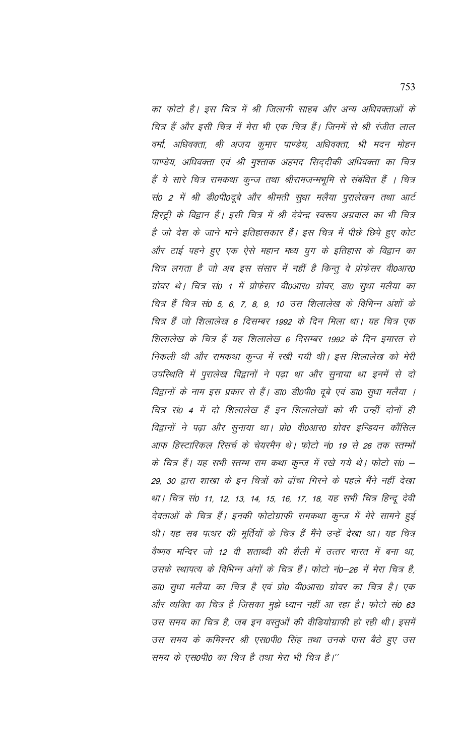का फोटो है। इस चित्र में श्री जिलानी साहब और अन्य अधिवक्ताओं के चित्र हैं और इसी चित्र में मेरा भी एक चित्र हैं। जिनमें से श्री रंजीत लाल वर्मा, अधिवक्ता, श्री अजय कुमार पाण्डेय, अधिवक्ता, श्री मदन मोहन पाण्डेय, अधिवक्ता एवं श्री मुश्ताक अहमद सिद्दीकी अधिवक्ता का चित्र हैं ये सारे चित्र रामकथा कुन्ज तथा श्रीरामजन्मभूमि से संबंधित हैं । चित्र सं0 2 में श्री डी0पी0दूबे और श्रीमती सुधा मलैया पुरालेखन तथा आर्ट हिस्ट्री के विद्वान हैं। इसी चित्र में श्री देवेन्द्र स्वरूप अग्रवाल का भी चित्र है जो देश के जाने माने इतिहासकार हैं। इस चित्र में पीछे छिपे हुए कोट और टाई पहने हुए एक ऐसे महान मध्य युग के इतिहास के विद्वान का चित्र लगता है जो अब इस संसार में नहीं है किन्तु वे प्रोफेसर वी0आर0 ग्रोवर थे। चित्र सं0 1 में प्रोफेसर वी0आर0 ग्रोवर, डा0 सुधा मलैया का चित्र हैं चित्र सं0 5, 6, 7, 8, 9, 10 उस शिलालेख के विभिन्न अंशों के चित्र हैं जो शिलालेख 6 दिसम्बर 1992 के दिन मिला था। यह चित्र एक शिलालेख के चित्र हैं यह शिलालेख 6 दिसम्बर 1992 के दिन इमारत से निकली थी और रामकथा कून्ज में रखी गयी थी। इस शिलालेख को मेरी उपस्थिति में पुरालेख विद्वानों ने पढ़ा था और सुनाया था इनमें से दो विद्वानों के नाम इस प्रकार से हैं। डा0 डी0पी0 दुबे एवं डा0 सुधा मलैया । चित्र सं0 4 में दो शिलालेख हैं इन शिलालेखों को भी उन्हीं दोनों ही विद्वानों ने पढ़ा और सूनाया था। प्रो0 वी0आर0 ग्रोवर इन्डियन कौंसिल आफ हिस्टारिकल रिसर्च के चेयरमैन थे। फोटो नं0 19 से 26 तक स्तम्भों के चित्र हैं। यह सभी स्तम्भ राम कथा कुन्ज में रखे गये थे। फोटो सं0 – 29, 30 द्वारा शाखा के इन चित्रों को ढाँचा गिरने के पहले मैंने नहीं देखा था। चित्र सं0 11, 12, 13, 14, 15, 16, 17, 18, यह सभी चित्र हिन्दू देवी देवताओं के चित्र हैं। इनकी फोटोग्राफी रामकथा कुन्ज में मेरे सामने हुई थी। यह सब पत्थर की मूर्तियों के चित्र हैं मैंने उन्हें देखा था। यह चित्र वैष्णव मन्दिर जो 12 वी शताब्दी की शैली में उत्तर भारत में बना था, उसके स्थापत्य के विभिन्न अंगों के चित्र हैं। फोटो नं0–26 में मेरा चित्र है, डा0 सुधा मलैया का चित्र है एवं प्रो0 वी0आर0 ग्रोवर का चित्र है। एक और व्यक्ति का चित्र है जिसका मुझे ध्यान नहीं आ रहा है। फोटो सं0 63 उस समय का चित्र है, जब इन वस्तुओं की वीडियोग्राफी हो रही थी। इसमें उस समय के कमिश्नर श्री एस0पी0 सिंह तथा उनके पास बैठे हुए उस समय के एस0पी0 का चित्र है तथा मेरा भी चित्र है।''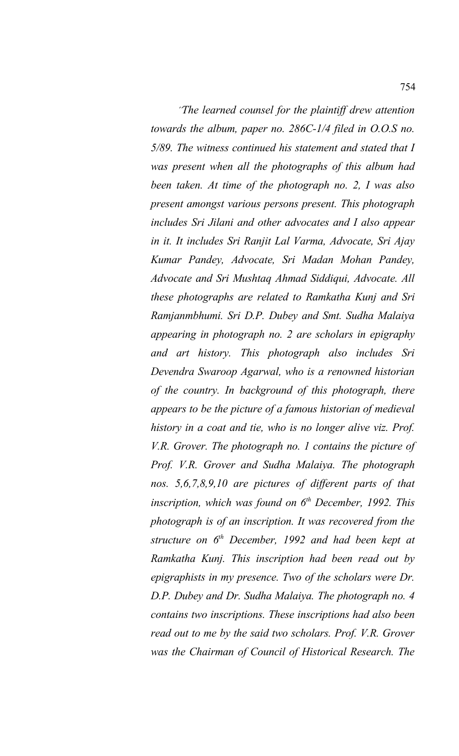\*\**The learned counsel for the plaintiff drew attention towards the album, paper no. 286C-1/4 filed in O.O.S no. 5/89. The witness continued his statement and stated that I was present when all the photographs of this album had been taken. At time of the photograph no. 2, I was also present amongst various persons present. This photograph includes Sri Jilani and other advocates and I also appear in it. It includes Sri Ranjit Lal Varma, Advocate, Sri Ajay Kumar Pandey, Advocate, Sri Madan Mohan Pandey, Advocate and Sri Mushtaq Ahmad Siddiqui, Advocate. All these photographs are related to Ramkatha Kunj and Sri Ramjanmbhumi. Sri D.P. Dubey and Smt. Sudha Malaiya appearing in photograph no. 2 are scholars in epigraphy and art history. This photograph also includes Sri Devendra Swaroop Agarwal, who is a renowned historian of the country. In background of this photograph, there appears to be the picture of a famous historian of medieval history in a coat and tie, who is no longer alive viz. Prof. V.R. Grover. The photograph no. 1 contains the picture of Prof. V.R. Grover and Sudha Malaiya. The photograph nos. 5,6,7,8,9,10 are pictures of different parts of that inscription, which was found on 6th December, 1992. This photograph is of an inscription. It was recovered from the structure on 6th December, 1992 and had been kept at Ramkatha Kunj. This inscription had been read out by epigraphists in my presence. Two of the scholars were Dr. D.P. Dubey and Dr. Sudha Malaiya. The photograph no. 4 contains two inscriptions. These inscriptions had also been read out to me by the said two scholars. Prof. V.R. Grover was the Chairman of Council of Historical Research. The*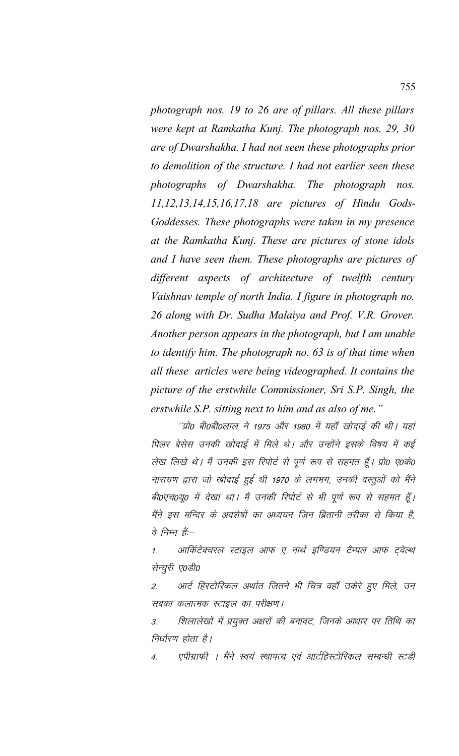photograph nos. 19 to 26 are of pillars. All these pillars were kept at Ramkatha Kunj. The photograph nos. 29, 30 are of Dwarshakha. I had not seen these photographs prior to demolition of the structure. I had not earlier seen these photographs of Dwarshakha. The photograph nos. 11,12,13,14,15,16,17,18 are pictures of Hindu Gods-Goddesses. These photographs were taken in my presence at the Ramkatha Kunj. These are pictures of stone idols and I have seen them. These photographs are pictures of different aspects of architecture of twelfth century Vaishnav temple of north India. I figure in photograph no. 26 along with Dr. Sudha Malaiya and Prof. V.R. Grover. Another person appears in the photograph, but I am unable to identify him. The photograph no. 63 is of that time when all these articles were being videographed. It contains the picture of the erstwhile Commissioner, Sri S.P. Singh, the erstwhile S.P. sitting next to him and as also of me."

''प्रो0 बी0बी0लाल ने 1975 और 1980 में यहाँ खोदाई की थी। यहां पिलर बेसेस उनकी खोदाई में मिले थे। और उन्होंने इसके विषय में कई लेख लिखे थे। मैं उनकी इस रिपोर्ट से पूर्ण रूप से सहमत हूँ। प्रो0 ए0के0 नारायण द्वारा जो खोदाई हुई थी 1970 के लगभग, उनकी वस्तुओं को मैंने बी0एच0यू0 में देखा था। मैं उनकी रिपोर्ट से भी पूर्ण रूप से सहमत हूँ। मैंने इस मन्दिर के अवशेषों का अध्ययन जिन ब्रितानी तरीका से किया है, वे निम्न हैं:-

आर्किटेक्चरल स्टाइल आफ ए नार्थ इण्डियन टैम्पल आफ ट्वेल्थ  $1.$ सेन्चुरी ए0डी0

आर्ट हिस्टोरिकल अर्थात जितने भी चित्र वहाँ उकेरे हुए मिले, उन  $\overline{2}$ . सबका कलात्मक स्टाइल का परीक्षण।

शिलालेखों में प्रयुक्त अक्षरों की बनावट, जिनके आधार पर तिथि का 3. निर्धारण होता है।

एपीग्राफी । मैंने स्वयं स्थापत्य एवं आर्टहिस्टोरिकल सम्बन्धी स्टडी  $\overline{A}$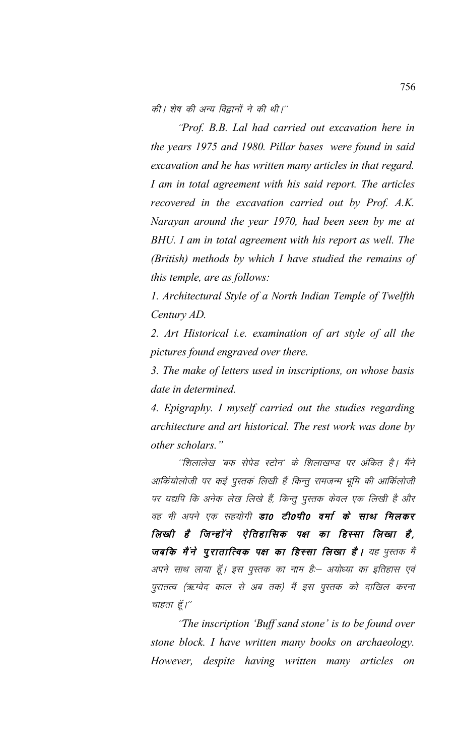की। शेष की अन्य विद्वानों ने की थी।''

'Prof. B.B. Lal had carried out excavation here in the years 1975 and 1980. Pillar bases were found in said excavation and he has written many articles in that regard. I am in total agreement with his said report. The articles recovered in the excavation carried out by Prof. A.K. Narayan around the year 1970, had been seen by me at BHU. I am in total agreement with his report as well. The (British) methods by which I have studied the remains of this temple, are as follows:

1. Architectural Style of a North Indian Temple of Twelfth Century AD.

2. Art Historical i.e. examination of art style of all the pictures found engraved over there.

3. The make of letters used in inscriptions, on whose basis date in determined.

4. Epigraphy. I myself carried out the studies regarding architecture and art historical. The rest work was done by other scholars."

''शिलालेख 'बफ सेपेड स्टोन' के शिलाखण्ड पर अंकित है। मैंने आर्कियोलोजी पर कई पुस्तकं लिखी हैं किन्तू रामजन्म भूमि की आर्किलोजी पर यद्यपि कि अनेक लेख लिखे हैं, किन्तु पुस्तक केवल एक लिखी है और वह भी अपने एक सहयोगी **डाo टीoपीo वर्मा के साथ मिलकर** लिखी है जिन्होंने ऐतिहासिक पक्ष का हिस्सा लिखा है, जबकि मैंने पुरातात्विक पक्ष का हिस्सा लिखा है। यह पुस्तक में अपने साथ लाया हूँ। इस पुस्तक का नाम है:- अयोध्या का इतिहास एवं पुरातत्व (ऋग्वेद काल से अब तक) मैं इस पुस्तक को दाखिल करना चाहता हूँ।"

"The inscription 'Buff sand stone' is to be found over stone block. I have written many books on archaeology. However, despite having written many articles on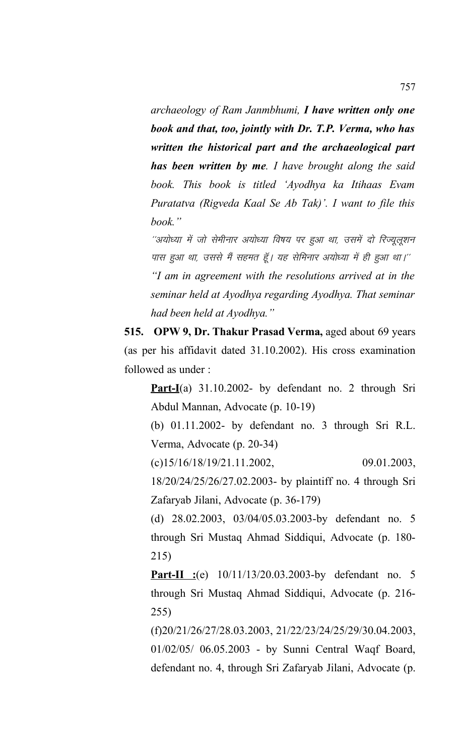*archaeology of Ram Janmbhumi, I have written only one book and that, too, jointly with Dr. T.P. Verma, who has written the historical part and the archaeological part has been written by me. I have brought along the said book. This book is titled 'Ayodhya ka Itihaas Evam Puratatva (Rigveda Kaal Se Ab Tak)'. I want to file this book."*

''अयोध्या में जो सेमीनार अयोध्या विषय पर हुआ था, उसमें दो रिज्युलुशन पास हुआ था, उससे मैं सहमत हूँ। यह सेमिनार अयोध्या में ही हुआ था।'' *"I am in agreement with the resolutions arrived at in the seminar held at Ayodhya regarding Ayodhya. That seminar had been held at Ayodhya."*

**515. OPW 9, Dr. Thakur Prasad Verma,** aged about 69 years (as per his affidavit dated 31.10.2002). His cross examination followed as under :

**Part-I**(a) 31.10.2002- by defendant no. 2 through Sri Abdul Mannan, Advocate (p. 10-19)

(b) 01.11.2002- by defendant no. 3 through Sri R.L. Verma, Advocate (p. 20-34)

 $(c)15/16/18/19/21.11.2002,$  09.01.2003,

18/20/24/25/26/27.02.2003- by plaintiff no. 4 through Sri Zafaryab Jilani, Advocate (p. 36-179)

(d) 28.02.2003, 03/04/05.03.2003-by defendant no. 5 through Sri Mustaq Ahmad Siddiqui, Advocate (p. 180- 215)

**Part-II :**(e) 10/11/13/20.03.2003-by defendant no. 5 through Sri Mustaq Ahmad Siddiqui, Advocate (p. 216- 255)

(f)20/21/26/27/28.03.2003, 21/22/23/24/25/29/30.04.2003, 01/02/05/ 06.05.2003 - by Sunni Central Waqf Board, defendant no. 4, through Sri Zafaryab Jilani, Advocate (p.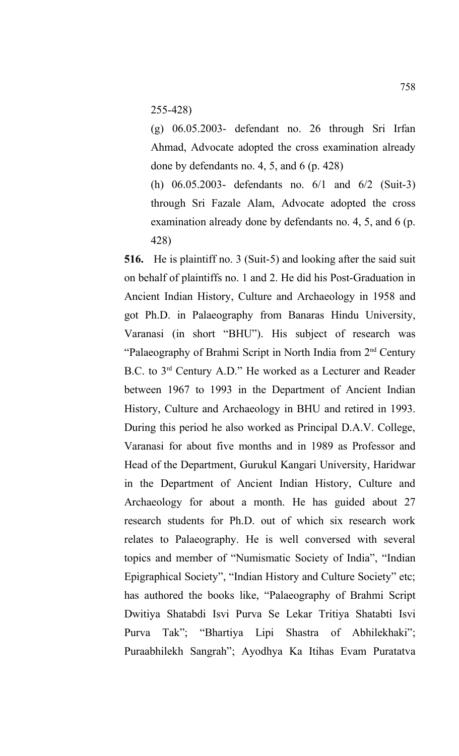255-428)

(g) 06.05.2003- defendant no. 26 through Sri Irfan Ahmad, Advocate adopted the cross examination already done by defendants no. 4, 5, and 6 (p. 428)

(h) 06.05.2003- defendants no. 6/1 and 6/2 (Suit-3) through Sri Fazale Alam, Advocate adopted the cross examination already done by defendants no. 4, 5, and 6 (p. 428)

**516.** He is plaintiff no. 3 (Suit-5) and looking after the said suit on behalf of plaintiffs no. 1 and 2. He did his Post-Graduation in Ancient Indian History, Culture and Archaeology in 1958 and got Ph.D. in Palaeography from Banaras Hindu University, Varanasi (in short "BHU"). His subject of research was "Palaeography of Brahmi Script in North India from 2nd Century B.C. to 3rd Century A.D." He worked as a Lecturer and Reader between 1967 to 1993 in the Department of Ancient Indian History, Culture and Archaeology in BHU and retired in 1993. During this period he also worked as Principal D.A.V. College, Varanasi for about five months and in 1989 as Professor and Head of the Department, Gurukul Kangari University, Haridwar in the Department of Ancient Indian History, Culture and Archaeology for about a month. He has guided about 27 research students for Ph.D. out of which six research work relates to Palaeography. He is well conversed with several topics and member of "Numismatic Society of India", "Indian Epigraphical Society", "Indian History and Culture Society" etc; has authored the books like, "Palaeography of Brahmi Script Dwitiya Shatabdi Isvi Purva Se Lekar Tritiya Shatabti Isvi Purva Tak"; "Bhartiya Lipi Shastra of Abhilekhaki"; Puraabhilekh Sangrah"; Ayodhya Ka Itihas Evam Puratatva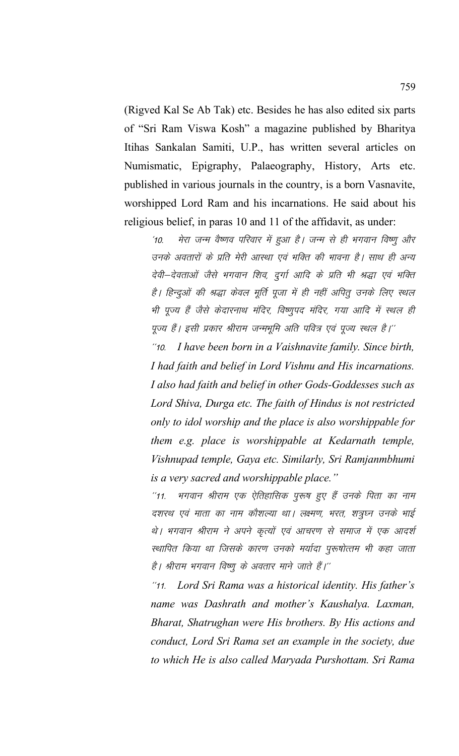(Rigved Kal Se Ab Tak) etc. Besides he has also edited six parts of "Sri Ram Viswa Kosh" a magazine published by Bharitya Itihas Sankalan Samiti, U.P., has written several articles on Numismatic, Epigraphy, Palaeography, History, Arts etc. published in various journals in the country, is a born Vasnavite, worshipped Lord Ram and his incarnations. He said about his religious belief, in paras 10 and 11 of the affidavit, as under:

'10. मेरा जन्म वैष्णव परिवार में हुआ है। जन्म से ही भगवान विष्णू और उनके अवतारों के प्रति मेरी आस्था एवं भक्ति की भावना है। साथ ही अन्य देवी–देवताओं जैसे भगवान शिव, दुर्गा आदि के प्रति भी श्रद्धा एवं भक्ति है। हिन्दुओं की श्रद्धा केवल मूर्ति पूजा में ही नहीं अपितु उनके लिए स्थल भी पूज्य हैं जैसे केदारनाथ मंदिर, विष्णुपद मंदिर, गया आदि में स्थल ही पूज्य हैं। इसी प्रकार श्रीराम जन्मभूमि अति पवित्र एवं पूज्य स्थल है।''

\*\*10- *I have been born in a Vaishnavite family. Since birth, I had faith and belief in Lord Vishnu and His incarnations. I also had faith and belief in other Gods-Goddesses such as Lord Shiva, Durga etc. The faith of Hindus is not restricted only to idol worship and the place is also worshippable for them e.g. place is worshippable at Kedarnath temple, Vishnupad temple, Gaya etc. Similarly, Sri Ramjanmbhumi is a very sacred and worshippable place."*

"11. भगवान श्रीराम एक ऐतिहासिक पुरूष हुए हैं उनके पिता का नाम दशरथ एवं माता का नाम कौशल्या था। लक्ष्मण, भरत, शत्रुघ्न उनके भाई थे। भगवान श्रीराम ने अपने कृत्यों एवं आचरण से समाज में एक आदर्श स्थापित किया था जिसके कारण उनको मर्यादा पुरूषोत्तम भी कहा जाता है। श्रीराम भगवान विष्णू के अवतार माने जाते हैं।''

\*\*11- *Lord Sri Rama was a historical identity. His father's name was Dashrath and mother's Kaushalya. Laxman, Bharat, Shatrughan were His brothers. By His actions and conduct, Lord Sri Rama set an example in the society, due to which He is also called Maryada Purshottam. Sri Rama*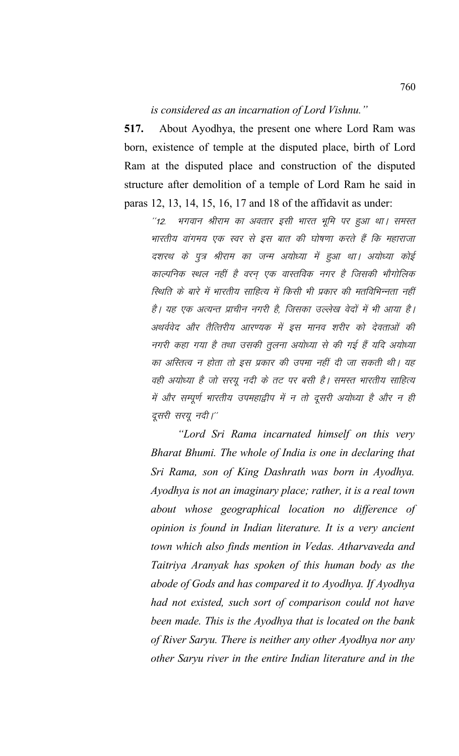## is considered as an incarnation of Lord Vishnu."

517. About Ayodhya, the present one where Lord Ram was born, existence of temple at the disputed place, birth of Lord Ram at the disputed place and construction of the disputed structure after demolition of a temple of Lord Ram he said in paras 12, 13, 14, 15, 16, 17 and 18 of the affidavit as under:

भगवान श्रीराम का अवतार इसी भारत भूमि पर हुआ था। समस्त  $112$ भारतीय वांगमय एक स्वर से इस बात की घोषणा करते हैं कि महाराजा दशरथ के पुत्र श्रीराम का जन्म अयोध्या में हुआ था। अयोध्या कोई काल्पनिक स्थल नहीं है वरन एक वास्तविक नगर है जिसकी भौगोलिक स्थिति के बारे में भारतीय साहित्य में किसी भी प्रकार की मतविभिन्नता नहीं है। यह एक अत्यन्त प्राचीन नगरी है, जिसका उल्लेख वेदों में भी आया है। अथर्ववेद और तैत्तिरीय आरण्यक में इस मानव शरीर को देवताओं की नगरी कहा गया है तथा उसकी तुलना अयोध्या से की गई हैं यदि अयोध्या का अस्तित्व न होता तो इस प्रकार की उपमा नहीं दी जा सकती थी। यह वही अयोध्या है जो सरयू नदी के तट पर बसी है। समस्त भारतीय साहित्य में और सम्पूर्ण भारतीय उपमहाद्वीप में न तो दूसरी अयोध्या है और न ही दूसरी सरयू नदी।''

"Lord Sri Rama incarnated himself on this very Bharat Bhumi. The whole of India is one in declaring that Sri Rama, son of King Dashrath was born in Ayodhya. Ayodhya is not an imaginary place; rather, it is a real town about whose geographical location no difference of opinion is found in Indian literature. It is a very ancient town which also finds mention in Vedas. Atharvaveda and Taitriya Aranyak has spoken of this human body as the abode of Gods and has compared it to Ayodhya. If Ayodhya had not existed, such sort of comparison could not have been made. This is the Ayodhya that is located on the bank of River Saryu. There is neither any other Ayodhya nor any other Saryu river in the entire Indian literature and in the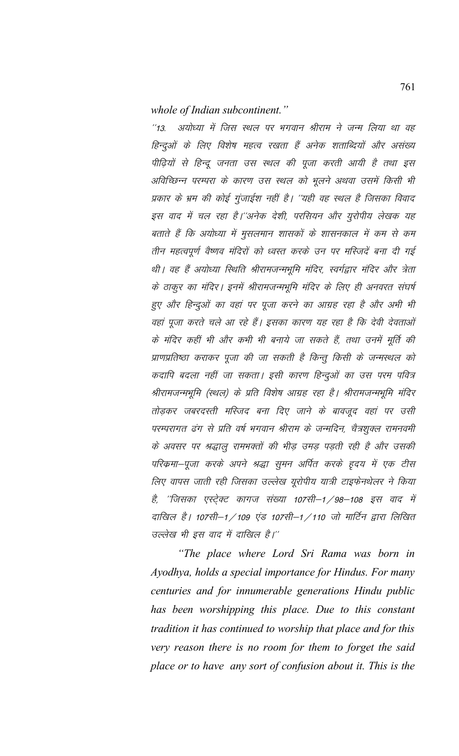## whole of Indian subcontinent."

अयोध्या में जिस स्थल पर भगवान श्रीराम ने जन्म लिया था वह  $113$ हिन्दुओं के लिए विशेष महत्व रखता हैं अनेक शताब्दियों और असंख्य पीढ़ियों से हिन्दू जनता उस स्थल की पूजा करती आयी है तथा इस अविच्छिन्न परम्परा के कारण उस स्थल को भूलने अथवा उसमें किसी भी प्रकार के भ्रम की कोई गुंजाईश नहीं है। ''यही वह स्थल है जिसका विवाद इस वाद में चल रहा है।''अनेक देशी, परसियन और यूरोपीय लेखक यह बताते हैं कि अयोध्या में मुसलमान शासकों के शासनकाल में कम से कम तीन महत्वपूर्ण वैष्णव मंदिरों को ध्वस्त करके उन पर मस्जिदें बना दी गई थी। वह हैं अयोध्या स्थिति श्रीरामजन्मभूमि मंदिर, स्वर्गद्वार मंदिर और त्रेता के ठाकूर का मंदिर। इनमें श्रीरामजन्मभूमि मंदिर के लिए ही अनवरत संघर्ष हुए और हिन्दुओं का वहां पर पूजा करने का आग्रह रहा है और अभी भी वहां पूजा करते चले आ रहे हैं। इसका कारण यह रहा है कि देवी देवताओं के मंदिर कहीं भी और कभी भी बनाये जा सकते हैं, तथा उनमें मूर्ति की प्राणप्रतिष्ठा कराकर पूजा की जा सकती है किन्तु किसी के जन्मस्थल को कदापि बदला नहीं जा सकता। इसी कारण हिन्दुओं का उस परम पवित्र श्रीरामजन्मभूमि (स्थल) के प्रति विशेष आग्रह रहा है। श्रीरामजन्मभूमि मंदिर तोड़कर जबरदस्ती मस्जिद बना दिए जाने के बावजूद वहां पर उसी परम्परागत ढंग से प्रति वर्ष भगवान श्रीराम के जन्मदिन, चैत्रशुक्ल रामनवमी के अवसर पर श्रद्धालू रामभक्तों की भीड़ उमड़ पड़ती रही है और उसकी परिक्रमा–पूजा करके अपने श्रद्धा सूमन अर्पित करके हृदय में एक टीस लिए वापस जाती रही जिसका उल्लेख यूरोपीय यात्री टाइफेनथेलर ने किया है, ''जिसका एस्ट्रेक्ट कागज संख्या 107सी–1 / 98–108 इस वाद में दाखिल है। 107सी–1 / 109 एंड 107सी–1 / 110 जो मार्टिन द्वारा लिखित उल्लेख भी इस वाद में दाखिल है।"

"The place where Lord Sri Rama was born in Ayodhya, holds a special importance for Hindus. For many centuries and for innumerable generations Hindu public has been worshipping this place. Due to this constant tradition it has continued to worship that place and for this very reason there is no room for them to forget the said place or to have any sort of confusion about it. This is the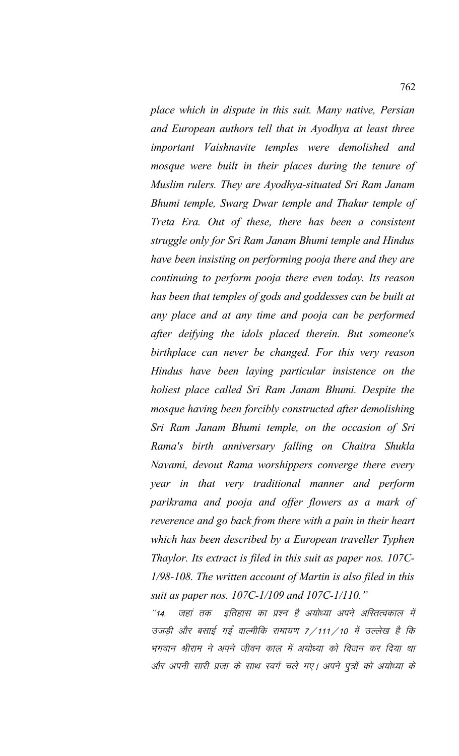*place which in dispute in this suit. Many native, Persian and European authors tell that in Ayodhya at least three important Vaishnavite temples were demolished and mosque were built in their places during the tenure of Muslim rulers. They are Ayodhya-situated Sri Ram Janam Bhumi temple, Swarg Dwar temple and Thakur temple of Treta Era. Out of these, there has been a consistent struggle only for Sri Ram Janam Bhumi temple and Hindus have been insisting on performing pooja there and they are continuing to perform pooja there even today. Its reason has been that temples of gods and goddesses can be built at any place and at any time and pooja can be performed after deifying the idols placed therein. But someone's birthplace can never be changed. For this very reason Hindus have been laying particular insistence on the holiest place called Sri Ram Janam Bhumi. Despite the mosque having been forcibly constructed after demolishing Sri Ram Janam Bhumi temple, on the occasion of Sri Rama's birth anniversary falling on Chaitra Shukla Navami, devout Rama worshippers converge there every year in that very traditional manner and perform parikrama and pooja and offer flowers as a mark of reverence and go back from there with a pain in their heart which has been described by a European traveller Typhen Thaylor. Its extract is filed in this suit as paper nos. 107C-1/98-108. The written account of Martin is also filed in this suit as paper nos. 107C-1/109 and 107C-1/110."*

"14. जहां तक इतिहास का प्रश्न है अयोध्या अपने अस्तित्वकाल में उजड़ी और बसाई गईं वाल्मीकि रामायण 7/111/10 में उल्लेख है कि भगवान श्रीराम ने अपने जीवन काल में अयोध्या को विजन कर दिया था और अपनी सारी प्रजा के साथ स्वर्ग चले गए। अपने पूत्रों को अयोध्या के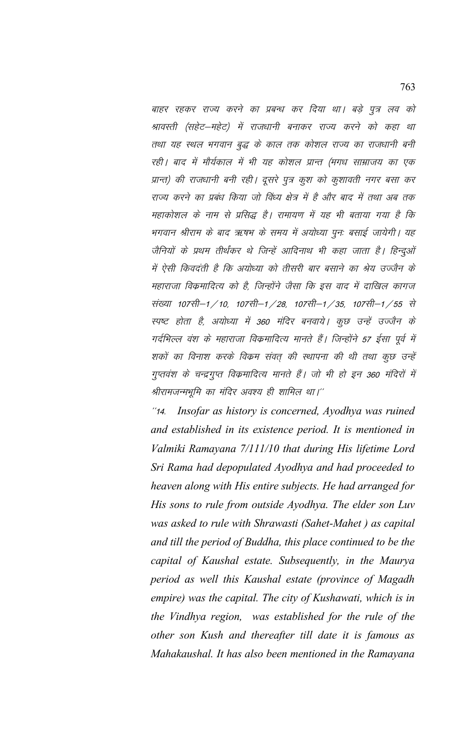बाहर रहकर राज्य करने का प्रबन्ध कर दिया था। बड़े पुत्र लव को श्रावस्ती (सहेट–महेट) में राजधानी बनाकर राज्य करने को कहा था तथा यह स्थल भगवान बुद्ध के काल तक कोशल राज्य का राजधानी बनी रही। बाद में मौर्यकाल में भी यह कोशल प्रान्त (मगध साम्राजय का एक प्रान्त) की राजधानी बनी रही। दूसरे पुत्र कुश को कुशावती नगर बसा कर राज्य करने का प्रबंध किया जो विंध्य क्षेत्र में है और बाद में तथा अब तक महाकोशल के नाम से प्रसिद्ध है। रामायण में यह भी बताया गया है कि भगवान श्रीराम के बाद ऋषभ के समय में अयोध्या पुनः बसाई जायेगी। यह जैनियों के प्रथम तीर्थंकर थे जिन्हें आदिनाथ भी कहा जाता है। हिन्दुओं में ऐसी किवदंती है कि अयोध्या को तीसरी बार बसाने का श्रेय उज्जैन के महाराजा विक्रमादित्य को है, जिन्होंने जैसा कि इस वाद में दाखिल कागज संख्या 107सी–1 / 10, 107सी–1 / 28, 107सी–1 / 35, 107सी–1 / 55 से स्पष्ट होता है, अयोध्या में 360 मंदिर बनवाये। कूछ उन्हें उज्जैन के गर्दभिल्ल वंश के महाराजा विक्रमादित्य मानते हैं। जिन्होंने 57 ईसा पूर्व में शकों का विनाश करके विक्रम संवत की स्थापना की थी तथा कुछ उन्हें गुप्तवंश के चन्द्रगुप्त विक्रमादित्य मानते हैं। जो भी हो इन 360 मंदिरों में श्रीरामजन्मभूमि का मंदिर अवश्य ही शामिल था।''

Insofar as history is concerned, Ayodhya was ruined  $^{\prime\prime}$ 14. and established in its existence period. It is mentioned in Valmiki Ramayana 7/111/10 that during His lifetime Lord Sri Rama had depopulated Ayodhya and had proceeded to heaven along with His entire subjects. He had arranged for His sons to rule from outside Ayodhya. The elder son Luv was asked to rule with Shrawasti (Sahet-Mahet) as capital and till the period of Buddha, this place continued to be the capital of Kaushal estate. Subsequently, in the Maurya period as well this Kaushal estate (province of Magadh empire) was the capital. The city of Kushawati, which is in the Vindhya region, was established for the rule of the other son Kush and thereafter till date it is famous as Mahakaushal. It has also been mentioned in the Ramayana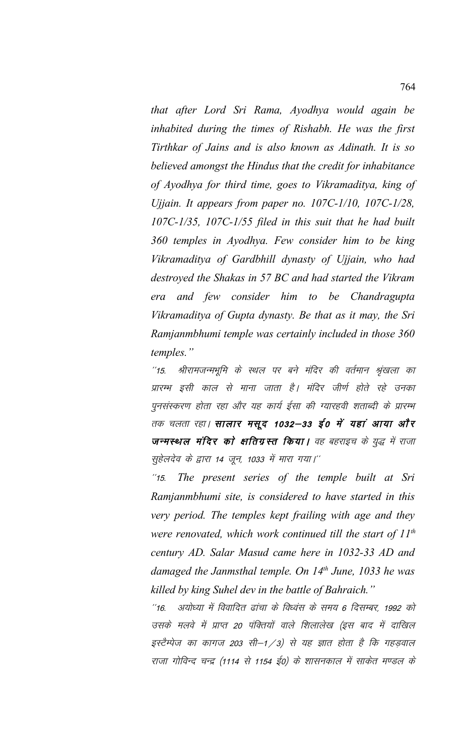*that after Lord Sri Rama, Ayodhya would again be inhabited during the times of Rishabh. He was the first Tirthkar of Jains and is also known as Adinath. It is so believed amongst the Hindus that the credit for inhabitance of Ayodhya for third time, goes to Vikramaditya, king of Ujjain. It appears from paper no. 107C-1/10, 107C-1/28, 107C-1/35, 107C-1/55 filed in this suit that he had built 360 temples in Ayodhya. Few consider him to be king Vikramaditya of Gardbhill dynasty of Ujjain, who had destroyed the Shakas in 57 BC and had started the Vikram era and few consider him to be Chandragupta Vikramaditya of Gupta dynasty. Be that as it may, the Sri Ramjanmbhumi temple was certainly included in those 360 temples."*

''15. श्रीरामजन्मभूमि के स्थल पर बने मंदिर की वर्तमान श्रृंखला का प्रारम्भ इसी काल से माना जाता है। मंदिर जीर्ण होते रहे उनका पुनसंस्करण होता रहा और यह कार्य ईसा की ग्यारहवी शताब्दी के प्रारम्भ तक चलता रहा। **सालार मसूद 1032–33 ई0 में यहां आया और जन्मस्थल मंदिर को क्षतिग्रस्त किया।** वह बहराइच के युद्ध में राजा सुहेलदेव के द्वारा 14 जून, 1033 में मारा गया।''

\*\*15- *The present series of the temple built at Sri Ramjanmbhumi site, is considered to have started in this very period. The temples kept frailing with age and they were renovated, which work continued till the start of 11th century AD. Salar Masud came here in 1032-33 AD and damaged the Janmsthal temple. On 14th June, 1033 he was killed by king Suhel dev in the battle of Bahraich."*

"16. अयोध्या में विवादित ढांचा के विध्वंस के समय 6 दिसम्बर, 1992 को उसके मलवे में प्राप्त 20 पंक्तियों वाले शिलालेख (इस बाद में दाखिल इस्टैम्पेज का कागज 203 सी–1/3) से यह ज्ञात होता है कि गहड़वाल राजा गोविन्द चन्द्र (1114 से 1154 ई0) के शासनकाल में साकेत मण्डल के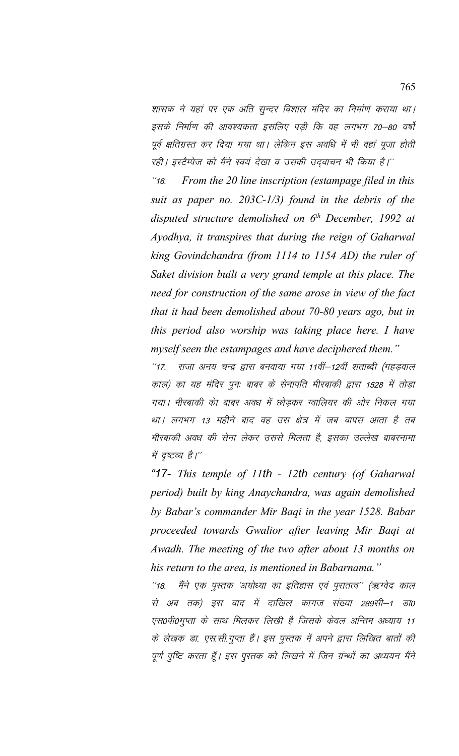शासक ने यहां पर एक अति सुन्दर विशाल मंदिर का निर्माण कराया था। इसके निर्माण की आवश्यकता इसलिए पडी कि वह लगभग 70–80 वर्षो पूर्व क्षतिग्रस्त कर दिया गया था। लेकिन इस अवधि में भी वहां पूजा होती रही। इस्टैम्पेज को मैंने स्वयं देखा व उसकी उदवाचन भी किया है।''

\*\*16- *From the 20 line inscription (estampage filed in this suit as paper no. 203C-1/3) found in the debris of the disputed structure demolished on 6th December, 1992 at Ayodhya, it transpires that during the reign of Gaharwal king Govindchandra (from 1114 to 1154 AD) the ruler of Saket division built a very grand temple at this place. The need for construction of the same arose in view of the fact that it had been demolished about 70-80 years ago, but in this period also worship was taking place here. I have myself seen the estampages and have deciphered them."*

"17. राजा अनय चन्द्र द्वारा बनवाया गया 11वीं–12वीं शताब्दी (गहडवाल काल) का यह मंदिर पून: बाबर के सेनापति मीरबाकी द्वारा 1528 में तोड़ा गया। मीरबाकी केा बाबर अवध में छोड़कर ग्वालियर की ओर निकल गया था। लगभग 13 महीने बाद वह उस क्षेत्र में जब वापस आता है तब मीरबाकी अवध की सेना लेकर उससे मिलता है, इसका उल्लेख बाबरनामा में दृष्टव्य है।''

*"17- This temple of 11th - 12th century (of Gaharwal period) built by king Anaychandra, was again demolished by Babar's commander Mir Baqi in the year 1528. Babar proceeded towards Gwalior after leaving Mir Baqi at Awadh. The meeting of the two after about 13 months on his return to the area, is mentioned in Babarnama."*

''18. मैंने एक पुस्तक 'अयोध्या का इतिहास एवं पुरातत्व'' (ऋग्वेद काल से अब तक) इस वाद में दाखिल कागज संख्या 289सी–1 डा0 एस0पी0गुप्ता के साथ मिलकर लिखी है जिसके केवल अन्तिम अध्याय 11 के लेखक डा. एस.सी.गुप्ता हैं। इस पुस्तक में अपने द्वारा लिखित बातों की पूर्ण पुष्टि करता हूँ। इस पुस्तक को लिखने में जिन ग्रंन्थों का अध्ययन मैंने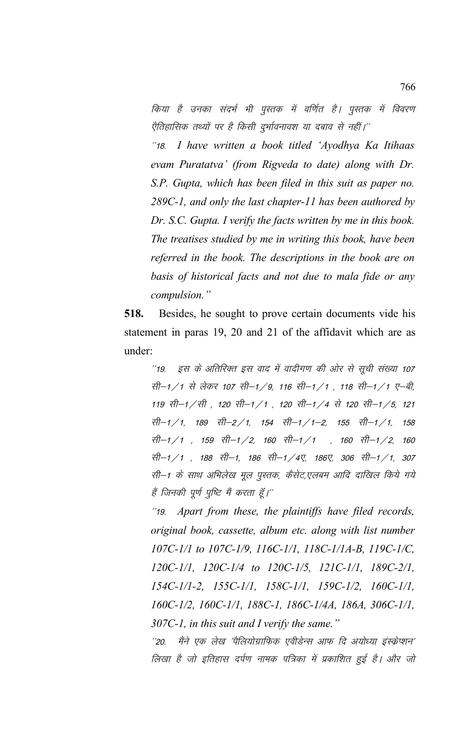किया है उनका संदर्भ भी पुस्तक में वर्णित है। पुस्तक में विवरण ऐतिहासिक तथ्यों पर है किसी दुर्भावनावश या दबाव से नहीं।''

"18. I have written a book titled 'Ayodhya Ka Itihaas evam Puratatva' (from Rigveda to date) along with Dr. S.P. Gupta, which has been filed in this suit as paper no.  $289C-1$ , and only the last chapter-11 has been authored by Dr. S.C. Gupta. I verify the facts written by me in this book. The treatises studied by me in writing this book, have been referred in the book. The descriptions in the book are on basis of historical facts and not due to mala fide or any compulsion."

518. Besides, he sought to prove certain documents vide his statement in paras 19, 20 and 21 of the affidavit which are as under:

इस के अतिरिक्त इस वाद में वादीगण की ओर से सूची संख्या 107  $^{\prime\prime}$ 19 सी-1/1 से लेकर 107 सी-1/9, 116 सी-1/1 , 118 सी-1/1 ए-बी, 119 सी−1 ∕सी , 120 सी−1 ∕1 , 120 सी−1 ∕4 से 120 सी−1 ∕5, 121 सी—1 / 1, 189 सी—2 / 1, 154 सी—1 / 1—2, 155 सी—1 / 1, 158 सी-1/1, 159 सी-1/2, 160 सी-1/1, 160 सी-1/2, 160 सी-1/1, 188 सी-1, 186 सी-1/4ए, 186ए, 306 सी-1/1, 307 सी–1 के साथ अभिलेख मूल पुस्तक, कैसेट,एलबम आदि दाखिल किये गये हैं जिनकी पूर्ण पुष्टि मैं करता हूँ।''

"19. Apart from these, the plaintiffs have filed records, original book, cassette, album etc. along with list number 107C-1/1 to 107C-1/9, 116C-1/1, 118C-1/1A-B, 119C-1/C,  $120C-1/1$ ,  $120C-1/4$  to  $120C-1/5$ ,  $121C-1/1$ ,  $189C-2/1$ , 154C-1/1-2, 155C-1/1, 158C-1/1, 159C-1/2, 160C-1/1, 160C-1/2, 160C-1/1, 188C-1, 186C-1/4A, 186A, 306C-1/1, 307C-1, in this suit and I verify the same."

मैंने एक लेख 'पैलियोग्राफिक एवीडेन्स आफ दि अयोध्या इंस्क्रेप्शन'  $^{\prime\prime}20.$ लिखा है जो इतिहास दर्पण नामक पत्रिका में प्रकाशित हुई है। और जो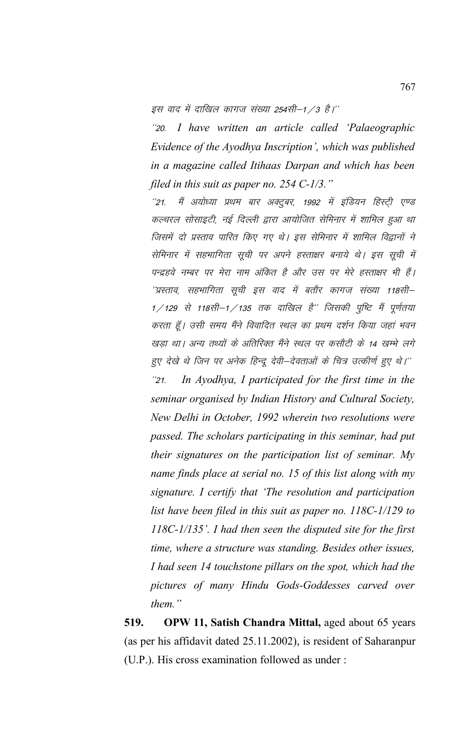इस वाद में दाखिल कागज संख्या 254सी–1 / 3 है।''

I have written an article called 'Palaeographic  $^{\prime\prime}$ 20. Evidence of the Ayodhya Inscription', which was published in a magazine called Itihaas Darpan and which has been filed in this suit as paper no.  $254$  C-1/3."

मैं अयोध्या प्रथम बार अक्टूबर, 1992 में इंडियन हिस्टी एण्ड  $^{\prime\prime}21.$ कल्चरल सोसाइटी, नई दिल्ली द्वारा आयोजित सेमिनार में शामिल हुआ था जिसमें दो प्रस्ताव पारित किए गए थे। इस सेमिनार में शामिल विद्वानों ने सेमिनार में सहभागिता सूची पर अपने हस्ताक्षर बनाये थे। इस सूची में पन्द्रहवे नम्बर पर मेरा नाम अंकित है और उस पर मेरे हस्ताक्षर भी हैं। ''प्रस्ताव, सहभागिता सूची इस वाद में बतौर कागज संख्या 118सी– 1/129 से 118सी-1/135 तक दाखिल है" जिसकी पुष्टि मैं पूर्णतया करता हूँ। उसी समय मैंने विवादित स्थल का प्रथम दर्शन किया जहां भवन खड़ा था। अन्य तथ्यों के अतिरिक्त मैंने स्थल पर कसौटी के 14 खम्भे लगे हुए देखे थे जिन पर अनेक हिन्दू देवी–देवताओं के चित्र उत्कीर्ण हुए थे।'' In Ayodhya, I participated for the first time in the  $^{\prime\prime}$ 21 seminar organised by Indian History and Cultural Society, New Delhi in October, 1992 wherein two resolutions were passed. The scholars participating in this seminar, had put their signatures on the participation list of seminar. My name finds place at serial no. 15 of this list along with my signature. I certify that 'The resolution and participation list have been filed in this suit as paper no.  $118C-1/129$  to  $118C-1/135$ . I had then seen the disputed site for the first time, where a structure was standing. Besides other issues, I had seen 14 touchstone pillars on the spot, which had the pictures of many Hindu Gods-Goddesses carved over  $them.$ "

519. OPW 11, Satish Chandra Mittal, aged about 65 years (as per his affidavit dated 25.11.2002), is resident of Saharanpur (U.P.). His cross examination followed as under :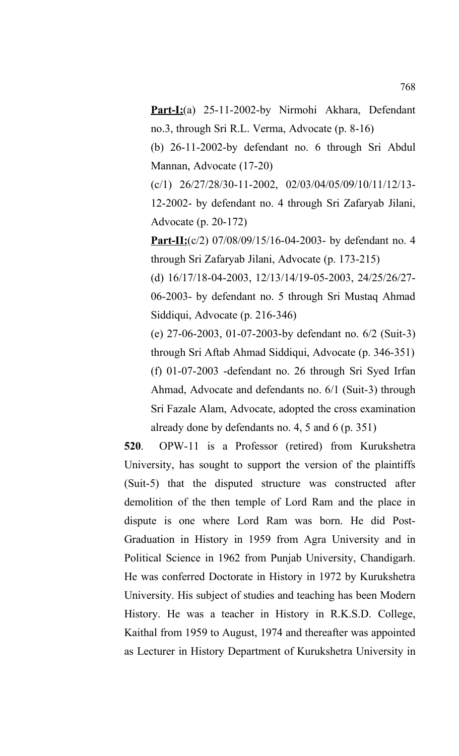**Part-I:**(a) 25-11-2002-by Nirmohi Akhara, Defendant no.3, through Sri R.L. Verma, Advocate (p. 8-16)

(b) 26-11-2002-by defendant no. 6 through Sri Abdul Mannan, Advocate (17-20)

(c/1) 26/27/28/30-11-2002, 02/03/04/05/09/10/11/12/13- 12-2002- by defendant no. 4 through Sri Zafaryab Jilani, Advocate (p. 20-172)

**Part-II:**(c/2) 07/08/09/15/16-04-2003- by defendant no. 4 through Sri Zafaryab Jilani, Advocate (p. 173-215)

(d) 16/17/18-04-2003, 12/13/14/19-05-2003, 24/25/26/27- 06-2003- by defendant no. 5 through Sri Mustaq Ahmad Siddiqui, Advocate (p. 216-346)

(e) 27-06-2003, 01-07-2003-by defendant no. 6/2 (Suit-3) through Sri Aftab Ahmad Siddiqui, Advocate (p. 346-351) (f) 01-07-2003 -defendant no. 26 through Sri Syed Irfan Ahmad, Advocate and defendants no. 6/1 (Suit-3) through Sri Fazale Alam, Advocate, adopted the cross examination already done by defendants no. 4, 5 and 6 (p. 351)

**520**. OPW-11 is a Professor (retired) from Kurukshetra University, has sought to support the version of the plaintiffs (Suit-5) that the disputed structure was constructed after demolition of the then temple of Lord Ram and the place in dispute is one where Lord Ram was born. He did Post-Graduation in History in 1959 from Agra University and in Political Science in 1962 from Punjab University, Chandigarh. He was conferred Doctorate in History in 1972 by Kurukshetra University. His subject of studies and teaching has been Modern History. He was a teacher in History in R.K.S.D. College, Kaithal from 1959 to August, 1974 and thereafter was appointed as Lecturer in History Department of Kurukshetra University in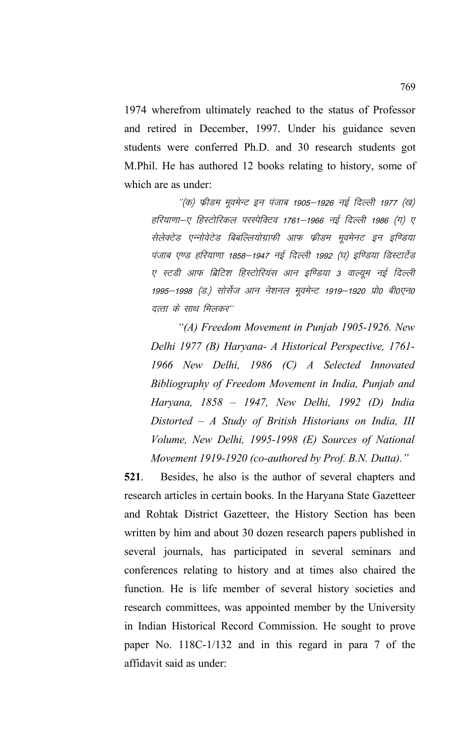1974 wherefrom ultimately reached to the status of Professor and retired in December, 1997. Under his guidance seven students were conferred Ph.D. and 30 research students got M.Phil. He has authored 12 books relating to history, some of which are as under:

''(क) फ्रीडम मूवमेन्ट इन पंजाब 1905–1926 नई दिल्ली 1977 (ख) हरियाणा–ए हिस्टोरिकल परस्पेक्टिव 1761–1966 नई दिल्ली 1986 (ग) ए सेलेक्टेड एन्नोवेटेड बिबल्लियोग्राफी आफ फ्रीडम मूवमेनट इन इण्डिया पंजाब एण्ड हरियाणा 1858–1947 नई दिल्ली 1992 (घ) इण्डिया डिस्टार्टेड ए स्टडी आफ ब्रिटिश हिस्टोरियंस आन इण्डिया 3 वाल्यूम नई दिल्ली 1995—1998 (ड.) सोर्सेज आन नेशनल मूवमेन्ट 1919—1920 प्रो0 बी0एन0 दत्ता के साथ मिलकर''

*"(A) Freedom Movement in Punjab 1905-1926. New Delhi 1977 (B) Haryana- A Historical Perspective, 1761- 1966 New Delhi, 1986 (C) A Selected Innovated Bibliography of Freedom Movement in India, Punjab and Haryana, 1858 – 1947, New Delhi, 1992 (D) India Distorted – A Study of British Historians on India, III Volume, New Delhi, 1995-1998 (E) Sources of National Movement 1919-1920 (co-authored by Prof. B.N. Dutta)."*

**521**. Besides, he also is the author of several chapters and research articles in certain books. In the Haryana State Gazetteer and Rohtak District Gazetteer, the History Section has been written by him and about 30 dozen research papers published in several journals, has participated in several seminars and conferences relating to history and at times also chaired the function. He is life member of several history societies and research committees, was appointed member by the University in Indian Historical Record Commission. He sought to prove paper No. 118C-1/132 and in this regard in para 7 of the affidavit said as under: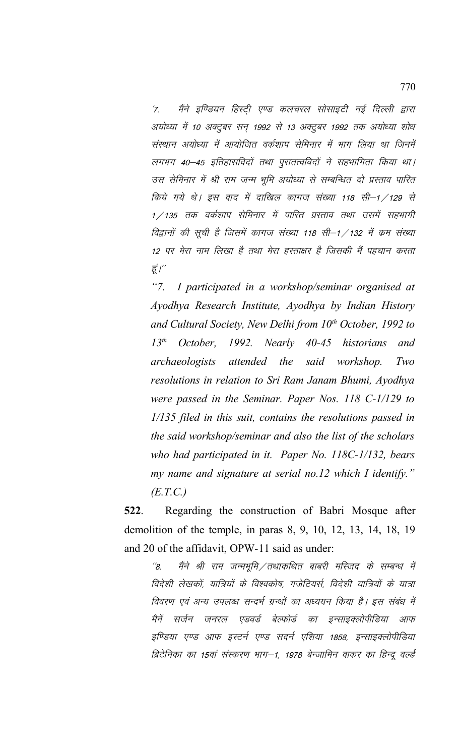'7. मैंने इण्डियन हिस्टी एण्ड कलचरल सोसाइटी नई दिल्ली द्वारा अयोध्या में 10 अक्टूबर सन् 1992 से 13 अक्टूबर 1992 तक अयोध्या शोध संस्थान अयोध्या में आयोजित वर्कशाप सेमिनार में भाग लिया था जिनमें लगभग 40–45 इतिहासविदों तथा पूरातत्वविदों ने सहभागिता किया था। उस सेमिनार में श्री राम जन्म भूमि अयोध्या से सम्बन्धित दो प्रस्ताव पारित किये गये थे। इस वाद में दाखिल कागज संख्या 118 सी–1/129 से 1/135 तक वर्कशाप सेमिनार में पारित प्रस्ताव तथा उसमें सहभागी विद्वानों की सूची है जिसमें कागज संख्या 118 सी–1/132 में क्रम संख्या 12 पर मेरा नाम लिखा है तथा मेरा हस्ताक्षर है जिसकी मैं पहचान करता हूं $I^{\prime\prime}$ 

*"7. I participated in a workshop/seminar organised at Ayodhya Research Institute, Ayodhya by Indian History and Cultural Society, New Delhi from 10th October, 1992 to 13th October, 1992. Nearly 40-45 historians and archaeologists attended the said workshop. Two resolutions in relation to Sri Ram Janam Bhumi, Ayodhya were passed in the Seminar. Paper Nos. 118 C-1/129 to 1/135 filed in this suit, contains the resolutions passed in the said workshop/seminar and also the list of the scholars who had participated in it. Paper No. 118C-1/132, bears my name and signature at serial no.12 which I identify." (E.T.C.)*

**522**. Regarding the construction of Babri Mosque after demolition of the temple, in paras 8, 9, 10, 12, 13, 14, 18, 19 and 20 of the affidavit, OPW-11 said as under:

 $^{\prime\prime}\!$ 8. मैंने श्री राम जन्मभूमि $\diagup$ तथाकथित बाबरी मस्जिद के सम्बन्ध में विदेशी लेखकों, यात्रियों के विश्वकोष, गजेटियर्स, विदेशी यात्रियों के यात्रा विवरण एवं अन्य उपलब्ध सन्दर्भ ग्रन्थों का अध्ययन किया है। इस संबंध में मैनें सर्जन जनरल एडवर्ड बेल्फोर्ड का इन्साइक्लोपीडिया आफ इण्डिया एण्ड आफ इस्टर्न एण्ड सदर्न एशिया 1858, इन्साइक्लोपीडिया ब्रिटेनिका का 15वां संस्करण भाग–1, 1978 बेन्जामिन वाकर का हिन्दू वर्ल्ड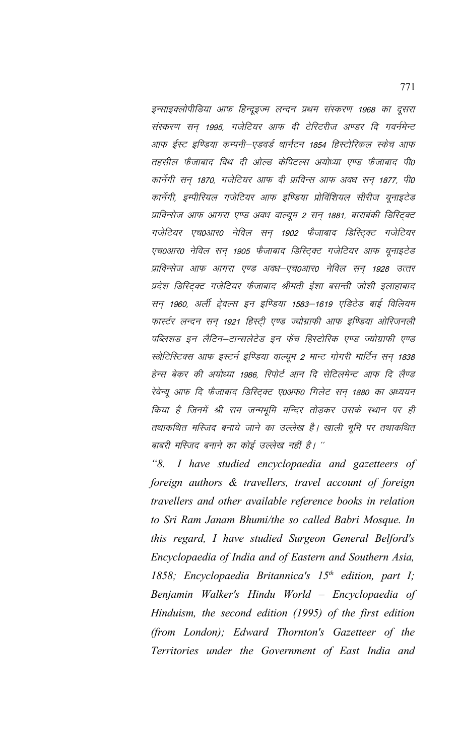इन्साइक्लोपीडिया आफ हिन्दूइज्म लन्दन प्रथम संस्करण 1968 का दूसरा संस्करण सन 1995, गजेटियर आफ दी टेरिटरीज अण्डर दि गवर्नमेन्ट आफ ईस्ट इण्डिया कम्पनी–एडवर्ड थार्नटन 1854 हिस्टोरिकल स्केच आफ तहसील फैजाबाद विथ दी ओल्ड केपिटल्स अयोध्या एण्ड फैजाबाद पी0 कार्नेगी सन् 1870, गजेटियर आफ दी प्राविन्स आफ अवध सन् 1877, पी0 कार्नेगी, इम्पीरियल गजेटियर आफ इण्डिया प्रोविंशियल सीरीज यूनाइटेड प्राविन्सेज आफ आगरा एण्ड अवध वाल्यूम 2 सन् 1881, बाराबंकी डिस्ट्विट गजेटियर एच0आर0 नेविल सन् 1902 फैजाबाद डिस्ट्रिक्ट गजेटियर एच0आर0 नेविल सन् 1905 फैजाबाद डिस्ट्क्टि गजेटियर आफ यूनाइटेड प्राविन्सेज आफ आगरा एण्ड अवध–एच0आर0 नेविल सन् 1928 उत्तर प्रदेश डिस्ट्क्टि गजेटियर फैजाबाद श्रीमती ईशा बसन्ती जोशी इलाहाबाद सन् 1960, अर्ली ट्रेवल्स इन इण्डिया 1583–1619 एडिटेड बाई विलियम फार्स्टर लन्दन सन् 1921 हिस्ट्री एण्ड ज्योग्राफी आफ इण्डिया ओरिजनली पब्लिशड इन लैटिन–टान्सलेटेड इन फेंच हिस्टोरिक एण्ड ज्योग्राफी एण्ड स्भेटिस्टिक्स आफ इस्टर्न इण्डिया वाल्यूम 2 मान्ट गोगरी मार्टिन सन 1838 हेन्स बेकर की अयोध्या 1986, रिपोर्ट आन दि सेटिलमेन्ट आफ दि लैण्ड रेवेन्यू आफ दि फैजाबाद डिस्ट्रिक्ट ए०अफ० गिलेट सन् 1880 का अध्ययन किया है जिनमें श्री राम जन्मभूमि मन्दिर तोडकर उसके स्थान पर ही तथाकथित मस्जिद बनाये जाने का उल्लेख है। खाली भूमि पर तथाकथित बाबरी मस्जिद बनाने का कोई उल्लेख नहीं है। ''

 $"8.$ I have studied encyclopaedia and gazetteers of foreign authors & travellers, travel account of foreign travellers and other available reference books in relation to Sri Ram Janam Bhumi/the so called Babri Mosque. In this regard, I have studied Surgeon General Belford's Encyclopaedia of India and of Eastern and Southern Asia, 1858; Encyclopaedia Britannica's  $15<sup>th</sup>$  edition, part I; Benjamin Walker's Hindu World - Encyclopaedia of Hinduism, the second edition (1995) of the first edition (from London); Edward Thornton's Gazetteer of the Territories under the Government of East India and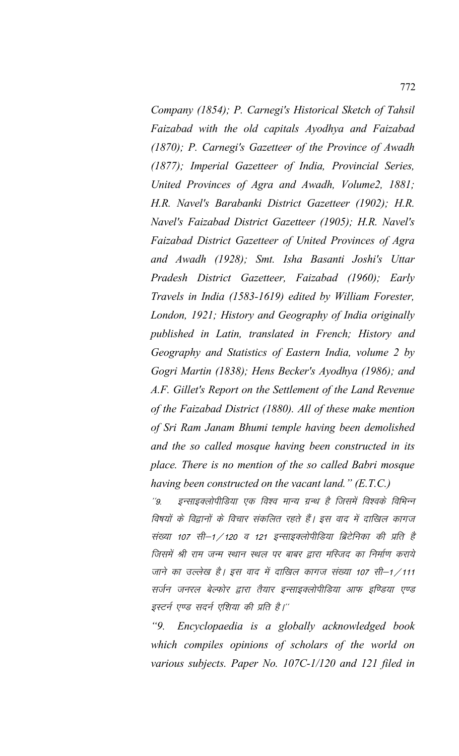*Company (1854); P. Carnegi's Historical Sketch of Tahsil Faizabad with the old capitals Ayodhya and Faizabad (1870); P. Carnegi's Gazetteer of the Province of Awadh (1877); Imperial Gazetteer of India, Provincial Series, United Provinces of Agra and Awadh, Volume2, 1881; H.R. Navel's Barabanki District Gazetteer (1902); H.R. Navel's Faizabad District Gazetteer (1905); H.R. Navel's Faizabad District Gazetteer of United Provinces of Agra and Awadh (1928); Smt. Isha Basanti Joshi's Uttar Pradesh District Gazetteer, Faizabad (1960); Early Travels in India (1583-1619) edited by William Forester, London, 1921; History and Geography of India originally published in Latin, translated in French; History and Geography and Statistics of Eastern India, volume 2 by Gogri Martin (1838); Hens Becker's Ayodhya (1986); and A.F. Gillet's Report on the Settlement of the Land Revenue of the Faizabad District (1880). All of these make mention of Sri Ram Janam Bhumi temple having been demolished and the so called mosque having been constructed in its place. There is no mention of the so called Babri mosque having been constructed on the vacant land." (E.T.C.)*

"9. इन्साइक्लोपीडिया एक विश्व मान्य ग्रन्थ है जिसमें विश्वके विभिन्न विषयों के विद्वानों के विचार संकलित रहते हैं। इस वाद में दाखिल कागज संख्या 107 सी–1 / 120 व 121 इन्साइक्लोपीडिया ब्रिटेनिका की प्रति है जिसमें श्री राम जन्म स्थान स्थल पर बाबर द्वारा मस्जिद का निर्माण कराये जाने का उल्लेख है। इस वाद में दाखिल कागज संख्या 107 सी–1/111 सर्जन जनरल बेल्फोर द्वारा तैयार इन्साइक्लोपीडिया आफ इण्डिया एण्ड इस्टर्न एण्ड सदर्न एशिया की प्रति है।''

*"9. Encyclopaedia is a globally acknowledged book which compiles opinions of scholars of the world on various subjects. Paper No. 107C-1/120 and 121 filed in*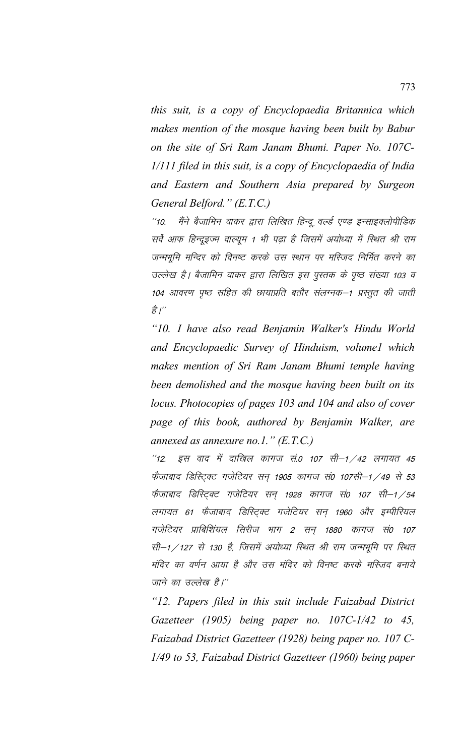this suit, is a copy of Encyclopaedia Britannica which makes mention of the mosque having been built by Babur on the site of Sri Ram Janam Bhumi. Paper No. 107C-1/111 filed in this suit, is a copy of Encyclopaedia of India and Eastern and Southern Asia prepared by Surgeon General Belford." (E.T.C.)

मैंने बैजामिन वाकर द्वारा लिखित हिन्दू वर्ल्ड एण्ड इन्साइक्लोपीडिक  $110^{-11}$ सर्वे आफ हिन्दूइज्म वाल्यूम 1 भी पढ़ा है जिसमें अयोध्या में स्थित श्री राम जन्मभूमि मन्दिर को विनष्ट करके उस स्थान पर मस्जिद निर्मित करने का उल्लेख है। बैजामिन वाकर द्वारा लिखित इस पुस्तक के पृष्ठ संख्या 103 व 104 आवरण पृष्ठ सहित की छायाप्रति बतौर संलग्नक–1 प्रस्तूत की जाती है।"

"10. I have also read Benjamin Walker's Hindu World and Encyclopaedic Survey of Hinduism, volume1 which makes mention of Sri Ram Janam Bhumi temple having been demolished and the mosque having been built on its locus. Photocopies of pages 103 and 104 and also of cover page of this book, authored by Benjamin Walker, are annexed as annexure no.1."  $(E.T.C.)$ 

इस वाद में दाखिल कागज सं.0 107 सी–1 /42 लगायत 45  $12.$ फैजाबाद डिस्ट्रिक्ट गजेटियर सन् 1905 कागज सं0 107सी-1 / 49 से 53 फैजाबाद डिस्ट्क्टि गजेटियर सन् 1928 कागज सं0 107 सी–1/54 लगायत 61 फ्रेंजाबाद डिस्ट्रिक्ट गजेटियर सन् 1960 और इम्पीरियल गजेटियर प्राबिशिंयल सिरीज भाग 2 सन 1880 कागज सं0 107 सी-1/127 से 130 है, जिसमें अयोध्या स्थित श्री राम जन्मभूमि पर स्थित मंदिर का वर्णन आया है और उस मंदिर को विनष्ट करके मस्जिद बनाये जाने का उल्लेख है।''

"12. Papers filed in this suit include Faizabad District Gazetteer (1905) being paper no.  $107C-1/42$  to 45, Faizabad District Gazetteer (1928) being paper no. 107 C-1/49 to 53, Faizabad District Gazetteer (1960) being paper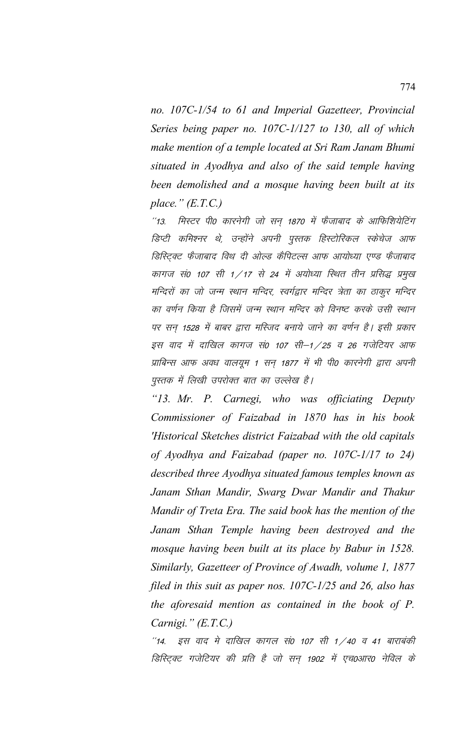*no. 107C-1/54 to 61 and Imperial Gazetteer, Provincial Series being paper no. 107C-1/127 to 130, all of which make mention of a temple located at Sri Ram Janam Bhumi situated in Ayodhya and also of the said temple having been demolished and a mosque having been built at its place." (E.T.C.)*

 $"$ 13. मिस्टर पी0 कारनेगी जो सन 1870 में फैजाबाद के आफिशियेटिंग डिप्टी कमिश्नर थे, उन्होंने अपनी पुस्तक हिस्टोरिकल स्केचेज आफ डिस्टिक्ट फैजाबाद विथ दी ओल्ड कैपिटल्स आफ आयोध्या एण्ड फैजाबाद कागज सं0 107 सी 1/17 से 24 में अयोध्या स्थित तीन प्रसिद्ध प्रमुख मन्दिरों का जो जन्म स्थान मन्दिर, स्वर्गद्वार मन्दिर त्रेता का ठाकूर मन्दिर का वर्णन किया है जिसमें जन्म स्थान मन्दिर को विनष्ट करके उसी स्थान पर सन् 1528 में बाबर द्वारा मस्जिद बनाये जाने का वर्णन है। इसी प्रकार इस वाद में दाखिल कागज सं0 107 सी–1 / 25 व 26 गजेटियर आफ प्राबिन्स आफ अवध वालयुम 1 सन 1877 में भी पी0 कारनेगी द्वारा अपनी पुस्तक में लिखी उपरोक्त बात का उल्लेख है।

*"13. Mr. P. Carnegi, who was officiating Deputy Commissioner of Faizabad in 1870 has in his book 'Historical Sketches district Faizabad with the old capitals of Ayodhya and Faizabad (paper no. 107C-1/17 to 24) described three Ayodhya situated famous temples known as Janam Sthan Mandir, Swarg Dwar Mandir and Thakur Mandir of Treta Era. The said book has the mention of the Janam Sthan Temple having been destroyed and the mosque having been built at its place by Babur in 1528. Similarly, Gazetteer of Province of Awadh, volume 1, 1877 filed in this suit as paper nos. 107C-1/25 and 26, also has the aforesaid mention as contained in the book of P. Carnigi." (E.T.C.)*

 $"14.$  इस वाद मे दाखिल कागल सं0 107 सी 1  $/$ 40 व 41 बाराबंकी *डिस्टिक्ट गजेटियर की प्रति है जो सन् 1902 में एच0आर0 नेविल के*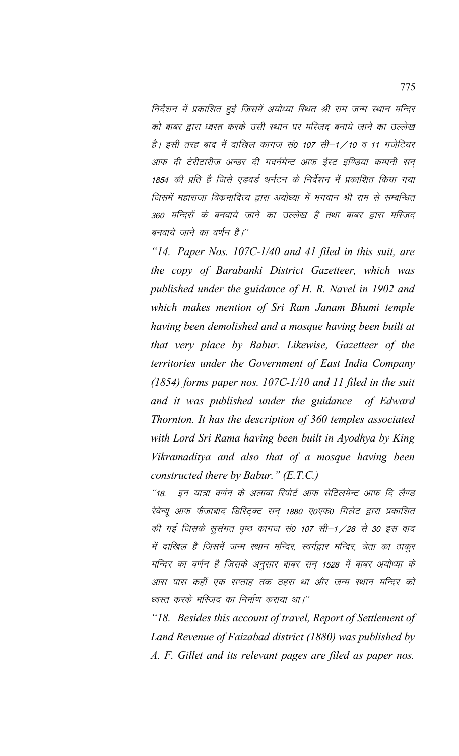निर्देशन में प्रकाशित हुई जिसमें अयोध्या स्थित श्री राम जन्म स्थान मन्दिर को बाबर द्वारा ध्वस्त करके उसी स्थान पर मस्जिद बनाये जाने का उल्लेख है। इसी तरह बाद में दाखिल कागज सं0 107 सी—1 / 10 व 11 गजेटियर आफ दी टेरीटारीज अन्डर दी गवर्नमेन्ट आफ ईस्ट इण्डिया कम्पनी सन 1854 की प्रति है जिसे एडवर्ड थर्नटन के निर्देशन में प्रकाशित किया गया जिसमें महाराजा विक्रमादित्य द्वारा अयोध्या में भगवान श्री राम से सम्बन्धित 360 मन्दिरों के बनवाये जाने का उल्लेख है तथा बाबर द्वारा मस्जिद बनवाये जाने का वर्णन है।''

*"14. Paper Nos. 107C-1/40 and 41 filed in this suit, are the copy of Barabanki District Gazetteer, which was published under the guidance of H. R. Navel in 1902 and which makes mention of Sri Ram Janam Bhumi temple having been demolished and a mosque having been built at that very place by Babur. Likewise, Gazetteer of the territories under the Government of East India Company (1854) forms paper nos. 107C-1/10 and 11 filed in the suit and it was published under the guidance of Edward Thornton. It has the description of 360 temples associated with Lord Sri Rama having been built in Ayodhya by King Vikramaditya and also that of a mosque having been constructed there by Babur." (E.T.C.)*

"18. इन यात्रा वर्णन के अलावा रिपोर्ट आफ सेटिलमेन्ट आफ दि लैण्ड रेवेन्यू आफ फैजाबाद डिस्ट्क्टि सन् 1880 ए०एफ० गिलेट द्वारा प्रकाशित की गई जिसके सूसंगत पृष्ठ कागज सं0 107 सी–1 / 28 से 30 इस वाद में दाखिल है जिसमें जन्म स्थान मन्दिर, स्वर्गद्वार मन्दिर, त्रेता का ठाकुर मन्दिर का वर्णन है जिसके अनुसार बाबर सन् 1528 में बाबर अयोध्या के आस पास कहीं एक सप्ताह तक ठहरा था और जन्म स्थान मन्दिर को ध्वस्त करके मस्जिद का निर्माण कराया था।''

*"18. Besides this account of travel, Report of Settlement of Land Revenue of Faizabad district (1880) was published by A. F. Gillet and its relevant pages are filed as paper nos.*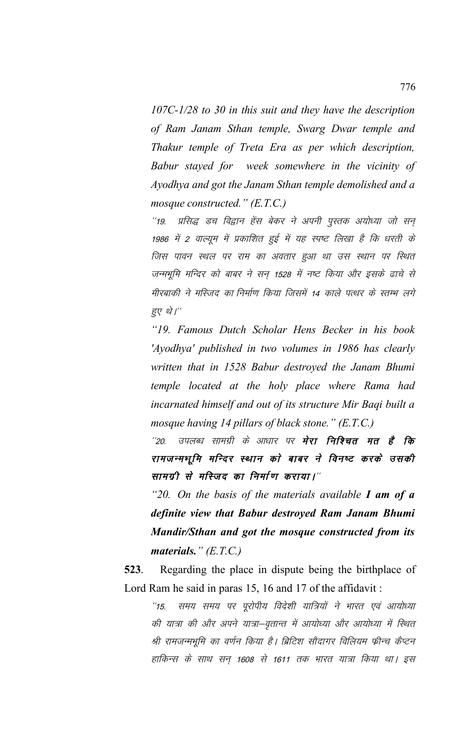*107C-1/28 to 30 in this suit and they have the description of Ram Janam Sthan temple, Swarg Dwar temple and Thakur temple of Treta Era as per which description, Babur stayed for week somewhere in the vicinity of Ayodhya and got the Janam Sthan temple demolished and a mosque constructed." (E.T.C.)*

''19. प्रसिद्ध डच विद्वान हेंस बेकर ने अपनी पुस्तक अयोध्या जो सन 1986 में 2 वाल्यूम में प्रकाशित हुई में यह स्पष्ट लिखा है कि धरती के जिस पावन स्थल पर राम का अवतार हुआ था उस स्थान पर स्थित जन्मभूमि मन्दिर को बाबर ने सन् 1528 में नष्ट किया और इसके ढाचे से मीरबाकी ने मस्जिद का निर्माण किया जिसमें 14 काले पत्थर के स्तम्भ लगे हुए थे।"

*"19. Famous Dutch Scholar Hens Becker in his book 'Ayodhya' published in two volumes in 1986 has clearly written that in 1528 Babur destroyed the Janam Bhumi temple located at the holy place where Rama had incarnated himself and out of its structure Mir Baqi built a mosque having 14 pillars of black stone." (E.T.C.)*

''20. उपलब्ध सामग्री के आधार पर **मेरा निश्चित मत है कि** रामजन्मभूमि मन्दिर स्थान को बाबर ने विनष्ट करके उसकी सामग्री से मस्जिद का निर्माण कराया।"

*"20. On the basis of the materials available I am of a definite view that Babur destroyed Ram Janam Bhumi Mandir/Sthan and got the mosque constructed from its materials." (E.T.C.)*

**523**. Regarding the place in dispute being the birthplace of Lord Ram he said in paras 15, 16 and 17 of the affidavit :

"15. समय समय पर पूरोपीय विदेशी यात्रियों ने भारत एवं आयोध्या की यात्रा की और अपने यात्रा-वृतान्त में आयोध्या और आयोध्या में स्थित श्री रामजन्मभूमि का वर्णन किया है। ब्रिटिश सौदागर विलियम फ्रीन्च कैप्टन हाकिन्स के साथ सन् 1608 से 1611 तक भारत यात्रा किया था। इस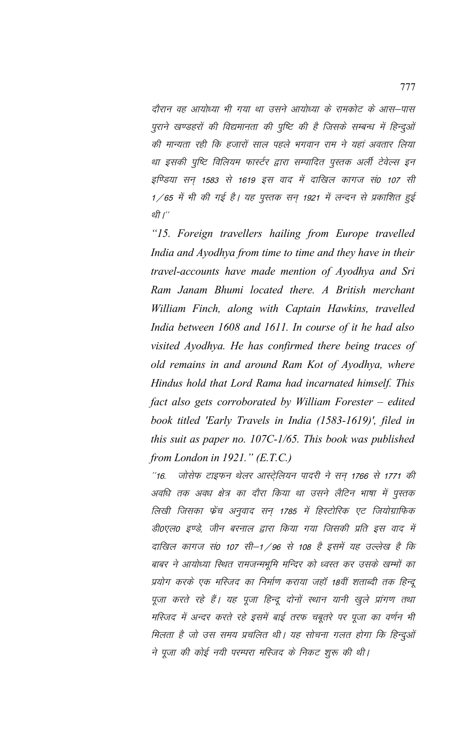दौरान वह आयोध्या भी गया था उसने आयोध्या के रामकोट के आस–पास पुराने खण्डहरों की विद्यमानता की पुष्टि की है जिसके सम्बन्ध में हिन्दुओं की मान्यता रही कि हजारों साल पहले भगवान राम ने यहां अवतार लिया था इसकी पुष्टि विलियम फार्स्टर द्वारा सम्पादित पुस्तक अर्ली टेवेल्स इन इण्डिया सन् 1583 से 1619 इस वाद में दाखिल कागज सं0 107 सी  $1/65$  में भी की गई है। यह पुस्तक सन् 1921 में लन्दन से प्रकाशित हुई थी $'$ 

*"15. Foreign travellers hailing from Europe travelled India and Ayodhya from time to time and they have in their travel-accounts have made mention of Ayodhya and Sri Ram Janam Bhumi located there. A British merchant William Finch, along with Captain Hawkins, travelled India between 1608 and 1611. In course of it he had also visited Ayodhya. He has confirmed there being traces of old remains in and around Ram Kot of Ayodhya, where Hindus hold that Lord Rama had incarnated himself. This fact also gets corroborated by William Forester – edited book titled 'Early Travels in India (1583-1619)', filed in this suit as paper no. 107C-1/65. This book was published from London in 1921." (E.T.C.)*

"16. जोसेफ टाइफन थेलर आस्ट्रेलियन पादरी ने सन् 1766 से 1771 की अवधि तक अवध क्षेत्र का दौरा किया था उसने लैटिन भाषा में पुस्तक लिखी जिसका फ्रेंच अनुवाद सन् 1785 में हिस्टोरिक एट जियोग्राफिक डी0एल0 इण्डे, जीन बरनाल द्वारा किया गया जिसकी प्रति इस वाद में दाखिल कागज सं0 107 सी–1/96 से 108 है इसमें यह उल्लेख है कि बाबर ने आयोध्या स्थित रामजन्मभूमि मन्दिर को ध्वस्त कर उसके खम्भों का प्रयोग करके एक मस्जिद का निर्माण कराया जहाँ 18वीं शताब्दी तक हिन्दू पूजा करते रहे हैं। यह पूजा हिन्दू दोनों स्थान यानी खुले प्रांगण तथा मस्जिद में अन्दर करते रहे इसमें बाई तरफ चबूतरे पर पूजा का वर्णन भी मिलता है जो उस समय प्रचलित थी। यह सोचना गलत होगा कि हिन्दुओं ने पूजा की कोई नयी परम्परा मस्जिद के निकट शुरू की थी।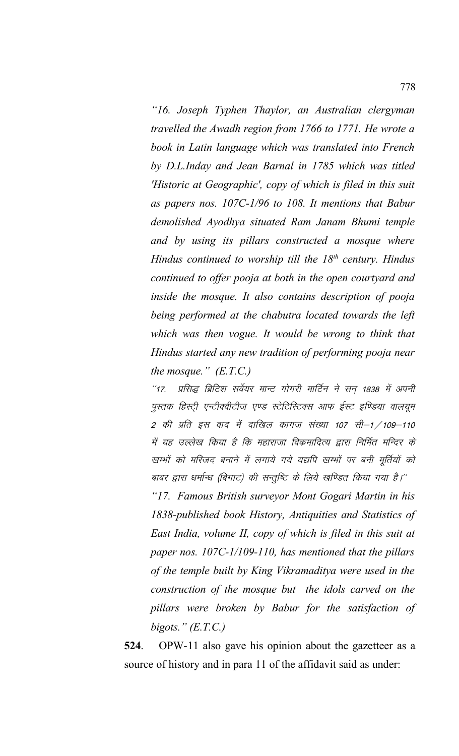"16. Joseph Typhen Thaylor, an Australian clergyman travelled the Awadh region from 1766 to 1771. He wrote a book in Latin language which was translated into French by D.L.Inday and Jean Barnal in 1785 which was titled 'Historic at Geographic', copy of which is filed in this suit as papers nos. 107C-1/96 to 108. It mentions that Babur demolished Ayodhya situated Ram Janam Bhumi temple and by using its pillars constructed a mosque where Hindus continued to worship till the  $18<sup>th</sup>$  century. Hindus continued to offer pooja at both in the open courtyard and inside the mosque. It also contains description of pooja being performed at the chabutra located towards the left which was then vogue. It would be wrong to think that Hindus started any new tradition of performing pooja near the mosque."  $(E.T.C.)$ 

प्रसिद्ध ब्रिटिश सर्वेयर मान्ट गोगरी मार्टिन ने सन् 1838 में अपनी  $^{\prime\prime}$ 17. पुस्तक हिस्ट्री एन्टीक्वीटीज एण्ड स्टेटिस्टिक्स आफ ईस्ट इण्डिया वालयूम 2 की प्रति इस वाद में दाखिल कागज संख्या 107 सी–1 ⁄ 109–110 में यह उल्लेख किया है कि महाराजा विक्रमादित्य द्वारा निर्मित मन्दिर के खम्भों को मस्जिद बनाने में लगाये गये यद्यपि खम्भों पर बनी मूर्तियों को बाबर द्वारा धर्मान्ध (बिगाट) की सन्तुष्टि के लिये खण्डित किया गया है।''

"17. Famous British surveyor Mont Gogari Martin in his 1838-published book History, Antiquities and Statistics of East India, volume II, copy of which is filed in this suit at paper nos.  $107C-1/109-110$ , has mentioned that the pillars of the temple built by King Vikramaditya were used in the construction of the mosque but the idols carved on the pillars were broken by Babur for the satisfaction of bigots."  $(E.T.C.)$ 

 $524$ OPW-11 also gave his opinion about the gazetteer as a source of history and in para 11 of the affidavit said as under: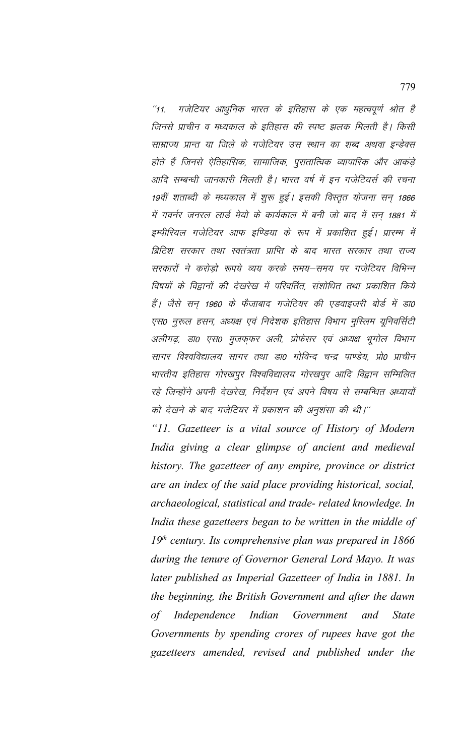गजेटियर आधुनिक भारत के इतिहास के एक महत्वपूर्ण श्रोत है  $^{\prime\prime}$ 11 जिनसे प्राचीन व मध्यकाल के इतिहास की स्पष्ट झलक मिलती है। किसी साम्राज्य प्रान्त या जिले के गजेटियर उस स्थान का शब्द अथवा इन्डेक्स होते हैं जिनसे ऐतिहासिक, सामाजिक, पुरातात्विक व्यापारिक और आकड़े आदि सम्बन्धी जानकारी मिलती है। भारत वर्ष में इन गजेटियर्स की रचना 19वीं शताब्दी के मध्यकाल में शुरू हुई। इसकी विस्तृत योजना सन् 1866 में गवर्नर जनरल लार्ड मेयो के कार्यकाल में बनी जो बाद में सन् 1881 में इम्पीरियल गजेटियर आफ इण्डिया के रूप में प्रकाशित हुई। प्रारम्भ में ब्रिटिश सरकार तथा स्वतंत्रता प्राप्ति के बाद भारत सरकार तथा राज्य सरकारों ने करोड़ो रूपये व्यय करके समय–समय पर गजेटियर विभिन्न विषयों के विद्वानों की देखरेख में परिवर्तित, संशोधित तथा प्रकाशित किये हैं। जैसे सन् 1960 के फैजाबाद गजेटियर की एडवाइजरी बोर्ड में डा0 एस0 नुरूल हसन, अध्यक्ष एवं निदेशक इतिहास विभाग मुस्लिम यूनिवर्सिटी अलीगढ़, डा0 एस0 मुजफ़फर अली, प्रोफेसर एवं अध्यक्ष भूगोल विभाग सागर विश्वविद्यालय सागर तथा डा0 गोविन्द चन्द्र पाण्डेय, प्रो0 प्राचीन भारतीय इतिहास गोरखपुर विश्वविद्यालय गोरखपुर आदि विद्वान सम्मिलित रहे जिन्होंने अपनी देखरेख, निर्देशन एवं अपने विषय से सम्बन्धित अध्यायों को देखने के बाद गजेटियर में प्रकाशन की अनुशंसा की थी।"

"11. Gazetteer is a vital source of History of Modern India giving a clear glimpse of ancient and medieval history. The gazetteer of any empire, province or district are an index of the said place providing historical, social, archaeological, statistical and trade- related knowledge. In India these gazetteers began to be written in the middle of  $19<sup>th</sup>$  century. Its comprehensive plan was prepared in 1866 during the tenure of Governor General Lord Mayo. It was later published as Imperial Gazetteer of India in 1881. In the beginning, the British Government and after the dawn Independence Indian Government and **State**  $of$ Governments by spending crores of rupees have got the gazetteers amended, revised and published under the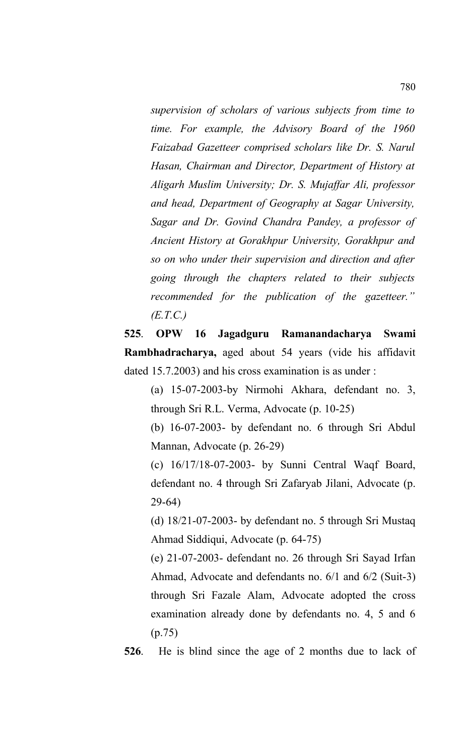*supervision of scholars of various subjects from time to time. For example, the Advisory Board of the 1960 Faizabad Gazetteer comprised scholars like Dr. S. Narul Hasan, Chairman and Director, Department of History at Aligarh Muslim University; Dr. S. Mujaffar Ali, professor and head, Department of Geography at Sagar University, Sagar and Dr. Govind Chandra Pandey, a professor of Ancient History at Gorakhpur University, Gorakhpur and so on who under their supervision and direction and after going through the chapters related to their subjects recommended for the publication of the gazetteer." (E.T.C.)*

**525**. **OPW 16 Jagadguru Ramanandacharya Swami Rambhadracharya,** aged about 54 years (vide his affidavit dated 15.7.2003) and his cross examination is as under :

(a) 15-07-2003-by Nirmohi Akhara, defendant no. 3, through Sri R.L. Verma, Advocate (p. 10-25)

(b) 16-07-2003- by defendant no. 6 through Sri Abdul Mannan, Advocate (p. 26-29)

(c) 16/17/18-07-2003- by Sunni Central Waqf Board, defendant no. 4 through Sri Zafaryab Jilani, Advocate (p. 29-64)

(d) 18/21-07-2003- by defendant no. 5 through Sri Mustaq Ahmad Siddiqui, Advocate (p. 64-75)

(e) 21-07-2003- defendant no. 26 through Sri Sayad Irfan Ahmad, Advocate and defendants no. 6/1 and 6/2 (Suit-3) through Sri Fazale Alam, Advocate adopted the cross examination already done by defendants no. 4, 5 and 6 (p.75)

**526**. He is blind since the age of 2 months due to lack of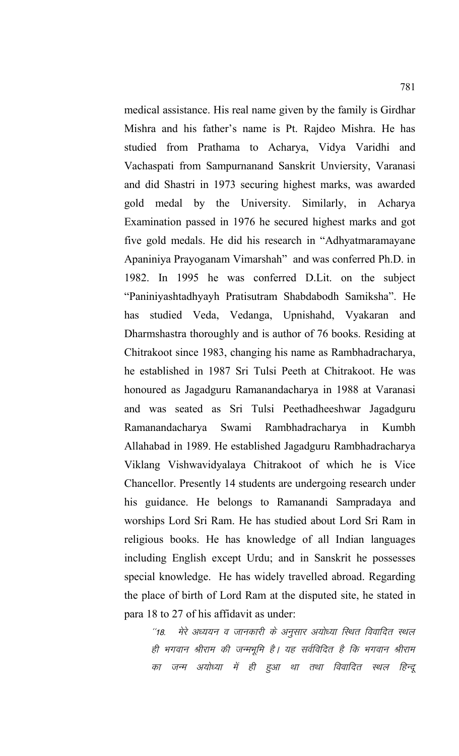medical assistance. His real name given by the family is Girdhar Mishra and his father's name is Pt. Rajdeo Mishra. He has studied from Prathama to Acharya, Vidya Varidhi and Vachaspati from Sampurnanand Sanskrit Unviersity, Varanasi and did Shastri in 1973 securing highest marks, was awarded gold medal by the University. Similarly, in Acharya Examination passed in 1976 he secured highest marks and got five gold medals. He did his research in "Adhyatmaramayane Apaniniya Prayoganam Vimarshah" and was conferred Ph.D. in 1982. In 1995 he was conferred D.Lit. on the subject "Paniniyashtadhyayh Pratisutram Shabdabodh Samiksha". He has studied Veda, Vedanga, Upnishahd, Vyakaran and Dharmshastra thoroughly and is author of 76 books. Residing at Chitrakoot since 1983, changing his name as Rambhadracharya, he established in 1987 Sri Tulsi Peeth at Chitrakoot. He was honoured as Jagadguru Ramanandacharya in 1988 at Varanasi and was seated as Sri Tulsi Peethadheeshwar Jagadguru Ramanandacharya Swami Rambhadracharya in Kumbh Allahabad in 1989. He established Jagadguru Rambhadracharya Viklang Vishwavidyalaya Chitrakoot of which he is Vice Chancellor. Presently 14 students are undergoing research under his guidance. He belongs to Ramanandi Sampradaya and worships Lord Sri Ram. He has studied about Lord Sri Ram in religious books. He has knowledge of all Indian languages including English except Urdu; and in Sanskrit he possesses special knowledge. He has widely travelled abroad. Regarding the place of birth of Lord Ram at the disputed site, he stated in para 18 to 27 of his affidavit as under:

"18. मेरे अध्ययन व जानकारी के अनुसार अयोध्या रिथित विवादित स्थल ही भगवान श्रीराम की जन्मभूमि है। यह सर्वविदित है कि भगवान श्रीराम का जन्म अयोध्या में ही हुआ था तथा विवादित स्थल हिन्दू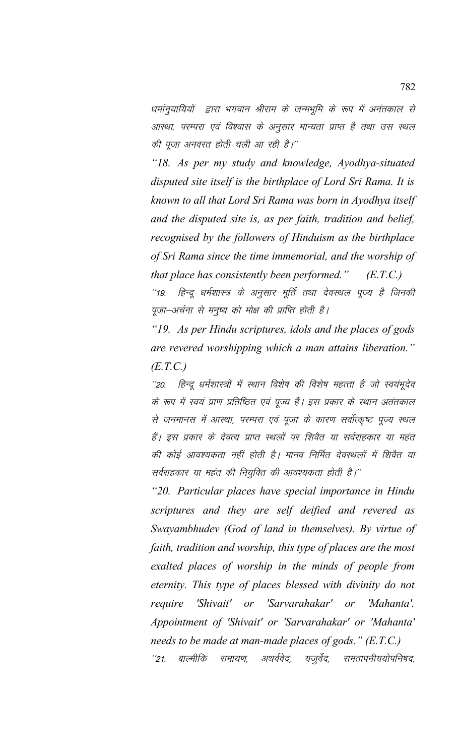धर्मानुयायियों द्वारा भगवान श्रीराम के जन्मभूमि के रूप में अनंतकाल से आस्था, परम्परा एवं विश्वास के अनुसार मान्यता प्राप्त है तथा उस स्थल की पूजा अनवरत होती चली आ रही है।"

"18. As per my study and knowledge, Ayodhya-situated disputed site itself is the birthplace of Lord Sri Rama. It is known to all that Lord Sri Rama was born in Ayodhya itself and the disputed site is, as per faith, tradition and belief, recognised by the followers of Hinduism as the birthplace of Sri Rama since the time immemorial, and the worship of that place has consistently been performed."  $(E.T.C.)$ 

हिन्दू धर्मशास्त्र के अनुसार मूर्ति तथा देवस्थल पूज्य है जिनकी  $19.$ पूजा–अर्चना से मनुष्य को मोक्ष की प्राप्ति होती है।

"19. As per Hindu scriptures, idols and the places of gods are revered worshipping which a man attains liberation."  $(E.T.C.)$ 

हिन्दू धर्मशास्त्रों में स्थान विशेष की विशेष महत्ता है जो स्वयंभूदेव  $^{\prime\prime}20.$ के रूप में स्वयं प्राण प्रतिष्ठित एवं पूज्य हैं। इस प्रकार के स्थान अतंतकाल से जनमानस में आस्था, परम्परा एवं पूजा के कारण सर्वोत्कृष्ट पूज्य स्थल हैं। इस प्रकार के देवत्य प्राप्त स्थलों पर शिवैत या सर्वराहकार या महंत की कोई आवश्यकता नहीं होती है। मानव निर्मित देवस्थलों में शिवैत या सर्वराहकार या महंत की नियुक्ति की आवश्यकता होती है।''

"20. Particular places have special importance in Hindu scriptures and they are self deified and revered as Swayambhudev (God of land in themselves). By virtue of faith, tradition and worship, this type of places are the most exalted places of worship in the minds of people from eternity. This type of places blessed with divinity do not 'Shivait'  $or$ 'Sarvarahakar' or require 'Mahanta' Appointment of 'Shivait' or 'Sarvarahakar' or 'Mahanta' needs to be made at man-made places of gods." (E.T.C.) बाल्मीकि रामायण, अथर्ववेद, यजूर्वेद, रामतापनीययोपनिषद,  $^{\prime\prime}21.$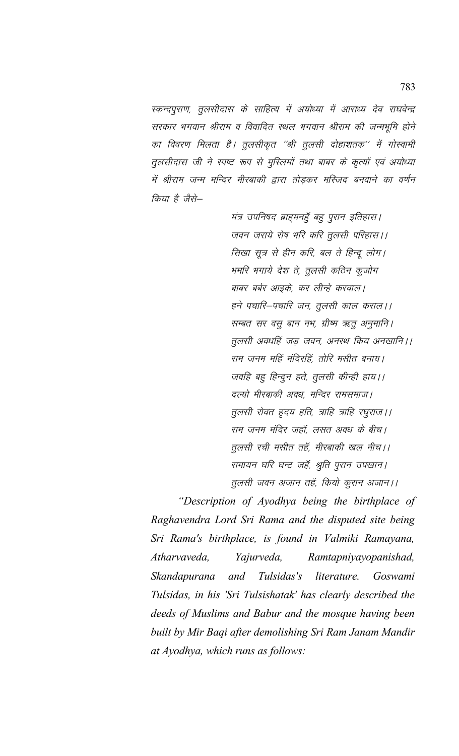स्कन्दपुराण, तूलसीदास के साहित्य में अयोध्या में आराध्य देव राघवेन्द्र सरकार भगवान श्रीराम व विवादित स्थल भगवान श्रीराम की जन्मभूमि होने का विवरण मिलता है। तूलसीकृत ''श्री तूलसी दोहाशतक'' में गोस्वामी तूलसीदास जी ने स्पष्ट रूप से मुस्लिमों तथा बाबर के कृत्यों एवं अयोध्या में श्रीराम जन्म मन्दिर मीरबाकी द्वारा तोड़कर मस्जिद बनवाने का वर्णन किया है जैसे—

> मंत्र उपनिषद ब्राहमनहुँ बहु पुरान इतिहास। जवन जराये रोष भरि करि तुलसी परिहास।। सिखा सत्र से हीन करि, बल ते हिन्द लोग। भमरि भगाये देश ते, तूलसी कठिन कूजोग बाबर बर्बर आइके. कर लीन्हे करवाल। हने पचारि–पचारि जन, तुलसी काल कराल।। सम्बत सर वसु बान नभ, ग्रीष्म ऋतु अनुमानि। तुलसी अवधहिं जड़ जवन, अनरथ किय अनखानि।। राम जनम महिं मंदिरहिं, तोरि मसीत बनाय। जवहि बहु हिन्दुन हते, तुलसी कीन्ही हाय।। दल्यो मीरबाकी अवध, मन्दिर रामसमाज। तुलसी रोवत हृदय हति, त्राहि त्राहि रघुराज ।। राम जनम मंदिर जहाँ, लसत अवध के बीच। तुलसी रची मसीत तहॅं, मीरबाकी खल नीच।। रामायन घरि घन्ट जहँ, श्रुति पूरान उपखान। तूलसी जवन अजान तहॅं, कियो कूरान अजान।।

"Description of Ayodhya being the birthplace of Raghavendra Lord Sri Rama and the disputed site being Sri Rama's birthplace, is found in Valmiki Ramayana, Atharvayeda. Yajurveda, Ramtapniyayopanishad, Skandapurana and Tulsidas's literature. Goswami Tulsidas, in his 'Sri Tulsishatak' has clearly described the deeds of Muslims and Babur and the mosque having been built by Mir Baqi after demolishing Sri Ram Janam Mandir at Ayodhya, which runs as follows: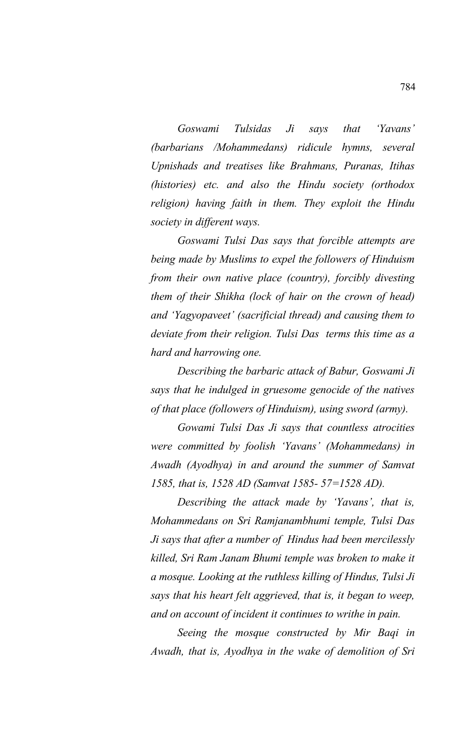*Goswami Tulsidas Ji says that 'Yavans' (barbarians /Mohammedans) ridicule hymns, several Upnishads and treatises like Brahmans, Puranas, Itihas (histories) etc. and also the Hindu society (orthodox religion) having faith in them. They exploit the Hindu society in different ways.* 

*Goswami Tulsi Das says that forcible attempts are being made by Muslims to expel the followers of Hinduism from their own native place (country), forcibly divesting them of their Shikha (lock of hair on the crown of head) and 'Yagyopaveet' (sacrificial thread) and causing them to deviate from their religion. Tulsi Das terms this time as a hard and harrowing one.* 

*Describing the barbaric attack of Babur, Goswami Ji says that he indulged in gruesome genocide of the natives of that place (followers of Hinduism), using sword (army).* 

*Gowami Tulsi Das Ji says that countless atrocities were committed by foolish 'Yavans' (Mohammedans) in Awadh (Ayodhya) in and around the summer of Samvat 1585, that is, 1528 AD (Samvat 1585- 57=1528 AD).* 

*Describing the attack made by 'Yavans', that is, Mohammedans on Sri Ramjanambhumi temple, Tulsi Das Ji says that after a number of Hindus had been mercilessly killed, Sri Ram Janam Bhumi temple was broken to make it a mosque. Looking at the ruthless killing of Hindus, Tulsi Ji says that his heart felt aggrieved, that is, it began to weep, and on account of incident it continues to writhe in pain.*

*Seeing the mosque constructed by Mir Baqi in Awadh, that is, Ayodhya in the wake of demolition of Sri*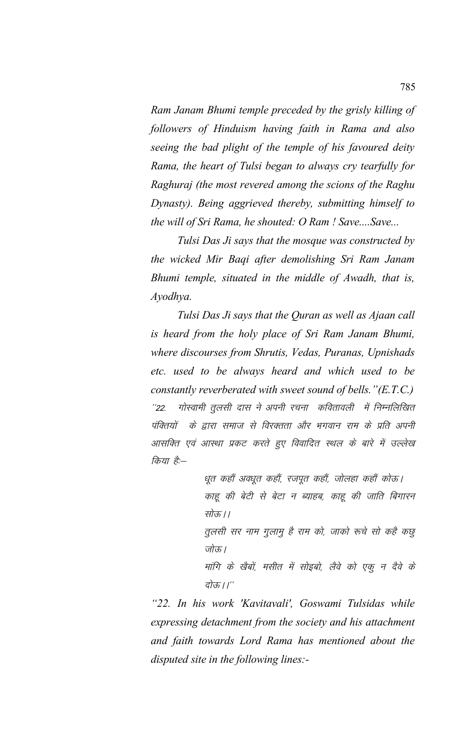Ram Janam Bhumi temple preceded by the grisly killing of followers of Hinduism having faith in Rama and also seeing the bad plight of the temple of his favoured deity Rama, the heart of Tulsi began to always cry tearfully for Raghuraj (the most revered among the scions of the Raghu Dynasty). Being aggrieved thereby, submitting himself to the will of Sri Rama, he shouted: O Ram ! Save....Save...

Tulsi Das Ji says that the mosque was constructed by the wicked Mir Baqi after demolishing Sri Ram Janam Bhumi temple, situated in the middle of Awadh, that is, Ayodhya.

Tulsi Das Ji says that the Quran as well as Ajaan call is heard from the holy place of Sri Ram Janam Bhumi, where discourses from Shrutis, Vedas, Puranas, Upnishads etc. used to be always heard and which used to be constantly reverberated with sweet sound of bells. " $(E.T.C.)$ गोस्वामी तूलसी दास ने अपनी रचना कवितावली में निम्नलिखित  $^{\prime\prime}22.$ के द्वारा समाज से विरक्तता और भगवान राम के प्रति अपनी पंक्तियों आसक्ति एवं आस्था प्रकट करते हुए विवादित स्थल के बारे में उल्लेख किया है:—

> धूत कहौं अवधूत कहौं, रजपूत कहौं, जोलहा कहौं कोऊ। काहू की बेटी से बेटा न ब्याहब, काहू की जाति बिगारन सोऊ।।

> तुलसी सर नाम गुलामु है राम को, जाको रूचे सो कहै कछु जोऊ।

> मांगि के खैबों, मसीत में सोइबो, लैवे को एकू न दैवे के दोऊ।।''

"22. In his work 'Kavitavali', Goswami Tulsidas while expressing detachment from the society and his attachment and faith towards Lord Rama has mentioned about the disputed site in the following lines:-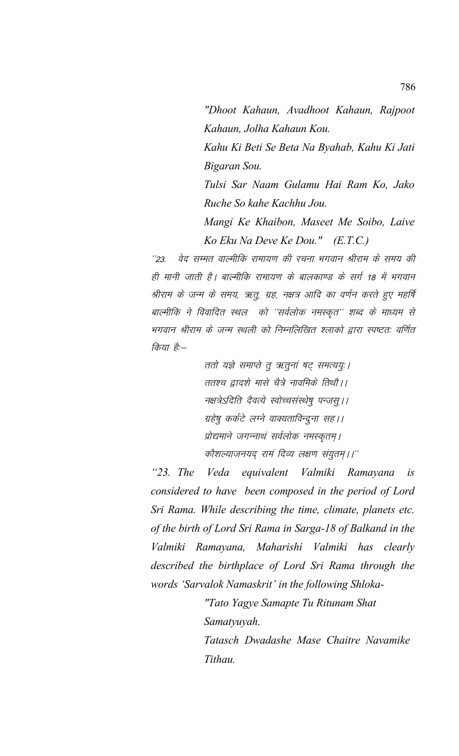"Dhoot Kahaun, Avadhoot Kahaun, Rajpoot Kahaun, Jolha Kahaun Kou. Kahu Ki Beti Se Beta Na Byahab, Kahu Ki Jati Bigaran Sou. Tulsi Sar Naam Gulamu Hai Ram Ko, Jako Ruche So kahe Kachhu Jou. Mangi Ke Khaibon, Maseet Me Soibo, Laive

वेद सम्मत वाल्मीकि रामायण की रचना भगवान श्रीराम के समय की  $^{11}23$ ही मानी जाती है। बाल्मीकि रामायण के बालकाण्ड के सर्ग 18 में भगवान श्रीराम के जन्म के समय, ऋतु, ग्रह, नक्षत्र आदि का वर्णन करते हुए महर्षि बाल्मीकि ने विवादित स्थल को ''सर्वलोक नमस्कृत'' शब्द के माध्यम से भगवान श्रीराम के जन्म स्थली को निम्नलिखित श्लाको द्वारा स्पष्टतः वर्णित किया है:—

Ko Eku Na Deve Ke Dou." (E.T.C.)

ततो यज्ञे समाप्ते तु ऋतुनां षट् समत्ययुः । ततश्च द्वादशे मासे चैत्रे नावमिके तिथौ ।। नक्षत्रेऽदिति दैवत्ये स्वोच्चसंस्थेषु पन्जसु ।। ग्रहेषु कर्कटे लग्ने वाक्यताविन्दुना सह।। प्रोद्यमाने जगन्नाथं सर्वलोक नमस्कृतम् । कौशल्याजनयद् रामं दिव्य लक्षण संयुतम् ।।''

" $23.$  The equivalent Valmiki Ramayana Veda  $i<sub>S</sub>$ considered to have been composed in the period of Lord Sri Rama. While describing the time, climate, planets etc. of the birth of Lord Sri Rama in Sarga-18 of Balkand in the Valmiki Ramayana, Maharishi Valmiki has clearly described the birthplace of Lord Sri Rama through the words 'Sarvalok Namaskrit' in the following Shloka-

> "Tato Yagye Samapte Tu Ritunam Shat Samatyuyah. Tatasch Dwadashe Mase Chaitre Navamike

Tithau.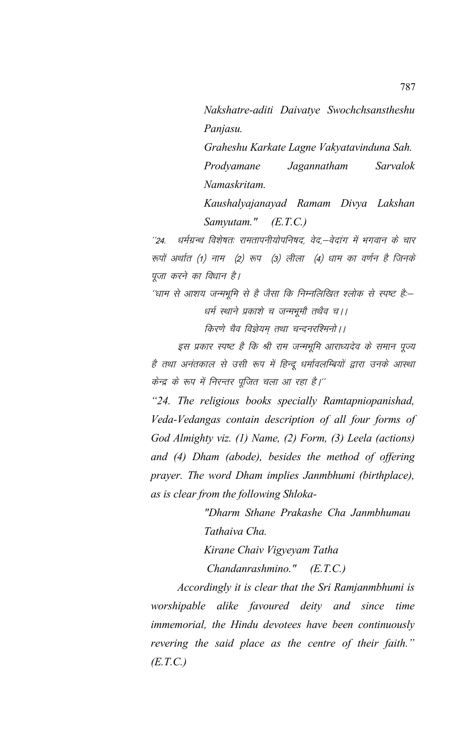Nakshatre-aditi Daivatye Swochchsanstheshu Panjasu.

Graheshu Karkate Lagne Vakyatavinduna Sah. Prodyamane Sarvalok Jagannatham Namaskritam.

Kaushalyajanayad Ramam Divya Lakshan Samyutam."  $(E.T.C.)$ 

धर्मग्रन्थ विशेषतः रामतापनीयोपनिषद्, वेद्,-वेदांग में भगवान के चार  $^{\prime\prime}24$ . रूपों अर्थात (1) नाम (2) रूप (3) लीला (4) धाम का वर्णन है जिनके पूजा करने का विधान है।

''धाम से आशय जन्मभूमि से है जैसा कि निम्नलिखित श्लोक से स्पष्ट है:--धर्म स्थाने प्रकाशे च जन्मभूमौ तथैव च।।

किरणे चैव विज्ञेयम तथा चन्दनरश्मिनो | |

इस प्रकार स्पष्ट है कि श्री राम जन्मभूमि आराध्यदेव के समान पूज्य है तथा अनंतकाल से उसी रूप में हिन्दू धर्मावलम्बियों द्वारा उनके आस्था केन्द्र के रूप में निरन्तर पूजित चला आ रहा है।''

"24. The religious books specially Ramtapniopanishad, Veda-Vedangas contain description of all four forms of God Almighty viz. (1) Name, (2) Form, (3) Leela (actions) and (4) Dham (abode), besides the method of offering prayer. The word Dham implies Janmbhumi (birthplace), as is clear from the following Shloka-

> "Dharm Sthane Prakashe Cha Janmbhumau Tathaiva Cha.

Kirane Chaiv Vigyeyam Tatha

Chandanrashmino."  $(E.T.C.)$ 

Accordingly it is clear that the Sri Ramjanmbhumi is worshipable alike favoured deity and since time immemorial, the Hindu devotees have been continuously revering the said place as the centre of their faith."  $(E.T.C.)$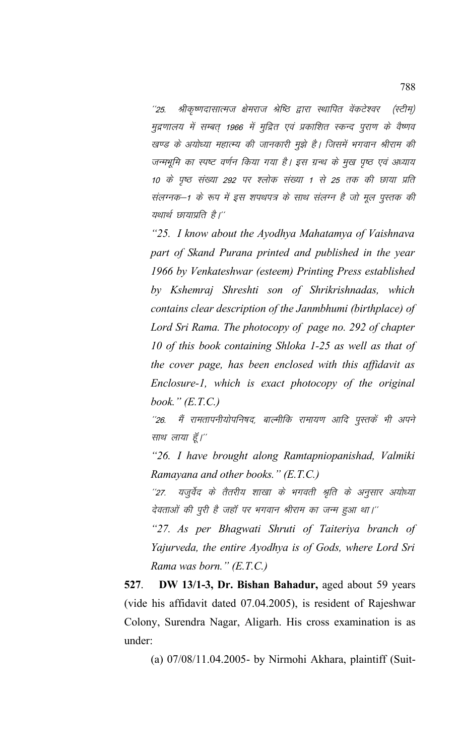श्रीकृष्णदासात्मज क्षेमराज श्रेष्ठि द्वारा स्थापित वेंकटेश्वर (स्टीम)  $^{\prime\prime}25$ मुद्रणालय में सम्बत् 1966 में मुद्रित एवं प्रकाशित स्कन्द पुराण के वैष्णव खण्ड के अयोध्या महात्म्य की जानकारी मुझे है। जिसमें भगवान श्रीराम की जन्मभूमि का स्पष्ट वर्णन किया गया है। इस ग्रन्थ के मुख पृष्ठ एवं अध्याय 10 के पृष्ठ संख्या 292 पर श्लोक संख्या 1 से 25 तक की छाया प्रति संलग्नक–1 के रूप में इस शपथपत्र के साथ संलग्न है जो मूल पुस्तक की यथार्थ छायाप्रति है।''

"25. I know about the Ayodhya Mahatamya of Vaishnava part of Skand Purana printed and published in the year 1966 by Venkateshwar (esteem) Printing Press established by Kshemraj Shreshti son of Shrikrishnadas, which contains clear description of the Janmbhumi (birthplace) of Lord Sri Rama. The photocopy of page no. 292 of chapter 10 of this book containing Shloka 1-25 as well as that of the cover page, has been enclosed with this affidavit as Enclosure-1, which is exact photocopy of the original book."  $(E.T.C.)$ 

मैं रामतापनीयोपनिषद, बाल्मीकि रामायण आदि पुस्तकें भी अपने  $^{\prime\prime}$ 26. साथ लाया हूँ।''

"26. I have brought along Ramtapniopanishad, Valmiki Ramayana and other books." (E.T.C.)

यजुर्वेद के तैतरीय शाखा के भगवती श्रुति के अनूसार अयोध्या  $^{\prime\prime}27.$ देवताओं की पुरी है जहाँ पर भगवान श्रीराम का जन्म हुआ था।''

"27. As per Bhagwati Shruti of Taiteriya branch of Yajurveda, the entire Ayodhya is of Gods, where Lord Sri Rama was born."  $(E.T.C.)$ 

527. DW 13/1-3, Dr. Bishan Bahadur, aged about 59 years (vide his affidavit dated 07.04.2005), is resident of Rajeshwar Colony, Surendra Nagar, Aligarh. His cross examination is as under<sup>.</sup>

(a) 07/08/11.04.2005- by Nirmohi Akhara, plaintiff (Suit-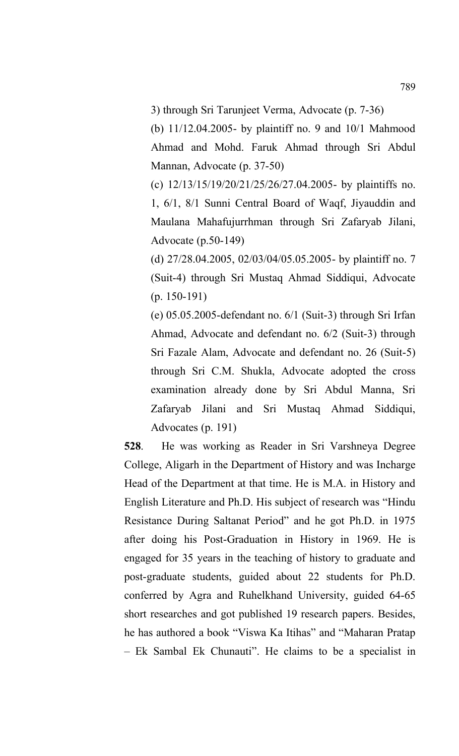3) through Sri Tarunjeet Verma, Advocate (p. 7-36)

(b) 11/12.04.2005- by plaintiff no. 9 and 10/1 Mahmood Ahmad and Mohd. Faruk Ahmad through Sri Abdul Mannan, Advocate (p. 37-50)

(c) 12/13/15/19/20/21/25/26/27.04.2005- by plaintiffs no. 1, 6/1, 8/1 Sunni Central Board of Waqf, Jiyauddin and Maulana Mahafujurrhman through Sri Zafaryab Jilani, Advocate (p.50-149)

(d) 27/28.04.2005, 02/03/04/05.05.2005- by plaintiff no. 7 (Suit-4) through Sri Mustaq Ahmad Siddiqui, Advocate (p. 150-191)

(e) 05.05.2005-defendant no. 6/1 (Suit-3) through Sri Irfan Ahmad, Advocate and defendant no. 6/2 (Suit-3) through Sri Fazale Alam, Advocate and defendant no. 26 (Suit-5) through Sri C.M. Shukla, Advocate adopted the cross examination already done by Sri Abdul Manna, Sri Zafaryab Jilani and Sri Mustaq Ahmad Siddiqui, Advocates (p. 191)

**528**. He was working as Reader in Sri Varshneya Degree College, Aligarh in the Department of History and was Incharge Head of the Department at that time. He is M.A. in History and English Literature and Ph.D. His subject of research was "Hindu Resistance During Saltanat Period" and he got Ph.D. in 1975 after doing his Post-Graduation in History in 1969. He is engaged for 35 years in the teaching of history to graduate and post-graduate students, guided about 22 students for Ph.D. conferred by Agra and Ruhelkhand University, guided 64-65 short researches and got published 19 research papers. Besides, he has authored a book "Viswa Ka Itihas" and "Maharan Pratap – Ek Sambal Ek Chunauti". He claims to be a specialist in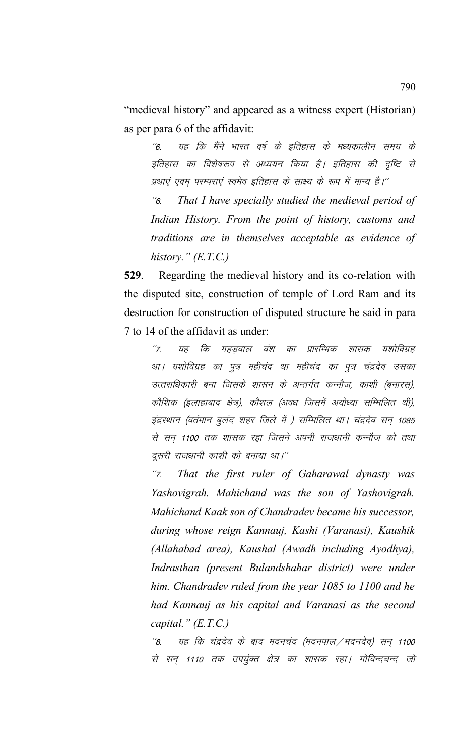"medieval history" and appeared as a witness expert (Historian) as per para 6 of the affidavit:

यह कि मैंने भारत वर्ष के इतिहास के मध्यकालीन समय के  $\hat{b}$ इतिहास का विशेषरूप से अध्ययन किया है। इतिहास की दृष्टि से प्रथाएं एवम् परम्पराएं स्वमेव इतिहास के साक्ष्य के रूप में मान्य है।''

 $\degree$ 6. That I have specially studied the medieval period of Indian History. From the point of history, customs and traditions are in themselves acceptable as evidence of history."  $(E.T.C.)$ 

529. Regarding the medieval history and its co-relation with the disputed site, construction of temple of Lord Ram and its destruction for construction of disputed structure he said in para 7 to 14 of the affidavit as under:

 $\frac{1}{7}$ कि गहडवाल वंश का प्रारम्भिक यह शासक यशोविग्रह था। यशोविग्रह का पूत्र महीचंद था महीचंद का पूत्र चंद्रदेव उसका उत्तराधिकारी बना जिसके शासन के अन्तर्गत कन्नौज, काशी (बनारस), कौशिक (इलाहाबाद क्षेत्र), कौशल (अवध जिसमें अयोध्या सम्मिलित थी), इंद्रस्थान (वर्तमान बुलंद शहर जिले में ) सम्मिलित था। चंद्रदेव सन 1085 से सन 1100 तक शासक रहा जिसने अपनी राजधानी कन्नौज को तथा दूसरी राजधानी काशी को बनाया था।''

That the first ruler of Gaharawal dynasty was  $^{\prime\prime}$ Z Yashovigrah. Mahichand was the son of Yashovigrah. Mahichand Kaak son of Chandradev became his successor, during whose reign Kannauj, Kashi (Varanasi), Kaushik (Allahabad area), Kaushal (Awadh including Ayodhya), Indrasthan (present Bulandshahar district) were under him. Chandradev ruled from the year 1085 to 1100 and he had Kannauj as his capital and Varanasi as the second capital."  $(E.T.C.)$ 

 $^{\prime\prime}$ 8. यह कि चंद्रदेव के बाद मदनचंद (मदनपाल / मदनदेव) सन् 1100 से सन् 1110 तक उपर्युक्त क्षेत्र का शासक रहा। गोविन्दचन्द जो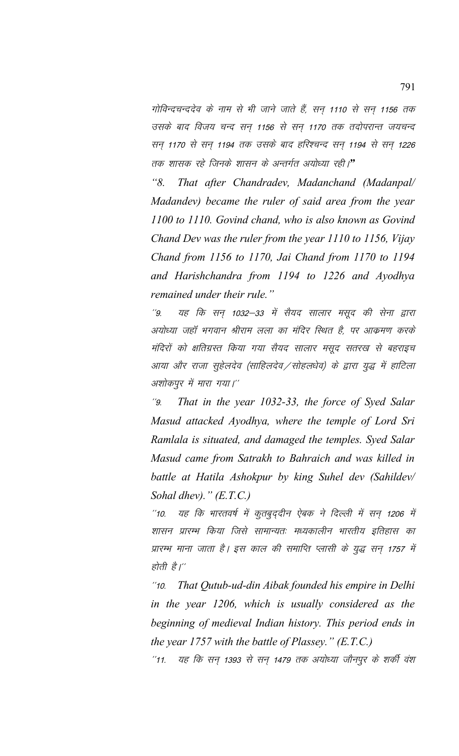गोविन्दचन्ददेव के नाम से भी जाने जाते हैं, सन 1110 से सन 1156 तक उसके बाद विजय चन्द सन 1156 से सन 1170 तक तदोपरान्त जयचन्द सन् 1170 से सन् 1194 तक उसके बाद हरिश्चन्द सन् 1194 से सन् 1226 तक शासक रहे जिनके शासन के अन्तर्गत अयोध्या रही।**"** 

*"8. That after Chandradev, Madanchand (Madanpal/ Madandev) became the ruler of said area from the year 1100 to 1110. Govind chand, who is also known as Govind Chand Dev was the ruler from the year 1110 to 1156, Vijay Chand from 1156 to 1170, Jai Chand from 1170 to 1194 and Harishchandra from 1194 to 1226 and Ayodhya remained under their rule."*

 $\frac{y}{9}$  यह कि सन् 1032–33 में सैयद सालार मसूद की सेना द्वारा अयोध्या जहॉ भगवान श्रीराम लला का मंदिर स्थित है, पर आक्रमण करके मंदिरों को क्षतिग्रस्त किया गया सैयद सालार मसूद सतरख से बहराइच आया और राजा सूहेलदेव (साहिलदेव / सोहलधेव) के द्वारा युद्ध में हाटिला अशोकपुर में मारा गया।''

\*\*9- *That in the year 1032-33, the force of Syed Salar Masud attacked Ayodhya, where the temple of Lord Sri Ramlala is situated, and damaged the temples. Syed Salar Masud came from Satrakh to Bahraich and was killed in battle at Hatila Ashokpur by king Suhel dev (Sahildev/ Sohal dhev)." (E.T.C.)*

 $"$ 10. यह कि भारतवर्ष में कुतबुद्दीन ऐबक ने दिल्ली में सन् 1206 में शासन प्रारम्भ किया जिसे सामान्यतः मध्यकालीन भारतीय इतिहास का प्रारम्भ माना जाता है। इस काल की समाप्ति प्लासी के युद्ध सन् 1757 में होती है।''

\*\*10- *That Qutub-ud-din Aibak founded his empire in Delhi in the year 1206, which is usually considered as the beginning of medieval Indian history. This period ends in the year 1757 with the battle of Plassey." (E.T.C.)*

\*11. यह कि सन् 1393 से सन् 1479 तक अयोध्या जौनपुर के शर्की वंश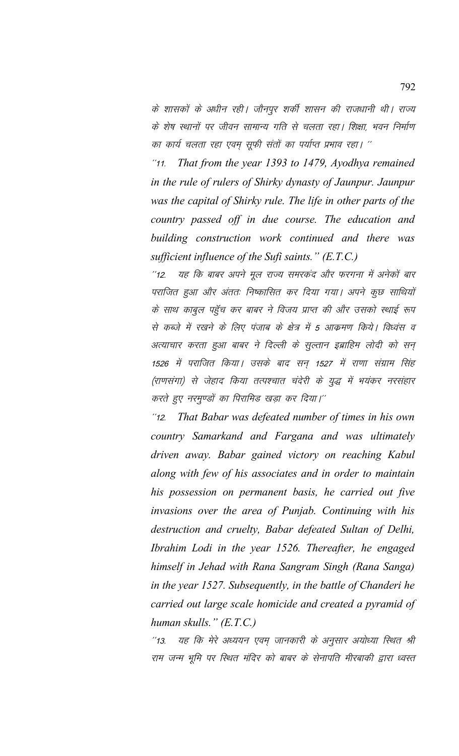के शासकों के अधीन रही। जौनपुर शर्की शासन की राजधानी थी। राज्य के शेष स्थानों पर जीवन सामान्य गति से चलता रहा। शिक्षा, भवन निर्माण का कार्य चलता रहा एवम् सूफी संतों का पर्याप्त प्रभाव रहा। ''

That from the year 1393 to 1479, Ayodhya remained  $11.$ in the rule of rulers of Shirky dynasty of Jaunpur. Jaunpur was the capital of Shirky rule. The life in other parts of the country passed off in due course. The education and building construction work continued and there was sufficient influence of the Sufi saints."  $(E.T.C.)$ 

यह कि बाबर अपने मूल राज्य समरकंद और फरगना में अनेकों बार  $^{\prime\prime}$ 12 पराजित हुआ और अंततः निष्कासित कर दिया गया। अपने कुछ साथियों के साथ काबुल पहुँच कर बाबर ने विजय प्राप्त की और उसको स्थाई रूप से कब्जे में रखने के लिए पंजाब के क्षेत्र में 5 आकमण किये। विध्वंस व अत्याचार करता हुआ बाबर ने दिल्ली के सुल्तान इब्राहिम लोदी को सन् 1526 में पराजित किया। उसके बाद सन् 1527 में राणा संग्राम सिंह (राणसंगा) से जेहाद किया तत्पश्चात चंदेरी के युद्ध में भयंकर नरसंहार करते हुए नरमण्डों का पिरामिड खड़ा कर दिया।"

 $12.$ That Babar was defeated number of times in his own country Samarkand and Fargana and was ultimately driven away. Babar gained victory on reaching Kabul along with few of his associates and in order to maintain his possession on permanent basis, he carried out five invasions over the area of Punjab. Continuing with his destruction and cruelty, Babar defeated Sultan of Delhi, Ibrahim Lodi in the year 1526. Thereafter, he engaged himself in Jehad with Rana Sangram Singh (Rana Sanga) in the year 1527. Subsequently, in the battle of Chanderi he carried out large scale homicide and created a pyramid of human skulls."  $(E.T.C.)$ 

यह कि मेरे अध्ययन एवम् जानकारी के अनुसार अयोध्या स्थित श्री  $113.$ राम जन्म भूमि पर स्थित मंदिर को बाबर के सेनापति मीरबाकी द्वारा ध्वस्त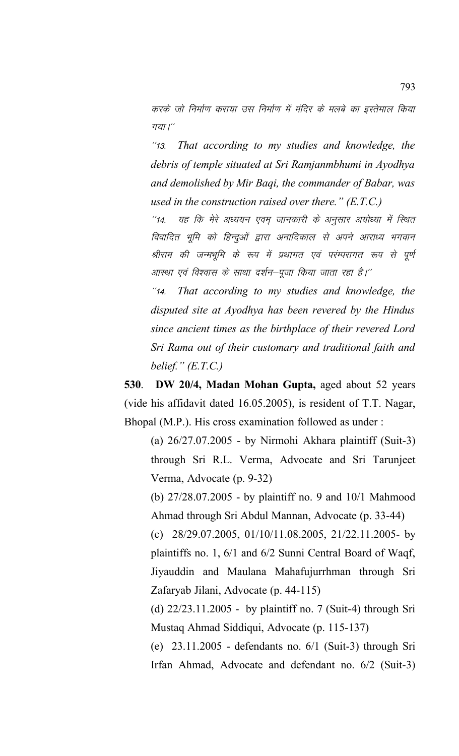करके जो निर्माण कराया उस निर्माण में मंदिर के मलबे का इस्तेमाल किया गया $'$ 

\*\*13- *That according to my studies and knowledge, the debris of temple situated at Sri Ramjanmbhumi in Ayodhya and demolished by Mir Baqi, the commander of Babar, was used in the construction raised over there." (E.T.C.)*

"14. यह कि मेरे अध्ययन एवम जानकारी के अनुसार अयोध्या में स्थित विवादित भूमि को हिन्दुओं द्वारा अनादिकाल से अपने आराध्य भगवान श्रीराम की जन्मभूमि के रूप में प्रथागत एवं परंम्परागत रूप से पूर्ण आस्था एवं विश्वास के साथा दर्शन—पूजा किया जाता रहा है।''

\*\*14- *That according to my studies and knowledge, the disputed site at Ayodhya has been revered by the Hindus since ancient times as the birthplace of their revered Lord Sri Rama out of their customary and traditional faith and belief." (E.T.C.)*

**530**. **DW 20/4, Madan Mohan Gupta,** aged about 52 years (vide his affidavit dated 16.05.2005), is resident of T.T. Nagar, Bhopal (M.P.). His cross examination followed as under :

(a) 26/27.07.2005 - by Nirmohi Akhara plaintiff (Suit-3) through Sri R.L. Verma, Advocate and Sri Tarunjeet Verma, Advocate (p. 9-32)

(b) 27/28.07.2005 - by plaintiff no. 9 and 10/1 Mahmood Ahmad through Sri Abdul Mannan, Advocate (p. 33-44)

(c) 28/29.07.2005, 01/10/11.08.2005, 21/22.11.2005- by plaintiffs no. 1, 6/1 and 6/2 Sunni Central Board of Waqf, Jiyauddin and Maulana Mahafujurrhman through Sri Zafaryab Jilani, Advocate (p. 44-115)

(d) 22/23.11.2005 - by plaintiff no. 7 (Suit-4) through Sri Mustaq Ahmad Siddiqui, Advocate (p. 115-137)

(e) 23.11.2005 - defendants no. 6/1 (Suit-3) through Sri Irfan Ahmad, Advocate and defendant no. 6/2 (Suit-3)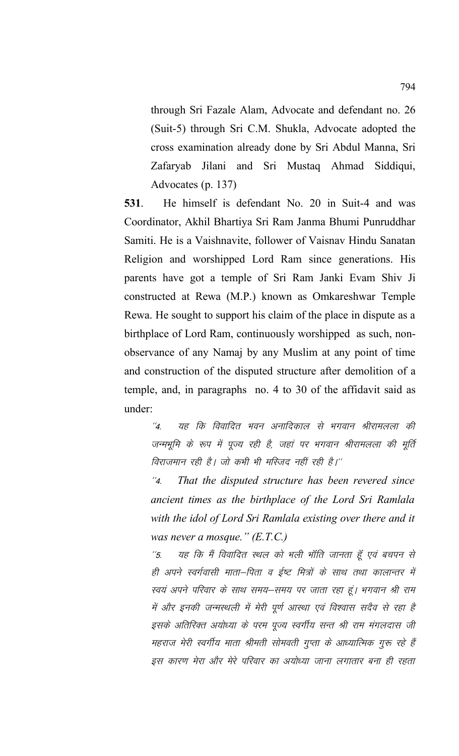through Sri Fazale Alam, Advocate and defendant no. 26 (Suit-5) through Sri C.M. Shukla, Advocate adopted the cross examination already done by Sri Abdul Manna, Sri Jilani and Sri Mustaq Ahmad Siddiqui, Zafaryab Advocates (p. 137)

531. He himself is defendant No. 20 in Suit-4 and was Coordinator, Akhil Bhartiya Sri Ram Janma Bhumi Punruddhar Samiti. He is a Vaishnavite, follower of Vaisnav Hindu Sanatan Religion and worshipped Lord Ram since generations. His parents have got a temple of Sri Ram Janki Evam Shiv Ji constructed at Rewa (M.P.) known as Omkareshwar Temple Rewa. He sought to support his claim of the place in dispute as a birthplace of Lord Ram, continuously worshipped as such, nonobservance of any Namaj by any Muslim at any point of time and construction of the disputed structure after demolition of a temple, and, in paragraphs no. 4 to 30 of the affidavit said as under:

 $\mathcal{L}_{\mathcal{A}}$ यह कि विवादित भवन अनादिकाल से भगवान श्रीरामलला की जन्मभूमि के रूप में पूज्य रही है, जहां पर भगवान श्रीरामलला की मूर्ति विराजमान रही है। जो कभी भी मस्जिद नहीं रही है।''

That the disputed structure has been revered since  $^{\prime\prime}$ *4.* ancient times as the birthplace of the Lord Sri Ramlala with the idol of Lord Sri Ramlala existing over there and it was never a mosque."  $(E.T.C.)$ 

यह कि मैं विवादित स्थल को भली भॉति जानता हूँ एवं बचपन से  $^{\prime\prime}5$ . ही अपने स्वर्गवासी माता–पिता व ईष्ट मित्रों के साथ तथा कालान्तर में स्वयं अपने परिवार के साथ समय–समय पर जाता रहा हूं। भगवान श्री राम में और इनकी जन्मस्थली में मेरी पूर्ण आस्था एवं विश्वास सदैव से रहा है इसके अतिरिक्त अयोध्या के परम पूज्य स्वर्गीय सन्त श्री राम मंगलदास जी महराज मेरी स्वर्गीय माता श्रीमती सोमवती गुप्ता के आध्यात्मिक गुरू रहे हैं इस कारण मेरा और मेरे परिवार का अयोध्या जाना लगातार बना ही रहता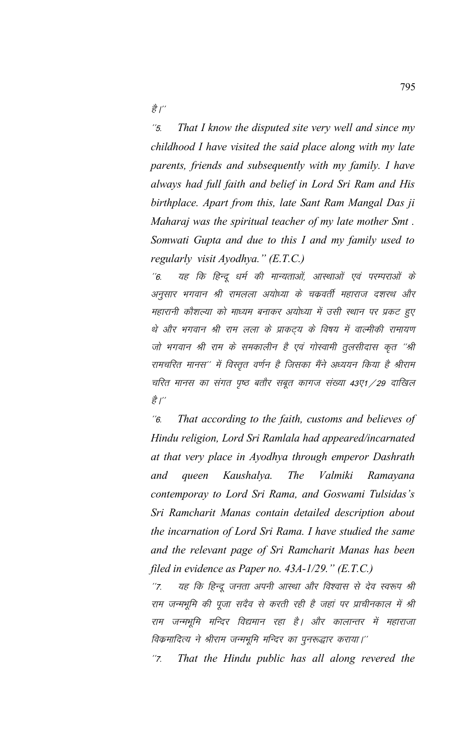ਫ਼ੈ $'$ 

\*\*5- *That I know the disputed site very well and since my childhood I have visited the said place along with my late parents, friends and subsequently with my family. I have always had full faith and belief in Lord Sri Ram and His birthplace. Apart from this, late Sant Ram Mangal Das ji Maharaj was the spiritual teacher of my late mother Smt . Somwati Gupta and due to this I and my family used to regularly visit Ayodhya." (E.T.C.)*

''6. यह कि हिन्दू धर्म की मान्यताओं, आरथाओं एवं परम्पराओं के अनुसार भगवान श्री रामलला अयोध्या के चकवर्ती महाराज दशरथ और महारानी कौशल्या को माध्यम बनाकर अयोध्या में उसी स्थान पर प्रकट हुए थे और भगवान श्री राम लला के प्राकट्य के विषय में वाल्मीकी रामायण जो भगवान श्री राम के समकालीन है एवं गोस्वामी तुलसीदास कृत ''श्री रामचरित मानस'' में विस्तृत वर्णन है जिसका मैंने अध्ययन किया है श्रीराम चरित मानस का संगत पृष्ठ बतौर सबूत कागज संख्या 43ए1 / 29 दाखिल ੜ੍ਹੇ $\int'$ 

\*\*6- *That according to the faith, customs and believes of Hindu religion, Lord Sri Ramlala had appeared/incarnated at that very place in Ayodhya through emperor Dashrath and queen Kaushalya. The Valmiki Ramayana contemporay to Lord Sri Rama, and Goswami Tulsidas's Sri Ramcharit Manas contain detailed description about the incarnation of Lord Sri Rama. I have studied the same and the relevant page of Sri Ramcharit Manas has been filed in evidence as Paper no. 43A-1/29." (E.T.C.)*

"7. यह कि हिन्दू जनता अपनी आस्था और विश्वास से देव स्वरूप श्री राम जन्मभूमि की पूजा सदैव से करती रही है जहां पर प्राचीनकाल में श्री राम जन्मभूमि मन्दिर विद्यमान रहा है। और कालान्तर में महाराजा विक्रमादित्य ने श्रीराम जन्मभूमि मन्दिर का पुनरूद्धार कराया।''

"7. That the Hindu public has all along revered the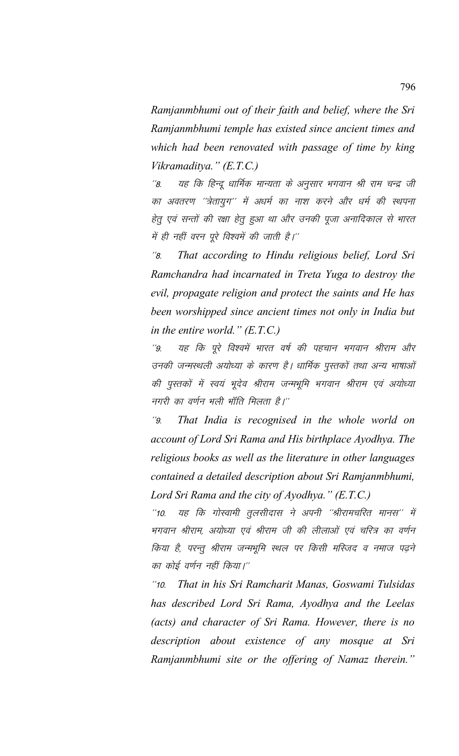*Ramjanmbhumi out of their faith and belief, where the Sri Ramjanmbhumi temple has existed since ancient times and which had been renovated with passage of time by king Vikramaditya." (E.T.C.)*

''8. यह कि हिन्दू धार्मिक मान्यता के अनुसार भगवान श्री राम चन्द्र जी का अवतरण ''त्रेतायुग'' में अधर्म का नाश करने और धर्म की स्थपना हेतु एवं सन्तों की रक्षा हेतु हुआ था और उनकी पूजा अनादिकाल से भारत में ही नहीं वरन पूरे विश्वमें की जाती है।''

\*\*8- *That according to Hindu religious belief, Lord Sri Ramchandra had incarnated in Treta Yuga to destroy the evil, propagate religion and protect the saints and He has been worshipped since ancient times not only in India but in the entire world." (E.T.C.)*

''9. यह कि पूरे विश्वमें भारत वर्ष की पहचान भगवान श्रीराम और उनकी जन्मस्थली अयोध्या के कारण है। धार्मिक पुस्तकों तथा अन्य भाषाओं की पुस्तकों में स्वयं भूदेव श्रीराम जन्मभूमि भगवान श्रीराम एवं अयोध्या नगरी का वर्णन भली भॉति मिलता है।''

\*\*9- *That India is recognised in the whole world on account of Lord Sri Rama and His birthplace Ayodhya. The religious books as well as the literature in other languages contained a detailed description about Sri Ramjanmbhumi, Lord Sri Rama and the city of Ayodhya." (E.T.C.)*

"10. यह कि गोस्वामी तुलसीदास ने अपनी ''श्रीरामचरित मानस'' में भगवान श्रीराम, अयोध्या एवं श्रीराम जी की लीलाओं एवं चरित्र का वर्णन किया है, परन्तु श्रीराम जन्मभूमि स्थल पर किसी मस्जिद व नमाज पढ़ने का कोई वर्णन नहीं किया।''

\*\*10- *That in his Sri Ramcharit Manas, Goswami Tulsidas has described Lord Sri Rama, Ayodhya and the Leelas (acts) and character of Sri Rama. However, there is no description about existence of any mosque at Sri Ramjanmbhumi site or the offering of Namaz therein."*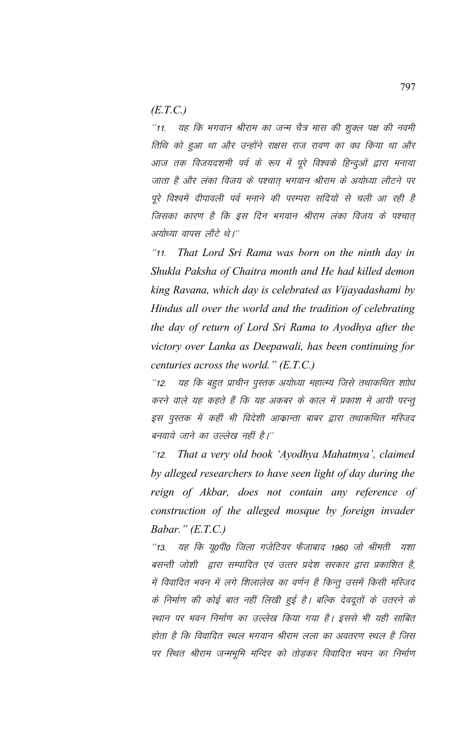*(E.T.C.)*

"11. यह कि भगवान श्रीराम का जन्म चैत्र मास की शुक्ल पक्ष की नवमी तिथि को हुआ था और उन्होंने राक्षस राज रावण का वध किया था और आज तक विजयदशमी पर्व के रूप में पूरे विश्वके हिन्दुओं द्वारा मनाया जाता है और लंका विजय के पश्चात भगवान श्रीराम के अयोध्या लौटने पर पूरे विश्वमें दीपावली पर्व मनाने की परम्परा सदियों से चली आ रही है जिसका कारण है कि इस दिन भगवान श्रीराम लंका विजय के पश्चात् अयोध्या वापस लौटे थे।''

\*\*11- *That Lord Sri Rama was born on the ninth day in Shukla Paksha of Chaitra month and He had killed demon king Ravana, which day is celebrated as Vijayadashami by Hindus all over the world and the tradition of celebrating the day of return of Lord Sri Rama to Ayodhya after the victory over Lanka as Deepawali, has been continuing for centuries across the world." (E.T.C.)*

''12. यह कि बहुत प्राचीन पुस्तक अयोध्या महात्म्य जिसे तथाकथित शाोध करने वाले यह कहते हैं कि यह अकबर के काल में प्रकाश में आयी परन्तू इस पुस्तक में कहीं भी विदेशी आकान्ता बाबर द्वारा तथाकथित मस्जिद बनवाये जाने का उल्लेख नहीं है।''

\*\*12- *That a very old book 'Ayodhya Mahatmya', claimed by alleged researchers to have seen light of day during the reign of Akbar, does not contain any reference of construction of the alleged mosque by foreign invader Babar." (E.T.C.)*

''13. यह कि यू०पी० जिला गजेटियर फैजाबाद 1960 जो श्रीमती यशा बसन्ती जोशी द्वारा सम्पादित एवं उत्तर प्रदेश सरकार द्वारा प्रकाशित है. में विवादित भवन में लगे शिलालेख का वर्णन है किन्तू उसमें किसी मस्जिद के निर्माण की कोई बात नहीं लिखी हुई है। बल्कि देवदूतों के उतरने के स्थान पर भवन निर्माण का उल्लेख किया गया है। इससे भी यही साबित होता है कि विवादित स्थल भगवान श्रीराम लला का अवतरण स्थल है जिस पर स्थित श्रीराम जन्मभूमि मन्दिर को तोड़कर विवादित भवन का निर्माण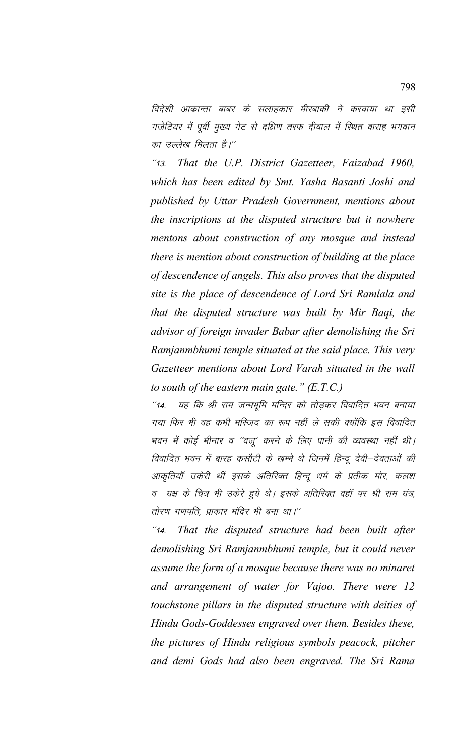विदेशी आक्रान्ता बाबर के सलाहकार मीरबाकी ने करवाया था इसी गजेटियर में पूर्वी मुख्य गेट से दक्षिण तरफ दीवाल में स्थित वाराह भगवान का उल्लेख मिलता है।''

\*\*13- *That the U.P. District Gazetteer, Faizabad 1960, which has been edited by Smt. Yasha Basanti Joshi and published by Uttar Pradesh Government, mentions about the inscriptions at the disputed structure but it nowhere mentons about construction of any mosque and instead there is mention about construction of building at the place of descendence of angels. This also proves that the disputed site is the place of descendence of Lord Sri Ramlala and that the disputed structure was built by Mir Baqi, the advisor of foreign invader Babar after demolishing the Sri Ramjanmbhumi temple situated at the said place. This very Gazetteer mentions about Lord Varah situated in the wall to south of the eastern main gate." (E.T.C.)*

"14. यह कि श्री राम जन्मभूमि मन्दिर को तोड़कर विवादित भवन बनाया गया फिर भी वह कभी मस्जिद का रूप नहीं ले सकी क्योंकि इस विवादित भवन में कोई मीनार व ''वजू' करने के लिए पानी की व्यवस्था नहीं थी। विवादित भवन में बारह कसौटी के खम्भे थे जिनमें हिन्दू देवी–देवताओं की आकृतियाँ उकेरी थीं इसके अतिरिक्त हिन्दू धर्म के प्रतीक मोर, कलश व यक्ष के चित्र भी उकेरे हुये थे। इसके अतिरिक्त वहाँ पर श्री राम यंत्र, तोरण गणपति, प्राकार मंदिर भी बना था।''

\*\*14- *That the disputed structure had been built after demolishing Sri Ramjanmbhumi temple, but it could never assume the form of a mosque because there was no minaret and arrangement of water for Vajoo. There were 12 touchstone pillars in the disputed structure with deities of Hindu Gods-Goddesses engraved over them. Besides these, the pictures of Hindu religious symbols peacock, pitcher and demi Gods had also been engraved. The Sri Rama*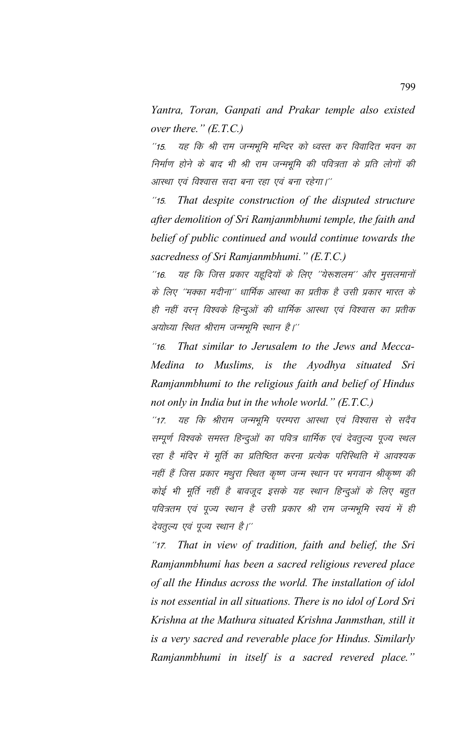Yantra, Toran, Ganpati and Prakar temple also existed over there."  $(E.T.C.)$ 

यह कि श्री राम जन्मभूमि मन्दिर को ध्वस्त कर विवादित भवन का  $^{\prime\prime}$ 15. निर्माण होने के बाद भी श्री राम जन्मभूमि की पवित्रता के प्रति लोगों की आस्था एवं विश्वास सदा बना रहा एवं बना रहेगा।''

 $^{\prime\prime}$ 15. That despite construction of the disputed structure after demolition of Sri Ramjanmbhumi temple, the faith and belief of public continued and would continue towards the sacredness of Sri Ramjanmbhumi." (E.T.C.)

यह कि जिस प्रकार यहूदियों के लिए ''येरूशलम'' और मुसलमानों  $116.$ के लिए ''मक्का मदीना'' धार्मिक आस्था का प्रतीक है उसी प्रकार भारत के ही नहीं वरन् विश्वके हिन्दुओं की धार्मिक आस्था एवं विश्वास का प्रतीक अयोध्या स्थित श्रीराम जन्मभूमि स्थान है।''

That similar to Jerusalem to the Jews and Mecca- $116$ Medina to Muslims, is the Ayodhya situated Sri Ramjanmbhumi to the religious faith and belief of Hindus not only in India but in the whole world."  $(E.T.C.)$ 

यह कि श्रीराम जन्मभूमि परम्परा आस्था एवं विश्वास से सदैव  $^{\prime\prime}$ 17. सम्पूर्ण विश्वके समस्त हिन्दुओं का पवित्र धार्मिक एवं देवतूल्य पूज्य स्थल रहा है मंदिर में मूर्ति का प्रतिष्ठित करना प्रत्येक परिस्थिति में आवश्यक नहीं हैं जिस प्रकार मथुरा स्थित कृष्ण जन्म स्थान पर भगवान श्रीकृष्ण की कोई भी मूर्ति नहीं है बावजूद इसके यह स्थान हिन्दुओं के लिए बहुत पवित्रतम एवं पूज्य स्थान है उसी प्रकार श्री राम जन्मभूमि स्वयं में ही देवतूल्य एवं पूज्य स्थान है।''

That in view of tradition, faith and belief, the Sri  $^{\prime\prime}$ 17. Ramjanmbhumi has been a sacred religious revered place of all the Hindus across the world. The installation of idol is not essential in all situations. There is no idol of Lord Sri Krishna at the Mathura situated Krishna Janmsthan, still it is a very sacred and reverable place for Hindus. Similarly Ramjanmbhumi in itself is a sacred revered place."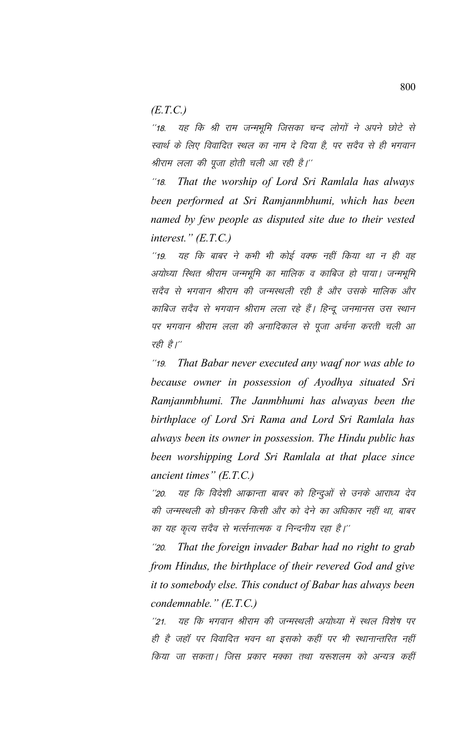*(E.T.C.)*

"18. यह कि श्री राम जन्मभूमि जिसका चन्द लोगों ने अपने छोटे से स्वार्थ के लिए विवादित स्थल का नाम दे दिया है, पर सदैव से ही भगवान श्रीराम लला की पूजा होती चली आ रही है।''

\*\*18- *That the worship of Lord Sri Ramlala has always been performed at Sri Ramjanmbhumi, which has been named by few people as disputed site due to their vested interest." (E.T.C.)*

''19. यह कि बाबर ने कभी भी कोई वक्फ नहीं किया था न ही वह अयोध्या स्थित श्रीराम जन्मभूमि का मालिक व काबिज हो पाया। जन्मभूमि सदैव से भगवान श्रीराम की जन्मस्थली रही है और उसके मालिक और काबिज सदैव से भगवान श्रीराम लला रहे हैं। हिन्दू जनमानस उस स्थान पर भगवान श्रीराम लला की अनादिकाल से पूजा अर्चना करती चली आ रही है।"

\*\*19- *That Babar never executed any waqf nor was able to because owner in possession of Ayodhya situated Sri Ramjanmbhumi. The Janmbhumi has alwayas been the birthplace of Lord Sri Rama and Lord Sri Ramlala has always been its owner in possession. The Hindu public has been worshipping Lord Sri Ramlala at that place since ancient times" (E.T.C.)*

''20. यह कि विदेशी आक्रान्ता बाबर को हिन्दुओं से उनके आराध्य देव की जन्मस्थली को छीनकर किसी और को देने का अधिकार नहीं था, बाबर का यह कृत्य सदैव से भर्त्सनात्मक व निन्दनीय रहा है।''

"20. That the foreign invader Babar had no right to grab *from Hindus, the birthplace of their revered God and give it to somebody else. This conduct of Babar has always been condemnable." (E.T.C.)*

''21. यह कि भगवान श्रीराम की जन्मस्थली अयोध्या में स्थल विशेष पर ही है जहाँ पर विवादित भवन था इसको कहीं पर भी स्थानान्तरित नहीं किया जा सकता। जिस प्रकार मक्का तथा यरूशलम को अन्यत्र कहीं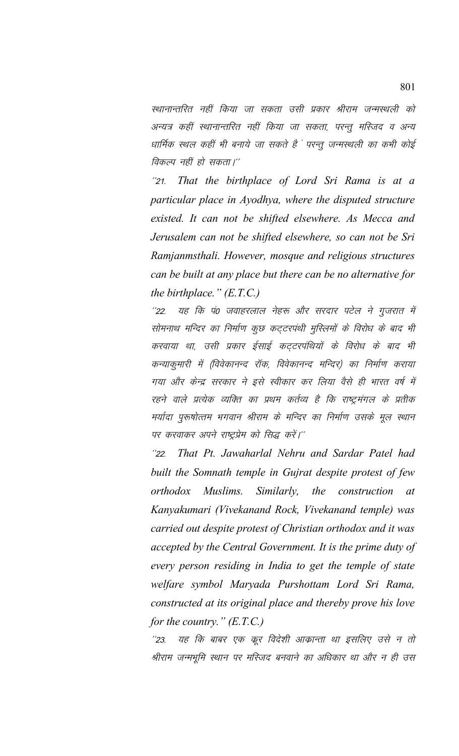स्थानान्तरित नहीं किया जा सकता उसी प्रकार श्रीराम जन्मस्थली को अन्यत्र कहीं स्थानान्तरित नहीं किया जा सकता, परन्तु मस्जिद व अन्य धार्मिक स्थल कहीं भी बनाये जा सकते हैं परन्तू जन्मस्थली का कभी कोई विकल्प नहीं हो सकता।''

 $^{\prime\prime}21.$ That the birthplace of Lord Sri Rama is at a particular place in Ayodhya, where the disputed structure existed. It can not be shifted elsewhere. As Mecca and Jerusalem can not be shifted elsewhere, so can not be Sri Ramjanmsthali. However, mosque and religious structures can be built at any place but there can be no alternative for the birthplace."  $(E.T.C.)$ 

यह कि पं0 जवाहरलाल नेहरू और सरदार पटेल ने गुजरात में  $^{\prime\prime}$ 22 सोमनाथ मन्दिर का निर्माण कूछ कट्टरपंथी मुस्लिमों के विरोध के बाद भी करवाया था, उसी प्रकार ईसाई कट्टरपंथियों के विरोध के बाद भी कन्याकुमारी में (विवेकानन्द रॉक, विवेकानन्द मन्दिर) का निर्माण कराया गया और केन्द्र सरकार ने इसे स्वीकार कर लिया वैसे ही भारत वर्ष में रहने वाले प्रत्येक व्यक्ति का प्रथम कर्तव्य है कि राष्ट्रमंगल के प्रतीक मर्यादा पुरूषोत्तम भगवान श्रीराम के मन्दिर का निर्माण उसके मूल स्थान पर करवाकर अपने राष्ट्रप्रेम को सिद्ध करें।''

That Pt. Jawaharlal Nehru and Sardar Patel had  $^{\prime\prime}22.$ built the Somnath temple in Gujrat despite protest of few orthodox Muslims. Similarly, the construction  $at$ Kanyakumari (Vivekanand Rock, Vivekanand temple) was carried out despite protest of Christian orthodox and it was accepted by the Central Government. It is the prime duty of every person residing in India to get the temple of state welfare symbol Maryada Purshottam Lord Sri Rama, constructed at its original place and thereby prove his love for the country."  $(E.T.C.)$ 

यह कि बाबर एक कूर विदेशी आक्रान्ता था इसलिए उसे न तो  $^{\prime\prime}$ 23. श्रीराम जन्मभूमि स्थान पर मस्जिद बनवाने का अधिकार था और न ही उस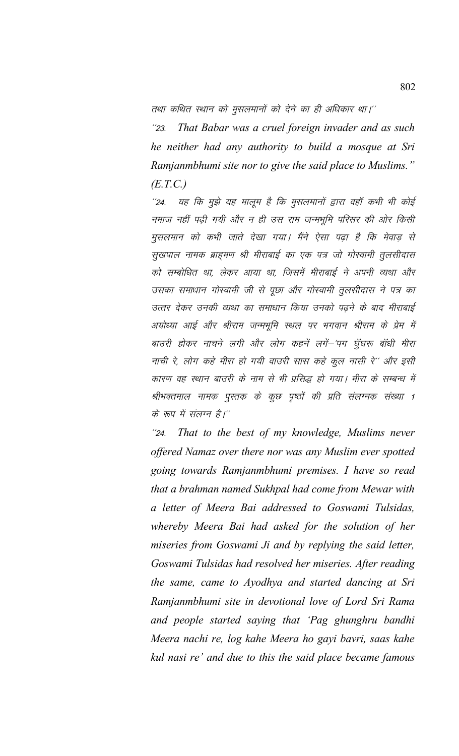तथा कथित स्थान को मुसलमानों को देने का ही अधिकार था।''

That Babar was a cruel foreign invader and as such  $^{\prime\prime}$ 23. he neither had any authority to build a mosque at Sri Ramjanmbhumi site nor to give the said place to Muslims."  $(E.T.C.)$ 

यह कि मुझे यह मालूम है कि मुसलमानों द्वारा वहाँ कभी भी कोई  $^{\prime\prime}24.$ नमाज नहीं पढ़ी गयी और न ही उस राम जन्मभूमि परिसर की ओर किसी मुसलमान को कभी जाते देखा गया। मैंने ऐसा पढ़ा है कि मेवाड़ से सूखपाल नामक ब्राहमण श्री मीराबाई का एक पत्र जो गोस्वामी तूलसीदास को सम्बोधित था, लेकर आया था, जिसमें मीराबाई ने अपनी व्यथा और उसका समाधान गोस्वामी जी से पूछा और गोस्वामी तूलसीदास ने पत्र का उत्तर देकर उनकी व्यथा का समाधान किया उनको पढ़ने के बाद मीराबाई अयोध्या आई और श्रीराम जन्मभूमि स्थल पर भगवान श्रीराम के प्रेम में बाउरी होकर नाचने लगी और लोग कहनें लगें-'पग घुँघरू बाँधी मीरा नाची रे, लोग कहे मीरा हो गयी वाउरी सास कहे कूल नासी रे'' और इसी कारण वह स्थान बाउरी के नाम से भी प्रसिद्ध हो गया। मीरा के सम्बन्ध में श्रीभक्तमाल नामक पुस्तक के कुछ पृष्ठों की प्रति संलग्नक संख्या 1 के रूप में संलग्न है।''

That to the best of my knowledge, Muslims never  $^{\prime\prime}24.$ offered Namaz over there nor was any Muslim ever spotted going towards Ramjanmbhumi premises. I have so read that a brahman named Sukhpal had come from Mewar with a letter of Meera Bai addressed to Goswami Tulsidas, whereby Meera Bai had asked for the solution of her miseries from Goswami Ji and by replying the said letter, Goswami Tulsidas had resolved her miseries. After reading the same, came to Ayodhya and started dancing at Sri Ramjanmbhumi site in devotional love of Lord Sri Rama and people started saying that 'Pag ghunghru bandhi Meera nachi re, log kahe Meera ho gayi bavri, saas kahe kul nasi re' and due to this the said place became famous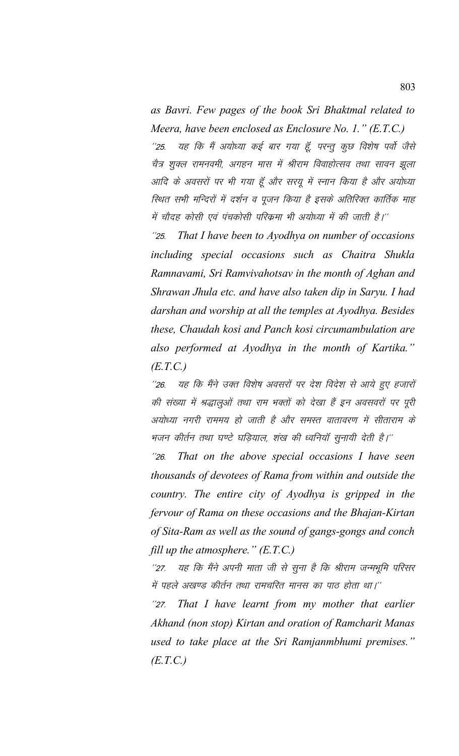*as Bavri. Few pages of the book Sri Bhaktmal related to Meera, have been enclosed as Enclosure No. 1." (E.T.C.)* ''25. यह कि मैं अयोध्या कई बार गया हूँ, परन्तु कुछ विशेष पर्वो जैसे चैत्र शुक्ल रामनवमी, अगहन मास में श्रीराम विवाहोत्सव तथा सावन झूला आदि के अवसरों पर भी गया हूँ और सरयू में स्नान किया है और अयोध्या स्थित सभी मन्दिरों में दर्शन व पूजन किया है इसके अतिरिक्त कार्तिक माह में चौदह कोसी एवं पंचकोसी परिक्रमा भी अयोध्या में की जाती है।''

"25. That I have been to Ayodhya on number of occasions *including special occasions such as Chaitra Shukla Ramnavami, Sri Ramvivahotsav in the month of Aghan and Shrawan Jhula etc. and have also taken dip in Saryu. I had darshan and worship at all the temples at Ayodhya. Besides these, Chaudah kosi and Panch kosi circumambulation are also performed at Ayodhya in the month of Kartika." (E.T.C.)*

''26. यह कि मैंने उक्त विशेष अवसरों पर देश विदेश से आये हुए हजारों की संख्या में श्रद्धालुओं तथा राम भक्तों को देखा हैं इन अवसवरों पर पूरी अयोध्या नगरी राममय हो जाती है और समस्त वातावरण में सीताराम के भजन कीर्तन तथा घण्टे घड़ियाल, शंख की ध्वनियॉ सूनायी देती है।''

\*\*26- *That on the above special occasions I have seen thousands of devotees of Rama from within and outside the country. The entire city of Ayodhya is gripped in the fervour of Rama on these occasions and the Bhajan-Kirtan of Sita-Ram as well as the sound of gangs-gongs and conch fill up the atmosphere." (E.T.C.)*

''27. यह कि मैंने अपनी माता जी से सुना है कि श्रीराम जन्मभूमि परिसर में पहले अखण्ड कीर्तन तथा रामचरित मानस का पाठ होता था।''

"27. That I have learnt from my mother that earlier *Akhand (non stop) Kirtan and oration of Ramcharit Manas used to take place at the Sri Ramjanmbhumi premises." (E.T.C.)*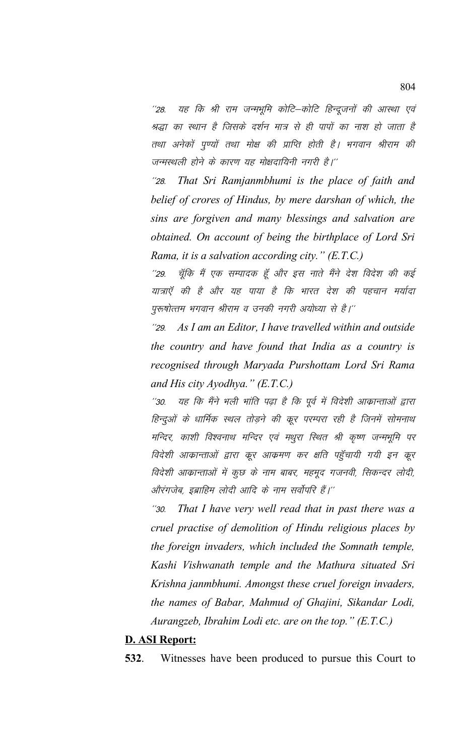यह कि श्री राम जन्मभूमि कोटि–कोटि हिन्दूजनों की आस्था एवं  $^{\prime\prime}$ 28. श्रद्धा का स्थान है जिसके दर्शन मात्र से ही पापों का नाश हो जाता है तथा अनेकों पुण्यों तथा मोक्ष की प्राप्ति होती है। भगवान श्रीराम की जन्मस्थली होने के कारण यह मोक्षदायिनी नगरी है।''

That Sri Ramjanmbhumi is the place of faith and  $^{\prime\prime}28.$ belief of crores of Hindus, by mere darshan of which, the sins are forgiven and many blessings and salvation are obtained. On account of being the birthplace of Lord Sri Rama, it is a salvation according city."  $(E.T.C.)$ 

 $^{\prime\prime}29.$ चूँकि मैं एक सम्पादक हूँ और इस नाते मैंने देश विदेश की कई यात्राएँ की है और यह पाया है कि भारत देश की पहचान मर्यादा पुरूषोत्तम भगवान श्रीराम व उनकी नगरी अयोध्या से है।''

As I am an Editor, I have travelled within and outside  $^{\prime\prime}29.$ the country and have found that India as a country is recognised through Maryada Purshottam Lord Sri Rama and His city Ayodhya."  $(E.T.C.)$ 

यह कि मैंने भली भांति पढ़ा है कि पूर्व में विदेशी आकान्ताओं द्वारा  $^{\prime\prime}30.$ हिन्दुओं के धार्मिक स्थल तोड़ने की क्रूर परम्परा रही है जिनमें सोमनाथ मन्दिर, काशी विश्वनाथ मन्दिर एवं मथुरा स्थित श्री कृष्ण जन्मभूमि पर विदेशी आक्रान्ताओं द्वारा कूर आक्रमण कर क्षति पहुँचायी गयी इन कूर विदेशी आक्रान्ताओं में कुछ के नाम बाबर, महमुद गजनवी, सिकन्दर लोदी, औरंगजेब, इब्राहिम लोदी आदि के नाम सर्वोपरि हैं।''

That I have very well read that in past there was a  $^{\prime\prime}30.$ cruel practise of demolition of Hindu religious places by the foreign invaders, which included the Somnath temple, Kashi Vishwanath temple and the Mathura situated Sri Krishna janmbhumi. Amongst these cruel foreign invaders, the names of Babar, Mahmud of Ghajini, Sikandar Lodi, Aurangzeb, Ibrahim Lodi etc. are on the top." (E.T.C.)

## **D. ASI Report:**

532. Witnesses have been produced to pursue this Court to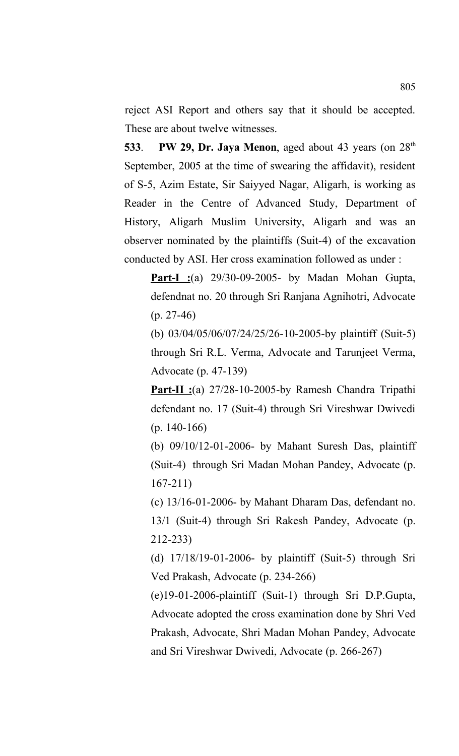reject ASI Report and others say that it should be accepted. These are about twelve witnesses.

**533. PW 29, Dr. Jaya Menon**, aged about 43 years (on 28<sup>th</sup>) September, 2005 at the time of swearing the affidavit), resident of S-5, Azim Estate, Sir Saiyyed Nagar, Aligarh, is working as Reader in the Centre of Advanced Study, Department of History, Aligarh Muslim University, Aligarh and was an observer nominated by the plaintiffs (Suit-4) of the excavation conducted by ASI. Her cross examination followed as under :

**Part-I :**(a) 29/30-09-2005- by Madan Mohan Gupta, defendnat no. 20 through Sri Ranjana Agnihotri, Advocate  $(p. 27-46)$ 

(b) 03/04/05/06/07/24/25/26-10-2005-by plaintiff (Suit-5) through Sri R.L. Verma, Advocate and Tarunjeet Verma, Advocate (p. 47-139)

**Part-II :**(a) 27/28-10-2005-by Ramesh Chandra Tripathi defendant no. 17 (Suit-4) through Sri Vireshwar Dwivedi (p. 140-166)

(b) 09/10/12-01-2006- by Mahant Suresh Das, plaintiff (Suit-4) through Sri Madan Mohan Pandey, Advocate (p. 167-211)

(c) 13/16-01-2006- by Mahant Dharam Das, defendant no. 13/1 (Suit-4) through Sri Rakesh Pandey, Advocate (p. 212-233)

(d) 17/18/19-01-2006- by plaintiff (Suit-5) through Sri Ved Prakash, Advocate (p. 234-266)

(e)19-01-2006-plaintiff (Suit-1) through Sri D.P.Gupta, Advocate adopted the cross examination done by Shri Ved Prakash, Advocate, Shri Madan Mohan Pandey, Advocate and Sri Vireshwar Dwivedi, Advocate (p. 266-267)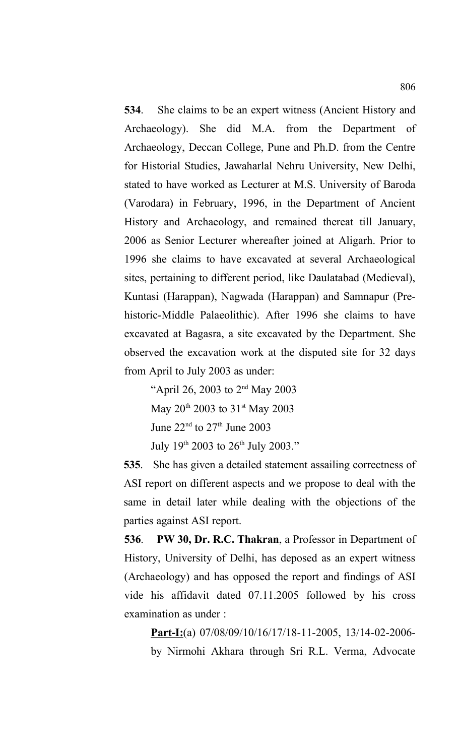**534**. She claims to be an expert witness (Ancient History and Archaeology). She did M.A. from the Department of Archaeology, Deccan College, Pune and Ph.D. from the Centre for Historial Studies, Jawaharlal Nehru University, New Delhi, stated to have worked as Lecturer at M.S. University of Baroda (Varodara) in February, 1996, in the Department of Ancient History and Archaeology, and remained thereat till January, 2006 as Senior Lecturer whereafter joined at Aligarh. Prior to 1996 she claims to have excavated at several Archaeological sites, pertaining to different period, like Daulatabad (Medieval), Kuntasi (Harappan), Nagwada (Harappan) and Samnapur (Prehistoric-Middle Palaeolithic). After 1996 she claims to have excavated at Bagasra, a site excavated by the Department. She observed the excavation work at the disputed site for 32 days from April to July 2003 as under:

"April 26, 2003 to 2nd May 2003 May  $20^{th}$  2003 to 31<sup>st</sup> May 2003 June  $22<sup>nd</sup>$  to  $27<sup>th</sup>$  June  $2003$ July 19<sup>th</sup> 2003 to 26<sup>th</sup> July 2003."

**535**. She has given a detailed statement assailing correctness of ASI report on different aspects and we propose to deal with the same in detail later while dealing with the objections of the parties against ASI report.

**536**. **PW 30, Dr. R.C. Thakran**, a Professor in Department of History, University of Delhi, has deposed as an expert witness (Archaeology) and has opposed the report and findings of ASI vide his affidavit dated 07.11.2005 followed by his cross examination as under :

**Part-I:**(a) 07/08/09/10/16/17/18-11-2005, 13/14-02-2006 by Nirmohi Akhara through Sri R.L. Verma, Advocate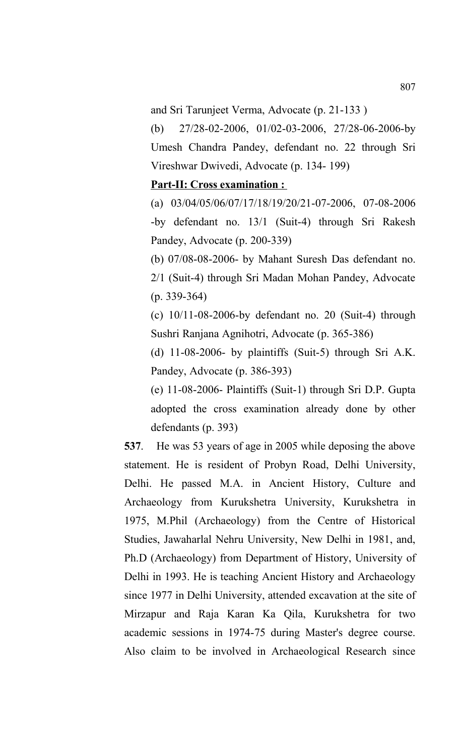and Sri Tarunjeet Verma, Advocate (p. 21-133 )

(b) 27/28-02-2006, 01/02-03-2006, 27/28-06-2006-by Umesh Chandra Pandey, defendant no. 22 through Sri Vireshwar Dwivedi, Advocate (p. 134- 199)

## **Part-II: Cross examination :**

(a) 03/04/05/06/07/17/18/19/20/21-07-2006, 07-08-2006 -by defendant no. 13/1 (Suit-4) through Sri Rakesh Pandey, Advocate (p. 200-339)

(b) 07/08-08-2006- by Mahant Suresh Das defendant no. 2/1 (Suit-4) through Sri Madan Mohan Pandey, Advocate (p. 339-364)

(c) 10/11-08-2006-by defendant no. 20 (Suit-4) through Sushri Ranjana Agnihotri, Advocate (p. 365-386)

(d) 11-08-2006- by plaintiffs (Suit-5) through Sri A.K. Pandey, Advocate (p. 386-393)

(e) 11-08-2006- Plaintiffs (Suit-1) through Sri D.P. Gupta adopted the cross examination already done by other defendants (p. 393)

**537**. He was 53 years of age in 2005 while deposing the above statement. He is resident of Probyn Road, Delhi University, Delhi. He passed M.A. in Ancient History, Culture and Archaeology from Kurukshetra University, Kurukshetra in 1975, M.Phil (Archaeology) from the Centre of Historical Studies, Jawaharlal Nehru University, New Delhi in 1981, and, Ph.D (Archaeology) from Department of History, University of Delhi in 1993. He is teaching Ancient History and Archaeology since 1977 in Delhi University, attended excavation at the site of Mirzapur and Raja Karan Ka Qila, Kurukshetra for two academic sessions in 1974-75 during Master's degree course. Also claim to be involved in Archaeological Research since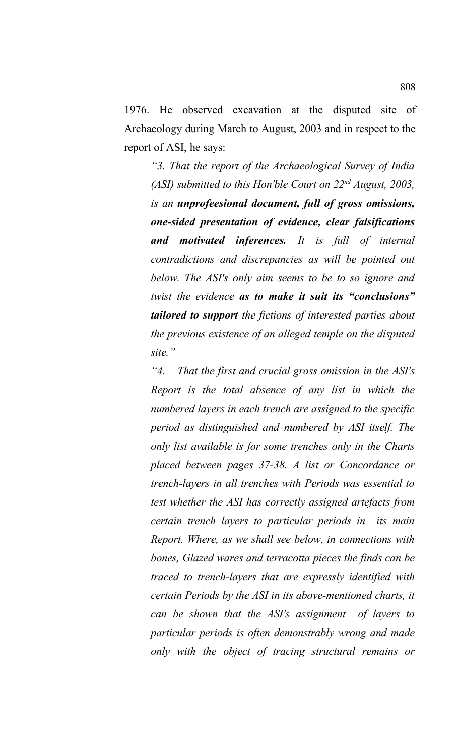1976. He observed excavation at the disputed site of Archaeology during March to August, 2003 and in respect to the report of ASI, he says:

*"3. That the report of the Archaeological Survey of India (ASI) submitted to this Hon'ble Court on 22nd August, 2003, is an unprofeesional document, full of gross omissions, one-sided presentation of evidence, clear falsifications and motivated inferences. It is full of internal contradictions and discrepancies as will be pointed out below. The ASI's only aim seems to be to so ignore and twist the evidence as to make it suit its "conclusions" tailored to support the fictions of interested parties about the previous existence of an alleged temple on the disputed site."*

*"4. That the first and crucial gross omission in the ASI's Report is the total absence of any list in which the numbered layers in each trench are assigned to the specific period as distinguished and numbered by ASI itself. The only list available is for some trenches only in the Charts placed between pages 37-38. A list or Concordance or trench-layers in all trenches with Periods was essential to test whether the ASI has correctly assigned artefacts from certain trench layers to particular periods in its main Report. Where, as we shall see below, in connections with bones, Glazed wares and terracotta pieces the finds can be traced to trench-layers that are expressly identified with certain Periods by the ASI in its above-mentioned charts, it can be shown that the ASI's assignment of layers to particular periods is often demonstrably wrong and made only with the object of tracing structural remains or*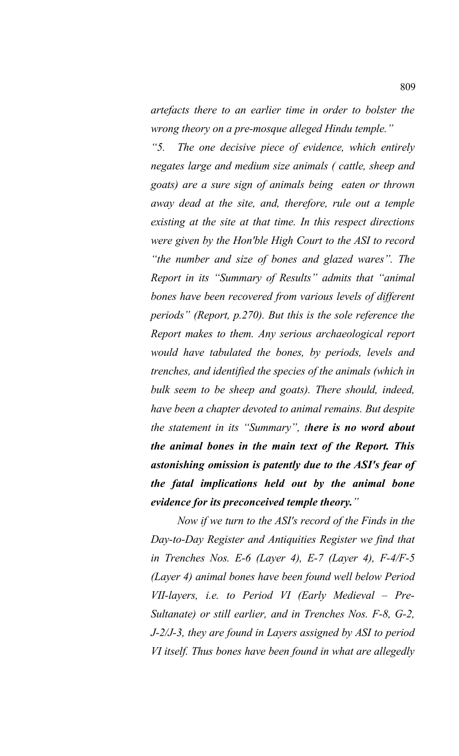*artefacts there to an earlier time in order to bolster the wrong theory on a pre-mosque alleged Hindu temple."*

*"5. The one decisive piece of evidence, which entirely negates large and medium size animals ( cattle, sheep and goats) are a sure sign of animals being eaten or thrown away dead at the site, and, therefore, rule out a temple existing at the site at that time. In this respect directions were given by the Hon'ble High Court to the ASI to record "the number and size of bones and glazed wares". The Report in its "Summary of Results" admits that "animal bones have been recovered from various levels of different periods" (Report, p.270). But this is the sole reference the Report makes to them. Any serious archaeological report would have tabulated the bones, by periods, levels and trenches, and identified the species of the animals (which in bulk seem to be sheep and goats). There should, indeed, have been a chapter devoted to animal remains. But despite the statement in its "Summary", there is no word about the animal bones in the main text of the Report. This astonishing omission is patently due to the ASI's fear of the fatal implications held out by the animal bone evidence for its preconceived temple theory."*

 *Now if we turn to the ASI's record of the Finds in the Day-to-Day Register and Antiquities Register we find that in Trenches Nos. E-6 (Layer 4), E-7 (Layer 4), F-4/F-5 (Layer 4) animal bones have been found well below Period VII-layers, i.e. to Period VI (Early Medieval – Pre-Sultanate) or still earlier, and in Trenches Nos. F-8, G-2, J-2/J-3, they are found in Layers assigned by ASI to period VI itself. Thus bones have been found in what are allegedly*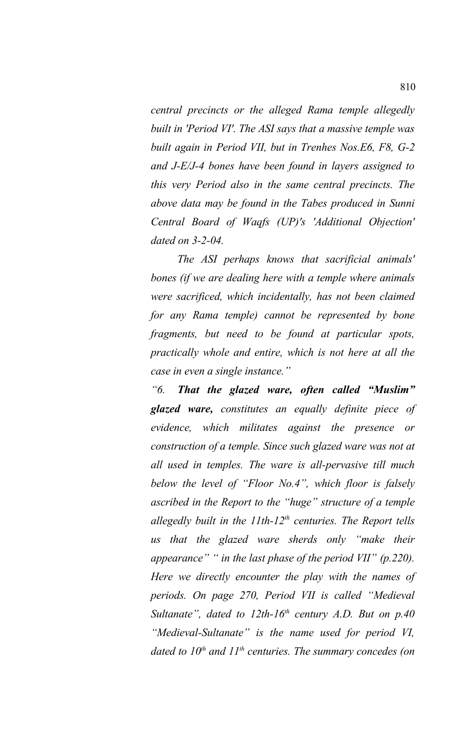*central precincts or the alleged Rama temple allegedly built in 'Period VI'. The ASI says that a massive temple was built again in Period VII, but in Trenhes Nos.E6, F8, G-2 and J-E/J-4 bones have been found in layers assigned to this very Period also in the same central precincts. The above data may be found in the Tabes produced in Sunni Central Board of Waqfs (UP)'s 'Additional Objection' dated on 3-2-04.*

*The ASI perhaps knows that sacrificial animals' bones (if we are dealing here with a temple where animals were sacrificed, which incidentally, has not been claimed for any Rama temple) cannot be represented by bone fragments, but need to be found at particular spots, practically whole and entire, which is not here at all the case in even a single instance."*

*"6. That the glazed ware, often called "Muslim" glazed ware, constitutes an equally definite piece of evidence, which militates against the presence or construction of a temple. Since such glazed ware was not at all used in temples. The ware is all-pervasive till much below the level of "Floor No.4", which floor is falsely ascribed in the Report to the "huge" structure of a temple allegedly built in the 11th-12th centuries. The Report tells us that the glazed ware sherds only "make their appearance" " in the last phase of the period VII" (p.220). Here we directly encounter the play with the names of periods. On page 270, Period VII is called "Medieval Sultanate", dated to 12th-16th century A.D. But on p.40 "Medieval-Sultanate" is the name used for period VI, dated to 10th and 11th centuries. The summary concedes (on*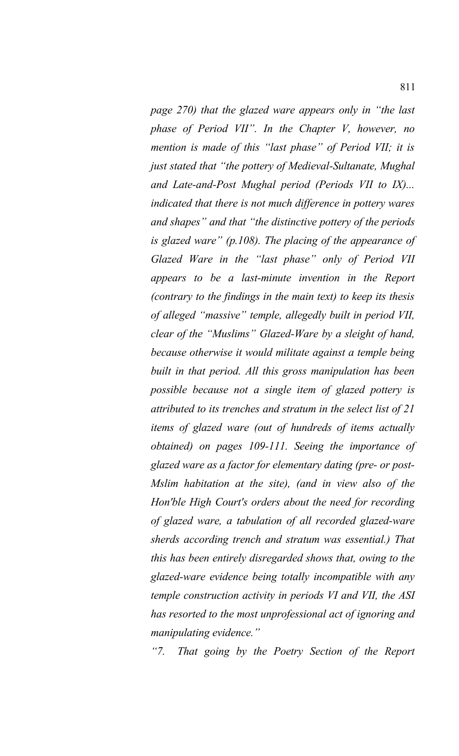*page 270) that the glazed ware appears only in "the last phase of Period VII". In the Chapter V, however, no mention is made of this "last phase" of Period VII; it is just stated that "the pottery of Medieval-Sultanate, Mughal and Late-and-Post Mughal period (Periods VII to IX)... indicated that there is not much difference in pottery wares and shapes" and that "the distinctive pottery of the periods is glazed ware" (p.108). The placing of the appearance of Glazed Ware in the "last phase" only of Period VII appears to be a last-minute invention in the Report (contrary to the findings in the main text) to keep its thesis of alleged "massive" temple, allegedly built in period VII, clear of the "Muslims" Glazed-Ware by a sleight of hand, because otherwise it would militate against a temple being built in that period. All this gross manipulation has been possible because not a single item of glazed pottery is attributed to its trenches and stratum in the select list of 21 items of glazed ware (out of hundreds of items actually obtained) on pages 109-111. Seeing the importance of glazed ware as a factor for elementary dating (pre- or post-Mslim habitation at the site), (and in view also of the Hon'ble High Court's orders about the need for recording of glazed ware, a tabulation of all recorded glazed-ware sherds according trench and stratum was essential.) That this has been entirely disregarded shows that, owing to the glazed-ware evidence being totally incompatible with any temple construction activity in periods VI and VII, the ASI has resorted to the most unprofessional act of ignoring and manipulating evidence."*

*"7. That going by the Poetry Section of the Report*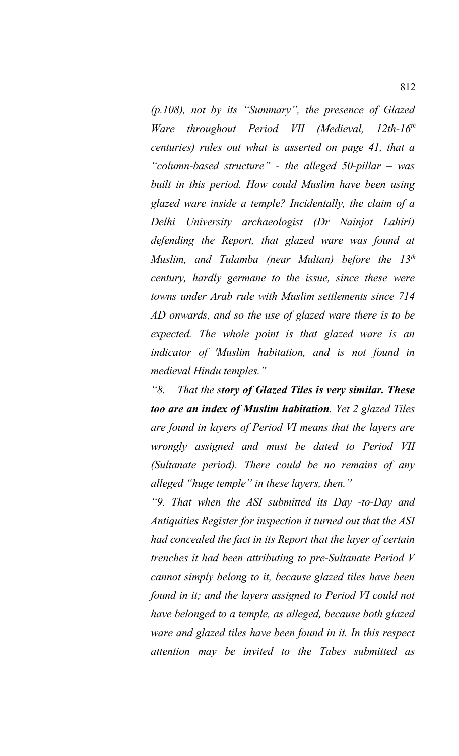*(p.108), not by its "Summary", the presence of Glazed Ware throughout Period VII (Medieval, 12th-16th centuries) rules out what is asserted on page 41, that a "column-based structure" - the alleged 50-pillar – was built in this period. How could Muslim have been using glazed ware inside a temple? Incidentally, the claim of a Delhi University archaeologist (Dr Nainjot Lahiri) defending the Report, that glazed ware was found at Muslim, and Tulamba (near Multan) before the 13th century, hardly germane to the issue, since these were towns under Arab rule with Muslim settlements since 714 AD onwards, and so the use of glazed ware there is to be expected. The whole point is that glazed ware is an indicator of 'Muslim habitation, and is not found in medieval Hindu temples."*

*"8. That the story of Glazed Tiles is very similar. These too are an index of Muslim habitation. Yet 2 glazed Tiles are found in layers of Period VI means that the layers are wrongly assigned and must be dated to Period VII (Sultanate period). There could be no remains of any alleged "huge temple" in these layers, then."*

*"9. That when the ASI submitted its Day -to-Day and Antiquities Register for inspection it turned out that the ASI had concealed the fact in its Report that the layer of certain trenches it had been attributing to pre-Sultanate Period V cannot simply belong to it, because glazed tiles have been found in it; and the layers assigned to Period VI could not have belonged to a temple, as alleged, because both glazed ware and glazed tiles have been found in it. In this respect attention may be invited to the Tabes submitted as*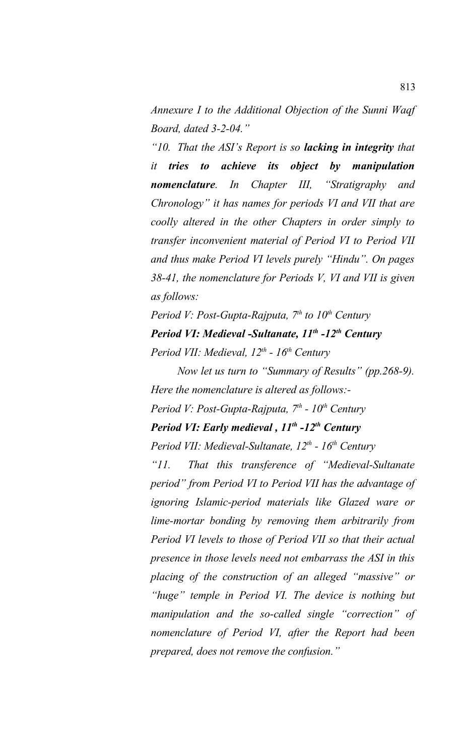*Annexure I to the Additional Objection of the Sunni Waqf Board, dated 3-2-04."*

*"10. That the ASI's Report is so lacking in integrity that it tries to achieve its object by manipulation nomenclature. In Chapter III, "Stratigraphy and Chronology" it has names for periods VI and VII that are coolly altered in the other Chapters in order simply to transfer inconvenient material of Period VI to Period VII and thus make Period VI levels purely "Hindu". On pages 38-41, the nomenclature for Periods V, VI and VII is given as follows:*

*Period V: Post-Gupta-Rajputa, 7th to 10th Century Period VI: Medieval -Sultanate, 11th -12th Century Period VII: Medieval, 12th - 16th Century*

*Now let us turn to "Summary of Results" (pp.268-9). Here the nomenclature is altered as follows:-*

*Period V: Post-Gupta-Rajputa, 7th - 10th Century*

## *Period VI: Early medieval , 11th -12th Century*

*Period VII: Medieval-Sultanate, 12th - 16th Century*

*"11. That this transference of "Medieval-Sultanate period" from Period VI to Period VII has the advantage of ignoring Islamic-period materials like Glazed ware or lime-mortar bonding by removing them arbitrarily from Period VI levels to those of Period VII so that their actual presence in those levels need not embarrass the ASI in this placing of the construction of an alleged "massive" or "huge" temple in Period VI. The device is nothing but manipulation and the so-called single "correction" of nomenclature of Period VI, after the Report had been prepared, does not remove the confusion."*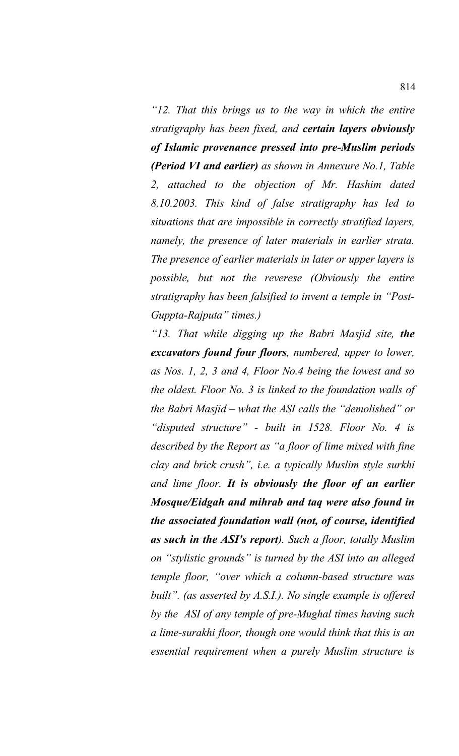*"12. That this brings us to the way in which the entire stratigraphy has been fixed, and certain layers obviously of Islamic provenance pressed into pre-Muslim periods (Period VI and earlier) as shown in Annexure No.1, Table 2, attached to the objection of Mr. Hashim dated 8.10.2003. This kind of false stratigraphy has led to situations that are impossible in correctly stratified layers, namely, the presence of later materials in earlier strata. The presence of earlier materials in later or upper layers is possible, but not the reverese (Obviously the entire stratigraphy has been falsified to invent a temple in "Post-Guppta-Rajputa" times.)* 

*"13. That while digging up the Babri Masjid site, the excavators found four floors, numbered, upper to lower, as Nos. 1, 2, 3 and 4, Floor No.4 being the lowest and so the oldest. Floor No. 3 is linked to the foundation walls of the Babri Masjid – what the ASI calls the "demolished" or "disputed structure" - built in 1528. Floor No. 4 is described by the Report as "a floor of lime mixed with fine clay and brick crush", i.e. a typically Muslim style surkhi and lime floor. It is obviously the floor of an earlier Mosque/Eidgah and mihrab and taq were also found in the associated foundation wall (not, of course, identified as such in the ASI's report). Such a floor, totally Muslim on "stylistic grounds" is turned by the ASI into an alleged temple floor, "over which a column-based structure was built". (as asserted by A.S.I.). No single example is offered by the ASI of any temple of pre-Mughal times having such a lime-surakhi floor, though one would think that this is an essential requirement when a purely Muslim structure is*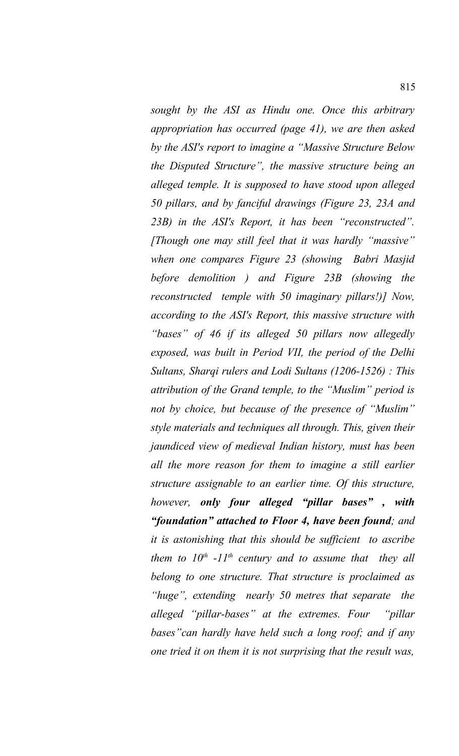*sought by the ASI as Hindu one. Once this arbitrary appropriation has occurred (page 41), we are then asked by the ASI's report to imagine a "Massive Structure Below the Disputed Structure", the massive structure being an alleged temple. It is supposed to have stood upon alleged 50 pillars, and by fanciful drawings (Figure 23, 23A and 23B) in the ASI's Report, it has been "reconstructed". [Though one may still feel that it was hardly "massive" when one compares Figure 23 (showing Babri Masjid before demolition ) and Figure 23B (showing the reconstructed temple with 50 imaginary pillars!)] Now, according to the ASI's Report, this massive structure with "bases" of 46 if its alleged 50 pillars now allegedly exposed, was built in Period VII, the period of the Delhi Sultans, Sharqi rulers and Lodi Sultans (1206-1526) : This attribution of the Grand temple, to the "Muslim" period is not by choice, but because of the presence of "Muslim" style materials and techniques all through. This, given their jaundiced view of medieval Indian history, must has been all the more reason for them to imagine a still earlier structure assignable to an earlier time. Of this structure, however, only four alleged "pillar bases" , with "foundation" attached to Floor 4, have been found; and it is astonishing that this should be sufficient to ascribe them to 10th -11th century and to assume that they all belong to one structure. That structure is proclaimed as "huge", extending nearly 50 metres that separate the alleged "pillar-bases" at the extremes. Four "pillar bases"can hardly have held such a long roof; and if any one tried it on them it is not surprising that the result was,*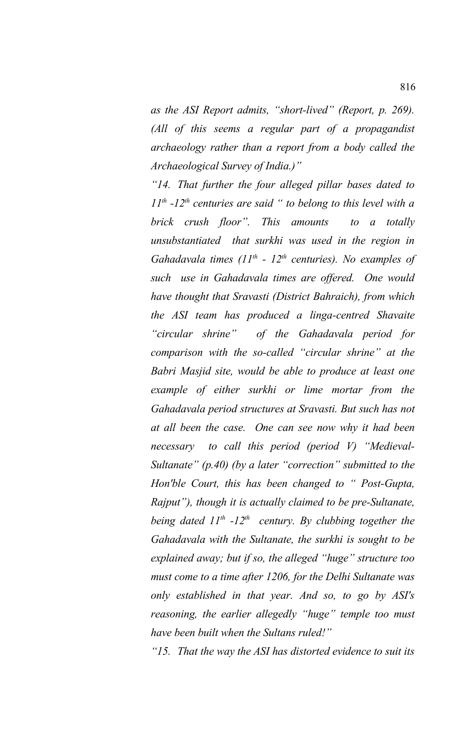*as the ASI Report admits, "short-lived" (Report, p. 269). (All of this seems a regular part of a propagandist archaeology rather than a report from a body called the Archaeological Survey of India.)"*

*"14. That further the four alleged pillar bases dated to 11th -12th centuries are said " to belong to this level with a brick crush floor". This amounts to a totally unsubstantiated that surkhi was used in the region in Gahadavala times (11th - 12th centuries). No examples of such use in Gahadavala times are offered. One would have thought that Sravasti (District Bahraich), from which the ASI team has produced a linga-centred Shavaite "circular shrine" of the Gahadavala period for comparison with the so-called "circular shrine" at the Babri Masjid site, would be able to produce at least one example of either surkhi or lime mortar from the Gahadavala period structures at Sravasti. But such has not at all been the case. One can see now why it had been necessary to call this period (period V) "Medieval-Sultanate" (p.40) (by a later "correction" submitted to the Hon'ble Court, this has been changed to " Post-Gupta, Rajput"), though it is actually claimed to be pre-Sultanate, being dated 11th -12th century. By clubbing together the Gahadavala with the Sultanate, the surkhi is sought to be explained away; but if so, the alleged "huge" structure too must come to a time after 1206, for the Delhi Sultanate was only established in that year. And so, to go by ASI's reasoning, the earlier allegedly "huge" temple too must have been built when the Sultans ruled!"*

*"15. That the way the ASI has distorted evidence to suit its*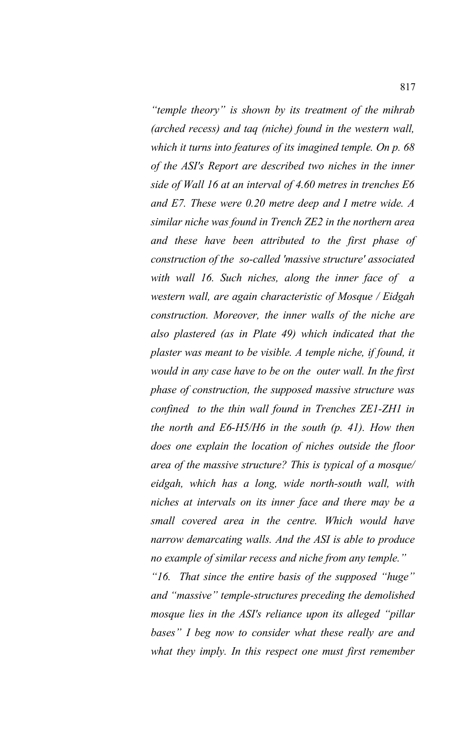*"temple theory" is shown by its treatment of the mihrab (arched recess) and taq (niche) found in the western wall, which it turns into features of its imagined temple. On p. 68 of the ASI's Report are described two niches in the inner side of Wall 16 at an interval of 4.60 metres in trenches E6 and E7. These were 0.20 metre deep and I metre wide. A similar niche was found in Trench ZE2 in the northern area and these have been attributed to the first phase of construction of the so-called 'massive structure' associated with wall 16. Such niches, along the inner face of a western wall, are again characteristic of Mosque / Eidgah construction. Moreover, the inner walls of the niche are also plastered (as in Plate 49) which indicated that the plaster was meant to be visible. A temple niche, if found, it would in any case have to be on the outer wall. In the first phase of construction, the supposed massive structure was confined to the thin wall found in Trenches ZE1-ZH1 in the north and E6-H5/H6 in the south (p. 41). How then does one explain the location of niches outside the floor area of the massive structure? This is typical of a mosque/ eidgah, which has a long, wide north-south wall, with niches at intervals on its inner face and there may be a small covered area in the centre. Which would have narrow demarcating walls. And the ASI is able to produce no example of similar recess and niche from any temple."*

*"16. That since the entire basis of the supposed "huge" and "massive" temple-structures preceding the demolished mosque lies in the ASI's reliance upon its alleged "pillar bases" I beg now to consider what these really are and what they imply. In this respect one must first remember*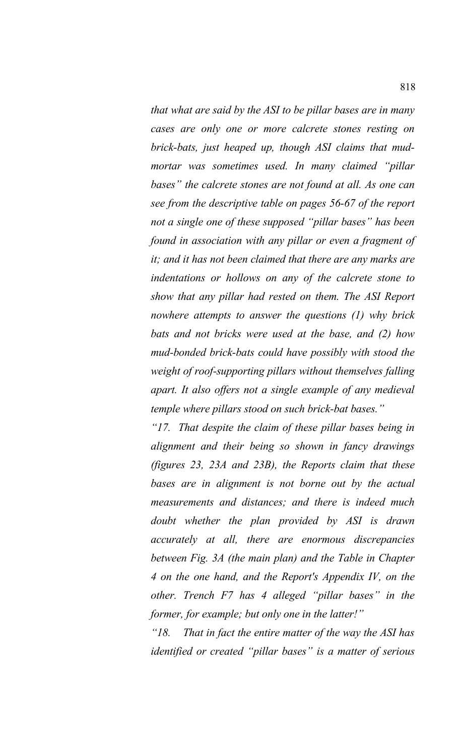*that what are said by the ASI to be pillar bases are in many cases are only one or more calcrete stones resting on brick-bats, just heaped up, though ASI claims that mudmortar was sometimes used. In many claimed "pillar bases" the calcrete stones are not found at all. As one can see from the descriptive table on pages 56-67 of the report not a single one of these supposed "pillar bases" has been found in association with any pillar or even a fragment of it; and it has not been claimed that there are any marks are indentations or hollows on any of the calcrete stone to show that any pillar had rested on them. The ASI Report nowhere attempts to answer the questions (1) why brick bats and not bricks were used at the base, and (2) how mud-bonded brick-bats could have possibly with stood the weight of roof-supporting pillars without themselves falling apart. It also offers not a single example of any medieval temple where pillars stood on such brick-bat bases."*

*"17. That despite the claim of these pillar bases being in alignment and their being so shown in fancy drawings (figures 23, 23A and 23B), the Reports claim that these bases are in alignment is not borne out by the actual measurements and distances; and there is indeed much doubt whether the plan provided by ASI is drawn accurately at all, there are enormous discrepancies between Fig. 3A (the main plan) and the Table in Chapter 4 on the one hand, and the Report's Appendix IV, on the other. Trench F7 has 4 alleged "pillar bases" in the former, for example; but only one in the latter!"*

*"18. That in fact the entire matter of the way the ASI has identified or created "pillar bases" is a matter of serious*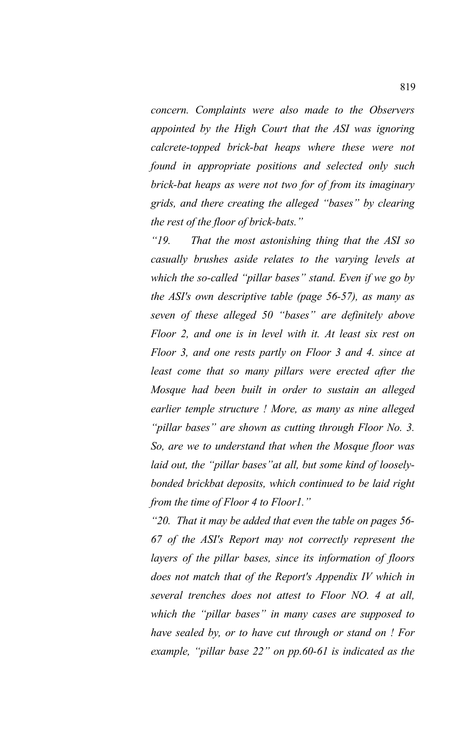*concern. Complaints were also made to the Observers appointed by the High Court that the ASI was ignoring calcrete-topped brick-bat heaps where these were not found in appropriate positions and selected only such brick-bat heaps as were not two for of from its imaginary grids, and there creating the alleged "bases" by clearing the rest of the floor of brick-bats."*

*"19. That the most astonishing thing that the ASI so casually brushes aside relates to the varying levels at which the so-called "pillar bases" stand. Even if we go by the ASI's own descriptive table (page 56-57), as many as seven of these alleged 50 "bases" are definitely above Floor 2, and one is in level with it. At least six rest on Floor 3, and one rests partly on Floor 3 and 4. since at least come that so many pillars were erected after the Mosque had been built in order to sustain an alleged earlier temple structure ! More, as many as nine alleged "pillar bases" are shown as cutting through Floor No. 3. So, are we to understand that when the Mosque floor was* laid out, the "pillar bases" at all, but some kind of loosely*bonded brickbat deposits, which continued to be laid right from the time of Floor 4 to Floor1."*

*"20. That it may be added that even the table on pages 56- 67 of the ASI's Report may not correctly represent the layers of the pillar bases, since its information of floors does not match that of the Report's Appendix IV which in several trenches does not attest to Floor NO. 4 at all, which the "pillar bases" in many cases are supposed to have sealed by, or to have cut through or stand on ! For example, "pillar base 22" on pp.60-61 is indicated as the*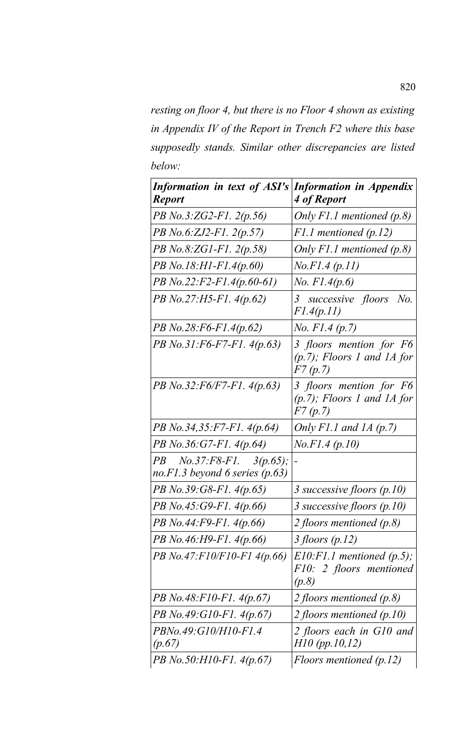*resting on floor 4, but there is no Floor 4 shown as existing in Appendix IV of the Report in Trench F2 where this base supposedly stands. Similar other discrepancies are listed below:*

| <b>Information in text of ASI's</b><br><b>Report</b>            | <b>Information in Appendix</b><br>4 of Report                               |
|-----------------------------------------------------------------|-----------------------------------------------------------------------------|
| $PB$ No.3:ZG2-F1. 2(p.56)                                       | Only $F1.1$ mentioned (p.8)                                                 |
| PB No.6:ZJ2-F1. $2(p.57)$                                       | $F1.1$ mentioned (p.12)                                                     |
| $PB\ No. 8: ZGI-F1. 2(p.58)$                                    | Only $F1.1$ mentioned $(p.8)$                                               |
| PB No.18:H1-F1.4(p.60)                                          | No. F1.4 (p.11)                                                             |
| PB No.22:F2-F1.4(p.60-61)                                       | <i>No.</i> $F1.4(p.6)$                                                      |
| $PB$ No.27:H5-F1. 4(p.62)                                       | 3 successive floors<br>No.<br>F1.4(p.11)                                    |
| $PB\,No.28: F6-F1.4(p.62)$                                      | <i>No. F1.4 (p.7)</i>                                                       |
| PB No.31:F6-F7-F1. 4(p.63)                                      | 3 floors mention for F6<br>$(p.7)$ ; Floors 1 and 1A for<br><i>F7 (p.7)</i> |
| $PB$ No.32:F6/F7-F1. 4(p.63)                                    | 3 floors mention for F6<br>$(p.7)$ ; Floors 1 and 1A for<br>F7(p,7)         |
| PB No.34,35:F7-F1. 4(p.64)                                      | Only F1.1 and 1A $(p.7)$                                                    |
| $PB\ No.36:G7-F1.\ 4(p.64)$                                     | No.F1.4 (p.10)                                                              |
| $PB$ No.37:F8-F1. 3(p.65);<br>no. F1.3 beyond 6 series $(p.63)$ |                                                                             |
| PB No.39:G8-F1. 4(p.65)                                         | 3 successive floors $(p.10)$                                                |
| $PB$ No.45:G9-F1. 4(p.66)                                       | 3 successive floors $(p.10)$                                                |
| $PB$ No.44:F9-F1. 4(p.66)                                       | 2 floors mentioned $(p.8)$                                                  |
| PB No.46:H9-F1. 4(p.66)                                         | 3 floors $(p.12)$                                                           |
| PB No.47:F10/F10-F1 4(p.66)                                     | $E10:$ F1.1 mentioned (p.5);<br>F10: 2 floors mentioned<br>(p.8)            |
| PB No.48:F10-F1. 4(p.67)                                        | 2 floors mentioned $(p.8)$                                                  |
| PB No.49:G10-F1. 4(p.67)                                        | 2 floors mentioned $(p.10)$                                                 |
| <i>PBNo.49:G10/H10-F1.4</i><br>(p.67)                           | 2 floors each in G10 and<br>H10 (pp.10,12)                                  |
| $PB\,No.50:HI0-F1.4(p.67)$                                      | Floors mentioned $(p.12)$                                                   |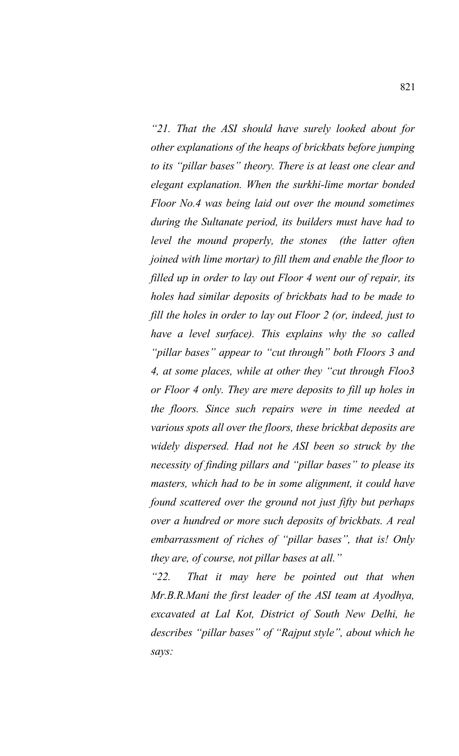*"21. That the ASI should have surely looked about for other explanations of the heaps of brickbats before jumping to its "pillar bases" theory. There is at least one clear and elegant explanation. When the surkhi-lime mortar bonded Floor No.4 was being laid out over the mound sometimes during the Sultanate period, its builders must have had to level the mound properly, the stones (the latter often joined with lime mortar) to fill them and enable the floor to filled up in order to lay out Floor 4 went our of repair, its holes had similar deposits of brickbats had to be made to fill the holes in order to lay out Floor 2 (or, indeed, just to have a level surface). This explains why the so called "pillar bases" appear to "cut through" both Floors 3 and 4, at some places, while at other they "cut through Floo3 or Floor 4 only. They are mere deposits to fill up holes in the floors. Since such repairs were in time needed at various spots all over the floors, these brickbat deposits are widely dispersed. Had not he ASI been so struck by the necessity of finding pillars and "pillar bases" to please its masters, which had to be in some alignment, it could have found scattered over the ground not just fifty but perhaps over a hundred or more such deposits of brickbats. A real embarrassment of riches of "pillar bases", that is! Only they are, of course, not pillar bases at all."*

*"22. That it may here be pointed out that when Mr.B.R.Mani the first leader of the ASI team at Ayodhya, excavated at Lal Kot, District of South New Delhi, he describes "pillar bases" of "Rajput style", about which he says:*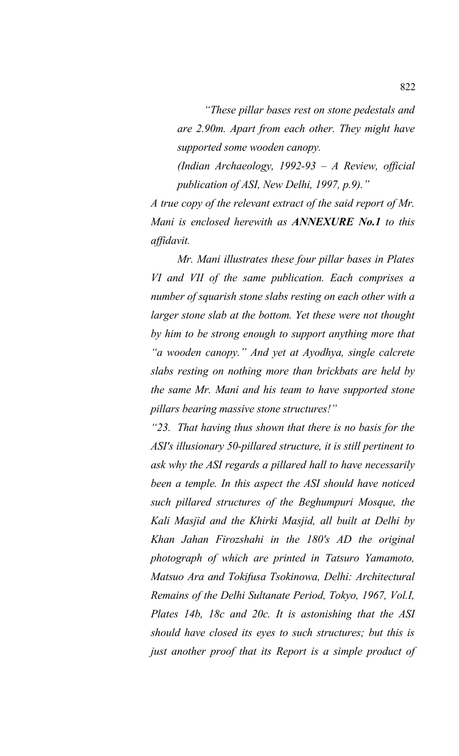*"These pillar bases rest on stone pedestals and are 2.90m. Apart from each other. They might have supported some wooden canopy.*

*(Indian Archaeology, 1992-93 – A Review, official publication of ASI, New Delhi, 1997, p.9)."*

*A true copy of the relevant extract of the said report of Mr. Mani is enclosed herewith as ANNEXURE No.1 to this affidavit.*

*Mr. Mani illustrates these four pillar bases in Plates VI and VII of the same publication. Each comprises a number of squarish stone slabs resting on each other with a larger stone slab at the bottom. Yet these were not thought by him to be strong enough to support anything more that "a wooden canopy." And yet at Ayodhya, single calcrete slabs resting on nothing more than brickbats are held by the same Mr. Mani and his team to have supported stone pillars bearing massive stone structures!"*

*"23. That having thus shown that there is no basis for the ASI's illusionary 50-pillared structure, it is still pertinent to ask why the ASI regards a pillared hall to have necessarily been a temple. In this aspect the ASI should have noticed such pillared structures of the Beghumpuri Mosque, the Kali Masjid and the Khirki Masjid, all built at Delhi by Khan Jahan Firozshahi in the 180's AD the original photograph of which are printed in Tatsuro Yamamoto, Matsuo Ara and Tokifusa Tsokinowa, Delhi: Architectural Remains of the Delhi Sultanate Period, Tokyo, 1967, Vol.I, Plates 14b, 18c and 20c. It is astonishing that the ASI should have closed its eyes to such structures; but this is just another proof that its Report is a simple product of*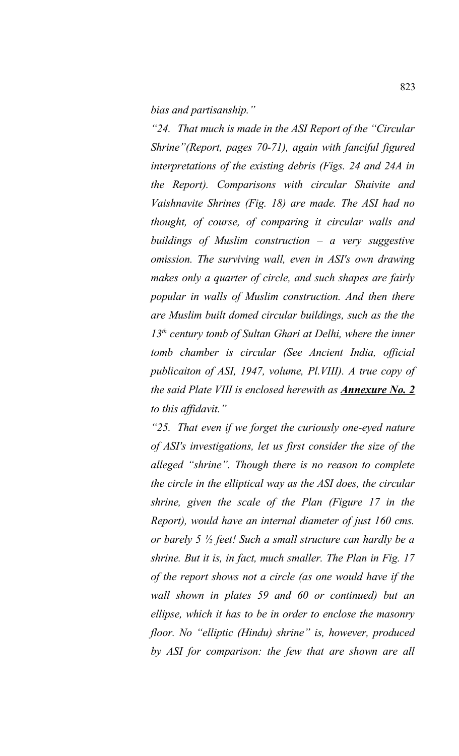*bias and partisanship."*

*"24. That much is made in the ASI Report of the "Circular Shrine"(Report, pages 70-71), again with fanciful figured interpretations of the existing debris (Figs. 24 and 24A in the Report). Comparisons with circular Shaivite and Vaishnavite Shrines (Fig. 18) are made. The ASI had no thought, of course, of comparing it circular walls and buildings of Muslim construction – a very suggestive omission. The surviving wall, even in ASI's own drawing makes only a quarter of circle, and such shapes are fairly popular in walls of Muslim construction. And then there are Muslim built domed circular buildings, such as the the 13th century tomb of Sultan Ghari at Delhi, where the inner tomb chamber is circular (See Ancient India, official publicaiton of ASI, 1947, volume, Pl.VIII). A true copy of the said Plate VIII is enclosed herewith as Annexure No. 2 to this affidavit."*

*"25. That even if we forget the curiously one-eyed nature of ASI's investigations, let us first consider the size of the alleged "shrine". Though there is no reason to complete the circle in the elliptical way as the ASI does, the circular shrine, given the scale of the Plan (Figure 17 in the Report), would have an internal diameter of just 160 cms. or barely 5 ½ feet! Such a small structure can hardly be a shrine. But it is, in fact, much smaller. The Plan in Fig. 17 of the report shows not a circle (as one would have if the wall shown in plates 59 and 60 or continued) but an ellipse, which it has to be in order to enclose the masonry floor. No "elliptic (Hindu) shrine" is, however, produced by ASI for comparison: the few that are shown are all*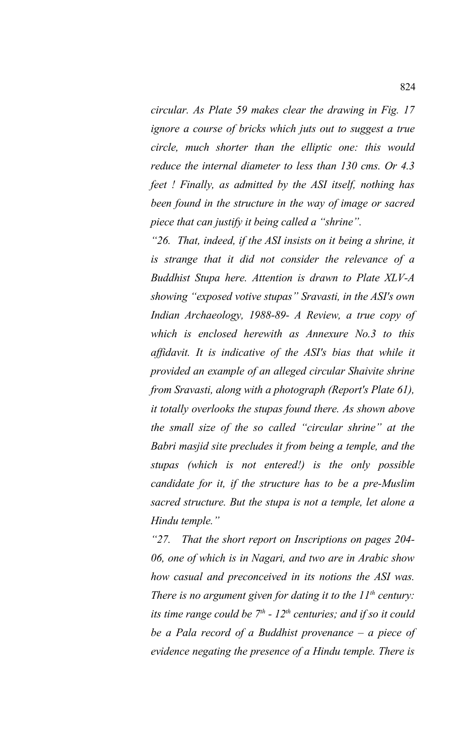*circular. As Plate 59 makes clear the drawing in Fig. 17 ignore a course of bricks which juts out to suggest a true circle, much shorter than the elliptic one: this would reduce the internal diameter to less than 130 cms. Or 4.3 feet ! Finally, as admitted by the ASI itself, nothing has been found in the structure in the way of image or sacred piece that can justify it being called a "shrine".* 

*"26. That, indeed, if the ASI insists on it being a shrine, it is strange that it did not consider the relevance of a Buddhist Stupa here. Attention is drawn to Plate XLV-A showing "exposed votive stupas" Sravasti, in the ASI's own Indian Archaeology, 1988-89- A Review, a true copy of which is enclosed herewith as Annexure No.3 to this affidavit. It is indicative of the ASI's bias that while it provided an example of an alleged circular Shaivite shrine from Sravasti, along with a photograph (Report's Plate 61), it totally overlooks the stupas found there. As shown above the small size of the so called "circular shrine" at the Babri masjid site precludes it from being a temple, and the stupas (which is not entered!) is the only possible candidate for it, if the structure has to be a pre-Muslim sacred structure. But the stupa is not a temple, let alone a Hindu temple."*

*"27. That the short report on Inscriptions on pages 204- 06, one of which is in Nagari, and two are in Arabic show how casual and preconceived in its notions the ASI was. There is no argument given for dating it to the 11th century: its time range could be 7th - 12th centuries; and if so it could be a Pala record of a Buddhist provenance – a piece of evidence negating the presence of a Hindu temple. There is*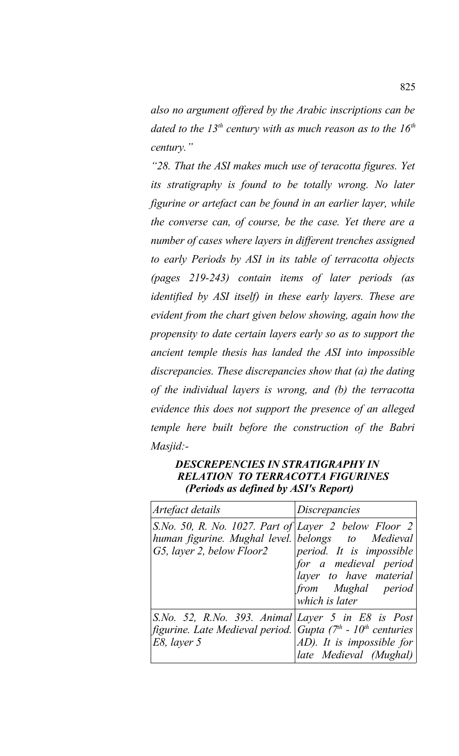*also no argument offered by the Arabic inscriptions can be dated to the 13th century with as much reason as to the 16th century."*

*"28. That the ASI makes much use of teracotta figures. Yet its stratigraphy is found to be totally wrong. No later figurine or artefact can be found in an earlier layer, while the converse can, of course, be the case. Yet there are a number of cases where layers in different trenches assigned to early Periods by ASI in its table of terracotta objects (pages 219-243) contain items of later periods (as identified by ASI itself) in these early layers. These are evident from the chart given below showing, again how the propensity to date certain layers early so as to support the ancient temple thesis has landed the ASI into impossible discrepancies. These discrepancies show that (a) the dating of the individual layers is wrong, and (b) the terracotta evidence this does not support the presence of an alleged temple here built before the construction of the Babri Masjid:-*

# *DESCREPENCIES IN STRATIGRAPHY IN RELATION TO TERRACOTTA FIGURINES (Periods as defined by ASI's Report)*

| Artefact details                                                                                                                                        | <i>Discrepancies</i>                                                                                                |
|---------------------------------------------------------------------------------------------------------------------------------------------------------|---------------------------------------------------------------------------------------------------------------------|
| S.No. 50, R. No. 1027. Part of Layer 2 below Floor 2<br>human figurine. Mughal level. belongs to Medieval<br>G5, layer 2, below Floor2                  | period. It is impossible<br>for a medieval period<br>layer to have material<br>from Mughal period<br>which is later |
| S.No. 52, R.No. 393. Animal Layer 5 in E8 is Post<br>figurine. Late Medieval period. Gupta (7 <sup>th</sup> - 10 <sup>th</sup> centuries<br>E8, layer 5 | AD). It is impossible for<br>late Medieval (Mughal)                                                                 |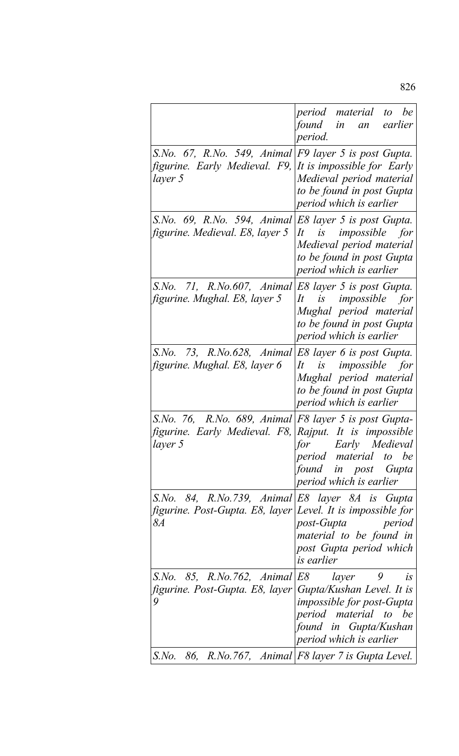|                                                                                                                                | period material to be<br>found in an<br>earlier<br>period.                                                                                                   |
|--------------------------------------------------------------------------------------------------------------------------------|--------------------------------------------------------------------------------------------------------------------------------------------------------------|
| S.No. 67, R.No. 549, Animal F9 layer 5 is post Gupta.<br>figurine. Early Medieval. F9,<br>layer 5                              | It is impossible for Early<br>Medieval period material<br>to be found in post Gupta<br>period which is earlier                                               |
| S.No. 69, R.No. 594, Animal<br>figurine. Medieval. E8, layer 5                                                                 | E8 layer 5 is post Gupta.<br>It is impossible for<br>Medieval period material<br>to be found in post Gupta<br>period which is earlier                        |
| S.No. 71, R.No.607, Animal<br>figurine. Mughal. E8, layer 5                                                                    | E8 layer 5 is post Gupta.<br>is impossible for<br>It<br>Mughal period material<br>to be found in post Gupta<br>period which is earlier                       |
| S.No. 73, R.No.628, Animal<br>figurine. Mughal. E8, layer 6                                                                    | E8 layer 6 is post Gupta.<br>is impossible for<br>It<br>Mughal period material<br>to be found in post Gupta<br>period which is earlier                       |
| S.No. 76, R.No. 689, Animal $ F8 $ layer 5 is post Gupta-<br>figurine. Early Medieval. F8, Rajput. It is impossible<br>layer 5 | for Early Medieval<br>period material to be<br>found in post Gupta<br>period which is earlier                                                                |
| S.No. 84, R.No.739, Animal $E8$ layer 8A is Gupta<br>figurine. Post-Gupta. E8, layer   Level. It is impossible for<br>8A       | post-Gupta period<br>material to be found in<br>post Gupta period which<br><i>is earlier</i>                                                                 |
| S.No. 85, R.No.762, Animal $ E8$ layer 9<br>figurine. Post-Gupta. E8, layer<br>9                                               | i <sub>S</sub><br>Gupta/Kushan Level. It is<br><i>impossible for post-Gupta</i><br>period material to be<br>found in Gupta/Kushan<br>period which is earlier |
| S.No.                                                                                                                          | 86, R.No.767, Animal F8 layer 7 is Gupta Level.                                                                                                              |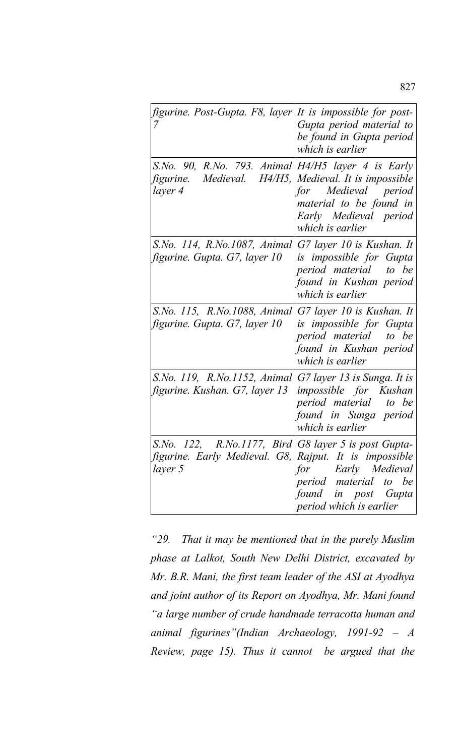| figurine. Post-Gupta. F8, layer<br>7                                                                                      | It is impossible for post-<br>Gupta period material to<br>be found in Gupta period<br>which is earlier                            |
|---------------------------------------------------------------------------------------------------------------------------|-----------------------------------------------------------------------------------------------------------------------------------|
| S.No. 90, R.No. 793. Animal $H4/H5$ layer 4 is Early<br>figurine. Medieval. $H4/H5$ ,<br>layer 4                          | Medieval. It is impossible<br>for Medieval period<br>material to be found in<br>Early Medieval period<br>which is earlier         |
| S.No. 114, R.No.1087, Animal<br>figurine. Gupta. G7, layer 10                                                             | G7 layer 10 is Kushan. It<br>is impossible for Gupta<br>period material to be<br>found in Kushan period<br>which is earlier       |
| S.No. 115, R.No.1088, Animal<br>figurine. Gupta. G7, layer 10                                                             | G7 layer 10 is Kushan. It<br>is impossible for Gupta<br>period material to be<br>found in Kushan period<br>which is earlier       |
| S.No. 119, R.No.1152, Animal<br>figurine. Kushan. G7, layer 13                                                            | G7 layer 13 is Sunga. It is<br><i>impossible for Kushan</i><br>period material to be<br>found in Sunga period<br>which is earlier |
| S.No. 122, R.No.1177, Bird G8 layer 5 is post Gupta-<br>figurine. Early Medieval. G8, Rajput. It is impossible<br>layer 5 | for Early Medieval<br>period material to be<br>found in post Gupta<br>period which is earlier                                     |

*"29. That it may be mentioned that in the purely Muslim phase at Lalkot, South New Delhi District, excavated by Mr. B.R. Mani, the first team leader of the ASI at Ayodhya and joint author of its Report on Ayodhya, Mr. Mani found "a large number of crude handmade terracotta human and animal figurines"(Indian Archaeology, 1991-92 – A Review, page 15). Thus it cannot be argued that the*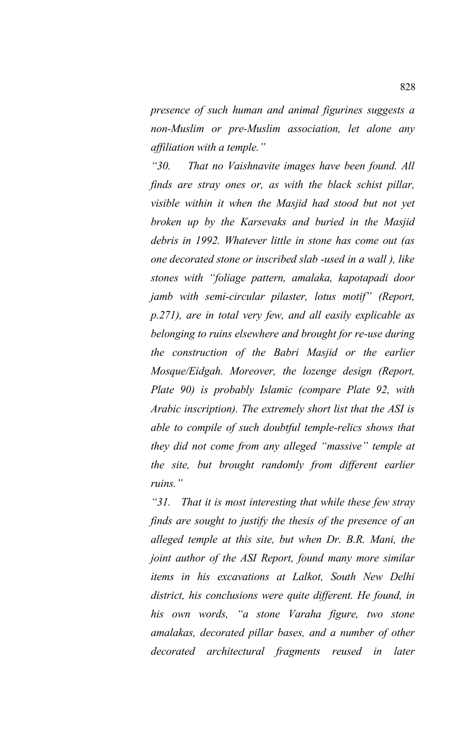*presence of such human and animal figurines suggests a non-Muslim or pre-Muslim association, let alone any affiliation with a temple."*

*"30. That no Vaishnavite images have been found. All finds are stray ones or, as with the black schist pillar, visible within it when the Masjid had stood but not yet broken up by the Karsevaks and buried in the Masjid debris in 1992. Whatever little in stone has come out (as one decorated stone or inscribed slab -used in a wall ), like stones with "foliage pattern, amalaka, kapotapadi door jamb with semi-circular pilaster, lotus motif" (Report, p.271), are in total very few, and all easily explicable as belonging to ruins elsewhere and brought for re-use during the construction of the Babri Masjid or the earlier Mosque/Eidgah. Moreover, the lozenge design (Report, Plate 90) is probably Islamic (compare Plate 92, with Arabic inscription). The extremely short list that the ASI is able to compile of such doubtful temple-relics shows that they did not come from any alleged "massive" temple at the site, but brought randomly from different earlier ruins."*

*"31. That it is most interesting that while these few stray finds are sought to justify the thesis of the presence of an alleged temple at this site, but when Dr. B.R. Mani, the joint author of the ASI Report, found many more similar items in his excavations at Lalkot, South New Delhi district, his conclusions were quite different. He found, in his own words, "a stone Varaha figure, two stone amalakas, decorated pillar bases, and a number of other decorated architectural fragments reused in later*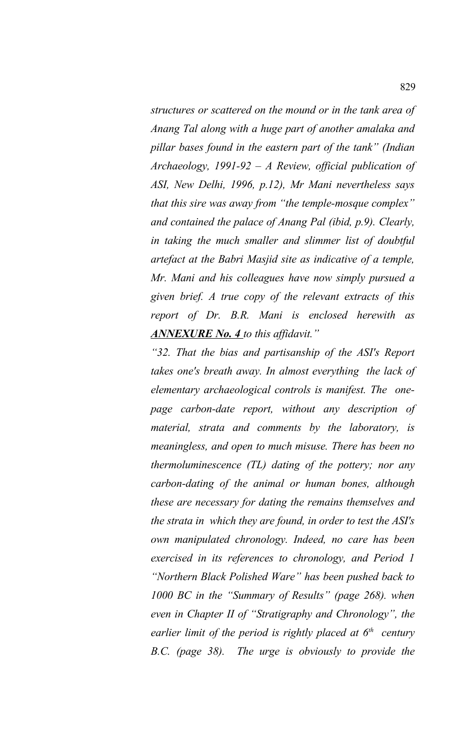*structures or scattered on the mound or in the tank area of Anang Tal along with a huge part of another amalaka and pillar bases found in the eastern part of the tank" (Indian Archaeology, 1991-92 – A Review, official publication of ASI, New Delhi, 1996, p.12), Mr Mani nevertheless says that this sire was away from "the temple-mosque complex" and contained the palace of Anang Pal (ibid, p.9). Clearly, in taking the much smaller and slimmer list of doubtful artefact at the Babri Masjid site as indicative of a temple, Mr. Mani and his colleagues have now simply pursued a given brief. A true copy of the relevant extracts of this report of Dr. B.R. Mani is enclosed herewith as ANNEXURE No. 4 to this affidavit."*

*"32. That the bias and partisanship of the ASI's Report takes one's breath away. In almost everything the lack of elementary archaeological controls is manifest. The onepage carbon-date report, without any description of material, strata and comments by the laboratory, is meaningless, and open to much misuse. There has been no thermoluminescence (TL) dating of the pottery; nor any carbon-dating of the animal or human bones, although these are necessary for dating the remains themselves and the strata in which they are found, in order to test the ASI's own manipulated chronology. Indeed, no care has been exercised in its references to chronology, and Period 1 "Northern Black Polished Ware" has been pushed back to 1000 BC in the "Summary of Results" (page 268). when even in Chapter II of "Stratigraphy and Chronology", the earlier limit of the period is rightly placed at 6th century B.C. (page 38). The urge is obviously to provide the*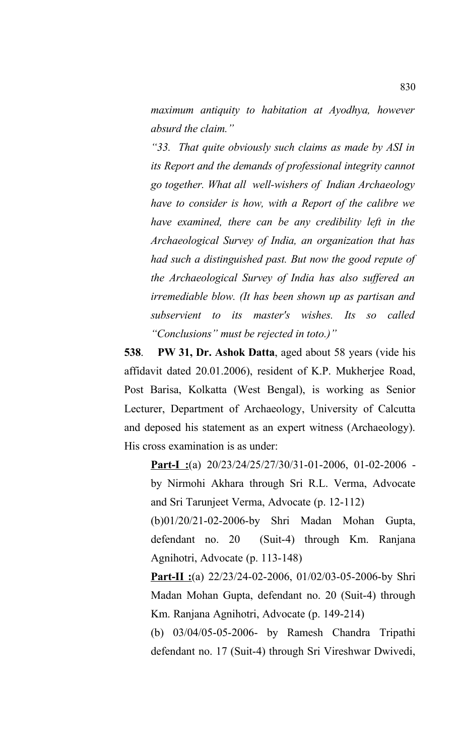*maximum antiquity to habitation at Ayodhya, however absurd the claim."*

*"33. That quite obviously such claims as made by ASI in its Report and the demands of professional integrity cannot go together. What all well-wishers of Indian Archaeology have to consider is how, with a Report of the calibre we have examined, there can be any credibility left in the Archaeological Survey of India, an organization that has had such a distinguished past. But now the good repute of the Archaeological Survey of India has also suffered an irremediable blow. (It has been shown up as partisan and subservient to its master's wishes. Its so called "Conclusions" must be rejected in toto.)"*

**538**. **PW 31, Dr. Ashok Datta**, aged about 58 years (vide his affidavit dated 20.01.2006), resident of K.P. Mukherjee Road, Post Barisa, Kolkatta (West Bengal), is working as Senior Lecturer, Department of Archaeology, University of Calcutta and deposed his statement as an expert witness (Archaeology). His cross examination is as under:

**Part-I :**(a) 20/23/24/25/27/30/31-01-2006, 01-02-2006 by Nirmohi Akhara through Sri R.L. Verma, Advocate and Sri Tarunjeet Verma, Advocate (p. 12-112)

(b)01/20/21-02-2006-by Shri Madan Mohan Gupta, defendant no. 20 (Suit-4) through Km. Ranjana Agnihotri, Advocate (p. 113-148)

**Part-II :**(a) 22/23/24-02-2006, 01/02/03-05-2006-by Shri Madan Mohan Gupta, defendant no. 20 (Suit-4) through Km. Ranjana Agnihotri, Advocate (p. 149-214)

(b) 03/04/05-05-2006- by Ramesh Chandra Tripathi defendant no. 17 (Suit-4) through Sri Vireshwar Dwivedi,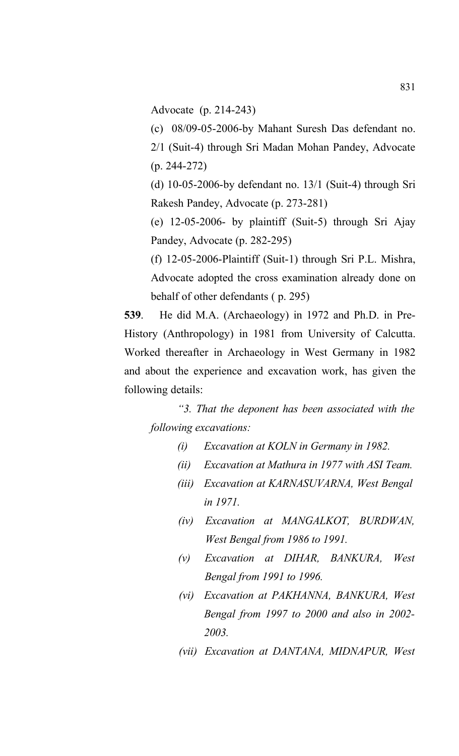Advocate (p. 214-243)

(c) 08/09-05-2006-by Mahant Suresh Das defendant no.

2/1 (Suit-4) through Sri Madan Mohan Pandey, Advocate (p. 244-272)

(d) 10-05-2006-by defendant no. 13/1 (Suit-4) through Sri Rakesh Pandey, Advocate (p. 273-281)

(e) 12-05-2006- by plaintiff (Suit-5) through Sri Ajay Pandey, Advocate (p. 282-295)

(f) 12-05-2006-Plaintiff (Suit-1) through Sri P.L. Mishra, Advocate adopted the cross examination already done on behalf of other defendants ( p. 295)

**539**. He did M.A. (Archaeology) in 1972 and Ph.D. in Pre-History (Anthropology) in 1981 from University of Calcutta. Worked thereafter in Archaeology in West Germany in 1982 and about the experience and excavation work, has given the following details:

*"3. That the deponent has been associated with the following excavations:*

- *(i) Excavation at KOLN in Germany in 1982.*
- *(ii) Excavation at Mathura in 1977 with ASI Team.*
- *(iii) Excavation at KARNASUVARNA, West Bengal in 1971.*
- *(iv) Excavation at MANGALKOT, BURDWAN, West Bengal from 1986 to 1991.*
- *(v) Excavation at DIHAR, BANKURA, West Bengal from 1991 to 1996.*
- *(vi) Excavation at PAKHANNA, BANKURA, West Bengal from 1997 to 2000 and also in 2002- 2003.*
- *(vii) Excavation at DANTANA, MIDNAPUR, West*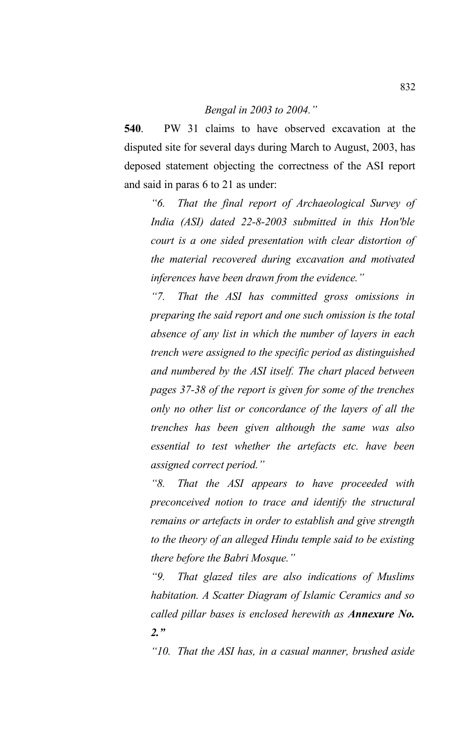#### *Bengal in 2003 to 2004."*

**540**. PW 31 claims to have observed excavation at the disputed site for several days during March to August, 2003, has deposed statement objecting the correctness of the ASI report and said in paras 6 to 21 as under:

*"6. That the final report of Archaeological Survey of India (ASI) dated 22-8-2003 submitted in this Hon'ble court is a one sided presentation with clear distortion of the material recovered during excavation and motivated inferences have been drawn from the evidence."*

*"7. That the ASI has committed gross omissions in preparing the said report and one such omission is the total absence of any list in which the number of layers in each trench were assigned to the specific period as distinguished and numbered by the ASI itself. The chart placed between pages 37-38 of the report is given for some of the trenches only no other list or concordance of the layers of all the trenches has been given although the same was also essential to test whether the artefacts etc. have been assigned correct period."*

*"8. That the ASI appears to have proceeded with preconceived notion to trace and identify the structural remains or artefacts in order to establish and give strength to the theory of an alleged Hindu temple said to be existing there before the Babri Mosque."*

*"9. That glazed tiles are also indications of Muslims habitation. A Scatter Diagram of Islamic Ceramics and so called pillar bases is enclosed herewith as Annexure No. 2."*

*"10. That the ASI has, in a casual manner, brushed aside*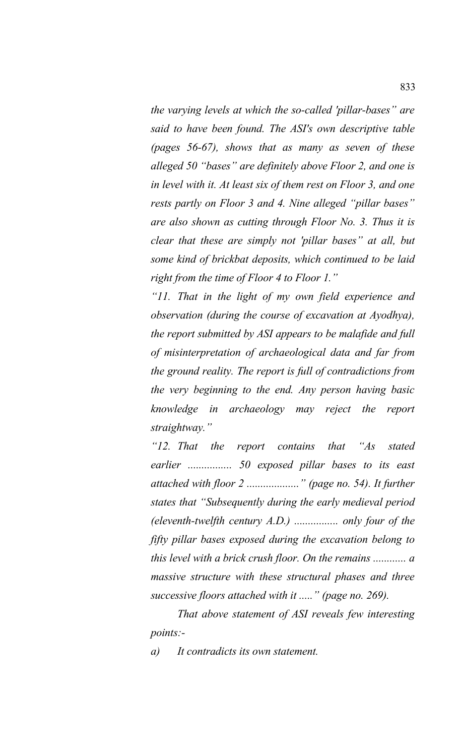*the varying levels at which the so-called 'pillar-bases" are said to have been found. The ASI's own descriptive table (pages 56-67), shows that as many as seven of these alleged 50 "bases" are definitely above Floor 2, and one is in level with it. At least six of them rest on Floor 3, and one rests partly on Floor 3 and 4. Nine alleged "pillar bases" are also shown as cutting through Floor No. 3. Thus it is clear that these are simply not 'pillar bases" at all, but some kind of brickbat deposits, which continued to be laid right from the time of Floor 4 to Floor 1."*

*"11. That in the light of my own field experience and observation (during the course of excavation at Ayodhya), the report submitted by ASI appears to be malafide and full of misinterpretation of archaeological data and far from the ground reality. The report is full of contradictions from the very beginning to the end. Any person having basic knowledge in archaeology may reject the report straightway."*

*"12. That the report contains that "As stated earlier ................ 50 exposed pillar bases to its east attached with floor 2 ..................." (page no. 54). It further states that "Subsequently during the early medieval period (eleventh-twelfth century A.D.) ................ only four of the fifty pillar bases exposed during the excavation belong to this level with a brick crush floor. On the remains ............ a massive structure with these structural phases and three successive floors attached with it ....." (page no. 269).* 

*That above statement of ASI reveals few interesting points:-*

*a) It contradicts its own statement.*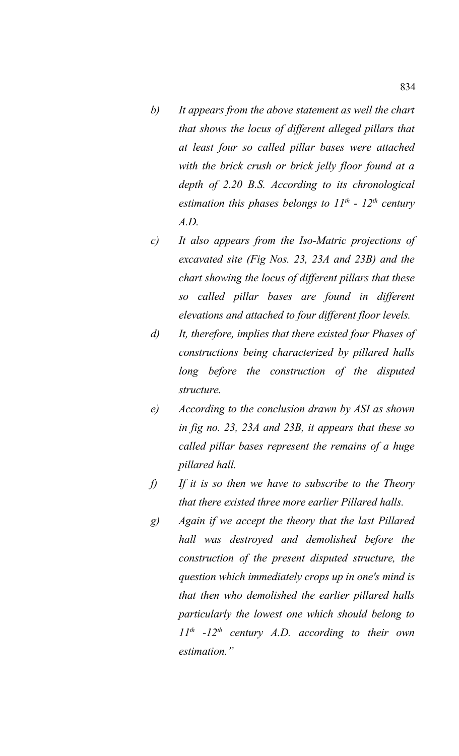- *b) It appears from the above statement as well the chart that shows the locus of different alleged pillars that at least four so called pillar bases were attached with the brick crush or brick jelly floor found at a depth of 2.20 B.S. According to its chronological estimation this phases belongs to 11th - 12th century A.D.*
- *c) It also appears from the Iso-Matric projections of excavated site (Fig Nos. 23, 23A and 23B) and the chart showing the locus of different pillars that these so called pillar bases are found in different elevations and attached to four different floor levels.*
- *d) It, therefore, implies that there existed four Phases of constructions being characterized by pillared halls long before the construction of the disputed structure.*
- *e) According to the conclusion drawn by ASI as shown in fig no. 23, 23A and 23B, it appears that these so called pillar bases represent the remains of a huge pillared hall.*
- *f) If it is so then we have to subscribe to the Theory that there existed three more earlier Pillared halls.*
- *g) Again if we accept the theory that the last Pillared hall was destroyed and demolished before the construction of the present disputed structure, the question which immediately crops up in one's mind is that then who demolished the earlier pillared halls particularly the lowest one which should belong to 11th -12th century A.D. according to their own estimation."*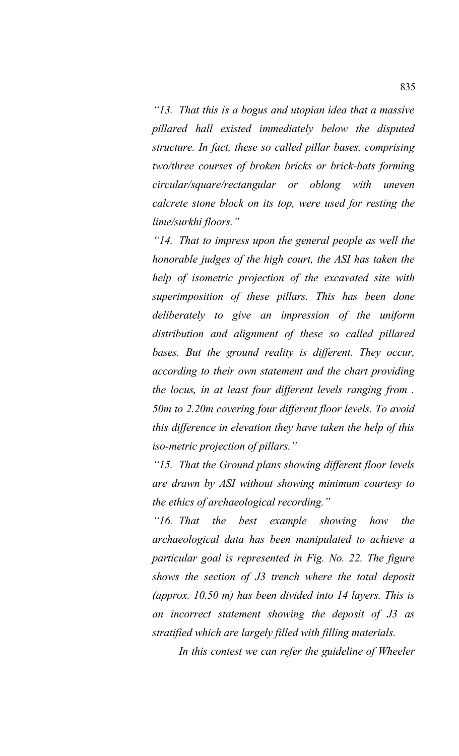*"13. That this is a bogus and utopian idea that a massive pillared hall existed immediately below the disputed structure. In fact, these so called pillar bases, comprising two/three courses of broken bricks or brick-bats forming circular/square/rectangular or oblong with uneven calcrete stone block on its top, were used for resting the lime/surkhi floors."*

*"14. That to impress upon the general people as well the honorable judges of the high court, the ASI has taken the help of isometric projection of the excavated site with superimposition of these pillars. This has been done deliberately to give an impression of the uniform distribution and alignment of these so called pillared bases. But the ground reality is different. They occur, according to their own statement and the chart providing the locus, in at least four different levels ranging from . 50m to 2.20m covering four different floor levels. To avoid this difference in elevation they have taken the help of this iso-metric projection of pillars."*

*"15. That the Ground plans showing different floor levels are drawn by ASI without showing minimum courtesy to the ethics of archaeological recording."*

*"16. That the best example showing how the archaeological data has been manipulated to achieve a particular goal is represented in Fig. No. 22. The figure shows the section of J3 trench where the total deposit (approx. 10.50 m) has been divided into 14 layers. This is an incorrect statement showing the deposit of J3 as stratified which are largely filled with filling materials.* 

*In this contest we can refer the guideline of Wheeler*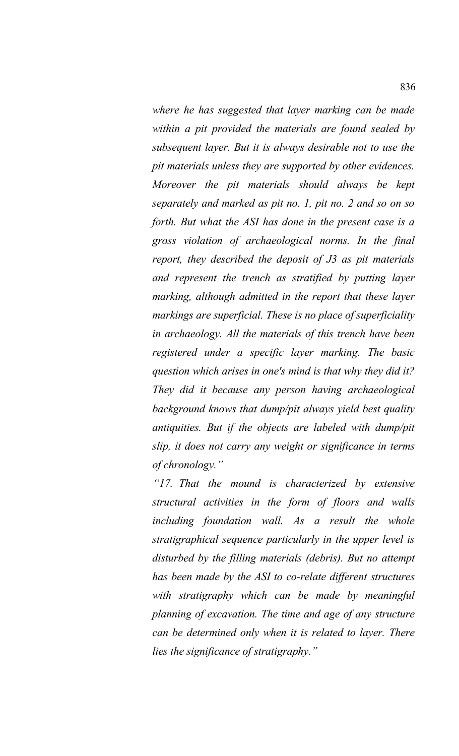*where he has suggested that layer marking can be made within a pit provided the materials are found sealed by subsequent layer. But it is always desirable not to use the pit materials unless they are supported by other evidences. Moreover the pit materials should always be kept separately and marked as pit no. 1, pit no. 2 and so on so forth. But what the ASI has done in the present case is a gross violation of archaeological norms. In the final report, they described the deposit of J3 as pit materials and represent the trench as stratified by putting layer marking, although admitted in the report that these layer markings are superficial. These is no place of superficiality in archaeology. All the materials of this trench have been registered under a specific layer marking. The basic question which arises in one's mind is that why they did it? They did it because any person having archaeological background knows that dump/pit always yield best quality antiquities. But if the objects are labeled with dump/pit slip, it does not carry any weight or significance in terms of chronology."*

*"17. That the mound is characterized by extensive structural activities in the form of floors and walls including foundation wall. As a result the whole stratigraphical sequence particularly in the upper level is disturbed by the filling materials (debris). But no attempt has been made by the ASI to co-relate different structures with stratigraphy which can be made by meaningful planning of excavation. The time and age of any structure can be determined only when it is related to layer. There lies the significance of stratigraphy."*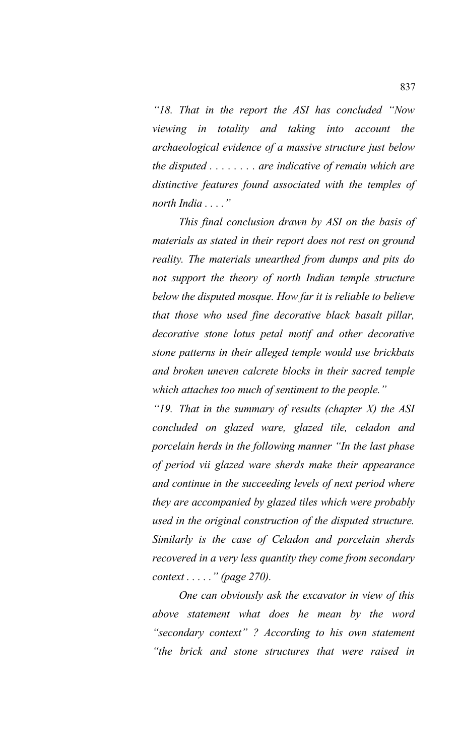*"18. That in the report the ASI has concluded "Now viewing in totality and taking into account the archaeological evidence of a massive structure just below the disputed . . . . . . . . are indicative of remain which are distinctive features found associated with the temples of north India . . . ."*

*This final conclusion drawn by ASI on the basis of materials as stated in their report does not rest on ground reality. The materials unearthed from dumps and pits do not support the theory of north Indian temple structure below the disputed mosque. How far it is reliable to believe that those who used fine decorative black basalt pillar, decorative stone lotus petal motif and other decorative stone patterns in their alleged temple would use brickbats and broken uneven calcrete blocks in their sacred temple which attaches too much of sentiment to the people."*

*"19. That in the summary of results (chapter X) the ASI concluded on glazed ware, glazed tile, celadon and porcelain herds in the following manner "In the last phase of period vii glazed ware sherds make their appearance and continue in the succeeding levels of next period where they are accompanied by glazed tiles which were probably used in the original construction of the disputed structure. Similarly is the case of Celadon and porcelain sherds recovered in a very less quantity they come from secondary context . . . . ." (page 270).* 

*One can obviously ask the excavator in view of this above statement what does he mean by the word "secondary context" ? According to his own statement "the brick and stone structures that were raised in*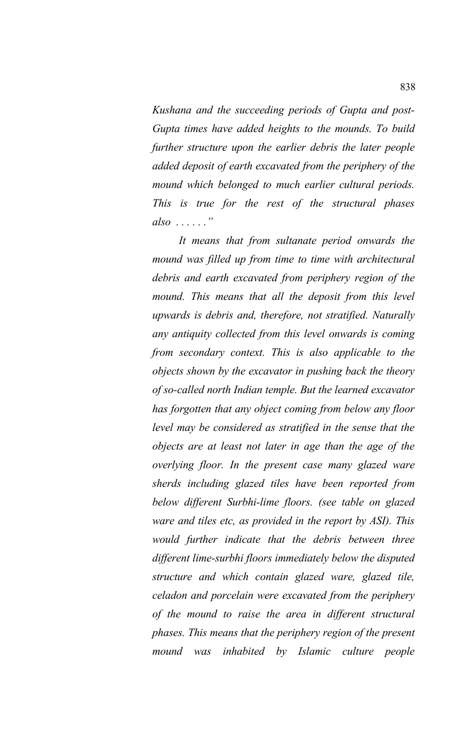*Kushana and the succeeding periods of Gupta and post-Gupta times have added heights to the mounds. To build further structure upon the earlier debris the later people added deposit of earth excavated from the periphery of the mound which belonged to much earlier cultural periods. This is true for the rest of the structural phases also . . . . . ."*

*It means that from sultanate period onwards the mound was filled up from time to time with architectural debris and earth excavated from periphery region of the mound. This means that all the deposit from this level upwards is debris and, therefore, not stratified. Naturally any antiquity collected from this level onwards is coming from secondary context. This is also applicable to the objects shown by the excavator in pushing back the theory of so-called north Indian temple. But the learned excavator has forgotten that any object coming from below any floor level may be considered as stratified in the sense that the objects are at least not later in age than the age of the overlying floor. In the present case many glazed ware sherds including glazed tiles have been reported from below different Surbhi-lime floors. (see table on glazed ware and tiles etc, as provided in the report by ASI). This would further indicate that the debris between three different lime-surbhi floors immediately below the disputed structure and which contain glazed ware, glazed tile, celadon and porcelain were excavated from the periphery of the mound to raise the area in different structural phases. This means that the periphery region of the present mound was inhabited by Islamic culture people*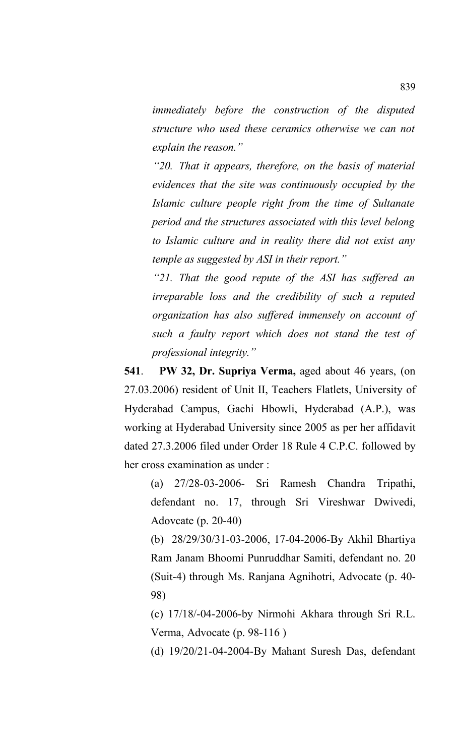*immediately before the construction of the disputed structure who used these ceramics otherwise we can not explain the reason."*

*"20. That it appears, therefore, on the basis of material evidences that the site was continuously occupied by the Islamic culture people right from the time of Sultanate period and the structures associated with this level belong to Islamic culture and in reality there did not exist any temple as suggested by ASI in their report."*

*"21. That the good repute of the ASI has suffered an irreparable loss and the credibility of such a reputed organization has also suffered immensely on account of such a faulty report which does not stand the test of professional integrity."*

**541**. **PW 32, Dr. Supriya Verma,** aged about 46 years, (on 27.03.2006) resident of Unit II, Teachers Flatlets, University of Hyderabad Campus, Gachi Hbowli, Hyderabad (A.P.), was working at Hyderabad University since 2005 as per her affidavit dated 27.3.2006 filed under Order 18 Rule 4 C.P.C. followed by her cross examination as under :

(a) 27/28-03-2006- Sri Ramesh Chandra Tripathi, defendant no. 17, through Sri Vireshwar Dwivedi, Adovcate (p. 20-40)

(b) 28/29/30/31-03-2006, 17-04-2006-By Akhil Bhartiya Ram Janam Bhoomi Punruddhar Samiti, defendant no. 20 (Suit-4) through Ms. Ranjana Agnihotri, Advocate (p. 40- 98)

(c) 17/18/-04-2006-by Nirmohi Akhara through Sri R.L. Verma, Advocate (p. 98-116 )

(d) 19/20/21-04-2004-By Mahant Suresh Das, defendant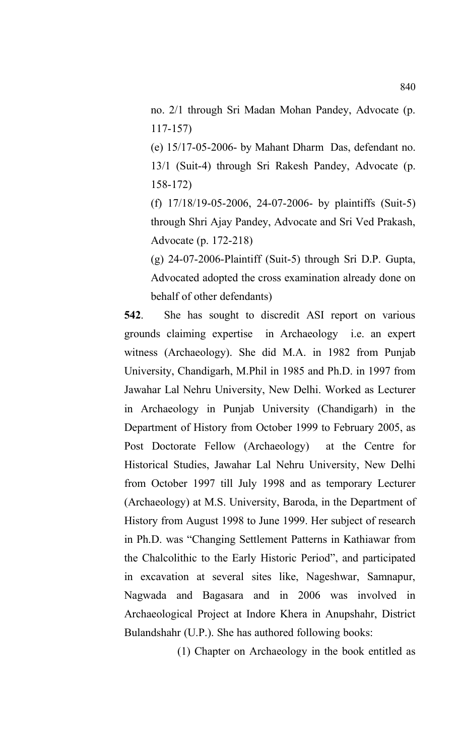no. 2/1 through Sri Madan Mohan Pandey, Advocate (p. 117-157)

(e) 15/17-05-2006- by Mahant Dharm Das, defendant no. 13/1 (Suit-4) through Sri Rakesh Pandey, Advocate (p. 158-172)

(f) 17/18/19-05-2006, 24-07-2006- by plaintiffs (Suit-5) through Shri Ajay Pandey, Advocate and Sri Ved Prakash, Advocate (p. 172-218)

(g) 24-07-2006-Plaintiff (Suit-5) through Sri D.P. Gupta, Advocated adopted the cross examination already done on behalf of other defendants)

**542**. She has sought to discredit ASI report on various grounds claiming expertise in Archaeology i.e. an expert witness (Archaeology). She did M.A. in 1982 from Punjab University, Chandigarh, M.Phil in 1985 and Ph.D. in 1997 from Jawahar Lal Nehru University, New Delhi. Worked as Lecturer in Archaeology in Punjab University (Chandigarh) in the Department of History from October 1999 to February 2005, as Post Doctorate Fellow (Archaeology) at the Centre for Historical Studies, Jawahar Lal Nehru University, New Delhi from October 1997 till July 1998 and as temporary Lecturer (Archaeology) at M.S. University, Baroda, in the Department of History from August 1998 to June 1999. Her subject of research in Ph.D. was "Changing Settlement Patterns in Kathiawar from the Chalcolithic to the Early Historic Period", and participated in excavation at several sites like, Nageshwar, Samnapur, Nagwada and Bagasara and in 2006 was involved in Archaeological Project at Indore Khera in Anupshahr, District Bulandshahr (U.P.). She has authored following books:

(1) Chapter on Archaeology in the book entitled as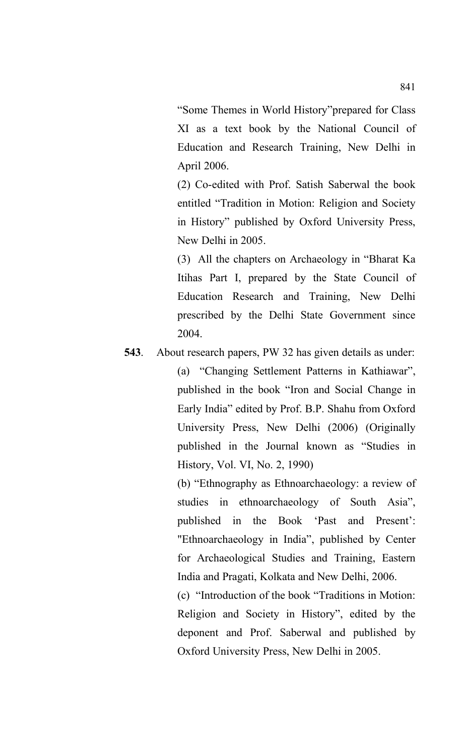"Some Themes in World History"prepared for Class XI as a text book by the National Council of Education and Research Training, New Delhi in April 2006.

(2) Co-edited with Prof. Satish Saberwal the book entitled "Tradition in Motion: Religion and Society in History" published by Oxford University Press, New Delhi in 2005.

(3) All the chapters on Archaeology in "Bharat Ka Itihas Part I, prepared by the State Council of Education Research and Training, New Delhi prescribed by the Delhi State Government since 2004.

# **543**. About research papers, PW 32 has given details as under:

(a) "Changing Settlement Patterns in Kathiawar", published in the book "Iron and Social Change in Early India" edited by Prof. B.P. Shahu from Oxford University Press, New Delhi (2006) (Originally published in the Journal known as "Studies in History, Vol. VI, No. 2, 1990)

(b) "Ethnography as Ethnoarchaeology: a review of studies in ethnoarchaeology of South Asia", published in the Book 'Past and Present': "Ethnoarchaeology in India", published by Center for Archaeological Studies and Training, Eastern India and Pragati, Kolkata and New Delhi, 2006.

(c) "Introduction of the book "Traditions in Motion: Religion and Society in History", edited by the deponent and Prof. Saberwal and published by Oxford University Press, New Delhi in 2005.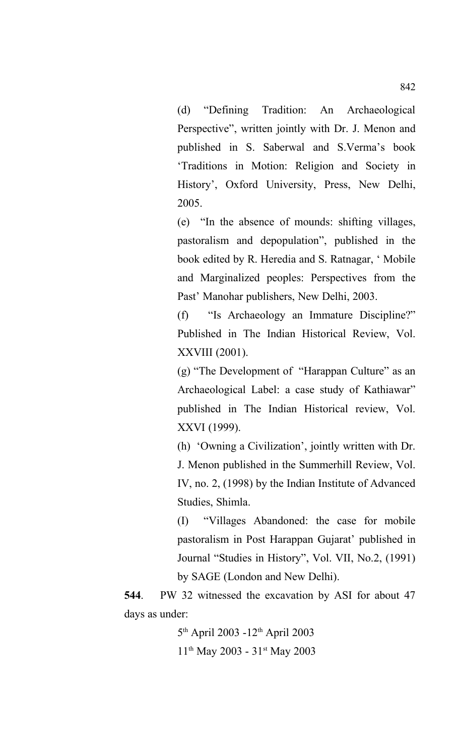(d) "Defining Tradition: An Archaeological Perspective", written jointly with Dr. J. Menon and published in S. Saberwal and S.Verma's book 'Traditions in Motion: Religion and Society in History', Oxford University, Press, New Delhi, 2005.

(e) "In the absence of mounds: shifting villages, pastoralism and depopulation", published in the book edited by R. Heredia and S. Ratnagar, ' Mobile and Marginalized peoples: Perspectives from the Past' Manohar publishers, New Delhi, 2003.

(f) "Is Archaeology an Immature Discipline?" Published in The Indian Historical Review, Vol. XXVIII (2001).

(g) "The Development of "Harappan Culture" as an Archaeological Label: a case study of Kathiawar" published in The Indian Historical review, Vol. XXVI (1999).

(h) 'Owning a Civilization', jointly written with Dr. J. Menon published in the Summerhill Review, Vol. IV, no. 2, (1998) by the Indian Institute of Advanced Studies, Shimla.

(I) "Villages Abandoned: the case for mobile pastoralism in Post Harappan Gujarat' published in Journal "Studies in History", Vol. VII, No.2, (1991) by SAGE (London and New Delhi).

**544**. PW 32 witnessed the excavation by ASI for about 47 days as under:

> 5<sup>th</sup> April 2003 -12<sup>th</sup> April 2003 11th May 2003 - 31st May 2003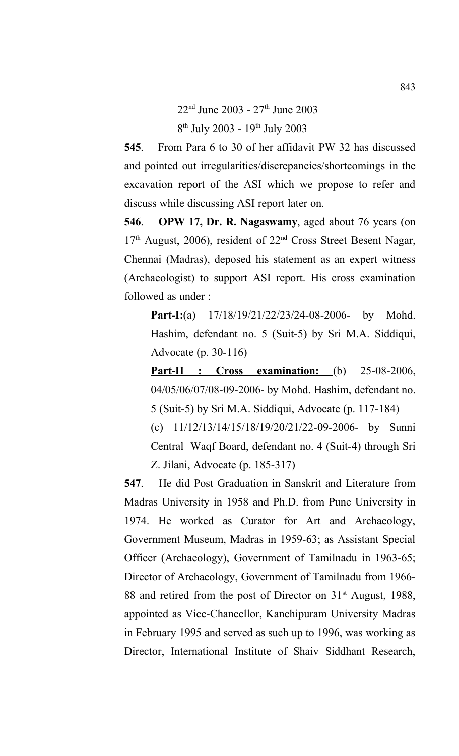22<sup>nd</sup> June 2003 - 27<sup>th</sup> June 2003 8<sup>th</sup> July 2003 - 19<sup>th</sup> July 2003

**545**. From Para 6 to 30 of her affidavit PW 32 has discussed and pointed out irregularities/discrepancies/shortcomings in the excavation report of the ASI which we propose to refer and discuss while discussing ASI report later on.

**546**. **OPW 17, Dr. R. Nagaswamy**, aged about 76 years (on  $17<sup>th</sup>$  August, 2006), resident of  $22<sup>nd</sup>$  Cross Street Besent Nagar, Chennai (Madras), deposed his statement as an expert witness (Archaeologist) to support ASI report. His cross examination followed as under :

**Part-I:**(a) 17/18/19/21/22/23/24-08-2006- by Mohd. Hashim, defendant no. 5 (Suit-5) by Sri M.A. Siddiqui, Advocate (p. 30-116)

**Part-II : Cross examination:** (b) 25-08-2006, 04/05/06/07/08-09-2006- by Mohd. Hashim, defendant no. 5 (Suit-5) by Sri M.A. Siddiqui, Advocate (p. 117-184)

(c) 11/12/13/14/15/18/19/20/21/22-09-2006- by Sunni Central Waqf Board, defendant no. 4 (Suit-4) through Sri Z. Jilani, Advocate (p. 185-317)

**547**. He did Post Graduation in Sanskrit and Literature from Madras University in 1958 and Ph.D. from Pune University in 1974. He worked as Curator for Art and Archaeology, Government Museum, Madras in 1959-63; as Assistant Special Officer (Archaeology), Government of Tamilnadu in 1963-65; Director of Archaeology, Government of Tamilnadu from 1966- 88 and retired from the post of Director on 31<sup>st</sup> August, 1988, appointed as Vice-Chancellor, Kanchipuram University Madras in February 1995 and served as such up to 1996, was working as Director, International Institute of Shaiv Siddhant Research,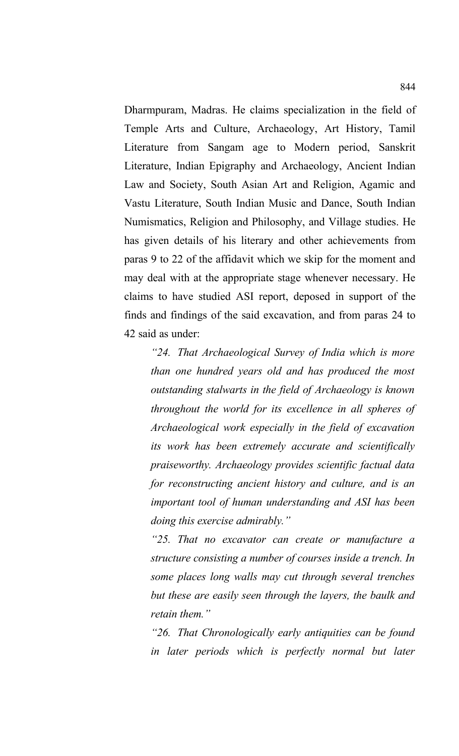Dharmpuram, Madras. He claims specialization in the field of Temple Arts and Culture, Archaeology, Art History, Tamil Literature from Sangam age to Modern period, Sanskrit Literature, Indian Epigraphy and Archaeology, Ancient Indian Law and Society, South Asian Art and Religion, Agamic and Vastu Literature, South Indian Music and Dance, South Indian Numismatics, Religion and Philosophy, and Village studies. He has given details of his literary and other achievements from paras 9 to 22 of the affidavit which we skip for the moment and may deal with at the appropriate stage whenever necessary. He claims to have studied ASI report, deposed in support of the finds and findings of the said excavation, and from paras 24 to 42 said as under:

*"24. That Archaeological Survey of India which is more than one hundred years old and has produced the most outstanding stalwarts in the field of Archaeology is known throughout the world for its excellence in all spheres of Archaeological work especially in the field of excavation its work has been extremely accurate and scientifically praiseworthy. Archaeology provides scientific factual data for reconstructing ancient history and culture, and is an important tool of human understanding and ASI has been doing this exercise admirably."* 

*"25. That no excavator can create or manufacture a structure consisting a number of courses inside a trench. In some places long walls may cut through several trenches but these are easily seen through the layers, the baulk and retain them."*

*"26. That Chronologically early antiquities can be found in later periods which is perfectly normal but later*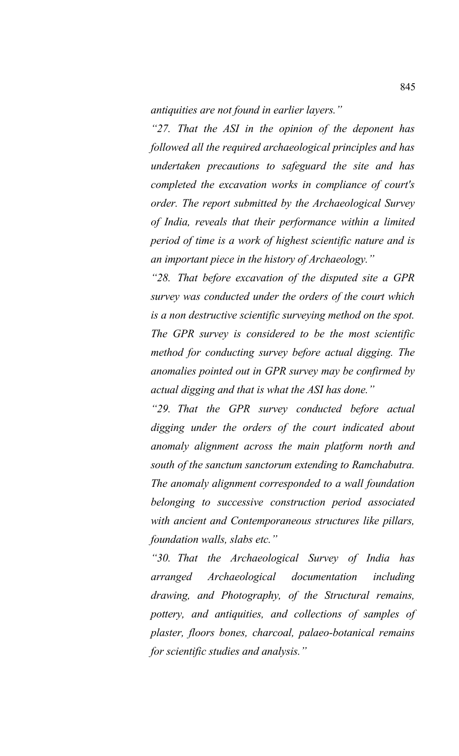*antiquities are not found in earlier layers."*

*"27. That the ASI in the opinion of the deponent has followed all the required archaeological principles and has undertaken precautions to safeguard the site and has completed the excavation works in compliance of court's order. The report submitted by the Archaeological Survey of India, reveals that their performance within a limited period of time is a work of highest scientific nature and is an important piece in the history of Archaeology."*

*"28. That before excavation of the disputed site a GPR survey was conducted under the orders of the court which is a non destructive scientific surveying method on the spot. The GPR survey is considered to be the most scientific method for conducting survey before actual digging. The anomalies pointed out in GPR survey may be confirmed by actual digging and that is what the ASI has done."*

*"29. That the GPR survey conducted before actual digging under the orders of the court indicated about anomaly alignment across the main platform north and south of the sanctum sanctorum extending to Ramchabutra. The anomaly alignment corresponded to a wall foundation belonging to successive construction period associated with ancient and Contemporaneous structures like pillars, foundation walls, slabs etc."*

*"30. That the Archaeological Survey of India has arranged Archaeological documentation including drawing, and Photography, of the Structural remains, pottery, and antiquities, and collections of samples of plaster, floors bones, charcoal, palaeo-botanical remains for scientific studies and analysis."*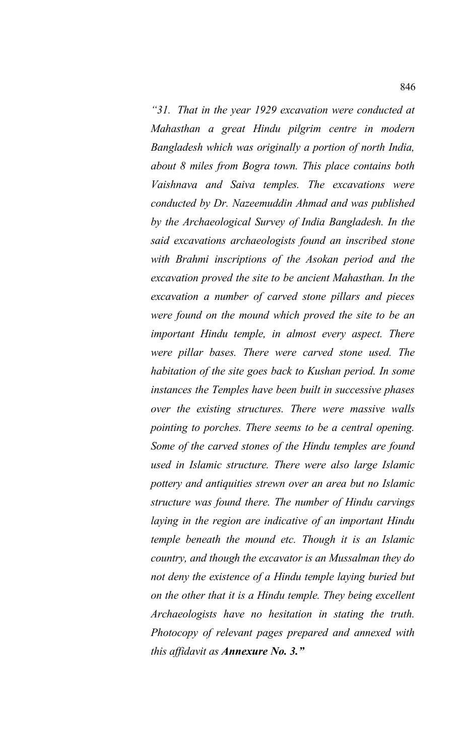*"31. That in the year 1929 excavation were conducted at Mahasthan a great Hindu pilgrim centre in modern Bangladesh which was originally a portion of north India, about 8 miles from Bogra town. This place contains both Vaishnava and Saiva temples. The excavations were conducted by Dr. Nazeemuddin Ahmad and was published by the Archaeological Survey of India Bangladesh. In the said excavations archaeologists found an inscribed stone with Brahmi inscriptions of the Asokan period and the excavation proved the site to be ancient Mahasthan. In the excavation a number of carved stone pillars and pieces were found on the mound which proved the site to be an important Hindu temple, in almost every aspect. There were pillar bases. There were carved stone used. The habitation of the site goes back to Kushan period. In some instances the Temples have been built in successive phases over the existing structures. There were massive walls pointing to porches. There seems to be a central opening. Some of the carved stones of the Hindu temples are found used in Islamic structure. There were also large Islamic pottery and antiquities strewn over an area but no Islamic structure was found there. The number of Hindu carvings laying in the region are indicative of an important Hindu temple beneath the mound etc. Though it is an Islamic country, and though the excavator is an Mussalman they do not deny the existence of a Hindu temple laying buried but on the other that it is a Hindu temple. They being excellent Archaeologists have no hesitation in stating the truth. Photocopy of relevant pages prepared and annexed with this affidavit as Annexure No. 3."*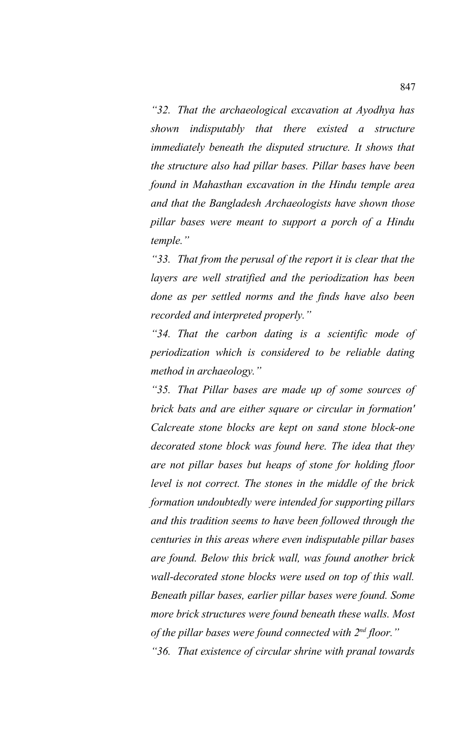*"32. That the archaeological excavation at Ayodhya has shown indisputably that there existed a structure immediately beneath the disputed structure. It shows that the structure also had pillar bases. Pillar bases have been found in Mahasthan excavation in the Hindu temple area and that the Bangladesh Archaeologists have shown those pillar bases were meant to support a porch of a Hindu temple."*

*"33. That from the perusal of the report it is clear that the layers are well stratified and the periodization has been done as per settled norms and the finds have also been recorded and interpreted properly."*

*"34. That the carbon dating is a scientific mode of periodization which is considered to be reliable dating method in archaeology."*

*"35. That Pillar bases are made up of some sources of brick bats and are either square or circular in formation' Calcreate stone blocks are kept on sand stone block-one decorated stone block was found here. The idea that they are not pillar bases but heaps of stone for holding floor level is not correct. The stones in the middle of the brick formation undoubtedly were intended for supporting pillars and this tradition seems to have been followed through the centuries in this areas where even indisputable pillar bases are found. Below this brick wall, was found another brick wall-decorated stone blocks were used on top of this wall. Beneath pillar bases, earlier pillar bases were found. Some more brick structures were found beneath these walls. Most of the pillar bases were found connected with 2nd floor." "36. That existence of circular shrine with pranal towards*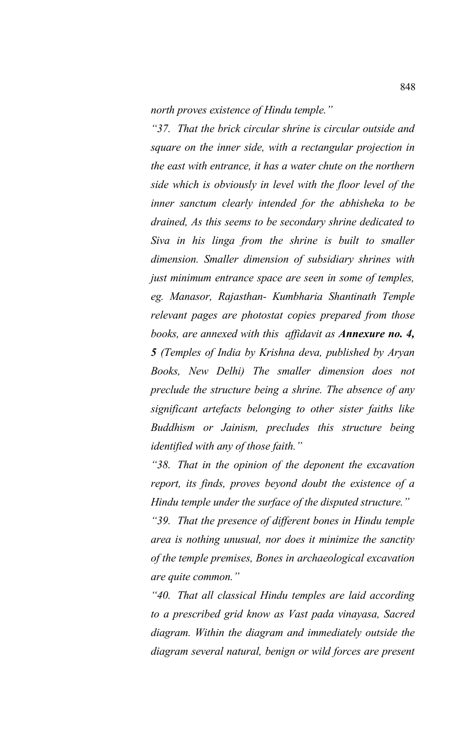*north proves existence of Hindu temple."*

*"37. That the brick circular shrine is circular outside and square on the inner side, with a rectangular projection in the east with entrance, it has a water chute on the northern side which is obviously in level with the floor level of the inner sanctum clearly intended for the abhisheka to be drained, As this seems to be secondary shrine dedicated to Siva in his linga from the shrine is built to smaller dimension. Smaller dimension of subsidiary shrines with just minimum entrance space are seen in some of temples, eg. Manasor, Rajasthan- Kumbharia Shantinath Temple relevant pages are photostat copies prepared from those books, are annexed with this affidavit as Annexure no. 4, 5 (Temples of India by Krishna deva, published by Aryan Books, New Delhi) The smaller dimension does not preclude the structure being a shrine. The absence of any significant artefacts belonging to other sister faiths like Buddhism or Jainism, precludes this structure being identified with any of those faith."*

*"38. That in the opinion of the deponent the excavation report, its finds, proves beyond doubt the existence of a Hindu temple under the surface of the disputed structure."*

*"39. That the presence of different bones in Hindu temple area is nothing unusual, nor does it minimize the sanctity of the temple premises, Bones in archaeological excavation are quite common."*

*"40. That all classical Hindu temples are laid according to a prescribed grid know as Vast pada vinayasa, Sacred diagram. Within the diagram and immediately outside the diagram several natural, benign or wild forces are present*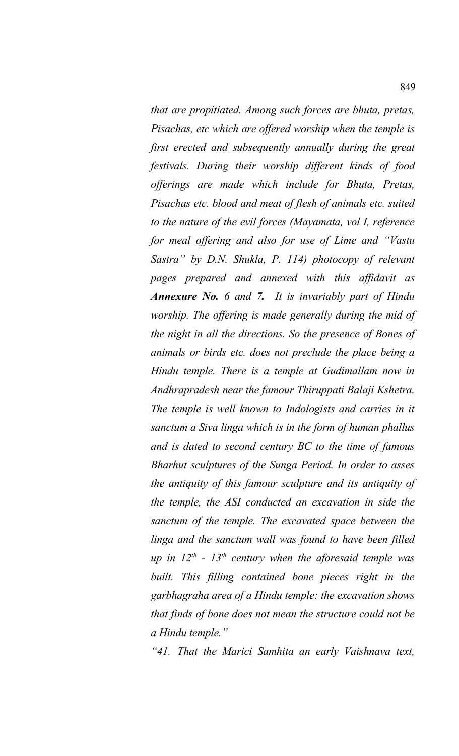*that are propitiated. Among such forces are bhuta, pretas, Pisachas, etc which are offered worship when the temple is first erected and subsequently annually during the great festivals. During their worship different kinds of food offerings are made which include for Bhuta, Pretas, Pisachas etc. blood and meat of flesh of animals etc. suited to the nature of the evil forces (Mayamata, vol I, reference for meal offering and also for use of Lime and "Vastu Sastra" by D.N. Shukla, P. 114) photocopy of relevant pages prepared and annexed with this affidavit as Annexure No. 6 and 7. It is invariably part of Hindu worship. The offering is made generally during the mid of the night in all the directions. So the presence of Bones of animals or birds etc. does not preclude the place being a Hindu temple. There is a temple at Gudimallam now in Andhrapradesh near the famour Thiruppati Balaji Kshetra. The temple is well known to Indologists and carries in it sanctum a Siva linga which is in the form of human phallus and is dated to second century BC to the time of famous Bharhut sculptures of the Sunga Period. In order to asses the antiquity of this famour sculpture and its antiquity of the temple, the ASI conducted an excavation in side the sanctum of the temple. The excavated space between the linga and the sanctum wall was found to have been filled up in 12th - 13th century when the aforesaid temple was built. This filling contained bone pieces right in the garbhagraha area of a Hindu temple: the excavation shows that finds of bone does not mean the structure could not be a Hindu temple."*

*"41. That the Marici Samhita an early Vaishnava text,*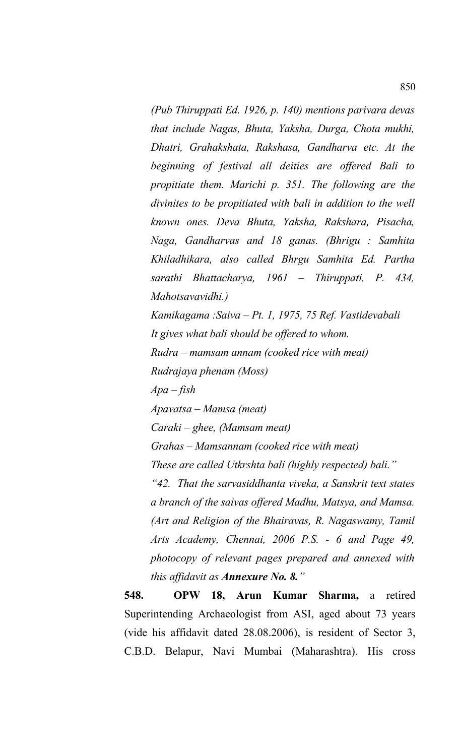*(Pub Thiruppati Ed. 1926, p. 140) mentions parivara devas that include Nagas, Bhuta, Yaksha, Durga, Chota mukhi, Dhatri, Grahakshata, Rakshasa, Gandharva etc. At the beginning of festival all deities are offered Bali to propitiate them. Marichi p. 351. The following are the divinites to be propitiated with bali in addition to the well known ones. Deva Bhuta, Yaksha, Rakshara, Pisacha, Naga, Gandharvas and 18 ganas. (Bhrigu : Samhita Khiladhikara, also called Bhrgu Samhita Ed. Partha sarathi Bhattacharya, 1961 – Thiruppati, P. 434, Mahotsavavidhi.)*

*Kamikagama :Saiva – Pt. 1, 1975, 75 Ref. Vastidevabali It gives what bali should be offered to whom. Rudra – mamsam annam (cooked rice with meat) Rudrajaya phenam (Moss) Apa – fish Apavatsa – Mamsa (meat) Caraki – ghee, (Mamsam meat) Grahas – Mamsannam (cooked rice with meat) These are called Utkrshta bali (highly respected) bali." "42. That the sarvasiddhanta viveka, a Sanskrit text states a branch of the saivas offered Madhu, Matsya, and Mamsa. (Art and Religion of the Bhairavas, R. Nagaswamy, Tamil Arts Academy, Chennai, 2006 P.S. - 6 and Page 49, photocopy of relevant pages prepared and annexed with this affidavit as Annexure No. 8."*

**548. OPW 18, Arun Kumar Sharma,** a retired Superintending Archaeologist from ASI, aged about 73 years (vide his affidavit dated 28.08.2006), is resident of Sector 3, C.B.D. Belapur, Navi Mumbai (Maharashtra). His cross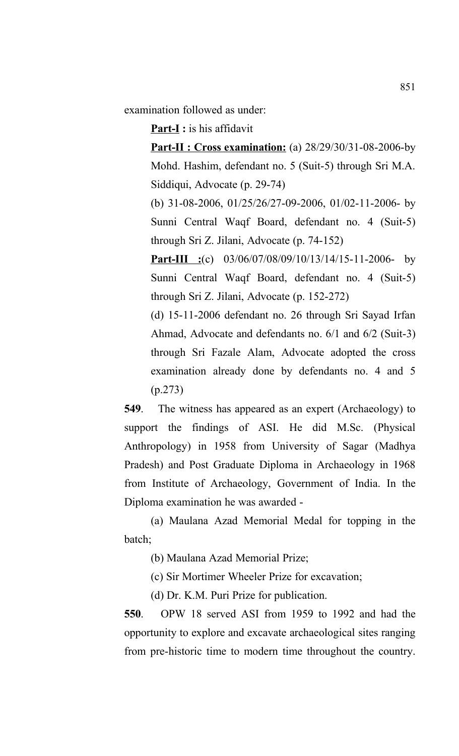examination followed as under:

**Part-I :** is his affidavit

**Part-II : Cross examination:** (a) 28/29/30/31-08-2006-by Mohd. Hashim, defendant no. 5 (Suit-5) through Sri M.A. Siddiqui, Advocate (p. 29-74)

(b) 31-08-2006, 01/25/26/27-09-2006, 01/02-11-2006- by Sunni Central Waqf Board, defendant no. 4 (Suit-5) through Sri Z. Jilani, Advocate (p. 74-152)

**Part-III :**(c) 03/06/07/08/09/10/13/14/15-11-2006- by Sunni Central Waqf Board, defendant no. 4 (Suit-5) through Sri Z. Jilani, Advocate (p. 152-272)

(d) 15-11-2006 defendant no. 26 through Sri Sayad Irfan Ahmad, Advocate and defendants no. 6/1 and 6/2 (Suit-3) through Sri Fazale Alam, Advocate adopted the cross examination already done by defendants no. 4 and 5 (p.273)

**549**. The witness has appeared as an expert (Archaeology) to support the findings of ASI. He did M.Sc. (Physical Anthropology) in 1958 from University of Sagar (Madhya Pradesh) and Post Graduate Diploma in Archaeology in 1968 from Institute of Archaeology, Government of India. In the Diploma examination he was awarded -

(a) Maulana Azad Memorial Medal for topping in the batch;

(b) Maulana Azad Memorial Prize;

(c) Sir Mortimer Wheeler Prize for excavation;

(d) Dr. K.M. Puri Prize for publication.

**550**. OPW 18 served ASI from 1959 to 1992 and had the opportunity to explore and excavate archaeological sites ranging from pre-historic time to modern time throughout the country.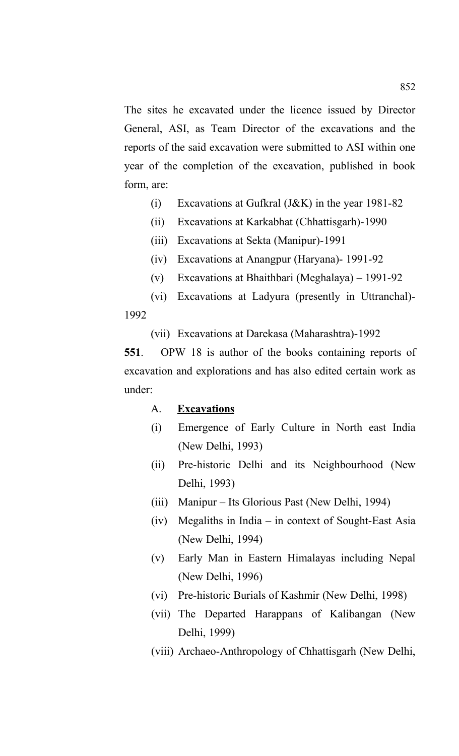The sites he excavated under the licence issued by Director General, ASI, as Team Director of the excavations and the reports of the said excavation were submitted to ASI within one year of the completion of the excavation, published in book form, are:

- (i) Excavations at Gufkral (J&K) in the year 1981-82
- (ii) Excavations at Karkabhat (Chhattisgarh)-1990
- (iii) Excavations at Sekta (Manipur)-1991
- (iv) Excavations at Anangpur (Haryana)- 1991-92
- (v) Excavations at Bhaithbari (Meghalaya) 1991-92

(vi) Excavations at Ladyura (presently in Uttranchal)- 1992

(vii) Excavations at Darekasa (Maharashtra)-1992

**551**. OPW 18 is author of the books containing reports of excavation and explorations and has also edited certain work as under:

#### A. **Excavations**

- (i) Emergence of Early Culture in North east India (New Delhi, 1993)
- (ii) Pre-historic Delhi and its Neighbourhood (New Delhi, 1993)
- (iii) Manipur Its Glorious Past (New Delhi, 1994)
- (iv) Megaliths in India in context of Sought-East Asia (New Delhi, 1994)
- (v) Early Man in Eastern Himalayas including Nepal (New Delhi, 1996)
- (vi) Pre-historic Burials of Kashmir (New Delhi, 1998)
- (vii) The Departed Harappans of Kalibangan (New Delhi, 1999)
- (viii) Archaeo-Anthropology of Chhattisgarh (New Delhi,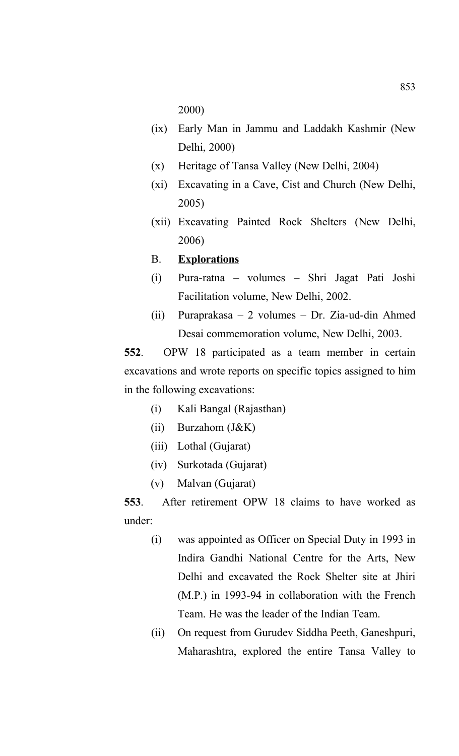2000)

- (ix) Early Man in Jammu and Laddakh Kashmir (New Delhi, 2000)
- (x) Heritage of Tansa Valley (New Delhi, 2004)
- (xi) Excavating in a Cave, Cist and Church (New Delhi, 2005)
- (xii) Excavating Painted Rock Shelters (New Delhi, 2006)

# B. **Explorations**

- (i) Pura-ratna volumes Shri Jagat Pati Joshi Facilitation volume, New Delhi, 2002.
- (ii) Puraprakasa 2 volumes Dr. Zia-ud-din Ahmed Desai commemoration volume, New Delhi, 2003.

**552**. OPW 18 participated as a team member in certain excavations and wrote reports on specific topics assigned to him in the following excavations:

- (i) Kali Bangal (Rajasthan)
- (ii) Burzahom (J&K)
- (iii) Lothal (Gujarat)
- (iv) Surkotada (Gujarat)
- (v) Malvan (Gujarat)

**553**. After retirement OPW 18 claims to have worked as under:

- (i) was appointed as Officer on Special Duty in 1993 in Indira Gandhi National Centre for the Arts, New Delhi and excavated the Rock Shelter site at Jhiri (M.P.) in 1993-94 in collaboration with the French Team. He was the leader of the Indian Team.
- (ii) On request from Gurudev Siddha Peeth, Ganeshpuri, Maharashtra, explored the entire Tansa Valley to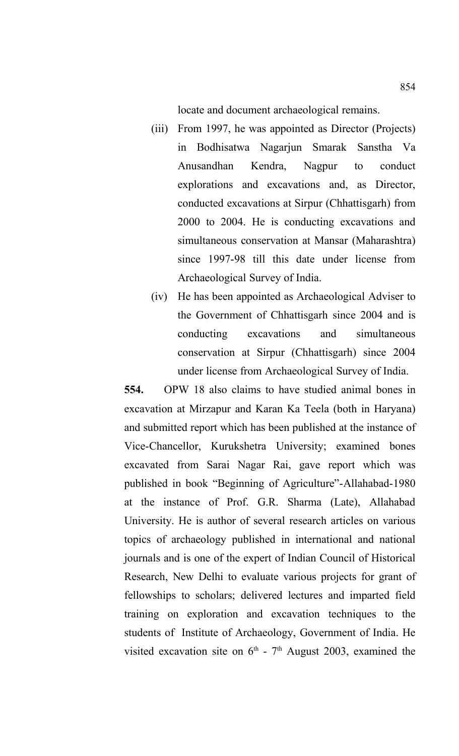locate and document archaeological remains.

- (iii) From 1997, he was appointed as Director (Projects) in Bodhisatwa Nagarjun Smarak Sanstha Va Anusandhan Kendra, Nagpur to conduct explorations and excavations and, as Director, conducted excavations at Sirpur (Chhattisgarh) from 2000 to 2004. He is conducting excavations and simultaneous conservation at Mansar (Maharashtra) since 1997-98 till this date under license from Archaeological Survey of India.
- (iv) He has been appointed as Archaeological Adviser to the Government of Chhattisgarh since 2004 and is conducting excavations and simultaneous conservation at Sirpur (Chhattisgarh) since 2004 under license from Archaeological Survey of India.

**554.** OPW 18 also claims to have studied animal bones in excavation at Mirzapur and Karan Ka Teela (both in Haryana) and submitted report which has been published at the instance of Vice-Chancellor, Kurukshetra University; examined bones excavated from Sarai Nagar Rai, gave report which was published in book "Beginning of Agriculture"-Allahabad-1980 at the instance of Prof. G.R. Sharma (Late), Allahabad University. He is author of several research articles on various topics of archaeology published in international and national journals and is one of the expert of Indian Council of Historical Research, New Delhi to evaluate various projects for grant of fellowships to scholars; delivered lectures and imparted field training on exploration and excavation techniques to the students of Institute of Archaeology, Government of India. He visited excavation site on  $6<sup>th</sup>$  -  $7<sup>th</sup>$  August 2003, examined the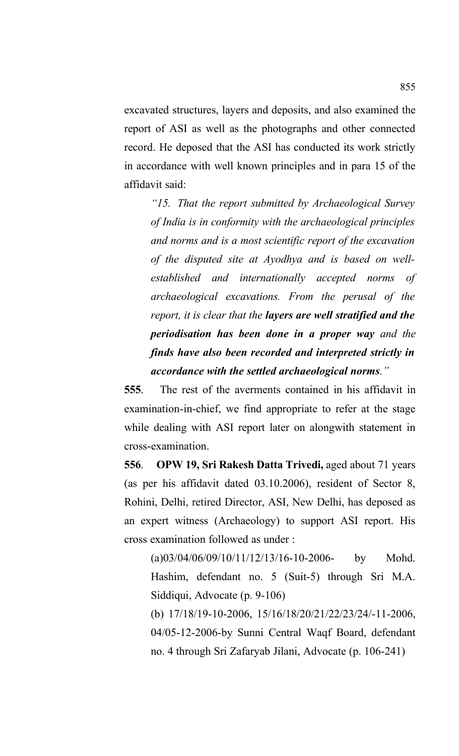excavated structures, layers and deposits, and also examined the report of ASI as well as the photographs and other connected record. He deposed that the ASI has conducted its work strictly in accordance with well known principles and in para 15 of the affidavit said:

*"15. That the report submitted by Archaeological Survey of India is in conformity with the archaeological principles and norms and is a most scientific report of the excavation of the disputed site at Ayodhya and is based on wellestablished and internationally accepted norms of archaeological excavations. From the perusal of the report, it is clear that the layers are well stratified and the periodisation has been done in a proper way and the finds have also been recorded and interpreted strictly in accordance with the settled archaeological norms."*

**555**. The rest of the averments contained in his affidavit in examination-in-chief, we find appropriate to refer at the stage while dealing with ASI report later on alongwith statement in cross-examination.

**556**. **OPW 19, Sri Rakesh Datta Trivedi,** aged about 71 years (as per his affidavit dated 03.10.2006), resident of Sector 8, Rohini, Delhi, retired Director, ASI, New Delhi, has deposed as an expert witness (Archaeology) to support ASI report. His cross examination followed as under :

 $(a)03/04/06/09/10/11/12/13/16-10-2006$ - by Mohd. Hashim, defendant no. 5 (Suit-5) through Sri M.A. Siddiqui, Advocate (p. 9-106)

(b) 17/18/19-10-2006, 15/16/18/20/21/22/23/24/-11-2006, 04/05-12-2006-by Sunni Central Waqf Board, defendant no. 4 through Sri Zafaryab Jilani, Advocate (p. 106-241)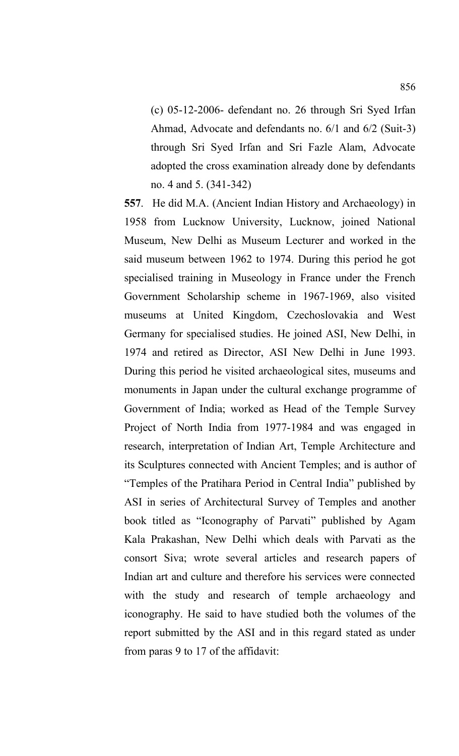(c) 05-12-2006- defendant no. 26 through Sri Syed Irfan Ahmad, Advocate and defendants no. 6/1 and 6/2 (Suit-3) through Sri Syed Irfan and Sri Fazle Alam, Advocate adopted the cross examination already done by defendants no. 4 and 5. (341-342)

**557**. He did M.A. (Ancient Indian History and Archaeology) in 1958 from Lucknow University, Lucknow, joined National Museum, New Delhi as Museum Lecturer and worked in the said museum between 1962 to 1974. During this period he got specialised training in Museology in France under the French Government Scholarship scheme in 1967-1969, also visited museums at United Kingdom, Czechoslovakia and West Germany for specialised studies. He joined ASI, New Delhi, in 1974 and retired as Director, ASI New Delhi in June 1993. During this period he visited archaeological sites, museums and monuments in Japan under the cultural exchange programme of Government of India; worked as Head of the Temple Survey Project of North India from 1977-1984 and was engaged in research, interpretation of Indian Art, Temple Architecture and its Sculptures connected with Ancient Temples; and is author of "Temples of the Pratihara Period in Central India" published by ASI in series of Architectural Survey of Temples and another book titled as "Iconography of Parvati" published by Agam Kala Prakashan, New Delhi which deals with Parvati as the consort Siva; wrote several articles and research papers of Indian art and culture and therefore his services were connected with the study and research of temple archaeology and iconography. He said to have studied both the volumes of the report submitted by the ASI and in this regard stated as under from paras 9 to 17 of the affidavit: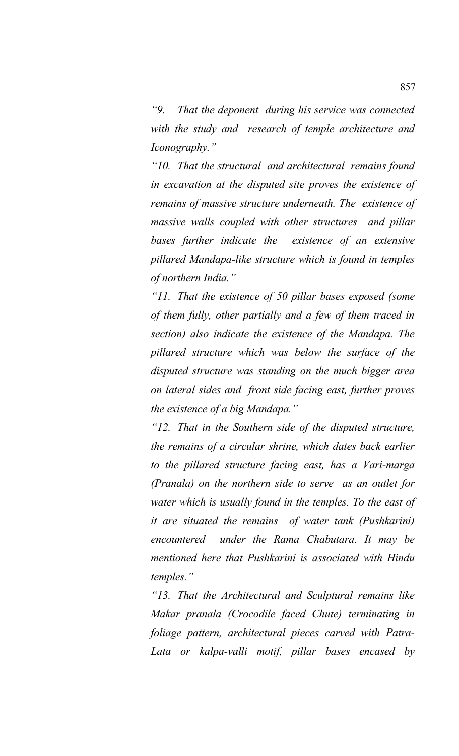*"9. That the deponent during his service was connected with the study and research of temple architecture and Iconography."*

*"10. That the structural and architectural remains found in excavation at the disputed site proves the existence of remains of massive structure underneath. The existence of massive walls coupled with other structures and pillar bases further indicate the existence of an extensive pillared Mandapa-like structure which is found in temples of northern India."*

*"11. That the existence of 50 pillar bases exposed (some of them fully, other partially and a few of them traced in section) also indicate the existence of the Mandapa. The pillared structure which was below the surface of the disputed structure was standing on the much bigger area on lateral sides and front side facing east, further proves the existence of a big Mandapa."*

*"12. That in the Southern side of the disputed structure, the remains of a circular shrine, which dates back earlier to the pillared structure facing east, has a Vari-marga (Pranala) on the northern side to serve as an outlet for water which is usually found in the temples. To the east of it are situated the remains of water tank (Pushkarini) encountered under the Rama Chabutara. It may be mentioned here that Pushkarini is associated with Hindu temples."*

*"13. That the Architectural and Sculptural remains like Makar pranala (Crocodile faced Chute) terminating in foliage pattern, architectural pieces carved with Patra-Lata or kalpa-valli motif, pillar bases encased by*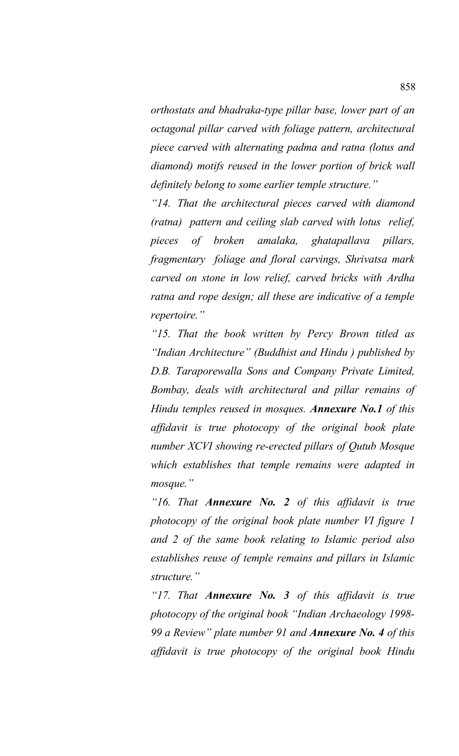*orthostats and bhadraka-type pillar base, lower part of an octagonal pillar carved with foliage pattern, architectural piece carved with alternating padma and ratna (lotus and diamond) motifs reused in the lower portion of brick wall definitely belong to some earlier temple structure."*

*"14. That the architectural pieces carved with diamond (ratna) pattern and ceiling slab carved with lotus relief, pieces of broken amalaka, ghatapallava pillars, fragmentary foliage and floral carvings, Shrivatsa mark carved on stone in low relief, carved bricks with Ardha ratna and rope design; all these are indicative of a temple repertoire."*

*"15. That the book written by Percy Brown titled as "Indian Architecture" (Buddhist and Hindu ) published by D.B. Taraporewalla Sons and Company Private Limited, Bombay, deals with architectural and pillar remains of Hindu temples reused in mosques. Annexure No.1 of this affidavit is true photocopy of the original book plate number XCVI showing re-erected pillars of Qutub Mosque which establishes that temple remains were adapted in mosque."*

*"16. That Annexure No. 2 of this affidavit is true photocopy of the original book plate number VI figure 1 and 2 of the same book relating to Islamic period also establishes reuse of temple remains and pillars in Islamic structure."*

*"17. That Annexure No. 3 of this affidavit is true photocopy of the original book "Indian Archaeology 1998- 99 a Review" plate number 91 and Annexure No. 4 of this affidavit is true photocopy of the original book Hindu*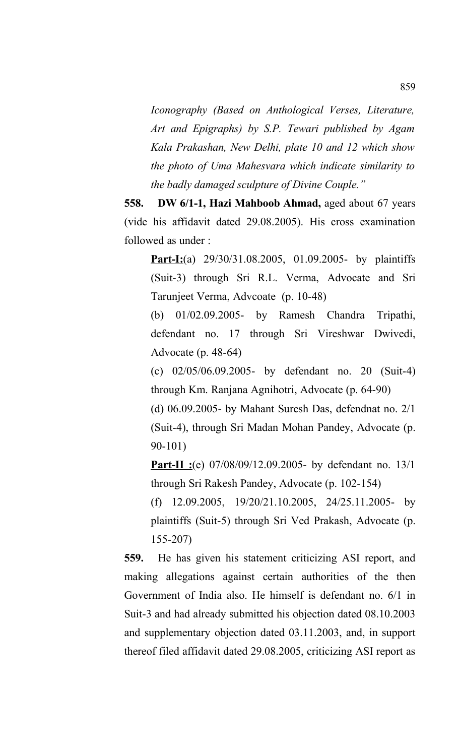*Iconography (Based on Anthological Verses, Literature, Art and Epigraphs) by S.P. Tewari published by Agam Kala Prakashan, New Delhi, plate 10 and 12 which show the photo of Uma Mahesvara which indicate similarity to the badly damaged sculpture of Divine Couple."*

**558. DW 6/1-1, Hazi Mahboob Ahmad,** aged about 67 years (vide his affidavit dated 29.08.2005). His cross examination followed as under :

**Part-I:**(a) 29/30/31.08.2005, 01.09.2005- by plaintiffs (Suit-3) through Sri R.L. Verma, Advocate and Sri Tarunjeet Verma, Advcoate (p. 10-48)

(b) 01/02.09.2005- by Ramesh Chandra Tripathi, defendant no. 17 through Sri Vireshwar Dwivedi, Advocate (p. 48-64)

(c) 02/05/06.09.2005- by defendant no. 20 (Suit-4) through Km. Ranjana Agnihotri, Advocate (p. 64-90)

(d) 06.09.2005- by Mahant Suresh Das, defendnat no. 2/1 (Suit-4), through Sri Madan Mohan Pandey, Advocate (p. 90-101)

**Part-II :**(e) 07/08/09/12.09.2005- by defendant no. 13/1 through Sri Rakesh Pandey, Advocate (p. 102-154)

(f) 12.09.2005, 19/20/21.10.2005, 24/25.11.2005- by plaintiffs (Suit-5) through Sri Ved Prakash, Advocate (p. 155-207)

**559.** He has given his statement criticizing ASI report, and making allegations against certain authorities of the then Government of India also. He himself is defendant no. 6/1 in Suit-3 and had already submitted his objection dated 08.10.2003 and supplementary objection dated 03.11.2003, and, in support thereof filed affidavit dated 29.08.2005, criticizing ASI report as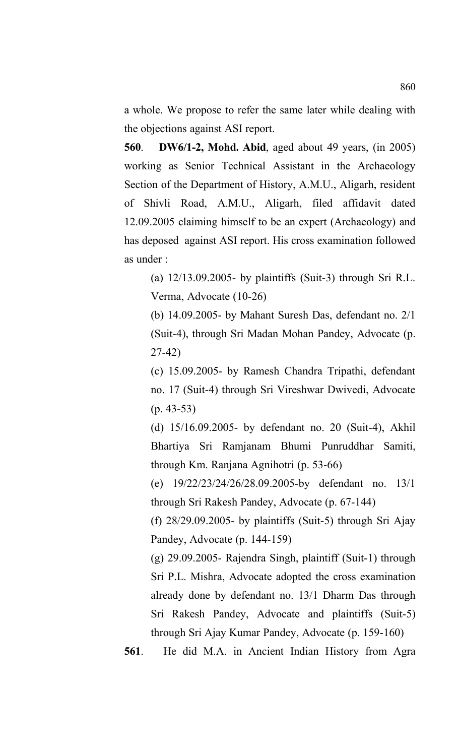a whole. We propose to refer the same later while dealing with the objections against ASI report.

**560**. **DW6/1-2, Mohd. Abid**, aged about 49 years, (in 2005) working as Senior Technical Assistant in the Archaeology Section of the Department of History, A.M.U., Aligarh, resident of Shivli Road, A.M.U., Aligarh, filed affidavit dated 12.09.2005 claiming himself to be an expert (Archaeology) and has deposed against ASI report. His cross examination followed as under :

(a) 12/13.09.2005- by plaintiffs (Suit-3) through Sri R.L. Verma, Advocate (10-26)

(b) 14.09.2005- by Mahant Suresh Das, defendant no. 2/1 (Suit-4), through Sri Madan Mohan Pandey, Advocate (p. 27-42)

(c) 15.09.2005- by Ramesh Chandra Tripathi, defendant no. 17 (Suit-4) through Sri Vireshwar Dwivedi, Advocate (p. 43-53)

(d) 15/16.09.2005- by defendant no. 20 (Suit-4), Akhil Bhartiya Sri Ramjanam Bhumi Punruddhar Samiti, through Km. Ranjana Agnihotri (p. 53-66)

(e) 19/22/23/24/26/28.09.2005-by defendant no. 13/1 through Sri Rakesh Pandey, Advocate (p. 67-144)

(f) 28/29.09.2005- by plaintiffs (Suit-5) through Sri Ajay Pandey, Advocate (p. 144-159)

(g) 29.09.2005- Rajendra Singh, plaintiff (Suit-1) through Sri P.L. Mishra, Advocate adopted the cross examination already done by defendant no. 13/1 Dharm Das through Sri Rakesh Pandey, Advocate and plaintiffs (Suit-5) through Sri Ajay Kumar Pandey, Advocate (p. 159-160)

**561**. He did M.A. in Ancient Indian History from Agra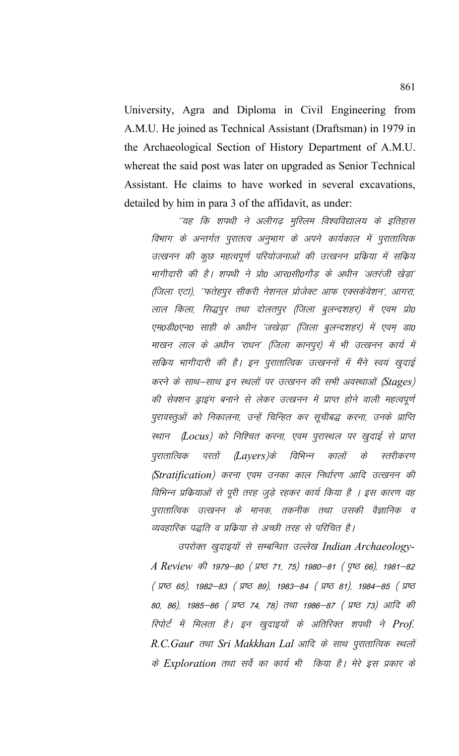University, Agra and Diploma in Civil Engineering from A.M.U. He joined as Technical Assistant (Draftsman) in 1979 in the Archaeological Section of History Department of A.M.U. whereat the said post was later on upgraded as Senior Technical Assistant. He claims to have worked in several excavations, detailed by him in para 3 of the affidavit, as under:

''यह कि शपथी ने अलीगढ मुस्लिम विश्वविद्यालय के इतिहास विभाग के अन्तर्गत पुरातत्व अनुभाग के अपने कार्यकाल में पुरातात्विक उत्खनन की कुछ महत्वपूर्ण परियोजनाओं की उत्खनन प्रक्रिया में सक्रिय भागीदारी की है। शपथी ने प्रो0 आर0सी0गौड़ के अधीन 'अतरंजी खेड़ा' (जिला एटा), ''फतेहपूर सीकरी नेशनल प्रोजेक्ट आफ एक्सकेवेशन', आगरा, लाल किला, सिद्धपूर तथा दोलतपूर (जिला बूलन्दशहर) में एवम प्रो0 एम0डी0एन0 साही के अधीन 'जखेड़ा' (जिला बुलन्दशहर) में एवम् डा0 माखन लाल के अधीन 'राधन' (जिला कानपूर) में भी उत्खनन कार्य में सक्रिय भागीदारी की है। इन पुरातात्विक उत्खननों में मैंने स्वयं खुदाई करने के साथ–साथ इन स्थलों पर उत्खनन की सभी अवस्थाओं (Stages) की सेक्शन ड्राइंग बनाने से लेकर उत्खनन में प्राप्त होने वाली महत्वपूर्ण पुरावस्तुओं को निकालना, उन्हें चिन्हित कर सूचीबद्ध करना, उनके प्राप्ति स्थान (Locus) को निश्चित करना, एवम पुरास्थल पर खुदाई से प्राप्त परतों (Layers)के विभिन्न पुरातात्विक कालों  $\overrightarrow{d}$ स्तरीकरण (Stratification) करना एवम उनका काल निर्धारण आदि उत्खनन की विभिन्न प्रक्रियाओं से पूरी तरह जूड़े रहकर कार्य किया है । इस कारण वह पुरातात्विक उत्खनन के मानक, तकनीक तथा उसकी वैज्ञानिक व व्यवहारिक पद्धति व प्रक्रिया से अच्छी तरह से परिचित है।

उपरोक्त खुदाइयों से सम्बन्धित उल्लेख Indian Archaeology-A Review की 1979-80 (प्रष्ट 71, 75) 1980-81 (पृष्ठ 66), 1981-82 ( ਸ਼ਾਰ 65), 1982-83 ( ਸ਼ਾਰ 89), 1983-84 ( ਸ਼ਾਰ 81), 1984-85 ( ਸ਼ਾਰ 80, 86), 1985–86 (प्रष्ठ 74, 78) तथा 1986–87 (प्रष्ठ 73) आदि की रिपोर्ट में मिलता है। इन खुदाइयों के अतिरिक्त शपथी ने Prof. R.C.Gaur तथा Sri Makkhan Lal आदि के साथ पुरातात्विक स्थलों के Exploration तथा सर्वे का कार्य भी किया है। मेरे इस प्रकार के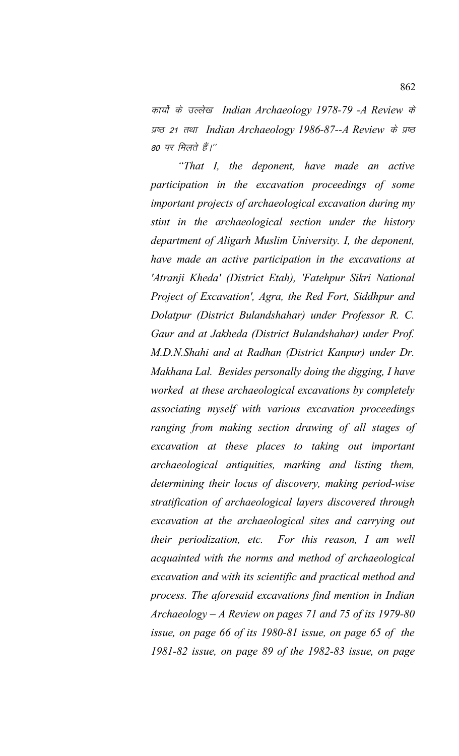कार्यों के उल्लेख Indian Archaeology 1978-79 -A Review के प्रष्ठ 21 तथा Indian Archaeology 1986-87--A Review के प्रष्ठ 80 पर मिलते हैं।''

*"That I, the deponent, have made an active participation in the excavation proceedings of some important projects of archaeological excavation during my stint in the archaeological section under the history department of Aligarh Muslim University. I, the deponent, have made an active participation in the excavations at 'Atranji Kheda' (District Etah), 'Fatehpur Sikri National Project of Excavation', Agra, the Red Fort, Siddhpur and Dolatpur (District Bulandshahar) under Professor R. C. Gaur and at Jakheda (District Bulandshahar) under Prof. M.D.N.Shahi and at Radhan (District Kanpur) under Dr. Makhana Lal. Besides personally doing the digging, I have worked at these archaeological excavations by completely associating myself with various excavation proceedings ranging from making section drawing of all stages of excavation at these places to taking out important archaeological antiquities, marking and listing them, determining their locus of discovery, making period-wise stratification of archaeological layers discovered through excavation at the archaeological sites and carrying out their periodization, etc. For this reason, I am well acquainted with the norms and method of archaeological excavation and with its scientific and practical method and process. The aforesaid excavations find mention in Indian Archaeology – A Review on pages 71 and 75 of its 1979-80 issue, on page 66 of its 1980-81 issue, on page 65 of the 1981-82 issue, on page 89 of the 1982-83 issue, on page*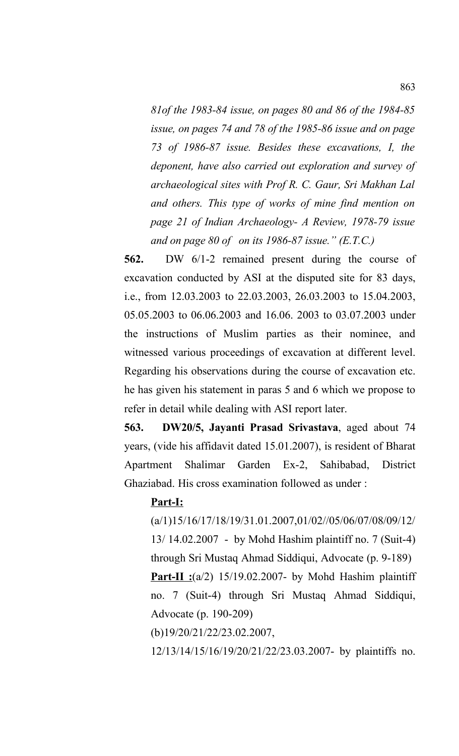*81of the 1983-84 issue, on pages 80 and 86 of the 1984-85 issue, on pages 74 and 78 of the 1985-86 issue and on page 73 of 1986-87 issue. Besides these excavations, I, the deponent, have also carried out exploration and survey of archaeological sites with Prof R. C. Gaur, Sri Makhan Lal and others. This type of works of mine find mention on page 21 of Indian Archaeology- A Review, 1978-79 issue and on page 80 of on its 1986-87 issue." (E.T.C.)*

**562.** DW 6/1-2 remained present during the course of excavation conducted by ASI at the disputed site for 83 days, i.e., from 12.03.2003 to 22.03.2003, 26.03.2003 to 15.04.2003, 05.05.2003 to 06.06.2003 and 16.06. 2003 to 03.07.2003 under the instructions of Muslim parties as their nominee, and witnessed various proceedings of excavation at different level. Regarding his observations during the course of excavation etc. he has given his statement in paras 5 and 6 which we propose to refer in detail while dealing with ASI report later.

**563. DW20/5, Jayanti Prasad Srivastava**, aged about 74 years, (vide his affidavit dated 15.01.2007), is resident of Bharat Apartment Shalimar Garden Ex-2, Sahibabad, District Ghaziabad. His cross examination followed as under :

## **Part-I:**

(a/1)15/16/17/18/19/31.01.2007,01/02//05/06/07/08/09/12/ 13/ 14.02.2007 - by Mohd Hashim plaintiff no. 7 (Suit-4) through Sri Mustaq Ahmad Siddiqui, Advocate (p. 9-189) **Part-II :**(a/2) 15/19.02.2007- by Mohd Hashim plaintiff no. 7 (Suit-4) through Sri Mustaq Ahmad Siddiqui, Advocate (p. 190-209)

(b)19/20/21/22/23.02.2007,

12/13/14/15/16/19/20/21/22/23.03.2007- by plaintiffs no.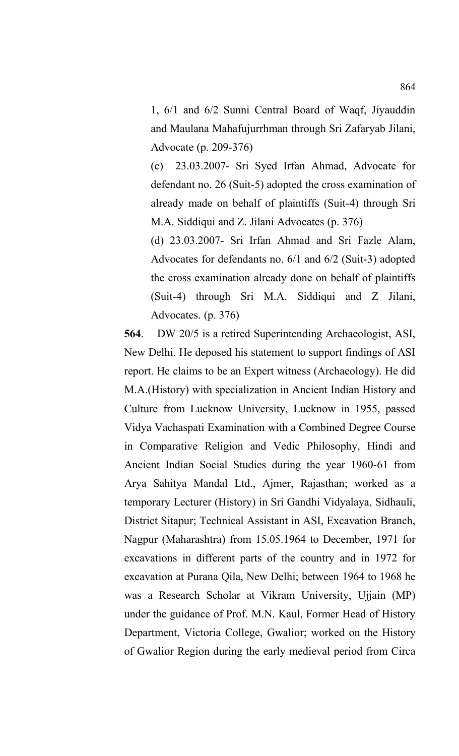1, 6/1 and 6/2 Sunni Central Board of Waqf, Jiyauddin and Maulana Mahafujurrhman through Sri Zafaryab Jilani, Advocate (p. 209-376)

(c) 23.03.2007- Sri Syed Irfan Ahmad, Advocate for defendant no. 26 (Suit-5) adopted the cross examination of already made on behalf of plaintiffs (Suit-4) through Sri M.A. Siddiqui and Z. Jilani Advocates (p. 376)

(d) 23.03.2007- Sri Irfan Ahmad and Sri Fazle Alam, Advocates for defendants no. 6/1 and 6/2 (Suit-3) adopted the cross examination already done on behalf of plaintiffs (Suit-4) through Sri M.A. Siddiqui and Z Jilani, Advocates. (p. 376)

**564**. DW 20/5 is a retired Superintending Archaeologist, ASI, New Delhi. He deposed his statement to support findings of ASI report. He claims to be an Expert witness (Archaeology). He did M.A.(History) with specialization in Ancient Indian History and Culture from Lucknow University, Lucknow in 1955, passed Vidya Vachaspati Examination with a Combined Degree Course in Comparative Religion and Vedic Philosophy, Hindi and Ancient Indian Social Studies during the year 1960-61 from Arya Sahitya Mandal Ltd., Ajmer, Rajasthan; worked as a temporary Lecturer (History) in Sri Gandhi Vidyalaya, Sidhauli, District Sitapur; Technical Assistant in ASI, Excavation Branch, Nagpur (Maharashtra) from 15.05.1964 to December, 1971 for excavations in different parts of the country and in 1972 for excavation at Purana Qila, New Delhi; between 1964 to 1968 he was a Research Scholar at Vikram University, Ujjain (MP) under the guidance of Prof. M.N. Kaul, Former Head of History Department, Victoria College, Gwalior; worked on the History of Gwalior Region during the early medieval period from Circa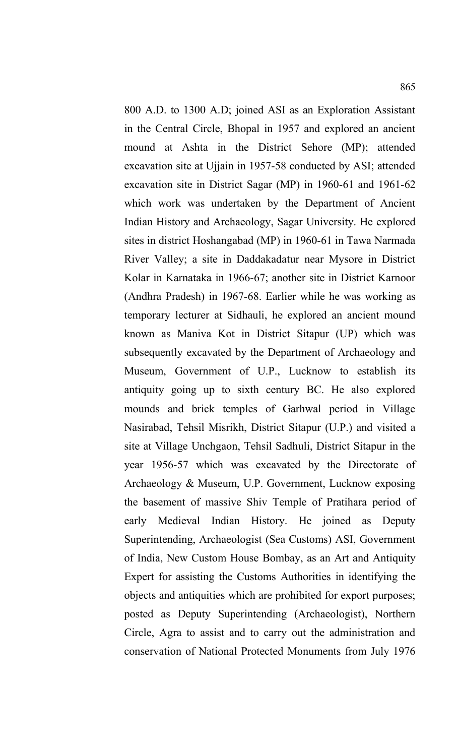800 A.D. to 1300 A.D; joined ASI as an Exploration Assistant in the Central Circle, Bhopal in 1957 and explored an ancient mound at Ashta in the District Sehore (MP); attended excavation site at Ujjain in 1957-58 conducted by ASI; attended excavation site in District Sagar (MP) in 1960-61 and 1961-62 which work was undertaken by the Department of Ancient Indian History and Archaeology, Sagar University. He explored sites in district Hoshangabad (MP) in 1960-61 in Tawa Narmada River Valley; a site in Daddakadatur near Mysore in District Kolar in Karnataka in 1966-67; another site in District Karnoor (Andhra Pradesh) in 1967-68. Earlier while he was working as temporary lecturer at Sidhauli, he explored an ancient mound known as Maniva Kot in District Sitapur (UP) which was subsequently excavated by the Department of Archaeology and Museum, Government of U.P., Lucknow to establish its antiquity going up to sixth century BC. He also explored mounds and brick temples of Garhwal period in Village Nasirabad, Tehsil Misrikh, District Sitapur (U.P.) and visited a site at Village Unchgaon, Tehsil Sadhuli, District Sitapur in the year 1956-57 which was excavated by the Directorate of Archaeology & Museum, U.P. Government, Lucknow exposing the basement of massive Shiv Temple of Pratihara period of early Medieval Indian History. He joined as Deputy Superintending, Archaeologist (Sea Customs) ASI, Government of India, New Custom House Bombay, as an Art and Antiquity Expert for assisting the Customs Authorities in identifying the objects and antiquities which are prohibited for export purposes; posted as Deputy Superintending (Archaeologist), Northern

Circle, Agra to assist and to carry out the administration and conservation of National Protected Monuments from July 1976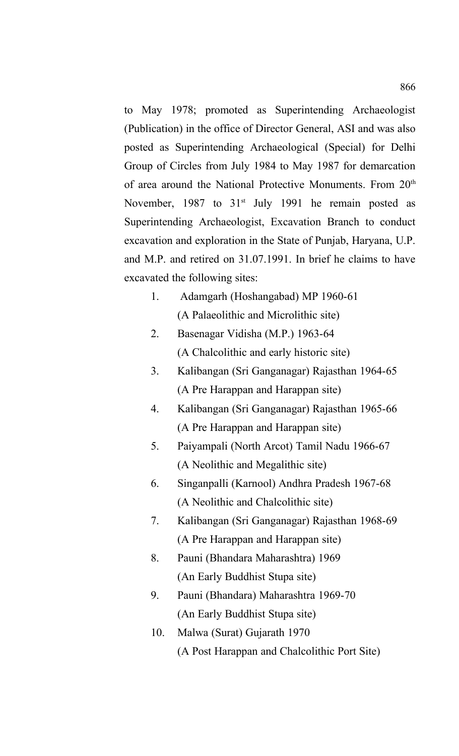to May 1978; promoted as Superintending Archaeologist (Publication) in the office of Director General, ASI and was also posted as Superintending Archaeological (Special) for Delhi Group of Circles from July 1984 to May 1987 for demarcation of area around the National Protective Monuments. From 20<sup>th</sup> November, 1987 to  $31<sup>st</sup>$  July 1991 he remain posted as Superintending Archaeologist, Excavation Branch to conduct excavation and exploration in the State of Punjab, Haryana, U.P. and M.P. and retired on 31.07.1991. In brief he claims to have excavated the following sites:

- 1. Adamgarh (Hoshangabad) MP 1960-61 (A Palaeolithic and Microlithic site)
- 2. Basenagar Vidisha (M.P.) 1963-64 (A Chalcolithic and early historic site)
- 3. Kalibangan (Sri Ganganagar) Rajasthan 1964-65 (A Pre Harappan and Harappan site)
- 4. Kalibangan (Sri Ganganagar) Rajasthan 1965-66 (A Pre Harappan and Harappan site)
- 5. Paiyampali (North Arcot) Tamil Nadu 1966-67 (A Neolithic and Megalithic site)
- 6. Singanpalli (Karnool) Andhra Pradesh 1967-68 (A Neolithic and Chalcolithic site)
- 7. Kalibangan (Sri Ganganagar) Rajasthan 1968-69 (A Pre Harappan and Harappan site)
- 8. Pauni (Bhandara Maharashtra) 1969 (An Early Buddhist Stupa site)
- 9. Pauni (Bhandara) Maharashtra 1969-70 (An Early Buddhist Stupa site)
- 10. Malwa (Surat) Gujarath 1970 (A Post Harappan and Chalcolithic Port Site)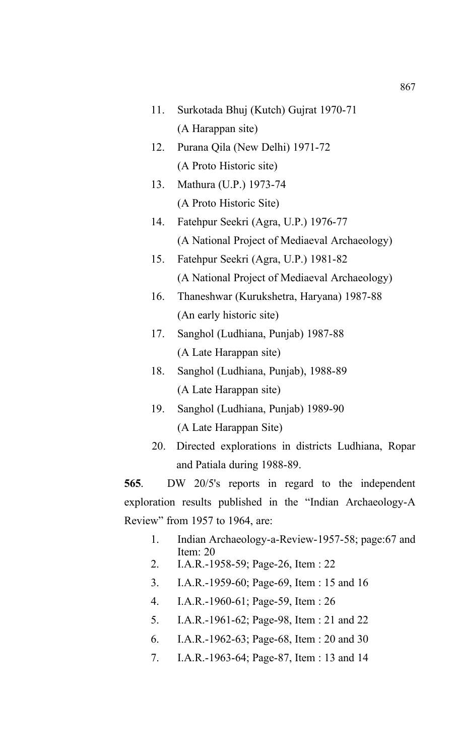- 11. Surkotada Bhuj (Kutch) Gujrat 1970-71 (A Harappan site)
- 12. Purana Qila (New Delhi) 1971-72 (A Proto Historic site)
- 13. Mathura (U.P.) 1973-74 (A Proto Historic Site)
- 14. Fatehpur Seekri (Agra, U.P.) 1976-77 (A National Project of Mediaeval Archaeology)
- 15. Fatehpur Seekri (Agra, U.P.) 1981-82 (A National Project of Mediaeval Archaeology)
- 16. Thaneshwar (Kurukshetra, Haryana) 1987-88 (An early historic site)
- 17. Sanghol (Ludhiana, Punjab) 1987-88 (A Late Harappan site)
- 18. Sanghol (Ludhiana, Punjab), 1988-89 (A Late Harappan site)
- 19. Sanghol (Ludhiana, Punjab) 1989-90 (A Late Harappan Site)
- 20. Directed explorations in districts Ludhiana, Ropar and Patiala during 1988-89.

**565**. DW 20/5's reports in regard to the independent exploration results published in the "Indian Archaeology-A Review" from 1957 to 1964, are:

- 1. Indian Archaeology-a-Review-1957-58; page:67 and Item<sup>20</sup>
- 2. I.A.R.-1958-59; Page-26, Item : 22
- 3. I.A.R.-1959-60; Page-69, Item : 15 and 16
- 4. I.A.R.-1960-61; Page-59, Item : 26
- 5. I.A.R.-1961-62; Page-98, Item : 21 and 22
- 6. I.A.R.-1962-63; Page-68, Item : 20 and 30
- 7. I.A.R.-1963-64; Page-87, Item : 13 and 14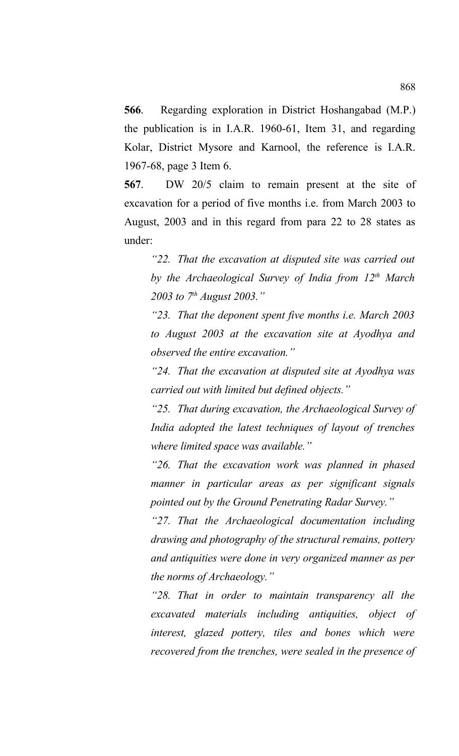**566**. Regarding exploration in District Hoshangabad (M.P.) the publication is in I.A.R. 1960-61, Item 31, and regarding Kolar, District Mysore and Karnool, the reference is I.A.R. 1967-68, page 3 Item 6.

**567**. DW 20/5 claim to remain present at the site of excavation for a period of five months i.e. from March 2003 to August, 2003 and in this regard from para 22 to 28 states as under:

*"22. That the excavation at disputed site was carried out by the Archaeological Survey of India from 12th March 2003 to 7th August 2003."*

*"23. That the deponent spent five months i.e. March 2003 to August 2003 at the excavation site at Ayodhya and observed the entire excavation."*

*"24. That the excavation at disputed site at Ayodhya was carried out with limited but defined objects."*

*"25. That during excavation, the Archaeological Survey of India adopted the latest techniques of layout of trenches where limited space was available."*

*"26. That the excavation work was planned in phased manner in particular areas as per significant signals pointed out by the Ground Penetrating Radar Survey."*

*"27. That the Archaeological documentation including drawing and photography of the structural remains, pottery and antiquities were done in very organized manner as per the norms of Archaeology."*

*"28. That in order to maintain transparency all the excavated materials including antiquities, object of interest, glazed pottery, tiles and bones which were recovered from the trenches, were sealed in the presence of*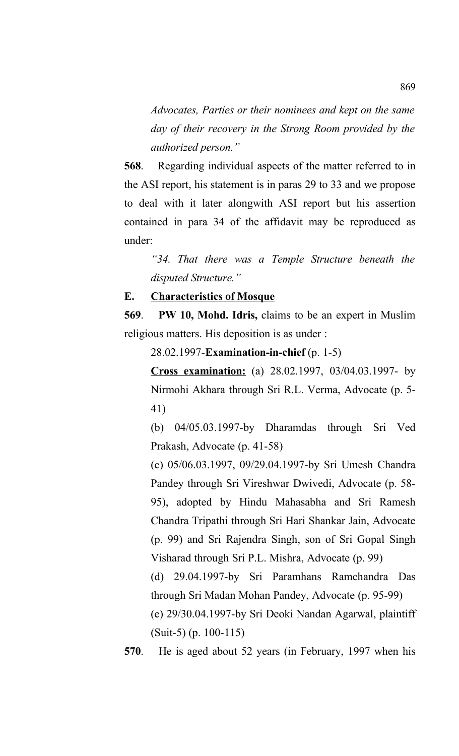*Advocates, Parties or their nominees and kept on the same day of their recovery in the Strong Room provided by the authorized person."*

**568**.Regarding individual aspects of the matter referred to in the ASI report, his statement is in paras 29 to 33 and we propose to deal with it later alongwith ASI report but his assertion contained in para 34 of the affidavit may be reproduced as under:

*"34. That there was a Temple Structure beneath the disputed Structure."*

**E. Characteristics of Mosque**

**569**. **PW 10, Mohd. Idris,** claims to be an expert in Muslim religious matters. His deposition is as under :

28.02.1997-**Examination-in-chief** (p. 1-5)

**Cross examination:** (a) 28.02.1997, 03/04.03.1997- by Nirmohi Akhara through Sri R.L. Verma, Advocate (p. 5- 41)

(b) 04/05.03.1997-by Dharamdas through Sri Ved Prakash, Advocate (p. 41-58)

(c) 05/06.03.1997, 09/29.04.1997-by Sri Umesh Chandra Pandey through Sri Vireshwar Dwivedi, Advocate (p. 58- 95), adopted by Hindu Mahasabha and Sri Ramesh Chandra Tripathi through Sri Hari Shankar Jain, Advocate (p. 99) and Sri Rajendra Singh, son of Sri Gopal Singh Visharad through Sri P.L. Mishra, Advocate (p. 99)

(d) 29.04.1997-by Sri Paramhans Ramchandra Das through Sri Madan Mohan Pandey, Advocate (p. 95-99)

(e) 29/30.04.1997-by Sri Deoki Nandan Agarwal, plaintiff (Suit-5) (p. 100-115)

**570**. He is aged about 52 years (in February, 1997 when his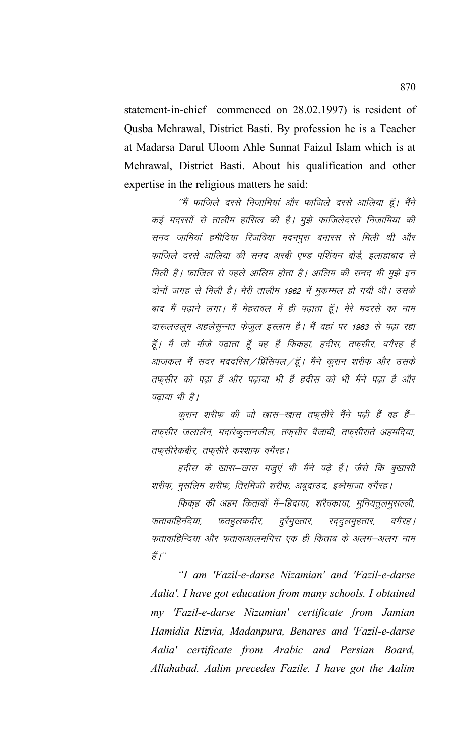statement-in-chief commenced on 28.02.1997) is resident of Qusba Mehrawal, District Basti. By profession he is a Teacher at Madarsa Darul Uloom Ahle Sunnat Faizul Islam which is at Mehrawal, District Basti. About his qualification and other expertise in the religious matters he said:

''मैं फाजिले दरसे निजामियां और फाजिले दरसे आलिया हूँ। मैंने कई मदरसों से तालीम हासिल की है। मुझे फाजिलेदरसे निजामिया की सनद जामियां हमीदिया रिजविया मदनपुरा बनारस से मिली थी और फाजिले दरसे आलिया की सनद अरबी एण्ड पर्शियन बोर्ड, इलाहाबाद से मिली है। फाजिल से पहले आलिम होता है। आलिम की सनद भी मुझे इन दोनों जगह से मिली है। मेरी तालीम 1962 में मुकम्मल हो गयी थी। उसके बाद मैं पढ़ाने लगा। मैं मेहरावल में ही पढ़ाता हूँ। मेरे मदरसे का नाम दारूलउलूम अहलेसुन्नत फेजुल इस्लाम है। मैं वहां पर 1963 से पढ़ा रहा हूँ। मैं जो मौजे पढ़ाता हूँ वह हैं फिकहा, ह़दीस, तफ़्सीर, वगैरह हैं आजकल मैं सदर मददरिस ⁄ प्रिंसिपल ⁄ हूँ । मैंने कुरान शरीफ और उसके तफ़सीर को पढ़ा हैं और पढ़ाया भी हैं ह़दीस को भी मैंने पढ़ा है और पढाया भी है।

कूरान शरीफ की जो खास–खास तफ़सीरे मैंने पढ़ी हैं वह हैं– तफ़्सीर जलालैन, मदारेकुत्तनजील, तफ़्सीर वैजावी, तफ़्सीराते अहमदिया, तफुसीरेकबीर, तफुसीरे कश्शाफ वगैरह।

हदीस के खास–खास मजूएं भी मैंने पढे हैं। जैसे कि बुखासी शरीफ, मुसलिम शरीफ, तिरमिजी शरीफ, अबूदाउद, इब्नेमाजा वगैरह।

फिकह की अहम किताबों में–हिदाया, शरैवकाया, मुनियतूलमुसल्ली, फतहुलकदीर, दुर्रमुख्तार, फतावाहिनदेया, *रददुलमुहतार,* वगैरह। फतावाहिन्दिया और फतावाआलमगिरा एक ही किताब के अलग–अलग नाम हैं।''

"I am 'Fazil-e-darse Nizamian' and 'Fazil-e-darse Aalia'. I have got education from many schools. I obtained my 'Fazil-e-darse Nizamian' certificate from Jamian Hamidia Rizvia, Madanpura, Benares and 'Fazil-e-darse Aalia' certificate from Arabic and Persian Board, Allahabad. Aalim precedes Fazile. I have got the Aalim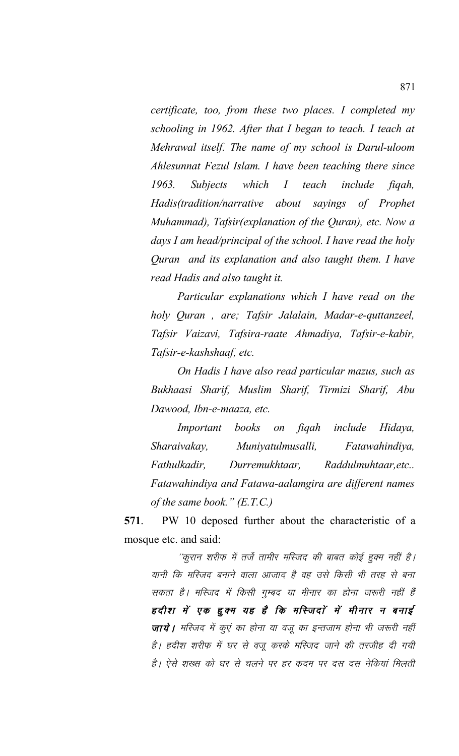*certificate, too, from these two places. I completed my schooling in 1962. After that I began to teach. I teach at Mehrawal itself. The name of my school is Darul-uloom Ahlesunnat Fezul Islam. I have been teaching there since 1963. Subjects which I teach include fiqah, Hadis(tradition/narrative about sayings of Prophet Muhammad), Tafsir(explanation of the Quran), etc. Now a days I am head/principal of the school. I have read the holy Quran and its explanation and also taught them. I have read Hadis and also taught it.*

*Particular explanations which I have read on the holy Quran , are; Tafsir Jalalain, Madar-e-quttanzeel, Tafsir Vaizavi, Tafsira-raate Ahmadiya, Tafsir-e-kabir, Tafsir-e-kashshaaf, etc.*

*On Hadis I have also read particular mazus, such as Bukhaasi Sharif, Muslim Sharif, Tirmizi Sharif, Abu Dawood, Ibn-e-maaza, etc.*

*Important books on fiqah include Hidaya, Sharaivakay, Muniyatulmusalli, Fatawahindiya, Fathulkadir, Durremukhtaar, Raddulmuhtaar,etc.. Fatawahindiya and Fatawa-aalamgira are different names of the same book." (E.T.C.)* 

**571**. PW 10 deposed further about the characteristic of a mosque etc. and said:

''कुरान शरीफ में तर्जे तामीर मस्जिद की बाबत कोई हुक्म नहीं है। यानी कि मस्जिद बनाने वाला आजाद है वह उसे किसी भी तरह से बना सकता है। मस्जिद में किसी गुम्बद या मीनार का होना जरूरी नहीं हैं हदीश में एक हुक्म यह है कि मस्जिदों में मीनार न बनाई **जाये।** मस्जिद में कुएं का होना या वजू का इन्तजाम होना भी जरूरी नहीं है। हदीश शरीफ में घर से वजू करके मस्जिद जाने की तरजीह दी गयी है। ऐसे शख्स को घर से चलने पर हर कदम पर दस दस नेकियां मिलती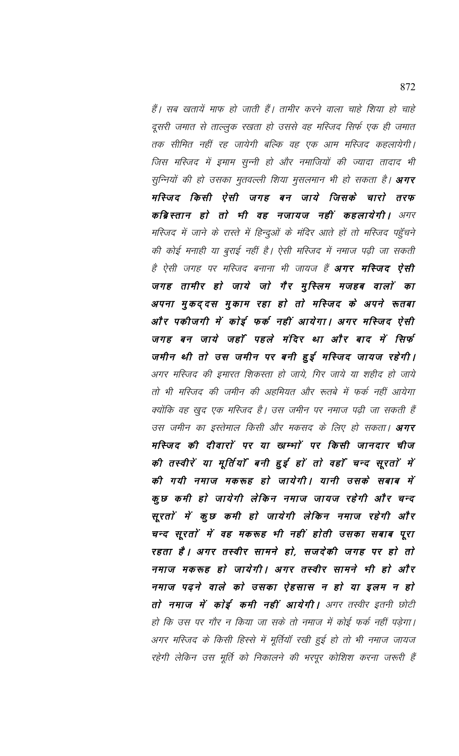हैं। सब खतायें माफ हो जाती हैं। तामीर करने वाला चाहे शिया हो चाहे दूसरी जमात से ताल्लुक रखता हो उससे वह मस्जिद सिर्फ एक ही जमात तक सीमित नहीं रह जायेगी बल्कि वह एक आम मस्जिद कहलायेगी। जिस मस्जिद में इ़माम सुन्नी हो और नमाजियों की ज्यादा तादाद भी सुन्नियों की हो उसका मुतवल्ली शिया मुसलमान भी हो सकता है। **अगर** मस्जिद किसी ऐसी जगह बन जाये जिसके चारो तरफ कब्रिस्तान हो तो भी वह नजायज नहीं कहलायेगी। अगर मस्जिद में जाने के रास्ते में हिन्दुओं के मंदिर आते हों तो मस्जिद पहुँचने की कोई मनाही या बुराई नहीं है। ऐसी मस्जिद में नमाज पढ़ी जा सकती है ऐसी जगह पर मस्जिद बनाना भी जायज हैं **अगर मस्जिद ऐसी** जगह तामीर हो जाये जो गैर मुस्लिम मजहब वालों का अपना मुकददस मुकाम रहा हो तो मस्जिद के अपने रूतबा और पकीजगी में कोई फर्क नहीं आयेगा। अगर मस्जिद ऐसी जगह बन जाये जहाँ पहले मंदिर था और बाद में सिर्फ जमीन थी तो उस जमीन पर बनी हुई मस्जिद जायज रहेगी। अगर मस्जिद की इमारत शिकस्ता हो जाये, गिर जाये या शहीद हो जाये तो भी मस्जिद की जमीन की अहमियत और रूतबे में फर्क नहीं आयेगा क्योंकि वह खुद एक मस्जिद है। उस जमीन पर नमाज पढ़ी जा सकती हैं उस जमीन का इस्तेमाल किसी और मकसद के लिए हो सकता। अगर मस्जिद की दीवारों पर या खम्भों पर किसी जानदार चीज की तस्वीरें या मूर्तियाँ बनी हुई हों तो वहाँ चन्द सूरतों में की गयी नमाज मकरूह हो जायेगी। यानी उसके सबाब में कुछ कमी हो जायेगी लेकिन नमाज जायज रहेगी और चन्द सूरतों में कुछ कमी हो जायेगी लेकिन नमाज रहेगी और चन्द सूरतों में वह मकरूह भी नहीं होती उसका सबाब पूरा रहता है। अगर तस्वीर सामने हो, सजदेकी जगह पर हो तो नमाज मकरूह हो जायेगी। अगर तस्वीर सामने भी हो और नमाज पढ़ने वाले को उसका ऐहसास न हो या इलम न हो तो नमाज में कोई कमी नहीं आयेगी। अगर तस्वीर इतनी छोटी हो कि उस पर गौर न किया जा सके तो नमाज में कोई फर्क नहीं पड़ेगा। अगर मस्जिद के किसी हिस्से में मूर्तियॉ रखी हुई हो तो भी नमाज जायज रहेगी लेकिन उस मूर्ति को निकालने की भरपूर कोशिश करना जरूरी हैं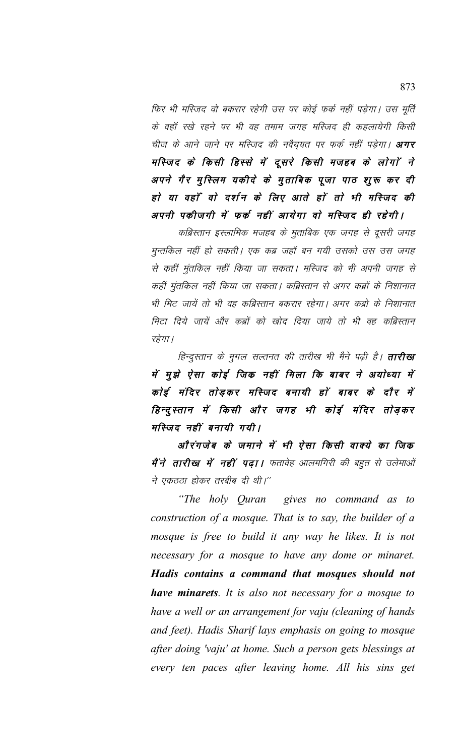फिर भी मस्जिद वो बकरार रहेगी उस पर कोई फर्क नहीं पड़ेगा। उस मूर्ति के वहाँ रखे रहने पर भी वह तमाम जगह मस्जिद ही कहलायेगी किसी चीज के आने जाने पर मस्जिद की नवैय़यत पर फर्क नहीं पड़ेगा। **अगर** मस्जिद के किसी हिस्से में दूसरे किसी मजहब के लोगों ने अपने गैर मुस्लिम यकीदे के मुताबिक पूजा पाठ शुरू कर दी हो या वहाँ वो दर्शन के लिए आते हों तो भी मस्जिद की अपनी पकीजगी में फर्क नहीं आयेगा वो मस्जिद ही रहेगी।

कब्रिस्तान इस्लामिक मजहब के मुताबिक एक जगह से दूसरी जगह मुन्तकिल नहीं हो सकती। एक कब्र जहाँ बन गयी उसको उस उस जगह से कहीं मुंतकिल नहीं किया जा सकता। मस्जिद को भी अपनी जगह से कहीं मुंतकिल नहीं किया जा सकता। कब्रिस्तान से अगर कब्रों के निशानात भी मिट जायें तो भी वह कब्रिस्तान बकरार रहेगा। अगर कब्रो के निशानात मिटा दिये जायें और कब्रों को खोद दिया जाये तो भी वह कब्रिस्तान रहेगा।

हिन्दूस्तान के मुगल सल्तनत की तारीख भी मैने पढ़ी है। **तारीख** में मुझे ऐसा कोई जिंक नहीं मिला कि बाबर ने अयोध्या में कोई मंदिर तोड़कर मस्जिद बनायी हों बाबर के दौर में हिन्दुस्तान में किसी और जगह भी कोई मंदिर तोड़कर मस्जिद नहीं बनायी गयी।

औरंगजेब के जमाने में भी ऐसा किसी वाक्ये का जिक मैं ने तारीख में नहीं पढ़ा। फतावेह आलमगिरी की बहुत से उलेमाओं ने एकठठा होकर तरबीब दी थी।"

"The holy Quran gives no command as to construction of a mosque. That is to say, the builder of a mosque is free to build it any way he likes. It is not necessary for a mosque to have any dome or minaret. Hadis contains a command that mosques should not **have minarets**. It is also not necessary for a mosque to have a well or an arrangement for vaju (cleaning of hands and feet). Hadis Sharif lays emphasis on going to mosque after doing 'vaju' at home. Such a person gets blessings at every ten paces after leaving home. All his sins get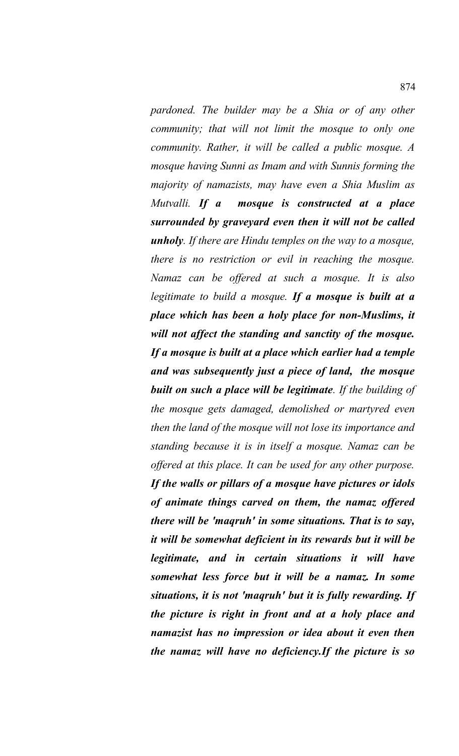*pardoned. The builder may be a Shia or of any other community; that will not limit the mosque to only one community. Rather, it will be called a public mosque. A mosque having Sunni as Imam and with Sunnis forming the majority of namazists, may have even a Shia Muslim as Mutvalli. If a mosque is constructed at a place surrounded by graveyard even then it will not be called unholy. If there are Hindu temples on the way to a mosque, there is no restriction or evil in reaching the mosque. Namaz can be offered at such a mosque. It is also legitimate to build a mosque. If a mosque is built at a place which has been a holy place for non-Muslims, it will not affect the standing and sanctity of the mosque. If a mosque is built at a place which earlier had a temple and was subsequently just a piece of land, the mosque built on such a place will be legitimate. If the building of the mosque gets damaged, demolished or martyred even then the land of the mosque will not lose its importance and standing because it is in itself a mosque. Namaz can be offered at this place. It can be used for any other purpose. If the walls or pillars of a mosque have pictures or idols of animate things carved on them, the namaz offered there will be 'maqruh' in some situations. That is to say, it will be somewhat deficient in its rewards but it will be legitimate, and in certain situations it will have somewhat less force but it will be a namaz. In some situations, it is not 'maqruh' but it is fully rewarding. If the picture is right in front and at a holy place and namazist has no impression or idea about it even then the namaz will have no deficiency.If the picture is so*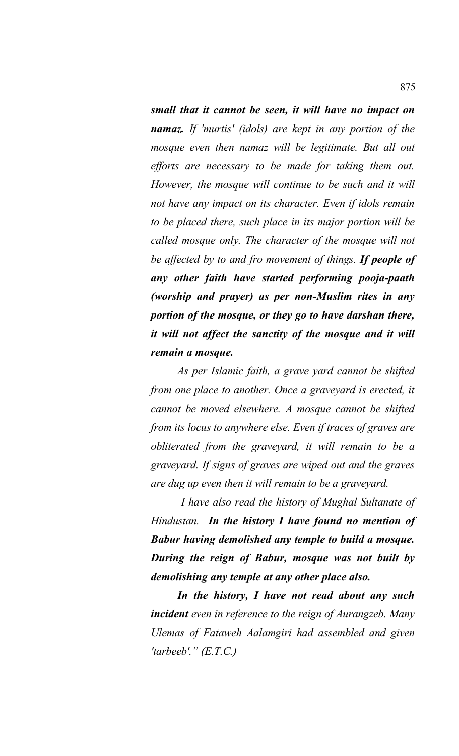*small that it cannot be seen, it will have no impact on namaz. If 'murtis' (idols) are kept in any portion of the mosque even then namaz will be legitimate. But all out efforts are necessary to be made for taking them out. However, the mosque will continue to be such and it will not have any impact on its character. Even if idols remain to be placed there, such place in its major portion will be called mosque only. The character of the mosque will not be affected by to and fro movement of things. If people of any other faith have started performing pooja-paath (worship and prayer) as per non-Muslim rites in any portion of the mosque, or they go to have darshan there, it will not affect the sanctity of the mosque and it will remain a mosque.* 

*As per Islamic faith, a grave yard cannot be shifted from one place to another. Once a graveyard is erected, it cannot be moved elsewhere. A mosque cannot be shifted from its locus to anywhere else. Even if traces of graves are obliterated from the graveyard, it will remain to be a graveyard. If signs of graves are wiped out and the graves are dug up even then it will remain to be a graveyard.* 

 *I have also read the history of Mughal Sultanate of Hindustan. In the history I have found no mention of Babur having demolished any temple to build a mosque. During the reign of Babur, mosque was not built by demolishing any temple at any other place also.*

*In the history, I have not read about any such incident even in reference to the reign of Aurangzeb. Many Ulemas of Fataweh Aalamgiri had assembled and given 'tarbeeb'." (E.T.C.)*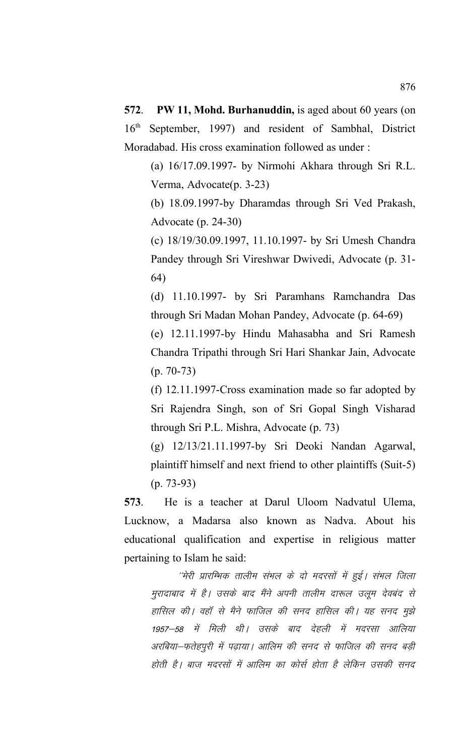**572**.**PW 11, Mohd. Burhanuddin,** is aged about 60 years (on 16th September, 1997) and resident of Sambhal, District Moradabad. His cross examination followed as under :

(a) 16/17.09.1997- by Nirmohi Akhara through Sri R.L. Verma, Advocate(p. 3-23)

(b) 18.09.1997-by Dharamdas through Sri Ved Prakash, Advocate (p. 24-30)

(c) 18/19/30.09.1997, 11.10.1997- by Sri Umesh Chandra Pandey through Sri Vireshwar Dwivedi, Advocate (p. 31- 64)

(d) 11.10.1997- by Sri Paramhans Ramchandra Das through Sri Madan Mohan Pandey, Advocate (p. 64-69)

(e) 12.11.1997-by Hindu Mahasabha and Sri Ramesh Chandra Tripathi through Sri Hari Shankar Jain, Advocate (p. 70-73)

(f) 12.11.1997-Cross examination made so far adopted by Sri Rajendra Singh, son of Sri Gopal Singh Visharad through Sri P.L. Mishra, Advocate (p. 73)

(g) 12/13/21.11.1997-by Sri Deoki Nandan Agarwal, plaintiff himself and next friend to other plaintiffs (Suit-5) (p. 73-93)

**573**. He is a teacher at Darul Uloom Nadvatul Ulema, Lucknow, a Madarsa also known as Nadva. About his educational qualification and expertise in religious matter pertaining to Islam he said:

''मेरी प्रारम्भिक तालीम संभल के दो मदरसों में हुई। संभल जिला मुरादाबाद में है। उसके बाद मैंने अपनी तालीम दारूल उलूम देवबंद से हासिल की। वहॉ से मैने फाजिल की सनद हासिल की। यह सनद मुझे 1957—58 में मिली थी। उसके बाद देहली में मदरसा आलिया अरबिया-फतेहपुरी में पढ़ाया। आलिम की सनद से फाजिल की सनद बड़ी होती है। बाज मदरसों में आलिम का कोर्स होता है लेकिन उसकी सनद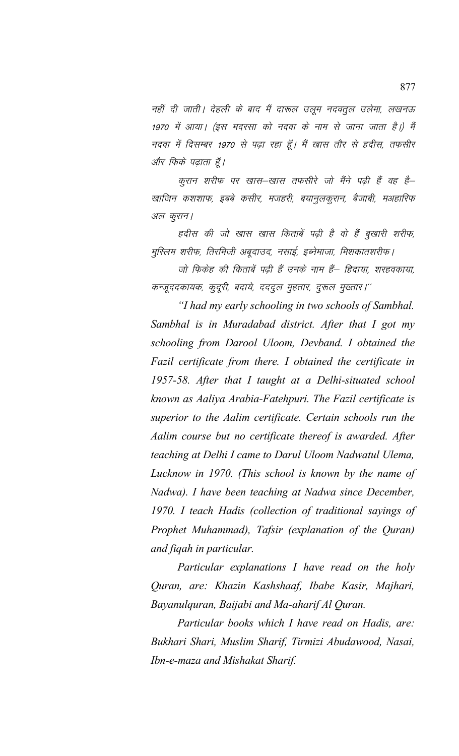नहीं दी जाती। देहली के बाद मैं दारूल उलूम नदवतूल उलेमा, लखनऊ 1970 में आया। (इस मदरसा को नदवा के नाम से जाना जाता है।) मैं नदवा में दिसम्बर 1970 से पढ़ा रहा हूँ। मैं खास तौर से हदीस, तफसीर और फिके पढ़ाता हूँ।

कुरान शरीफ पर खास–खास तफसीरे जो मैंने पढ़ी हैं वह है– खाजिन कशशाफ, इबबे कसीर, मजहरी, बयानूलकूरान, बैजाबी, मअहारिफ अल कुरान।

हदीस की जो खास खास किताबें पढ़ी है वो हैं बूखारी शरीफ, मुस्लिम शरीफ, तिरमिजी अबूदाउद, नसाई, इब्नेमाजा, मिशकातशरीफ।

जो फिकेह की किताबें पढ़ी हैं उनके नाम हैं— हिदाया, शरहवकाया, कन्जूददकायक, कुदूरी, बदाये, दददुल मुहतार, दुरूल मुख्तार।''

*"I had my early schooling in two schools of Sambhal. Sambhal is in Muradabad district. After that I got my schooling from Darool Uloom, Devband. I obtained the Fazil certificate from there. I obtained the certificate in 1957-58. After that I taught at a Delhi-situated school known as Aaliya Arabia-Fatehpuri. The Fazil certificate is superior to the Aalim certificate. Certain schools run the Aalim course but no certificate thereof is awarded. After teaching at Delhi I came to Darul Uloom Nadwatul Ulema, Lucknow in 1970. (This school is known by the name of Nadwa). I have been teaching at Nadwa since December, 1970. I teach Hadis (collection of traditional sayings of Prophet Muhammad), Tafsir (explanation of the Quran) and fiqah in particular.* 

*Particular explanations I have read on the holy Quran, are: Khazin Kashshaaf, Ibabe Kasir, Majhari, Bayanulquran, Baijabi and Ma-aharif Al Quran.* 

*Particular books which I have read on Hadis, are: Bukhari Shari, Muslim Sharif, Tirmizi Abudawood, Nasai, Ibn-e-maza and Mishakat Sharif.*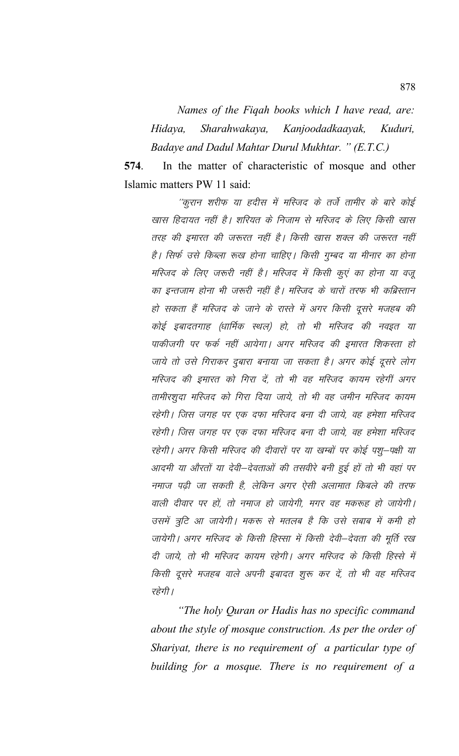Names of the Figah books which I have read, are: Sharahwakaya, Kanjoodadkaayak, Hidaya, Kuduri, Badaye and Dadul Mahtar Durul Mukhtar. " (E.T.C.)

In the matter of characteristic of mosque and other 574. Islamic matters PW 11 said:

''कूरान शरीफ या हदीस में मस्जिद के तर्जे तामीर के बारे कोई खास हिदायत नहीं है। शरियत के निजाम से मस्जिद के लिए किसी खास तरह की इमारत की जरूरत नहीं है। किसी खास शक्ल की जरूरत नहीं है। सिर्फ उसे किब्ला रूख होना चाहिए। किसी गुम्बद या मीनार का होना मस्जिद के लिए जरूरी नहीं है। मस्जिद में किसी कूएं का होना या वजू का इन्तजाम होना भी जरूरी नहीं है। मस्जिद के चारों तरफ भी कब्रिस्तान हो सकता हैं मस्जिद के जाने के रास्ते में अगर किसी दूसरे मजहब की कोई इबादतगाह (धार्मिक स्थल) हो, तो भी मस्जिद की नवइत या पाकीजगी पर फर्क नहीं आयेगा। अगर मस्जिद की इमारत शिकस्ता हो जाये तो उसे गिराकर दुबारा बनाया जा सकता है। अगर कोई दूसरे लोग मस्जिद की इमारत को गिरा दें, तो भी वह मस्जिद कायम रहेगीं अगर तामीरशुदा मस्जिद को गिरा दिया जाये, तो भी वह जमीन मस्जिद कायम रहेगी। जिस जगह पर एक दफा मस्जिद बना दी जाये, वह हमेशा मस्जिद रहेगी। जिस जगह पर एक दफा मस्जिद बना दी जाये, वह हमेशा मस्जिद रहेगी। अगर किसी मस्जिद की दीवारों पर या खम्बों पर कोई पशू–पक्षी या आदमी या औरतों या देवी–देवताओं की तसवीरे बनी हुई हों तो भी वहां पर नमाज पढी जा सकती है, लेकिन अगर ऐसी अलामात किबले की तरफ वाली दीवार पर हों, तो नमाज हो जायेगी, मगर वह मकरूह हो जायेगी। उसमें त्रूटि आ जायेगी। मकरू से मतलब है कि उसे सबाब में कमी हो जायेगी। अगर मस्जिद के किसी हिस्सा में किसी देवी–देवता की मूर्ति रख दी जाये, तो भी मस्जिद कायम रहेगी। अगर मस्जिद के किसी हिस्से में किसी दूसरे मजहब वाले अपनी इबादत शुरू कर दें, तो भी वह मस्जिद रहेगी ।

"The holy Quran or Hadis has no specific command about the style of mosque construction. As per the order of Shariyat, there is no requirement of a particular type of building for a mosque. There is no requirement of a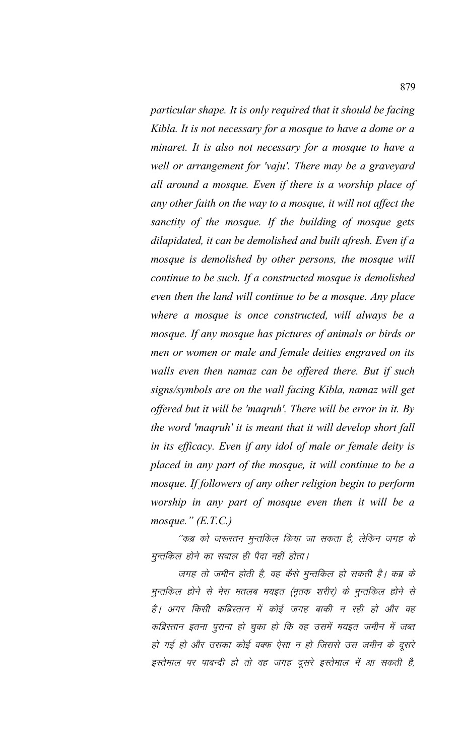particular shape. It is only required that it should be facing Kibla. It is not necessary for a mosque to have a dome or a minaret. It is also not necessary for a mosque to have a well or arrangement for 'vaju'. There may be a graveyard all around a mosque. Even if there is a worship place of any other faith on the way to a mosque, it will not affect the sanctity of the mosque. If the building of mosque gets dilapidated, it can be demolished and built afresh. Even if a mosque is demolished by other persons, the mosque will continue to be such. If a constructed mosque is demolished even then the land will continue to be a mosque. Any place where a mosque is once constructed, will always be a mosque. If any mosque has pictures of animals or birds or men or women or male and female deities engraved on its walls even then namaz can be offered there. But if such signs/symbols are on the wall facing Kibla, namaz will get offered but it will be 'magruh'. There will be error in it. By the word 'maqruh' it is meant that it will develop short fall in its efficacy. Even if any idol of male or female deity is placed in any part of the mosque, it will continue to be a mosque. If followers of any other religion begin to perform worship in any part of mosque even then it will be a mosque."  $(E.T.C.)$ 

''कब्र को जरूरतन मुन्तकिल किया जा सकता है, लेकिन जगह के मुन्तकिल होने का सवाल ही पैदा नहीं होता।

जगह तो जमीन होती है, वह कैसे मुन्तकिल हो सकती है। कब्र के मुन्तकिल होने से मेरा मतलब मयइत (मृतक शरीर) के मुन्तकिल होने से है। अगर किसी कब्रिस्तान में कोई जगह बाकी न रही हो और वह कब्रिस्तान इतना पुराना हो चुका हो कि वह उसमें मयइत जमीन में जब्त हो गई हो और उसका कोई वक्फ ऐसा न हो जिससे उस जमीन के दूसरे इस्तेमाल पर पाबन्दी हो तो वह जगह दूसरे इस्तेमाल में आ सकती है,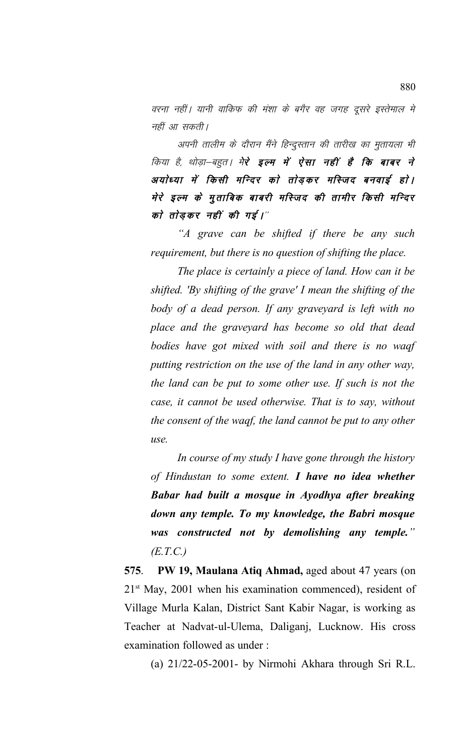वरना नहीं। यानी वाकिफ की मंशा के बगैर वह जगह दुसरे इस्तेमाल मे नहीं आ सकती।

अपनी तालीम के दौरान मैंने हिन्दुस्तान की तारीख का मुतायला भी किया है, थोड़ा–बहुत। मे**रे इल्म में ऐसा नहीं है कि बाबर ने** अयोध्या में किसी मन्दिर को तोड़कर मस्जिद बनवाई हो। मेरे इल्म के मुताबिक बाबरी मस्जिद की तामीर किसी मन्दिर को तोड़कर नहीं की गई।"

*"A grave can be shifted if there be any such requirement, but there is no question of shifting the place.* 

*The place is certainly a piece of land. How can it be shifted. 'By shifting of the grave' I mean the shifting of the body of a dead person. If any graveyard is left with no place and the graveyard has become so old that dead bodies have got mixed with soil and there is no waqf putting restriction on the use of the land in any other way, the land can be put to some other use. If such is not the case, it cannot be used otherwise. That is to say, without the consent of the waqf, the land cannot be put to any other use.* 

*In course of my study I have gone through the history of Hindustan to some extent. I have no idea whether Babar had built a mosque in Ayodhya after breaking down any temple. To my knowledge, the Babri mosque was constructed not by demolishing any temple." (E.T.C.)*

**575**. **PW 19, Maulana Atiq Ahmad,** aged about 47 years (on  $21<sup>st</sup>$  May, 2001 when his examination commenced), resident of Village Murla Kalan, District Sant Kabir Nagar, is working as Teacher at Nadvat-ul-Ulema, Daliganj, Lucknow. His cross examination followed as under :

(a) 21/22-05-2001- by Nirmohi Akhara through Sri R.L.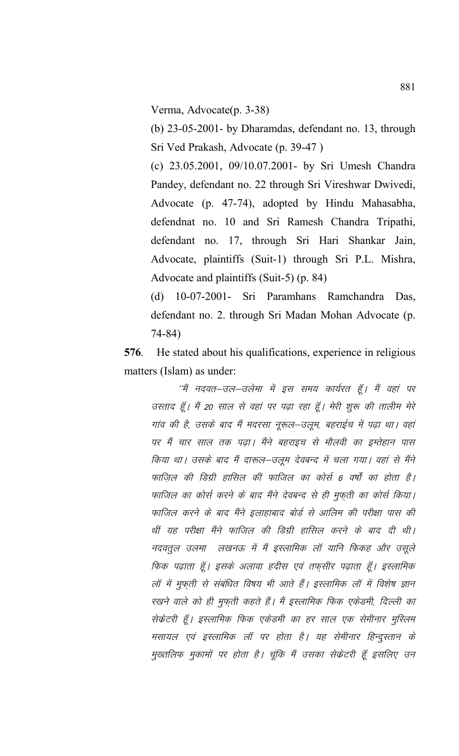Verma, Advocate(p. 3-38)

(b)  $23-05-2001$ - by Dharamdas, defendant no. 13, through Sri Ved Prakash, Advocate (p. 39-47)

(c) 23.05.2001, 09/10.07.2001- by Sri Umesh Chandra Pandey, defendant no. 22 through Sri Vireshwar Dwivedi, Advocate (p. 47-74), adopted by Hindu Mahasabha, defendnat no. 10 and Sri Ramesh Chandra Tripathi, defendant no. 17, through Sri Hari Shankar Jain, Advocate, plaintiffs (Suit-1) through Sri P.L. Mishra, Advocate and plaintiffs (Suit-5) (p. 84)

(d) 10-07-2001- Sri Paramhans Ramchandra Das, defendant no. 2. through Sri Madan Mohan Advocate (p.  $74 - 84$ 

576. He stated about his qualifications, experience in religious matters (Islam) as under:

''मैं नदवत–उल–उलेमा में इस समय कार्यरत हूँ। मैं वहां पर उस्ताद हूँ। मैं 20 साल से वहां पर पढ़ा रहा हूँ। मेरी शुरू की तालीम मेरे गांव की है, उसके बाद मैं मदरसा नूरूल–उलूम, बहराईच में पढ़ा था। वहां पर मैं चार साल तक पढ़ा। मैंने बहराइच से मौलवी का इम्तेहान पास किया था। उसके बाद मैं दारूल–उलूम देवबन्द में चला गया। वहां से मैंने फाजिल की डिग्री हासिल कीं फाजिल का कोर्स 6 वर्षों का होता है। फाजिल का कोर्स करने के बाद मैंने देवबन्द से ही मुफ्ती का कोर्स किया। फाजिल करने के बाद मैंने इलाहाबाद बोर्ड से आलिम की परीक्षा पास की थीं यह परीक्षा मैंने फाजिल की डिग्री हासिल करने के बाद दी थी। नदवतूल उलमा लखनऊ में मैं इस्लामिक लॉ यानि फिकह और उसूले फिक पढ़ाता हूँ। इसके अलावा हदीस एवं तफ़सीर पढ़ाता हूँ। इस्लामिक लॉ में मुफ़ती से संबंधित विषय भी आते हैं। इस्लामिक लॉ में विशेष ज्ञान रखने वाले को ही मुफ़ती कहते हैं। मैं इस्लामिक फिक एकेडमी, दिल्ली का सेकेटरी हूँ। इस्लामिक फिक एकेडमी का हर साल एक सेमीनार मुस्लिम मसायल एवं इस्लामिक लॉ पर होता है। यह सेमीनार हिन्दुस्तान के मुख्तलिफ मुकामों पर होता है। चूंकि मैं उसका सेक्रेटरी हूँ इसलिए उन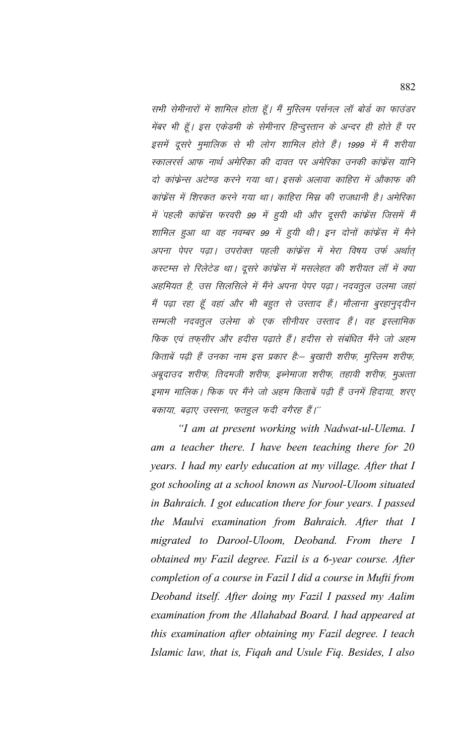सभी सेमीनारों में शामिल होता हूँ। मैं मुस्लिम पर्सनल लॉ बोर्ड का फाउंडर मेंबर भी हूँ। इस एकेडमी के सेमीनार हिन्दुस्तान के अन्दर ही होते हैं पर इसमें दूसरे मुमालिक से भी लोग शामिल होते हैं। 1999 में मैं शरीया स्कालरर्स आफ नार्थ अमेरिका की दावत पर अमेरिका उनकी कांफ्रेंस यानि दो कांफ्रेन्स अटेण्ड करने गया था। इसके अलावा काहिरा में औकाफ की कांफ्रेंस में शिरकत करने गया था। काहिरा मिस्र की राजधानी है। अमेरिका में पहली कांफ्रेंस फरवरी 99 में हुयी थी और दूसरी कांफ्रेंस जिसमें मैं शामिल हुआ था वह नवम्बर 99 में हुयी थी। इन दोनों कांफ्रेंस में मैने अपना पेपर पढ़ा। उपरोक्त पहली कांफ्रेंस में मेरा विषय उर्फ अर्थात् कस्टम्स से रिलेटेड था। दूसरे कांफ्रेंस में मसलेहत की शरीयत लॉ में क्या अहमियत है, उस सिलसिले में मैंने अपना पेपर पढ़ा। नदवतुल उलमा जहां मैं पढ़ा रहा हूँ वहां और भी बहुत से उस्ताद हैं। मौलाना बुरहानुद्दीन सम्भली नदवतुल उलेमा के एक सीनीयर उस्ताद हैं। वह इस्लामिक फिक एवं तफ़सीर और हदीस पढ़ाते हैं। हदीस से संबंधित मैंने जो अहम किताबें पढ़ी हैं उनका नाम इस प्रकार है:– बूखारी शरीफ, मुस्लिम शरीफ, अबूदाउद शरीफ, तिदमजी शरीफ, इब्नेमाजा शरीफ, तहावी शरीफ, मुअत्ता इमाम मालिक। फिक पर मैंने जो अहम किताबें पढ़ी हैं उनमें हिदाया, शरए बकाया, बढ़ाए उस्सना, फतहुल फदी वगैरह हैं।''

"I am at present working with Nadwat-ul-Ulema. I am a teacher there. I have been teaching there for  $20$ years. I had my early education at my village. After that I got schooling at a school known as Nurool-Uloom situated in Bahraich. I got education there for four years. I passed the Maulvi examination from Bahraich. After that I migrated to Darool-Uloom, Deoband. From there I obtained my Fazil degree. Fazil is a 6-year course. After completion of a course in Fazil I did a course in Mufti from Deoband itself. After doing my Fazil I passed my Aalim examination from the Allahabad Board. I had appeared at this examination after obtaining my Fazil degree. I teach Islamic law, that is, Figah and Usule Fig. Besides, I also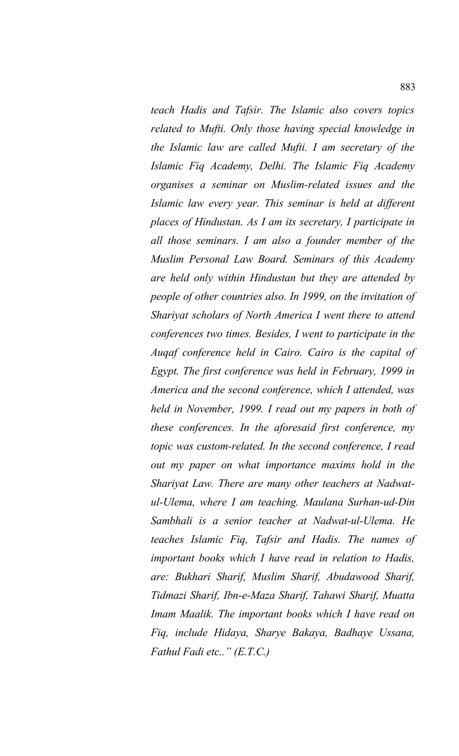*teach Hadis and Tafsir. The Islamic also covers topics related to Mufti. Only those having special knowledge in the Islamic law are called Mufti. I am secretary of the Islamic Fiq Academy, Delhi. The Islamic Fiq Academy organises a seminar on Muslim-related issues and the Islamic law every year. This seminar is held at different places of Hindustan. As I am its secretary, I participate in all those seminars. I am also a founder member of the Muslim Personal Law Board. Seminars of this Academy are held only within Hindustan but they are attended by people of other countries also. In 1999, on the invitation of Shariyat scholars of North America I went there to attend conferences two times. Besides, I went to participate in the Auqaf conference held in Cairo. Cairo is the capital of Egypt. The first conference was held in February, 1999 in America and the second conference, which I attended, was held in November, 1999. I read out my papers in both of these conferences. In the aforesaid first conference, my topic was custom-related. In the second conference, I read out my paper on what importance maxims hold in the Shariyat Law. There are many other teachers at Nadwatul-Ulema, where I am teaching. Maulana Surhan-ud-Din Sambhali is a senior teacher at Nadwat-ul-Ulema. He teaches Islamic Fiq, Tafsir and Hadis. The names of important books which I have read in relation to Hadis, are: Bukhari Sharif, Muslim Sharif, Abudawood Sharif, Tidmazi Sharif, Ibn-e-Maza Sharif, Tahawi Sharif, Muatta Imam Maalik. The important books which I have read on Fiq, include Hidaya, Sharye Bakaya, Badhaye Ussana, Fathul Fadi etc.." (E.T.C.)*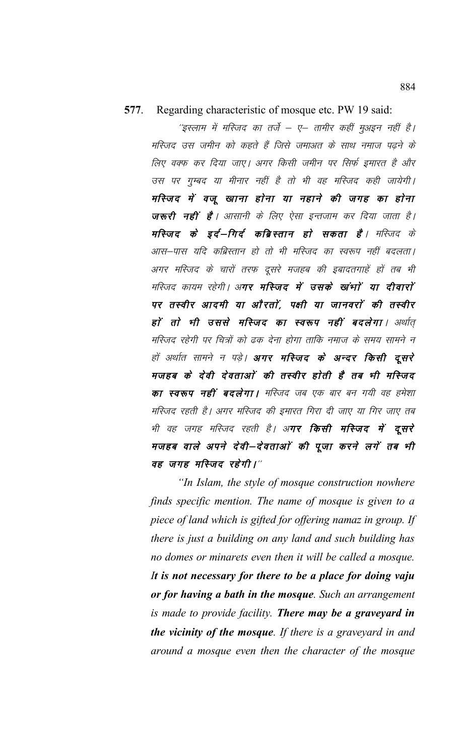## 577. Regarding characteristic of mosque etc. PW 19 said:

''इस्लाम में मस्जिद का तर्जे – ए– तामीर कहीं मुअइन नहीं है। मस्जिद उस जमीन को कहते हैं जिसे जमाअत के साथ नमाज पढ़ने के लिए वक्फ कर दिया जाए। अगर किसी जमीन पर सिर्फ इमारत है और उस पर गुम्बद या मीनार नहीं है तो भी वह मस्जिद कही जायेगी। मस्जिद में वजू खाना होना या नहाने की जगह का होना जरूरी नहीं है । आसानी के लिए ऐसा इन्तजाम कर दिया जाता है । मस्जिद के इर्द–गिर्द कब्रिस्तान हो सकता है। मस्जिद के आस–पास यदि कब्रिस्तान हो तो भी मस्जिद का स्वरूप नहीं बदलता। अगर मस्जिद के चारों तरफ दूसरे मजहब की इबादतगाहें हों तब भी मस्जिद कायम रहेगी। अ**गर मस्जिद में उसके खांभां या दीवारां** पर तस्वीर आदमी या औरतों, पक्षी या जानवरों की तस्वीर हों तो भी उससे मस्जिद का स्वरूप नहीं बदलेगा। अर्थात् मस्जिद रहेगी पर चित्रों को ढक देना होगा ताकि नमाज के समय सामने न हों अर्थात सामने न पड़े। अगर मस्जिद के अन्दर किसी दूसरे मजहब के देवी देवताओं की तस्वीर होती है तब भी मस्जिद **का स्वरूप नहीं बदलेगा।** मस्जिद जब एक बार बन गयी वह हमेशा मस्जिद रहती है। अगर मस्जिद की इ़मारत गिरा दी जाए या गिर जाए तब भी वह जगह मस्जिद रहती है। अ**गर किसी मस्जिद में दूसरे** मजहब वाले अपने देवी—देवताओं की पूजा करने लगें तब भी वह जगह मस्जिद रहेगी।"

"In Islam, the style of mosque construction nowhere finds specific mention. The name of mosque is given to a piece of land which is gifted for offering namaz in group. If there is just a building on any land and such building has no domes or minarets even then it will be called a mosque. It is not necessary for there to be a place for doing vaju or for having a bath in the mosque. Such an arrangement is made to provide facility. There may be a graveyard in the vicinity of the mosque. If there is a graveyard in and around a mosque even then the character of the mosque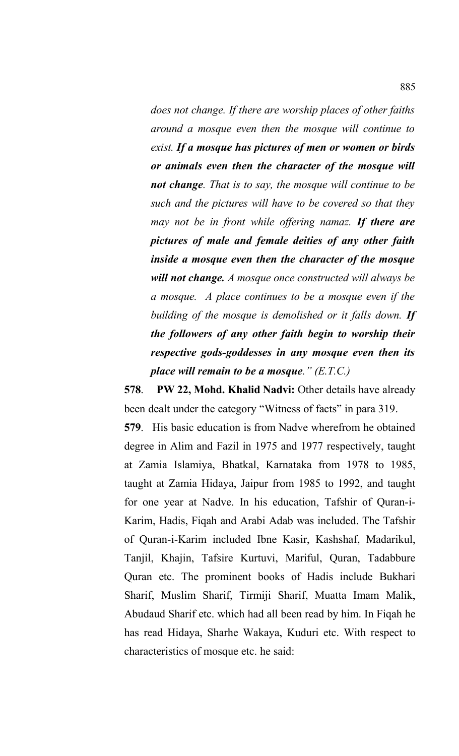*does not change. If there are worship places of other faiths around a mosque even then the mosque will continue to exist. If a mosque has pictures of men or women or birds or animals even then the character of the mosque will not change. That is to say, the mosque will continue to be such and the pictures will have to be covered so that they may not be in front while offering namaz. If there are pictures of male and female deities of any other faith inside a mosque even then the character of the mosque will not change. A mosque once constructed will always be a mosque. A place continues to be a mosque even if the building of the mosque is demolished or it falls down. If the followers of any other faith begin to worship their respective gods-goddesses in any mosque even then its place will remain to be a mosque." (E.T.C.)*

**578. PW 22, Mohd. Khalid Nadvi:** Other details have already been dealt under the category "Witness of facts" in para 319.

**579**. His basic education is from Nadve wherefrom he obtained degree in Alim and Fazil in 1975 and 1977 respectively, taught at Zamia Islamiya, Bhatkal, Karnataka from 1978 to 1985, taught at Zamia Hidaya, Jaipur from 1985 to 1992, and taught for one year at Nadve. In his education, Tafshir of Quran-i-Karim, Hadis, Fiqah and Arabi Adab was included. The Tafshir of Quran-i-Karim included Ibne Kasir, Kashshaf, Madarikul, Tanjil, Khajin, Tafsire Kurtuvi, Mariful, Quran, Tadabbure Quran etc. The prominent books of Hadis include Bukhari Sharif, Muslim Sharif, Tirmiji Sharif, Muatta Imam Malik, Abudaud Sharif etc. which had all been read by him. In Fiqah he has read Hidaya, Sharhe Wakaya, Kuduri etc. With respect to characteristics of mosque etc. he said: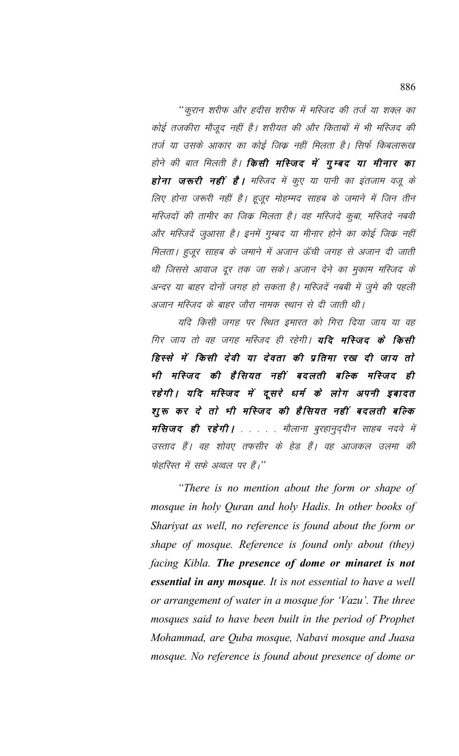''कुरान शरीफ और हदीस शरीफ में मस्जिद की तर्ज या शक्ल का कोई तजकीरा मौजूद नहीं है। शरीयत की और किताबों में भी मस्जिद की तर्ज या उसके आकार का कोई जिक्र नहीं मिलता है। सिर्फ किबलारूख होने की बात मिलती है। **किसी मस्जिद में गुम्बद या मीनार का** होना जरूरी नहीं है। मस्जिद में कुए या पानी का इंतजाम वजू के लिए होना जरूरी नहीं है। हूजूर मोहम्मद साहब के जमाने में जिन तीन मस्जिदों की तामीर का जिक मिलता है। वह मस्जिदे कुबा, मस्जिदे नबवी और मस्जिदें जुआसा है। इनमें गुम्बद या मीनार होने का कोई जिक्र नहीं मिलता। हुजूर साहब के जमाने में अजान ऊँची जगह से अजान दी जाती थी जिससे आवाज दूर तक जा सके। अजान देने का मुकाम मस्जिद के अन्दर या बाहर दोनों जगह हो सकता है। मस्जिदें नबबी में जूमे की पहली अजान मस्जिद के बाहर जौरा नामक स्थान से दी जाती थी।

यदि किसी जगह पर स्थित इमारत को गिरा दिया जाय या वह गिर जाय तो वह जगह मस्जिद ही रहेगी। **यदि मस्जिद के किसी** हिस्से में किसी देवी या देवता की प्रतिमा रख दी जाय तो भी मस्जिद की हैसियत नहीं बदलती बल्कि मस्जिद ही रहेगी । यदि मस्जिद में दूसरे धर्म के लोग अपनी इबादत शुरू कर दे तो भी मस्जिद की हैसियत नहीं बदलती बल्कि मसिजद ही रहेगी। . . . . मौलाना बुरहानुद्दीन साहब नदवे में उस्ताद हैं। वह शोवए तफसीर के हेड हैं। वह आजकल उलमा की फेहरिस्त में सफे अव्वल पर हैं,''

"There is no mention about the form or shape of mosque in holy Quran and holy Hadis. In other books of Shariyat as well, no reference is found about the form or shape of mosque. Reference is found only about (they) facing Kibla. The presence of dome or minaret is not essential in any mosque. It is not essential to have a well or arrangement of water in a mosque for 'Vazu'. The three mosques said to have been built in the period of Prophet Mohammad, are Quba mosque, Nabavi mosque and Juasa mosque. No reference is found about presence of dome or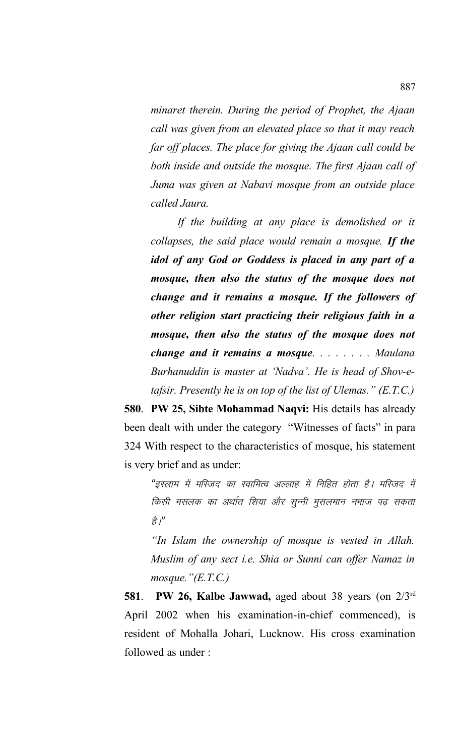*minaret therein. During the period of Prophet, the Ajaan call was given from an elevated place so that it may reach far off places. The place for giving the Ajaan call could be both inside and outside the mosque. The first Ajaan call of Juma was given at Nabavi mosque from an outside place called Jaura.*

*If the building at any place is demolished or it collapses, the said place would remain a mosque. If the idol of any God or Goddess is placed in any part of a mosque, then also the status of the mosque does not change and it remains a mosque. If the followers of other religion start practicing their religious faith in a mosque, then also the status of the mosque does not change and it remains a mosque. . . . . . . . Maulana Burhanuddin is master at 'Nadva'. He is head of Shov-etafsir. Presently he is on top of the list of Ulemas." (E.T.C.)*

**580**. **PW 25, Sibte Mohammad Naqvi:** His details has already been dealt with under the category "Witnesses of facts" in para 324 With respect to the characteristics of mosque, his statement is very brief and as under:

"इस्लाम में मस्जिद का स्वामित्व अल्लाह में निहित होता है। मस्जिद में किसी मसलक का अर्थात शिया और सून्नी मुसलमान नमाज पढ़ सकता ੜੇ *।*"

*"In Islam the ownership of mosque is vested in Allah. Muslim of any sect i.e. Shia or Sunni can offer Namaz in mosque."(E.T.C.)*

**581**. **PW 26, Kalbe Jawwad,** aged about 38 years (on 2/3rd April 2002 when his examination-in-chief commenced), is resident of Mohalla Johari, Lucknow. His cross examination followed as under :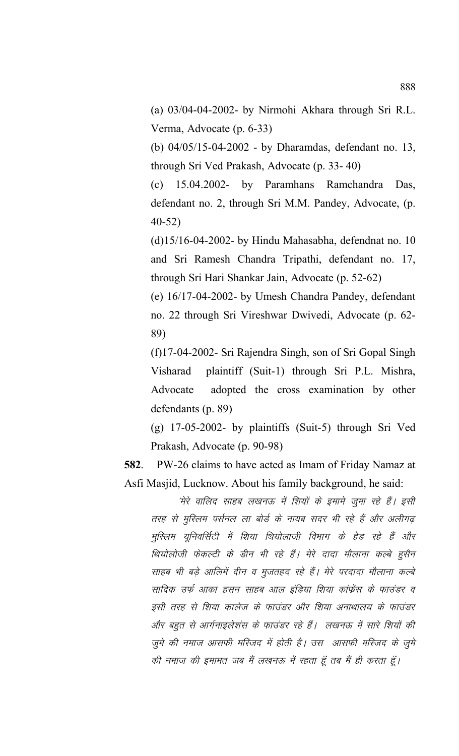(a) 03/04-04-2002- by Nirmohi Akhara through Sri R.L. Verma, Advocate (p. 6-33)

(b) 04/05/15-04-2002 - by Dharamdas, defendant no. 13, through Sri Ved Prakash, Advocate (p. 33- 40)

(c) 15.04.2002- by Paramhans Ramchandra Das, defendant no. 2, through Sri M.M. Pandey, Advocate, (p. 40-52)

 $(d)15/16-04-2002$ - by Hindu Mahasabha, defendnat no. 10 and Sri Ramesh Chandra Tripathi, defendant no. 17, through Sri Hari Shankar Jain, Advocate (p. 52-62)

(e) 16/17-04-2002- by Umesh Chandra Pandey, defendant no. 22 through Sri Vireshwar Dwivedi, Advocate (p. 62- 89)

(f)17-04-2002- Sri Rajendra Singh, son of Sri Gopal Singh Visharad plaintiff (Suit-1) through Sri P.L. Mishra, Advocate adopted the cross examination by other defendants (p. 89)

(g) 17-05-2002- by plaintiffs (Suit-5) through Sri Ved Prakash, Advocate (p. 90-98)

**582**. PW-26 claims to have acted as Imam of Friday Namaz at Asfi Masjid, Lucknow. About his family background, he said:

> 'मेरे वालिद साहब लखनऊ में शियों के इमामे जुमा रहे हैं। इसी तरह से मुस्लिम पर्सनल ला बोर्ड के नायब सदर भी रहे हैं और अलीगढ़ मुस्लिम यूनिवर्सिटी में शिया थियोलाजी विभाग के हेड रहे हैं और थियोलोजी फेकल्टी के डीन भी रहे हैं। मेरे दादा मौलाना कल्बे हुसैन साहब भी बड़े आलिमें दीन व मुजतहद रहे हैं। मेरे परदादा मौलाना कल्बे सादिक उर्फ आका हसन साहब आल इंडिया शिया कांफ्रेंस के फाउंडर व इसी तरह से शिया कालेज के फाउंडर और शिया अनाथालय के फाउंडर ओर बहुत से आर्गनाइलेशंस के फाउंडर रहे हैं। लखनऊ में सारे शियों की जूमे की नमाज आसफी मस्जिद में होती है। उस आसफी मस्जिद के जूमे की नमाज की इमामत जब मैं लखनऊ में रहता हूँ तब मैं ही करता हूँ।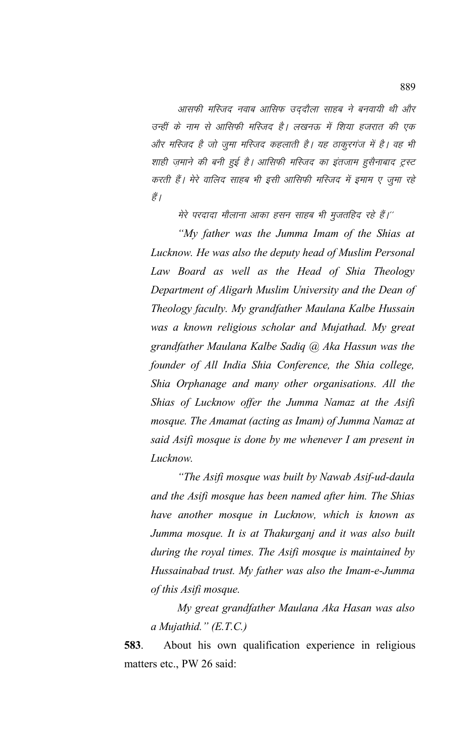आसफी मस्जिद नवाब आसिफ उददौला साहब ने बनवायी थी और उन्हीं के नाम से आसिफी मस्जिद है। लखनऊ में शिया हजरात की एक और मस्जिद है जो जुमा मस्जिद कहलाती है। यह ठाकूरगंज में है। वह भी शाही ज़माने की बनी हुई है। आसिफी मस्जिद का इंतजाम हुसैनाबाद ट्रस्ट करती हैं। मेरे वालिद साहब भी इसी आसिफी मस्जिद में इमाम ए जुमा रहे हैं /

मेरे परदादा मौलाना आका हसन साहब भी मुजतहिद रहे हैं।''

*"My father was the Jumma Imam of the Shias at Lucknow. He was also the deputy head of Muslim Personal Law Board as well as the Head of Shia Theology Department of Aligarh Muslim University and the Dean of Theology faculty. My grandfather Maulana Kalbe Hussain was a known religious scholar and Mujathad. My great grandfather Maulana Kalbe Sadiq @ Aka Hassun was the founder of All India Shia Conference, the Shia college, Shia Orphanage and many other organisations. All the Shias of Lucknow offer the Jumma Namaz at the Asifi mosque. The Amamat (acting as Imam) of Jumma Namaz at said Asifi mosque is done by me whenever I am present in Lucknow.*

*"The Asifi mosque was built by Nawab Asif-ud-daula and the Asifi mosque has been named after him. The Shias have another mosque in Lucknow, which is known as Jumma mosque. It is at Thakurganj and it was also built during the royal times. The Asifi mosque is maintained by Hussainabad trust. My father was also the Imam-e-Jumma of this Asifi mosque.*

*My great grandfather Maulana Aka Hasan was also a Mujathid." (E.T.C.)*

**583**. About his own qualification experience in religious matters etc., PW 26 said: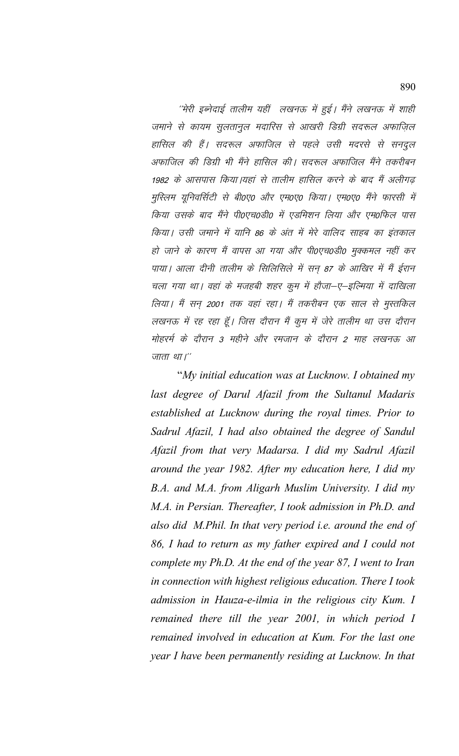''मेरी इब्नेदाई तालीम यहीं लखनऊ में हुई। मैंने लखनऊ में शाही जमाने से कायम सुलतानुल मदारिस से आखरी डिग्री सदरूल अफाज़िल हासिल की हैं। सदरूल अफाजिल से पहले उसी मदरसे से सनदुल अफाजिल की डिग्री भी मैंने हासिल की। सदरूल अफाजिल मैंने तकरीबन 1982 के आसपास किया।यहां से तालीम हासिल करने के बाद मैं अलीगढ़ मुस्लिम यूनिवर्सिटी से बी०ए० और एम०ए० किया। एम०ए० मैंने फारसी में किया उसके बाद मैंने पी0एच0डी0 में एडमिशन लिया और एम0फिल पास किया। उसी जमाने में यानि 86 के अंत में मेरे वालिद साहब का इंतकाल हो जाने के कारण मैं वापस आ गया और पी0एच0डी0 मुक्कमल नहीं कर पाया। आला दीनी तालीम के सिलिसिले में सन 87 के आखिर में मैं ईरान चला गया था। वहां के मजहबी शहर कुम में हौजा-ए–इल्मिया में दाखिला लिया। मैं सन् 2001 तक वहां रहा। मैं तकरीबन एक साल से मुस्तकिल लखनऊ में रह रहा हूँ। जिस दौरान मैं कुम में जेरे तालीम था उस दौरान मोहर्र्म के दौरान 3 महीने और रमजान के दौरान 2 माह लखनऊ आ जाता था।"

"My initial education was at Lucknow. I obtained my last degree of Darul Afazil from the Sultanul Madaris established at Lucknow during the royal times. Prior to Sadrul Afazil, I had also obtained the degree of Sandul Afazil from that very Madarsa. I did my Sadrul Afazil around the year 1982. After my education here, I did my B.A. and M.A. from Aligarh Muslim University. I did my M.A. in Persian. Thereafter, I took admission in Ph.D. and also did M.Phil. In that very period i.e. around the end of 86, I had to return as my father expired and I could not complete my Ph.D. At the end of the year 87, I went to Iran in connection with highest religious education. There I took admission in Hauza-e-ilmia in the religious city Kum. I remained there till the year 2001, in which period I remained involved in education at Kum. For the last one year I have been permanently residing at Lucknow. In that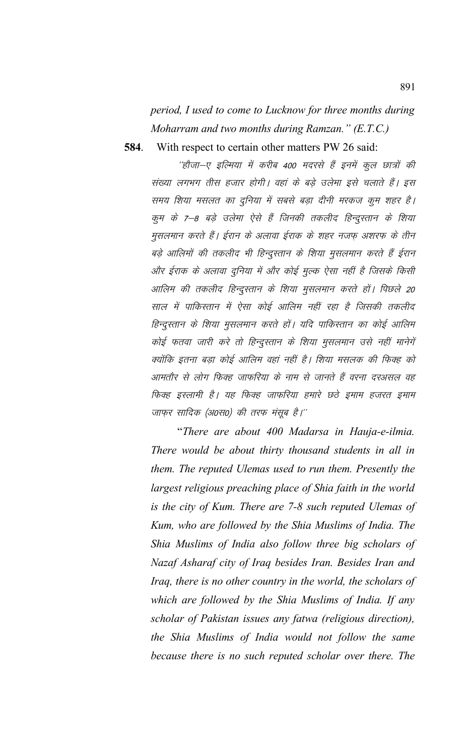period, I used to come to Lucknow for three months during Moharram and two months during Ramzan." (E.T.C.)

584. With respect to certain other matters PW 26 said:

> ''होजा-ए इल्मिया में करीब 400 मदरसे हैं इनमें कुल छात्रों की संख्या लगभग तीस हजार होगी। वहां के बड़े उलेमा इसे चलाते हैं। इस समय शिया मसलत का दुनिया में सबसे बड़ा दीनी मरकज कुम शहर है। कूम के 7–8 बड़े उलेमा ऐसे हैं जिनकी तकलीद हिन्दूस्तान के शिया मुसलमान करते हैं। ईरान के अलावा ईराक के शहर नजफ़ अशरफ के तीन बड़े आलिमों की तकलीद भी हिन्दुस्तान के शिया मुसलमान करते हैं ईरान और ईराक के अलावा दुनिया में और कोई मूल्क ऐसा नहीं है जिसके किसी आलिम की तकलीद हिन्दुस्तान के शिया मुसलमान करते हों। पिछले 20 साल में पाकिस्तान में ऐसा कोई आलिम नहीं रहा है जिसकी तकलीद हिन्दुस्तान के शिया मुसलमान करते हों। यदि पाकिस्तान का कोई आलिम कोई फतवा जारी करे तो हिन्दुस्तान के शिया मुसलमान उसे नहीं मानेगें क्योंकि इतना बड़ा कोई आलिम वहां नहीं है। शिया मसलक की फिक्ह को आमतौर से लोग फिक्ह जाफरिया के नाम से जानते हैं वरना दरअसल वह फिक्ह इस्लामी है। यह फिक्ह जाफरिया हमारे छठे इमाम हजरत इमाम जाफुर सादिक (अ0स0) की तरफ मंसूब है।''

> "There are about 400 Madarsa in Hauja-e-ilmia. There would be about thirty thousand students in all in them. The reputed Ulemas used to run them. Presently the largest religious preaching place of Shia faith in the world is the city of Kum. There are 7-8 such reputed Ulemas of Kum, who are followed by the Shia Muslims of India. The Shia Muslims of India also follow three big scholars of Nazaf Asharaf city of Iraq besides Iran. Besides Iran and Iraq, there is no other country in the world, the scholars of which are followed by the Shia Muslims of India. If any scholar of Pakistan issues any fatwa (religious direction), the Shia Muslims of India would not follow the same because there is no such reputed scholar over there. The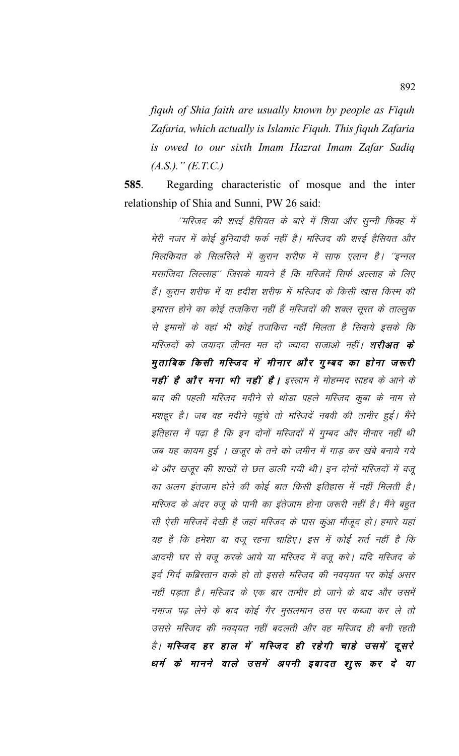fiquh of Shia faith are usually known by people as Fiquh Zafaria, which actually is Islamic Fiquh. This fiquh Zafaria is owed to our sixth Imam Hazrat Imam Zafar Sadiq  $(A.S.).$ "  $(E.T.C.)$ 

585. Regarding characteristic of mosque and the inter relationship of Shia and Sunni, PW 26 said:

''मस्जिद की शरई हैसियत के बारे में शिया और सून्नी फिक्ह में मेरी नजर में कोई बुनियादी फर्क नहीं है। मस्जिद की शरई हैसियत और मिलकियत के सिलसिले में कूरान शरीफ में साफ एलान है। ''इन्नल मसाजिदा लिल्लाह'' जिसके मायने हैं कि मस्जिदें सिर्फ अल्लाह के लिए हैं। कुरान शरीफ में या हदीश शरीफ में मस्जिद के किसी खास किस्म की इमारत होने का कोई तजकिरा नहीं हैं मस्जिदों की शक्ल सूरत के ताल्लुक से इमामों के वहां भी कोई तजकिरा नहीं मिलता है सिवाये इसके कि मस्जिदों को जयादा जीनत मत दो ज्यादा सजाओ नहीं। श**रीअत के** मुताबिक किसी मस्जिद में मीनार और गुम्बद का होना जरूरी नहीं है और मना भी नहीं है। इस्लाम में मोहम्मद साहब के आने के बाद की पहली मस्जिद मदीने से थोड़ा पहले मस्जिद कूबा के नाम से मशहूर है। जब वह मदीने पहुंचे तो मस्जिदें नबवी की तामीर हुई। मैंने इतिहास में पढ़ा है कि इन दोनों मस्जिदों में गुम्बद और मीनार नहीं थी जब यह कायम हुई । खजूर के तने को जमीन में गाड़ कर खंबे बनाये गये थे और खजूर की शाखों से छत डाली गयी थी। इन दोनों मस्जिदों में वजू का अलग इंतजाम होने की कोई बात किसी इतिहास में नहीं मिलती है। मस्जिद के अंदर वजू के पानी का इंतेजाम होना जरूरी नहीं है। मैंने बहुत सी ऐसी मस्जिदें देखी है जहां मस्जिद के पास कुंआ मौजूद हो। हमारे यहां यह है कि हमेशा बा वजू रहना चाहिए। इस में कोई शर्त नहीं है कि आदमी घर से वजू करके आये या मस्जिद में वजू करे। यदि मस्जिद के इर्द गिर्द कब्रिस्तान वाके हो तो इससे मस्जिद की नवयुयत पर कोई असर नहीं पड़ता है। मस्जिद के एक बार तामीर हो जाने के बाद और उसमें नमाज पढ़ लेने के बाद कोई गैर मुसलमान उस पर कब्जा कर ले तो उससे मस्जिद की नवय़यत नहीं बदलती और वह मस्जिद ही बनी रहती है। मस्जिद हर हाल में मस्जिद ही रहेगी चाहे उसमें दूसरे धर्म के मानने वाले उसमें अपनी इबादत शुरू कर दे या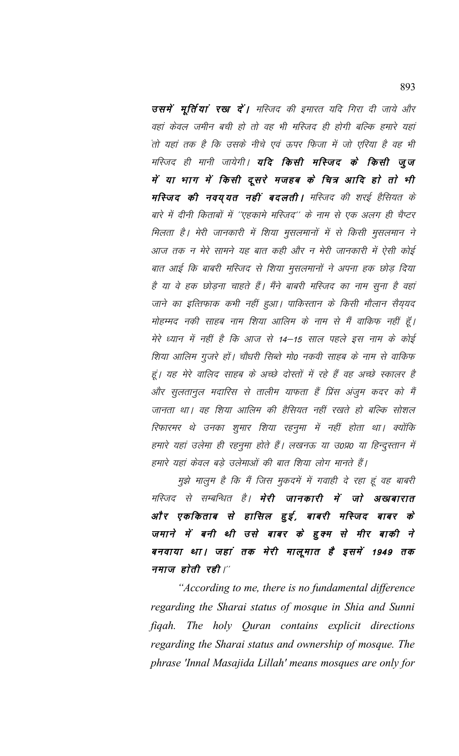उसमें मूर्तियां रख दें। मस्जिद की इमारत यदि गिरा दी जाये और वहां केवल जमीन बची हो तो वह भी मस्जिद ही होगी बल्कि हमारे यहां तो यहां तक है कि उसके नीचे एवं ऊपर फिजा में जो एरिया है वह भी मस्जिद ही मानी जायेगी। **यदि किसी मस्जिद के किसी जूज** में या भाग में किसी दूसरे मजहब के चित्र आदि हो तो भी मस्जिद की नवय् यत नहीं बदलती । मस्जिद की शरई हैसियत के बारे में दीनी किताबों में ''एहकामे मस्जिद'' के नाम से एक अलग ही चैप्टर मिलता है। मेरी जानकारी में शिया मुसलमानों में से किसी मुसलमान ने आज तक न मेरे सामने यह बात कही और न मेरी जानकारी में ऐसी कोई बात आई कि बाबरी मस्जिद से शिया मुसलमानों ने अपना हक छोड़ दिया है या वे हक छोड़ना चाहते हैं। मैंने बाबरी मस्जिद का नाम सुना है वहां जाने का इत्तिफाक कभी नहीं हुआ। पाकिस्तान के किसी मौलान सैयुयद मोहम्मद नकी साहब नाम शिया आलिम के नाम से मैं वाकिफ नहीं हूँ। मेरे ध्यान में नहीं है कि आज से 14–15 साल पहले इस नाम के कोई शिया आलिम गुजरे हों। चौधरी सिब्ते मो0 नकवी साहब के नाम से वाकिफ हूं। यह मेरे वालिद साहब के अच्छे दोस्तों में रहे हैं वह अच्छे स्कालर है और सूलतानूल मदारिस से तालीम याफता हैं प्रिंस अंजूम कदर को मैं जानता था। वह शिया आलिम की हैसियत नहीं रखते हो बल्कि सोशल रिफारमर थे उनका शुमार शिया रहनुमा में नहीं होता था। क्योंकि हमारे यहां उलेमा ही रहनुमा होते हैं। लखनऊ या उ०प्र० या हिन्दुस्तान में हमारे यहां केवल बड़े उलेमाओं की बात शिया लोग मानते हैं।

मुझे मालुम है कि मैं जिस मुकदमें में गवाही दे रहा हूं वह बाबरी मस्जिद से सम्बन्धित है। **मेरी जानकारी में जो अखबारात** और एककिताब से हासिल हुई, बाबरी मस्जिद बाबर के जमाने में बनी थी उसे बाबर के हुक्म से मीर बाकी ने बनवाया था। जहां तक मेरी मालूमात है इसमें 1949 तक नमाज होती रही।"

"According to me, there is no fundamental difference regarding the Sharai status of mosque in Shia and Sunni figah. The holy Quran contains explicit directions regarding the Sharai status and ownership of mosque. The phrase 'Innal Masajida Lillah' means mosques are only for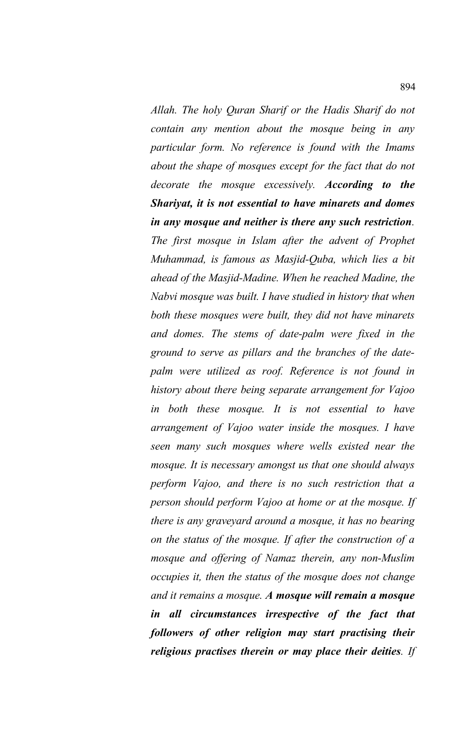*Allah. The holy Quran Sharif or the Hadis Sharif do not contain any mention about the mosque being in any particular form. No reference is found with the Imams about the shape of mosques except for the fact that do not decorate the mosque excessively. According to the Shariyat, it is not essential to have minarets and domes in any mosque and neither is there any such restriction. The first mosque in Islam after the advent of Prophet Muhammad, is famous as Masjid-Quba, which lies a bit ahead of the Masjid-Madine. When he reached Madine, the Nabvi mosque was built. I have studied in history that when both these mosques were built, they did not have minarets and domes. The stems of date-palm were fixed in the ground to serve as pillars and the branches of the datepalm were utilized as roof. Reference is not found in history about there being separate arrangement for Vajoo in both these mosque. It is not essential to have arrangement of Vajoo water inside the mosques. I have seen many such mosques where wells existed near the mosque. It is necessary amongst us that one should always perform Vajoo, and there is no such restriction that a person should perform Vajoo at home or at the mosque. If there is any graveyard around a mosque, it has no bearing on the status of the mosque. If after the construction of a mosque and offering of Namaz therein, any non-Muslim occupies it, then the status of the mosque does not change and it remains a mosque. A mosque will remain a mosque in all circumstances irrespective of the fact that followers of other religion may start practising their religious practises therein or may place their deities. If*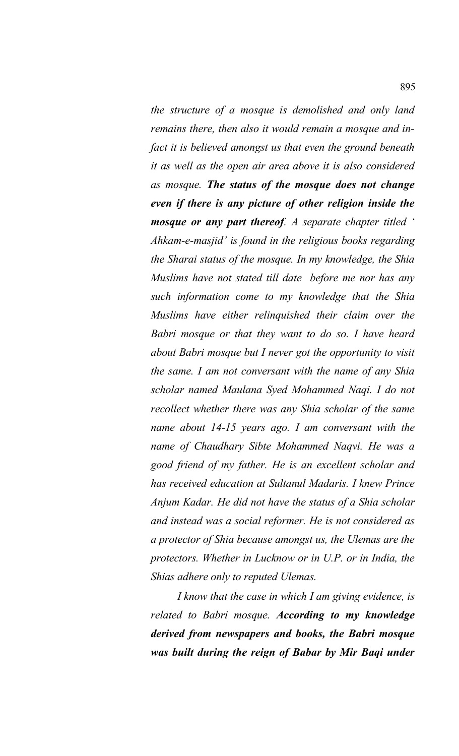*the structure of a mosque is demolished and only land remains there, then also it would remain a mosque and infact it is believed amongst us that even the ground beneath it as well as the open air area above it is also considered as mosque. The status of the mosque does not change even if there is any picture of other religion inside the mosque or any part thereof. A separate chapter titled ' Ahkam-e-masjid' is found in the religious books regarding the Sharai status of the mosque. In my knowledge, the Shia Muslims have not stated till date before me nor has any such information come to my knowledge that the Shia Muslims have either relinquished their claim over the Babri mosque or that they want to do so. I have heard about Babri mosque but I never got the opportunity to visit the same. I am not conversant with the name of any Shia scholar named Maulana Syed Mohammed Naqi. I do not recollect whether there was any Shia scholar of the same name about 14-15 years ago. I am conversant with the name of Chaudhary Sibte Mohammed Naqvi. He was a good friend of my father. He is an excellent scholar and has received education at Sultanul Madaris. I knew Prince Anjum Kadar. He did not have the status of a Shia scholar and instead was a social reformer. He is not considered as a protector of Shia because amongst us, the Ulemas are the protectors. Whether in Lucknow or in U.P. or in India, the Shias adhere only to reputed Ulemas.* 

*I know that the case in which I am giving evidence, is related to Babri mosque. According to my knowledge derived from newspapers and books, the Babri mosque was built during the reign of Babar by Mir Baqi under*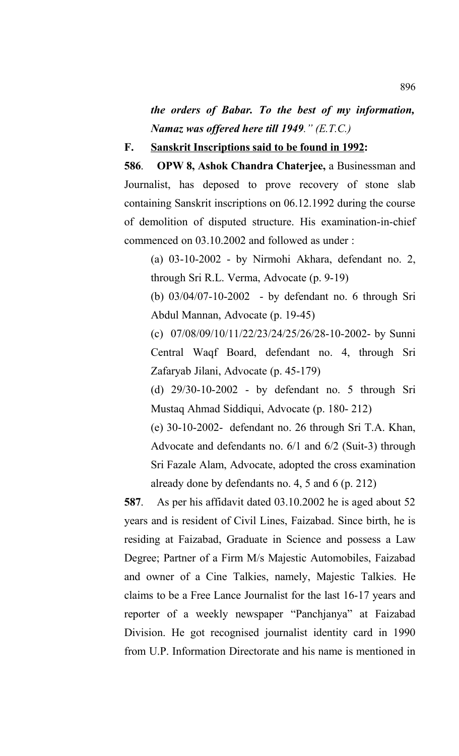*the orders of Babar. To the best of my information, Namaz was offered here till 1949." (E.T.C.)*

**F. Sanskrit Inscriptions said to be found in 1992:**

**586**. **OPW 8, Ashok Chandra Chaterjee,** a Businessman and Journalist, has deposed to prove recovery of stone slab containing Sanskrit inscriptions on 06.12.1992 during the course of demolition of disputed structure. His examination-in-chief commenced on 03.10.2002 and followed as under :

(a) 03-10-2002 - by Nirmohi Akhara, defendant no. 2, through Sri R.L. Verma, Advocate (p. 9-19)

(b) 03/04/07-10-2002 - by defendant no. 6 through Sri Abdul Mannan, Advocate (p. 19-45)

(c) 07/08/09/10/11/22/23/24/25/26/28-10-2002- by Sunni Central Waqf Board, defendant no. 4, through Sri Zafaryab Jilani, Advocate (p. 45-179)

(d) 29/30-10-2002 - by defendant no. 5 through Sri Mustaq Ahmad Siddiqui, Advocate (p. 180- 212)

(e) 30-10-2002- defendant no. 26 through Sri T.A. Khan, Advocate and defendants no. 6/1 and 6/2 (Suit-3) through Sri Fazale Alam, Advocate, adopted the cross examination already done by defendants no. 4, 5 and 6 (p. 212)

**587**. As per his affidavit dated 03.10.2002 he is aged about 52 years and is resident of Civil Lines, Faizabad. Since birth, he is residing at Faizabad, Graduate in Science and possess a Law Degree; Partner of a Firm M/s Majestic Automobiles, Faizabad and owner of a Cine Talkies, namely, Majestic Talkies. He claims to be a Free Lance Journalist for the last 16-17 years and reporter of a weekly newspaper "Panchjanya" at Faizabad Division. He got recognised journalist identity card in 1990 from U.P. Information Directorate and his name is mentioned in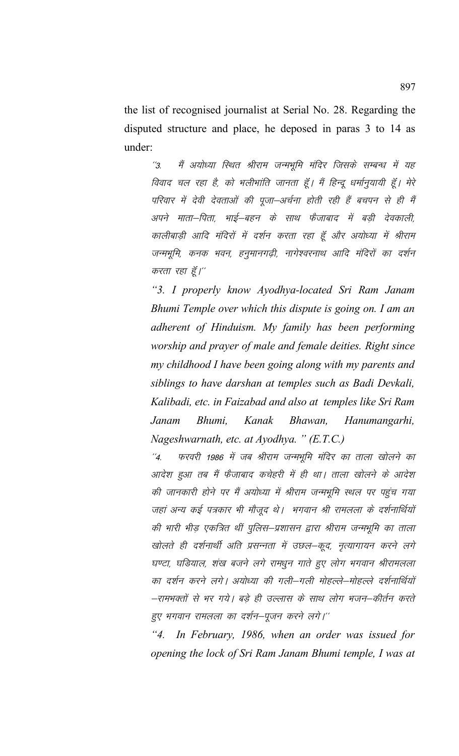the list of recognised journalist at Serial No. 28. Regarding the disputed structure and place, he deposed in paras 3 to 14 as under:

''3. मैं अयोध्या स्थित श्रीराम जन्मभूमि मंदिर जिसके सम्बन्ध में यह विवाद चल रहा है, को भलीभांति जानता हूँ। मैं हिन्दू धर्मानुयायी हूँ। मेरे परिवार में देवी देवताओं की पूजा–अर्चना होती रही हैं बचपन से ही मैं अपने माता–पिता, भाई–बहन के साथ फैजाबाद में बडी देवकाली, कालीबाड़ी आदि मंदिरों में दर्शन करता रहा हूँ और अयोध्या में श्रीराम जन्मभूमि, कनक भवन, हनुमानगढ़ी, नागेश्वरनाथ आदि मंदिरों का दर्शन करता रहा हूँ।"

*"3. I properly know Ayodhya-located Sri Ram Janam Bhumi Temple over which this dispute is going on. I am an adherent of Hinduism. My family has been performing worship and prayer of male and female deities. Right since my childhood I have been going along with my parents and siblings to have darshan at temples such as Badi Devkali, Kalibadi, etc. in Faizabad and also at temples like Sri Ram Janam Bhumi, Kanak Bhawan, Hanumangarhi, Nageshwarnath, etc. at Ayodhya. " (E.T.C.)*

''4. फरवरी 1986 में जब श्रीराम जन्मभूमि मंदिर का ताला खोलने का आदेश हुआ तब मैं फैजाबाद कचेहरी में ही था। ताला खोलने के आदेश की जानकारी होने पर मैं अयोध्या में श्रीराम जन्मभूमि स्थल पर पहुंच गया जहां अन्य कई पत्रकार भी मौजूद थे। भगवान श्री रामलला के दर्शनार्थियों की भारी भीड़ एकत्रित थीं पुलिस–प्रशासन द्वारा श्रीराम जन्मभूमि का ताला खोलते ही दर्शनार्थी अति प्रसन्नता में उछल–कूद, नृत्यागायन करने लगे घण्टा, घडियाल, शंख बजने लगे रामधुन गाते हुए लोग भगवान श्रीरामलला का दर्शन करने लगे। अयोध्या की गली–गली मोहल्ले–मोहल्ले दर्शनार्थियों —रामभक्तों से भर गये। बड़े ही उल्लास के साथ लोग भजन—कीर्तन करते हुए भगवान रामलला का दर्शन–पूजन करने लगे।''

*"4. In February, 1986, when an order was issued for opening the lock of Sri Ram Janam Bhumi temple, I was at*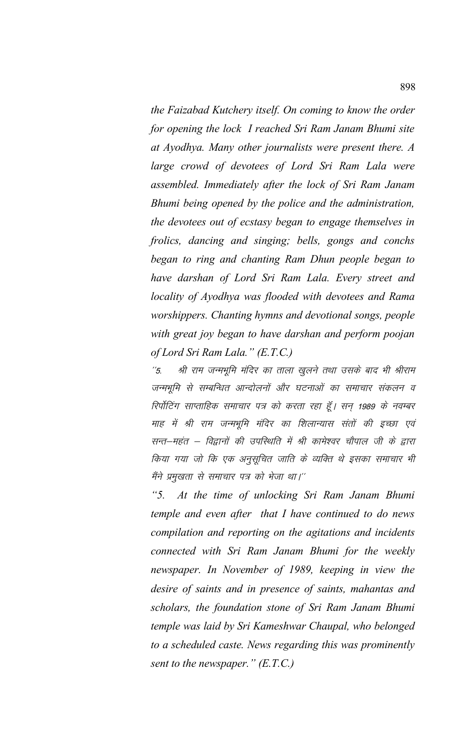*the Faizabad Kutchery itself. On coming to know the order for opening the lock I reached Sri Ram Janam Bhumi site at Ayodhya. Many other journalists were present there. A large crowd of devotees of Lord Sri Ram Lala were assembled. Immediately after the lock of Sri Ram Janam Bhumi being opened by the police and the administration, the devotees out of ecstasy began to engage themselves in frolics, dancing and singing; bells, gongs and conchs began to ring and chanting Ram Dhun people began to have darshan of Lord Sri Ram Lala. Every street and locality of Ayodhya was flooded with devotees and Rama worshippers. Chanting hymns and devotional songs, people with great joy began to have darshan and perform poojan of Lord Sri Ram Lala." (E.T.C.)*

''5. श्री राम जन्मभूमि मंदिर का ताला खुलने तथा उसके बाद भी श्रीराम जन्मभूमि से सम्बन्धित आन्दोलनों और घटनाओं का समाचार संकलन व रिपोंटिंग साप्ताहिक समाचार पत्र को करता रहा हूँ। सन् 1989 के नवम्बर माह में श्री राम जन्मभूमि मंदिर का शिलान्यास संतों की इच्छा एवं सन्त–महंत – विद्वानों की उपस्थिति में श्री कामेश्वर चौपाल जी के द्वारा किया गया जो कि एक अनुसूचित जाति के व्यक्ति थे इसका समाचार भी मैंने प्रमुखता से समाचार पत्र को भेजा था।''

*"5. At the time of unlocking Sri Ram Janam Bhumi temple and even after that I have continued to do news compilation and reporting on the agitations and incidents connected with Sri Ram Janam Bhumi for the weekly newspaper. In November of 1989, keeping in view the desire of saints and in presence of saints, mahantas and scholars, the foundation stone of Sri Ram Janam Bhumi temple was laid by Sri Kameshwar Chaupal, who belonged to a scheduled caste. News regarding this was prominently sent to the newspaper." (E.T.C.)*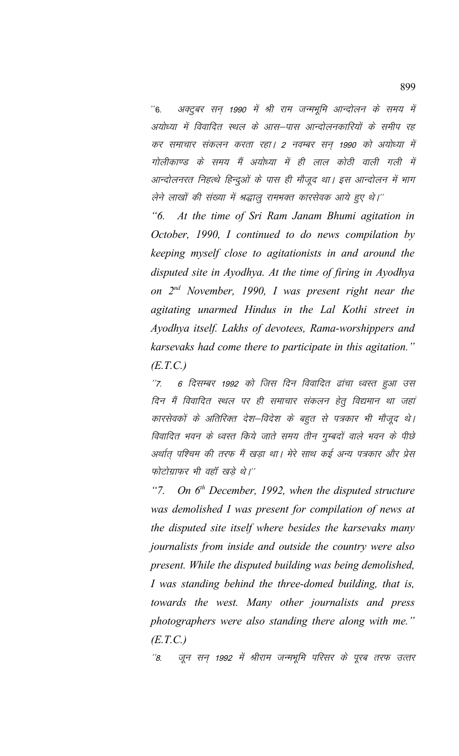''6. अक्टूबर सन् 1990 में श्री राम जन्मभूमि आन्दोलन के समय में अयोध्या में विवादित स्थल के आस–पास आन्दोलनकारियों के समीप रह कर समाचार संकलन करता रहा। 2 नवम्बर सन् 1990 को अयोध्या में गोलीकाण्ड के समय मैं अयोध्या में ही लाल कोठी वाली गली में आन्दोलनरत निहत्थे हिन्दुओं के पास ही मौजूद था। इस आन्दोलन में भाग लेने लाखों की संख्या में श्रद्धालू रामभक्त कारसेवक आये हुए थे।''

*"6. At the time of Sri Ram Janam Bhumi agitation in October, 1990, I continued to do news compilation by keeping myself close to agitationists in and around the disputed site in Ayodhya. At the time of firing in Ayodhya on 2nd November, 1990, I was present right near the agitating unarmed Hindus in the Lal Kothi street in Ayodhya itself. Lakhs of devotees, Rama-worshippers and karsevaks had come there to participate in this agitation." (E.T.C.)*

''7. 6 दिसम्बर 1992 को जिस दिन विवादित ढांचा ध्वस्त हुआ उस दिन मैं विवादित स्थल पर ही समाचार संकलन हेतू विद्यमान था जहां कारसेवकों के अतिरिक्त देश–विदेश के बहुत से पत्रकार भी मौजूद थे। विवादित भवन के ध्वस्त किये जाते समय तीन गुम्बदों वाले भवन के पीछे अर्थात् पश्चिम की तरफ मैं खड़ा था। मेरे साथ कई अन्य पत्रकार और प्रेस फोटोग्राफर भी वहाँ खड़े थे।"

*"7. On 6th December, 1992, when the disputed structure was demolished I was present for compilation of news at the disputed site itself where besides the karsevaks many journalists from inside and outside the country were also present. While the disputed building was being demolished, I was standing behind the three-domed building, that is, towards the west. Many other journalists and press photographers were also standing there along with me." (E.T.C.)*

''8. जून सन् 1992 में श्रीराम जन्मभूमि परिसर के पूरब तरफ उत्तर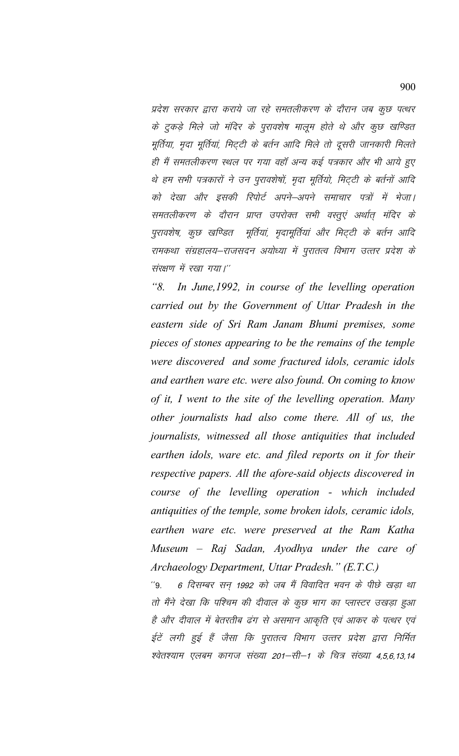प्रदेश सरकार द्वारा कराये जा रहे समतलीकरण के दौरान जब कुछ पत्थर के टुकड़े मिले जो मंदिर के पुरावशेष मालूम होते थे और कुछ खण्डित मूर्तिया, मृदा मूर्तियां, मिट्टी के बर्तन आदि मिले तो दूसरी जानकारी मिलते ही मैं समतलीकरण स्थल पर गया वहाँ अन्य कई पत्रकार और भी आये हुए थे हम सभी पत्रकारों ने उन पुरावशेषों, मृदा मूर्तियो, मिट्टी के बर्तनों आदि को देखा और इसकी रिपोर्ट अपने–अपने समाचार पत्रों में भेजा। समतलीकरण के दौरान प्राप्त उपरोक्त सभी वस्तूएं अर्थात् मंदिर के पुरावशेष, कुछ खण्डित मूर्तियां, मृदामूर्तियां और मिट्टी के बर्तन आदि रामकथा संग्रहालय–राजसदन अयोध्या में पुरातत्व विभाग उत्तर प्रदेश के संख्या में रखा गया।''

*"8. In June,1992, in course of the levelling operation carried out by the Government of Uttar Pradesh in the eastern side of Sri Ram Janam Bhumi premises, some pieces of stones appearing to be the remains of the temple were discovered and some fractured idols, ceramic idols and earthen ware etc. were also found. On coming to know of it, I went to the site of the levelling operation. Many other journalists had also come there. All of us, the journalists, witnessed all those antiquities that included earthen idols, ware etc. and filed reports on it for their respective papers. All the afore-said objects discovered in course of the levelling operation - which included antiquities of the temple, some broken idols, ceramic idols, earthen ware etc. were preserved at the Ram Katha Museum – Raj Sadan, Ayodhya under the care of Archaeology Department, Uttar Pradesh." (E.T.C.)*

''9. 6 दिसम्बर सन् 1992 को जब मैं विवादित भवन के पीछे खड़ा था तो मैंने देखा कि पश्चिम की दीवाल के कूछ भाग का प्लास्टर उखड़ा हुआ है और दीवाल में बेतरतीब ढंग से असमान आकृति एवं आकर के पत्थर एवं ईटें लगी हुई हैं जैसा कि पुरातत्व विभाग उत्तर प्रदेश द्वारा निर्मित श्वेतश्याम एलबम कागज संख्या 201–सी–1 के चित्र संख्या 4,5,6,13,14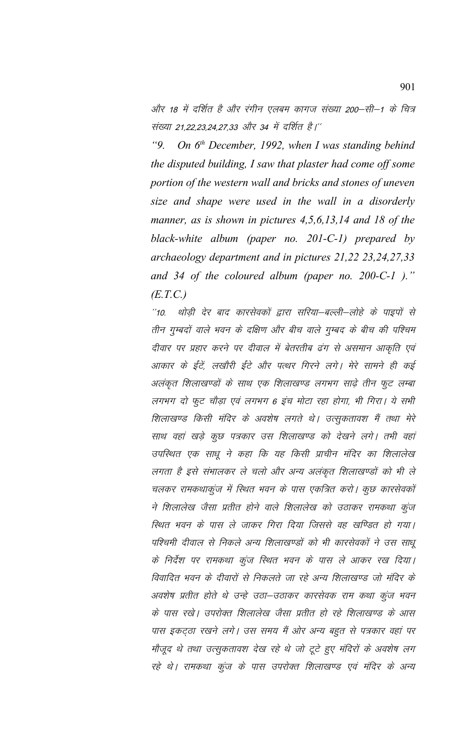और 18 में दर्शित है और रंगीन एलबम कागज संख्या 200–सी–1 के चित्र संख्या 21,22,23,24,27,33 और 34 में दर्शित है।"

On  $6<sup>th</sup>$  December, 1992, when I was standing behind  $"9$ the disputed building, I saw that plaster had come off some portion of the western wall and bricks and stones of uneven size and shape were used in the wall in a disorderly manner, as is shown in pictures 4,5,6,13,14 and 18 of the black-white album (paper no.  $201-C-1$ ) prepared by archaeology department and in pictures 21,22 23,24,27,33 and 34 of the coloured album (paper no.  $200$ -C-1)."  $(E.T.C.)$ 

थोड़ी देर बाद कारसेवकों द्वारा सरिया–बल्ली–लोहे के पाइपों से  $10.1$ तीन गुम्बदों वाले भवन के दक्षिण और बीच वाले गुम्बद के बीच की पश्चिम दीवार पर प्रहार करने पर दीवाल में बेतरतीब ढंग से असमान आकृति एवं आकार के ईंटें, लखौरी ईंटे और पत्थर गिरने लगे। मेरे सामने ही कई अलंकृत शिलाखण्डों के साथ एक शिलाखण्ड लगभग साढ़े तीन फूट लम्बा लगभग दो फूट चौड़ा एवं लगभग 6 इंच मोटा रहा होगा, भी गिरा। ये सभी शिलाखण्ड किसी मंदिर के अवशेष लगते थे। उत्सृकतावश मैं तथा मेरे साथ वहां खड़े कुछ पत्रकार उस शिलाखण्ड को देखने लगे। तभी वहां उपस्थित एक साधू ने कहा कि यह किसी प्राचीन मंदिर का शिलालेख लगता है इसे संभालकर ले चलो और अन्य अलंकृत शिलाखण्डों को भी ले चलकर रामकथाकुंज में स्थित भवन के पास एकत्रित करो। कुछ कारसेवकों ने शिलालेख जैसा प्रतीत होने वाले शिलालेख को उठाकर रामकथा कुंज स्थित भवन के पास ले जाकर गिरा दिया जिससे वह खण्डित हो गया। पश्चिमी दीवाल से निकले अन्य शिलाखण्डों को भी कारसेवकों ने उस साधू के निर्देश पर रामकथा कूंज स्थित भवन के पास ले आकर रख दिया। विवादित भवन के दीवारों से निकलते जा रहे अन्य शिलाखण्ड जो मंदिर के अवशेष प्रतीत होते थे उन्हे उठा–उठाकर कारसेवक राम कथा कुंज भवन के पास रखे। उपरोक्त शिलालेख जैसा प्रतीत हो रहे शिलाखण्ड के आस पास इकट्ठा रखने लगे। उस समय मैं ओर अन्य बहुत से पत्रकार वहां पर मौजूद थे तथा उत्सुकतावश देख रहे थे जो टूटे हुए मंदिरों के अवशेष लग रहे थे। रामकथा कूंज के पास उपरोक्त शिलाखण्ड एवं मंदिर के अन्य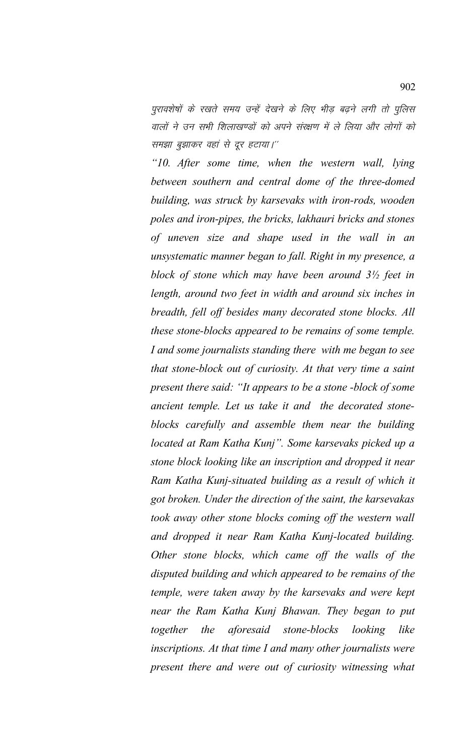पुरावशेषों के रखते समय उन्हें देखने के लिए भीड़ बढ़ने लगी तो पुलिस वालों ने उन सभी शिलाखण्डों को अपने संरक्षण में ले लिया और लोगों को समझा बुझाकर वहां से दूर हटाया।"

*"10. After some time, when the western wall, lying between southern and central dome of the three-domed building, was struck by karsevaks with iron-rods, wooden poles and iron-pipes, the bricks, lakhauri bricks and stones of uneven size and shape used in the wall in an unsystematic manner began to fall. Right in my presence, a block of stone which may have been around 3½ feet in length, around two feet in width and around six inches in breadth, fell off besides many decorated stone blocks. All these stone-blocks appeared to be remains of some temple. I and some journalists standing there with me began to see that stone-block out of curiosity. At that very time a saint present there said: "It appears to be a stone -block of some ancient temple. Let us take it and the decorated stoneblocks carefully and assemble them near the building located at Ram Katha Kunj". Some karsevaks picked up a stone block looking like an inscription and dropped it near Ram Katha Kunj-situated building as a result of which it got broken. Under the direction of the saint, the karsevakas took away other stone blocks coming off the western wall and dropped it near Ram Katha Kunj-located building. Other stone blocks, which came off the walls of the disputed building and which appeared to be remains of the temple, were taken away by the karsevaks and were kept near the Ram Katha Kunj Bhawan. They began to put together the aforesaid stone-blocks looking like inscriptions. At that time I and many other journalists were present there and were out of curiosity witnessing what*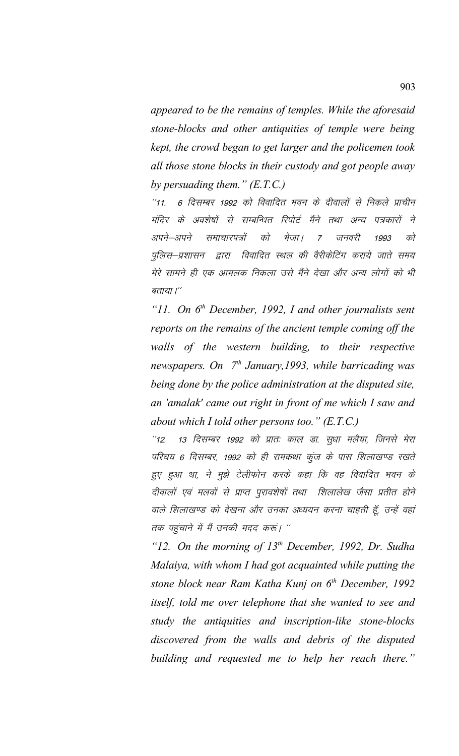*appeared to be the remains of temples. While the aforesaid stone-blocks and other antiquities of temple were being kept, the crowd began to get larger and the policemen took all those stone blocks in their custody and got people away by persuading them." (E.T.C.)*

"11. 6 दिसम्बर 1992 को विवादित भवन के दीवालों से निकले प्राचीन मंदिर के अवशेषों से सम्बन्धित रिपोर्ट मैंने तथा अन्य पत्रकारों ने अपने–अपने समाचारपत्रों को भेजा। 7 जनवरी 1993 को पुलिस–प्रशासन द्वारा विवादित स्थल की वैरीकेटिंग कराये जाते समय मेरे सामने ही एक आमलक निकला उसे मैंने देखा और अन्य लोगों को भी बताया।''

*"11. On 6th December, 1992, I and other journalists sent reports on the remains of the ancient temple coming off the walls of the western building, to their respective newspapers. On 7th January,1993, while barricading was being done by the police administration at the disputed site, an 'amalak' came out right in front of me which I saw and about which I told other persons too." (E.T.C.)* 

"12. 13 दिसम्बर 1992 को प्रातः काल डा. सुधा मलैया, जिनसे मेरा परिचय 6 दिसम्बर, 1992 को ही रामकथा कूंज के पास शिलाखण्ड रखते हुए हुआ था, ने मुझे टेलीफोन करके कहा कि वह विवादित भवन के दीवालों एवं मलवों से प्राप्त पूरावशेषों तथा शिलालेख जैसा प्रतीत होने वाले शिलाखण्ड को देखना और उनका अध्ययन करना चाहती हूँ, उन्हें वहां तक पहुंचाने में मैं उनकी मदद करूं। ''

*"12. On the morning of 13th December, 1992, Dr. Sudha Malaiya, with whom I had got acquainted while putting the stone block near Ram Katha Kunj on 6th December, 1992 itself, told me over telephone that she wanted to see and study the antiquities and inscription-like stone-blocks discovered from the walls and debris of the disputed building and requested me to help her reach there."*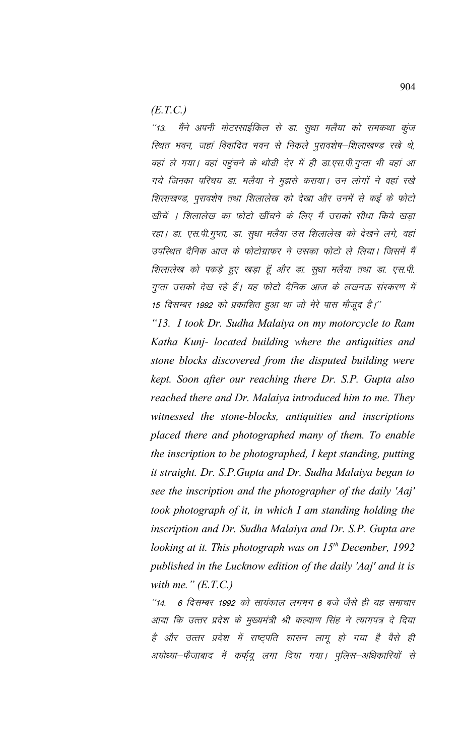$(E.T.C.)$ 

मैंने अपनी मोटरसाईकिल से डा. सुधा मलैया को रामकथा कुंज  $113$ स्थित भवन, जहां विवादित भवन से निकले पुरावशेष–शिलाखण्ड रखे थे, वहां ले गया। वहां पहुंचने के थोड़ी देर में ही डा.एस.पी.गुप्ता भी वहां आ गये जिनका परिचय डा. मलैया ने मुझसे कराया। उन लोगों ने वहां रखे शिलाखण्ड, पुरावशेष तथा शिलालेख को देखा और उनमें से कई के फोटो खीचें । शिलालेख का फोटो खींचने के लिए मैं उसको सीधा किये खड़ा रहा। डा. एस.पी.गुप्ता, डा. सुधा मलैया उस शिलालेख को देखने लगे, वहां उपस्थित दैनिक आज के फोटोग्राफर ने उसका फोटो ले लिया। जिसमें मैं शिलालेख को पकड़े हुए खड़ा हूँ और डा. सुधा मलैया तथा डा. एस.पी. गुप्ता उसको देख रहे हैं। यह फोटो दैनिक आज के लखनऊ संस्करण में 15 दिसम्बर 1992 को प्रकाशित हुआ था जो मेरे पास मौजूद है।''

"13. I took Dr. Sudha Malaiya on my motorcycle to Ram Katha Kunj- located building where the antiquities and stone blocks discovered from the disputed building were kept. Soon after our reaching there Dr. S.P. Gupta also reached there and Dr. Malaiya introduced him to me. They witnessed the stone-blocks, antiquities and inscriptions placed there and photographed many of them. To enable the inscription to be photographed, I kept standing, putting it straight. Dr. S.P. Gupta and Dr. Sudha Malaiya began to see the inscription and the photographer of the daily 'Aaj' took photograph of it, in which I am standing holding the inscription and Dr. Sudha Malaiya and Dr. S.P. Gupta are looking at it. This photograph was on  $15<sup>th</sup>$  December, 1992 published in the Lucknow edition of the daily 'Aaj' and it is with me."  $(E.T.C.)$ 

6 दिसम्बर 1992 को सायंकाल लगभग 6 बजे जैसे ही यह समाचार  $14.$ आया कि उत्तर प्रदेश के मुख्यमंत्री श्री कल्याण सिंह ने त्यागपत्र दे दिया है और उत्तर प्रदेश में राष्ट्पति शासन लागू हो गया है वैसे ही अयोध्या–फैजाबाद में कर्फ्यू लगा दिया गया। पुलिस–अधिकारियों से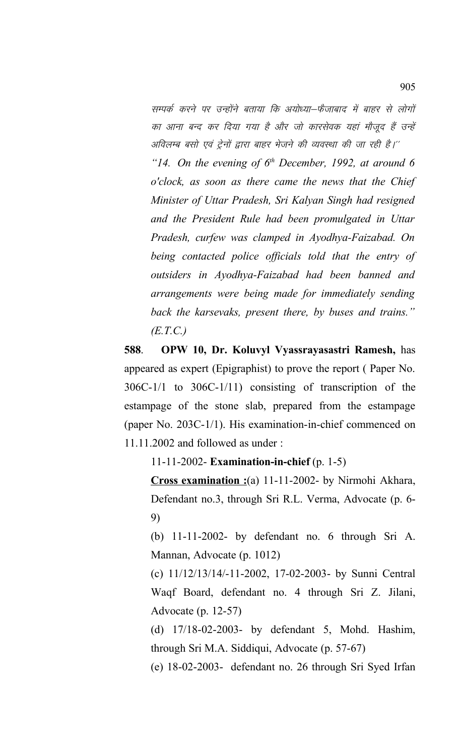सम्पर्क करने पर उन्होंने बताया कि अयोध्या–फैजाबाद में बाहर से लोगों का आना बन्द कर दिया गया है और जो कारसेवक यहां मौजूद हैं उन्हें अविलम्ब बसो एवं ट्रेनों द्वारा बाहर भेजने की व्यवस्था की जा रही है।'' *"14. On the evening of 6th December, 1992, at around 6*

*o'clock, as soon as there came the news that the Chief Minister of Uttar Pradesh, Sri Kalyan Singh had resigned and the President Rule had been promulgated in Uttar Pradesh, curfew was clamped in Ayodhya-Faizabad. On being contacted police officials told that the entry of outsiders in Ayodhya-Faizabad had been banned and arrangements were being made for immediately sending back the karsevaks, present there, by buses and trains." (E.T.C.)*

**588**.**OPW 10, Dr. Koluvyl Vyassrayasastri Ramesh,** has appeared as expert (Epigraphist) to prove the report ( Paper No. 306C-1/1 to 306C-1/11) consisting of transcription of the estampage of the stone slab, prepared from the estampage (paper No. 203C-1/1). His examination-in-chief commenced on 11.11.2002 and followed as under :

11-11-2002- **Examination-in-chief** (p. 1-5)

**Cross examination :**(a) 11-11-2002- by Nirmohi Akhara, Defendant no.3, through Sri R.L. Verma, Advocate (p. 6- 9)

(b) 11-11-2002- by defendant no. 6 through Sri A. Mannan, Advocate (p. 1012)

(c) 11/12/13/14/-11-2002, 17-02-2003- by Sunni Central Waqf Board, defendant no. 4 through Sri Z. Jilani, Advocate (p. 12-57)

(d) 17/18-02-2003- by defendant 5, Mohd. Hashim, through Sri M.A. Siddiqui, Advocate (p. 57-67)

(e) 18-02-2003- defendant no. 26 through Sri Syed Irfan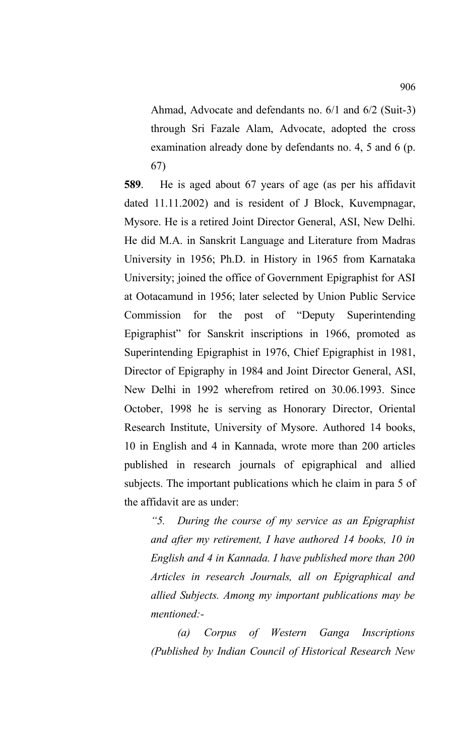Ahmad, Advocate and defendants no. 6/1 and 6/2 (Suit-3) through Sri Fazale Alam, Advocate, adopted the cross examination already done by defendants no. 4, 5 and 6 (p. 67)

**589**. He is aged about 67 years of age (as per his affidavit dated 11.11.2002) and is resident of J Block, Kuvempnagar, Mysore. He is a retired Joint Director General, ASI, New Delhi. He did M.A. in Sanskrit Language and Literature from Madras University in 1956; Ph.D. in History in 1965 from Karnataka University; joined the office of Government Epigraphist for ASI at Ootacamund in 1956; later selected by Union Public Service Commission for the post of "Deputy Superintending Epigraphist" for Sanskrit inscriptions in 1966, promoted as Superintending Epigraphist in 1976, Chief Epigraphist in 1981, Director of Epigraphy in 1984 and Joint Director General, ASI, New Delhi in 1992 wherefrom retired on 30.06.1993. Since October, 1998 he is serving as Honorary Director, Oriental Research Institute, University of Mysore. Authored 14 books, 10 in English and 4 in Kannada, wrote more than 200 articles published in research journals of epigraphical and allied subjects. The important publications which he claim in para 5 of the affidavit are as under:

*"5. During the course of my service as an Epigraphist and after my retirement, I have authored 14 books, 10 in English and 4 in Kannada. I have published more than 200 Articles in research Journals, all on Epigraphical and allied Subjects. Among my important publications may be mentioned:-* 

*(a) Corpus of Western Ganga Inscriptions (Published by Indian Council of Historical Research New*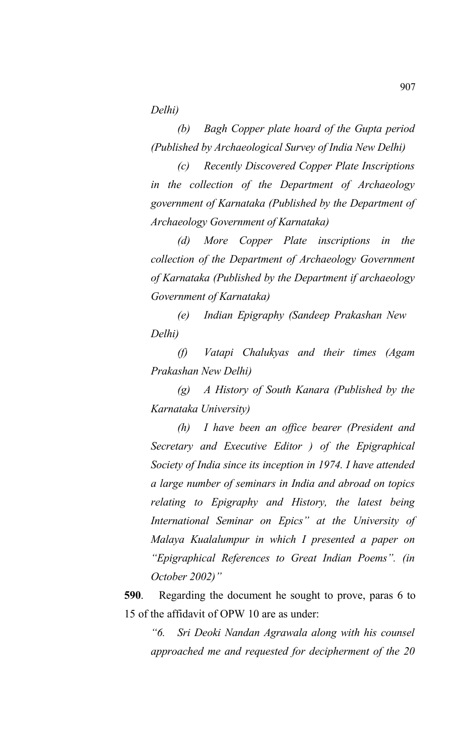*Delhi)*

*(b) Bagh Copper plate hoard of the Gupta period (Published by Archaeological Survey of India New Delhi)*

*(c) Recently Discovered Copper Plate Inscriptions in the collection of the Department of Archaeology government of Karnataka (Published by the Department of Archaeology Government of Karnataka)*

*(d) More Copper Plate inscriptions in the collection of the Department of Archaeology Government of Karnataka (Published by the Department if archaeology Government of Karnataka)*

*(e) Indian Epigraphy (Sandeep Prakashan New Delhi)*

*(f) Vatapi Chalukyas and their times (Agam Prakashan New Delhi)*

*(g) A History of South Kanara (Published by the Karnataka University)*

*(h) I have been an office bearer (President and Secretary and Executive Editor ) of the Epigraphical Society of India since its inception in 1974. I have attended a large number of seminars in India and abroad on topics relating to Epigraphy and History, the latest being International Seminar on Epics" at the University of Malaya Kualalumpur in which I presented a paper on "Epigraphical References to Great Indian Poems". (in October 2002)"*

**590**. Regarding the document he sought to prove, paras 6 to 15 of the affidavit of OPW 10 are as under:

*"6. Sri Deoki Nandan Agrawala along with his counsel approached me and requested for decipherment of the 20*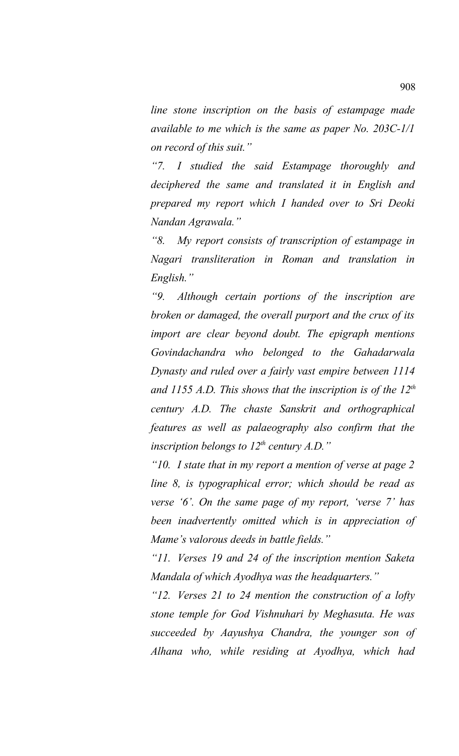*line stone inscription on the basis of estampage made available to me which is the same as paper No. 203C-1/1 on record of this suit."*

*"7. I studied the said Estampage thoroughly and deciphered the same and translated it in English and prepared my report which I handed over to Sri Deoki Nandan Agrawala."*

*"8. My report consists of transcription of estampage in Nagari transliteration in Roman and translation in English."*

*"9. Although certain portions of the inscription are broken or damaged, the overall purport and the crux of its import are clear beyond doubt. The epigraph mentions Govindachandra who belonged to the Gahadarwala Dynasty and ruled over a fairly vast empire between 1114 and 1155 A.D. This shows that the inscription is of the 12th century A.D. The chaste Sanskrit and orthographical features as well as palaeography also confirm that the inscription belongs to 12<sup>th</sup> century A.D.*"

*"10. I state that in my report a mention of verse at page 2 line 8, is typographical error; which should be read as verse '6'. On the same page of my report, 'verse 7' has been inadvertently omitted which is in appreciation of Mame's valorous deeds in battle fields."*

*"11. Verses 19 and 24 of the inscription mention Saketa Mandala of which Ayodhya was the headquarters."*

*"12. Verses 21 to 24 mention the construction of a lofty stone temple for God Vishnuhari by Meghasuta. He was succeeded by Aayushya Chandra, the younger son of Alhana who, while residing at Ayodhya, which had*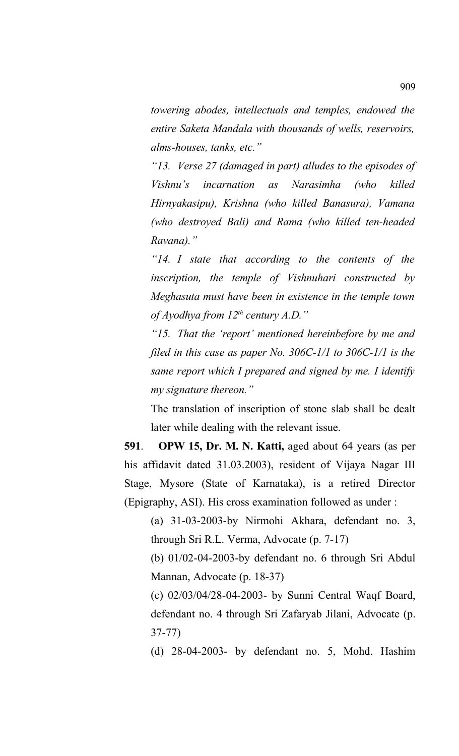*towering abodes, intellectuals and temples, endowed the entire Saketa Mandala with thousands of wells, reservoirs, alms-houses, tanks, etc."*

*"13. Verse 27 (damaged in part) alludes to the episodes of Vishnu's incarnation as Narasimha (who killed Hirnyakasipu), Krishna (who killed Banasura), Vamana (who destroyed Bali) and Rama (who killed ten-headed Ravana)."*

*"14. I state that according to the contents of the inscription, the temple of Vishnuhari constructed by Meghasuta must have been in existence in the temple town of Ayodhya from 12th century A.D."*

*"15. That the 'report' mentioned hereinbefore by me and filed in this case as paper No. 306C-1/1 to 306C-1/1 is the same report which I prepared and signed by me. I identify my signature thereon."*

The translation of inscription of stone slab shall be dealt later while dealing with the relevant issue.

**591**. **OPW 15, Dr. M. N. Katti,** aged about 64 years (as per his affidavit dated 31.03.2003), resident of Vijaya Nagar III Stage, Mysore (State of Karnataka), is a retired Director (Epigraphy, ASI). His cross examination followed as under :

(a) 31-03-2003-by Nirmohi Akhara, defendant no. 3, through Sri R.L. Verma, Advocate (p. 7-17)

(b) 01/02-04-2003-by defendant no. 6 through Sri Abdul Mannan, Advocate (p. 18-37)

(c) 02/03/04/28-04-2003- by Sunni Central Waqf Board, defendant no. 4 through Sri Zafaryab Jilani, Advocate (p. 37-77)

(d) 28-04-2003- by defendant no. 5, Mohd. Hashim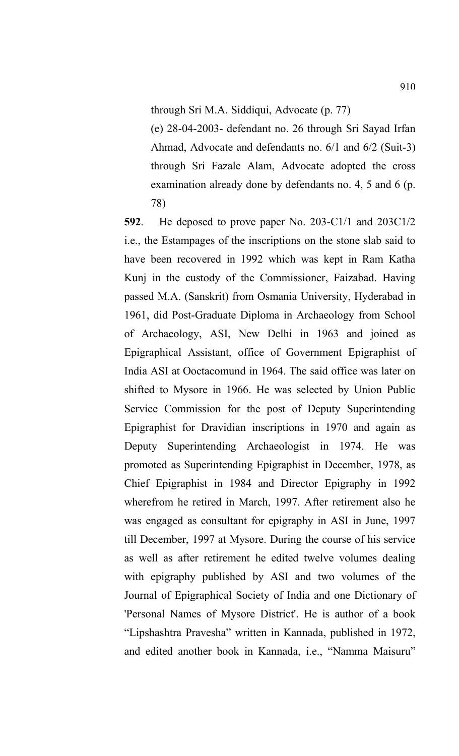through Sri M.A. Siddiqui, Advocate (p. 77)

(e) 28-04-2003- defendant no. 26 through Sri Sayad Irfan Ahmad, Advocate and defendants no. 6/1 and 6/2 (Suit-3) through Sri Fazale Alam, Advocate adopted the cross examination already done by defendants no. 4, 5 and 6 (p. 78)

**592**. He deposed to prove paper No. 203-C1/1 and 203C1/2 i.e., the Estampages of the inscriptions on the stone slab said to have been recovered in 1992 which was kept in Ram Katha Kunj in the custody of the Commissioner, Faizabad. Having passed M.A. (Sanskrit) from Osmania University, Hyderabad in 1961, did Post-Graduate Diploma in Archaeology from School of Archaeology, ASI, New Delhi in 1963 and joined as Epigraphical Assistant, office of Government Epigraphist of India ASI at Ooctacomund in 1964. The said office was later on shifted to Mysore in 1966. He was selected by Union Public Service Commission for the post of Deputy Superintending Epigraphist for Dravidian inscriptions in 1970 and again as Deputy Superintending Archaeologist in 1974. He was promoted as Superintending Epigraphist in December, 1978, as Chief Epigraphist in 1984 and Director Epigraphy in 1992 wherefrom he retired in March, 1997. After retirement also he was engaged as consultant for epigraphy in ASI in June, 1997 till December, 1997 at Mysore. During the course of his service as well as after retirement he edited twelve volumes dealing with epigraphy published by ASI and two volumes of the Journal of Epigraphical Society of India and one Dictionary of 'Personal Names of Mysore District'. He is author of a book "Lipshashtra Pravesha" written in Kannada, published in 1972, and edited another book in Kannada, i.e., "Namma Maisuru"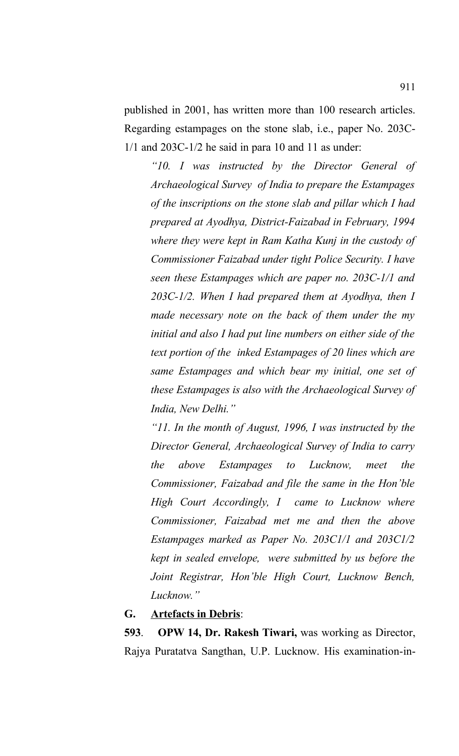published in 2001, has written more than 100 research articles. Regarding estampages on the stone slab, i.e., paper No. 203C-1/1 and 203C-1/2 he said in para 10 and 11 as under:

*"10. I was instructed by the Director General of Archaeological Survey of India to prepare the Estampages of the inscriptions on the stone slab and pillar which I had prepared at Ayodhya, District-Faizabad in February, 1994 where they were kept in Ram Katha Kunj in the custody of Commissioner Faizabad under tight Police Security. I have seen these Estampages which are paper no. 203C-1/1 and 203C-1/2. When I had prepared them at Ayodhya, then I made necessary note on the back of them under the my initial and also I had put line numbers on either side of the text portion of the inked Estampages of 20 lines which are same Estampages and which bear my initial, one set of these Estampages is also with the Archaeological Survey of India, New Delhi."*

*"11. In the month of August, 1996, I was instructed by the Director General, Archaeological Survey of India to carry the above Estampages to Lucknow, meet the Commissioner, Faizabad and file the same in the Hon'ble High Court Accordingly, I came to Lucknow where Commissioner, Faizabad met me and then the above Estampages marked as Paper No. 203C1/1 and 203C1/2 kept in sealed envelope, were submitted by us before the Joint Registrar, Hon'ble High Court, Lucknow Bench, Lucknow."* 

#### **G. Artefacts in Debris**:

**593**. **OPW 14, Dr. Rakesh Tiwari,** was working as Director, Rajya Puratatva Sangthan, U.P. Lucknow. His examination-in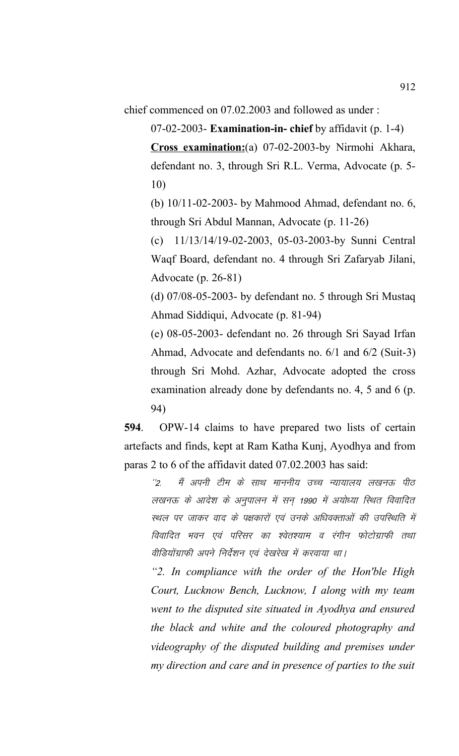chief commenced on 07.02.2003 and followed as under :

07-02-2003- **Examination-in- chief** by affidavit (p. 1-4)

**Cross examination:**(a) 07-02-2003-by Nirmohi Akhara, defendant no. 3, through Sri R.L. Verma, Advocate (p. 5- 10)

(b) 10/11-02-2003- by Mahmood Ahmad, defendant no. 6, through Sri Abdul Mannan, Advocate (p. 11-26)

(c) 11/13/14/19-02-2003, 05-03-2003-by Sunni Central Waqf Board, defendant no. 4 through Sri Zafaryab Jilani, Advocate (p. 26-81)

(d) 07/08-05-2003- by defendant no. 5 through Sri Mustaq Ahmad Siddiqui, Advocate (p. 81-94)

(e) 08-05-2003- defendant no. 26 through Sri Sayad Irfan Ahmad, Advocate and defendants no. 6/1 and 6/2 (Suit-3) through Sri Mohd. Azhar, Advocate adopted the cross examination already done by defendants no. 4, 5 and 6 (p. 94)

**594**. OPW-14 claims to have prepared two lists of certain artefacts and finds, kept at Ram Katha Kunj, Ayodhya and from paras 2 to 6 of the affidavit dated 07.02.2003 has said:

''2. मैं अपनी टीम के साथ माननीय उच्च न्यायालय लखनऊ पीठ लखनऊ के आदेश के अनुपालन में सन 1990 में अयोध्या स्थित विवादित स्थल पर जाकर वाद के पक्षकारों एवं उनके अधिवक्ताओं की उपस्थिति में विवादित भवन एवं परिसर का श्वेतश्याम व रंगीन फोटोग्राफी तथा वीडियोंग्राफी अपने निर्देशन एवं देखरेख में करवाया था।

*"2. In compliance with the order of the Hon'ble High Court, Lucknow Bench, Lucknow, I along with my team went to the disputed site situated in Ayodhya and ensured the black and white and the coloured photography and videography of the disputed building and premises under my direction and care and in presence of parties to the suit*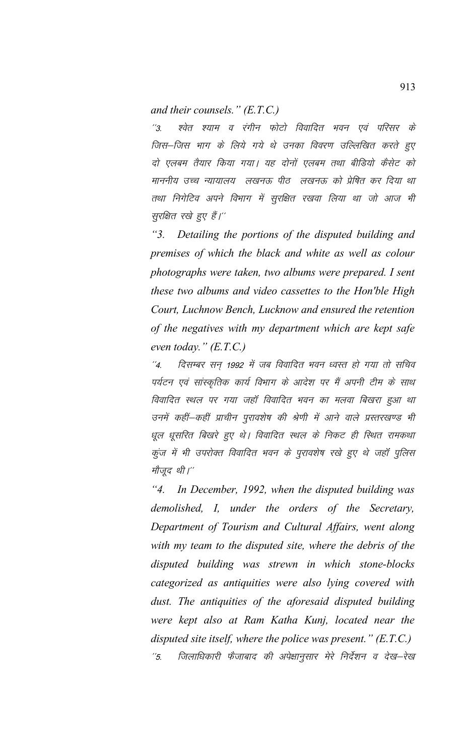and their counsels."  $(E.T.C.)$ 

श्वेत श्याम व रंगीन फोटो विवादित भवन एवं परिसर के  $^{''3}$ जिस–जिस भाग के लिये गये थे उनका विवरण उल्लिखित करते हुए दो एलबम तैयार किया गया। यह दोनों एलबम तथा बीडियो कैसेट को माननीय उच्च न्यायालय लखनऊ पीठ लखनऊ को प्रेषित कर दिया था तथा निगेटिव अपने विभाग में सूरक्षित रखवा लिया था जो आज भी सुरक्षित रखे हुए हैं।''

 $"3.$ Detailing the portions of the disputed building and premises of which the black and white as well as colour photographs were taken, two albums were prepared. I sent these two albums and video cassettes to the Hon'ble High Court, Luchnow Bench, Lucknow and ensured the retention of the negatives with my department which are kept safe even today."  $(E.T.C.)$ 

दिसम्बर सन् 1992 में जब विवादित भवन ध्वस्त हो गया तो सचिव  $^{\prime\prime}$ <sub>4.</sub> पर्यटन एवं सांस्कृतिक कार्य विभाग के आदेश पर मैं अपनी टीम के साथ विवादित स्थल पर गया जहाँ विवादित भवन का मलवा बिखरा हुआ था उनमें कहीं-कहीं प्राचीन पुरावशेष की श्रेणी में आने वाले प्रस्तरखण्ड भी धूल धूसरित बिखरे हुए थे। विवादित स्थल के निकट ही स्थित रामकथा कुंज में भी उपरोक्त विवादित भवन के पुरावशेष रखे हुए थे जहाँ पुलिस मौजूद थी।"

 $"4"$ In December, 1992, when the disputed building was demolished, I, under the orders of the Secretary, Department of Tourism and Cultural Affairs, went along with my team to the disputed site, where the debris of the disputed building was strewn in which stone-blocks categorized as antiquities were also lying covered with dust. The antiquities of the aforesaid disputed building were kept also at Ram Katha Kunj, located near the disputed site itself, where the police was present."  $(E.T.C.)$  $^{\prime\prime}5$ . जिलाधिकारी फैंजाबाद की अपेक्षानूसार मेरे निर्देशन व देख—रेख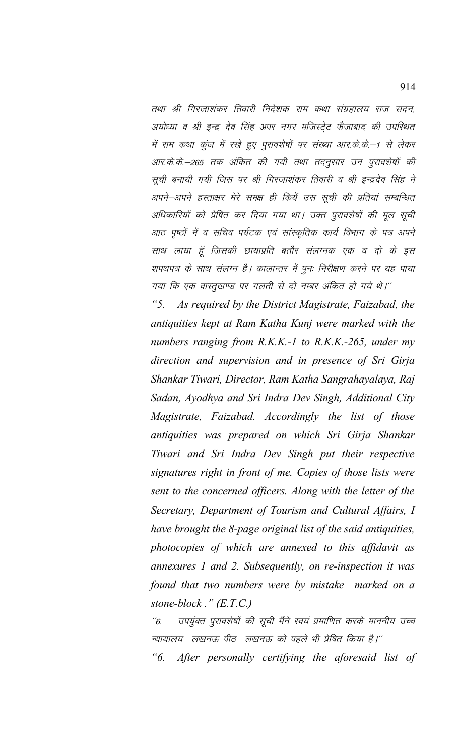तथा श्री गिरजाशंकर तिवारी निदेशक राम कथा संग्रहालय राज सदन, अयोध्या व श्री इन्द्र देव सिंह अपर नगर मजिस्ट्रेट फैजाबाद की उपस्थित में राम कथा कूंज में रखे हुए पुरावशेषों पर संख्या आर.के.के.–1 से लेकर आर.के.के.–265 तक अंकित की गयी तथा तदनूसार उन पुरावशेषों की सूची बनायी गयी जिस पर श्री गिरजाशंकर तिवारी व श्री इन्द्रदेव सिंह ने अपने—अपने हस्ताक्षर मेरे समक्ष ही कियें उस सूची की प्रतियां सम्बन्धित अधिकारियों को प्रेषित कर दिया गया था। उक्त पुरावशेषों की मूल सूची आठ पृष्ठों में व सचिव पर्यटक एवं सांस्कृतिक कार्य विभाग के पत्र अपने साथ लाया हूँ जिसकी छायाप्रति बतौर संलग्नक एक व दो के इस शपथपत्र के साथ संलग्न है। कालान्तर में पुनः निरीक्षण करने पर यह पाया गया कि एक वास्तुखण्ड पर गलती से दो नम्बर अंकित हो गये थे।''

 $"5.$ As required by the District Magistrate, Faizabad, the antiquities kept at Ram Katha Kunj were marked with the numbers ranging from  $R.K.K.-1$  to  $R.K.K.-265$ , under my direction and supervision and in presence of Sri Girja Shankar Tiwari, Director, Ram Katha Sangrahayalaya, Raj Sadan, Ayodhya and Sri Indra Dev Singh, Additional City Magistrate, Faizabad. Accordingly the list of those antiquities was prepared on which Sri Girja Shankar Tiwari and Sri Indra Dev Singh put their respective signatures right in front of me. Copies of those lists were sent to the concerned officers. Along with the letter of the Secretary, Department of Tourism and Cultural Affairs, I have brought the 8-page original list of the said antiquities, photocopies of which are annexed to this affidavit as annexures 1 and 2. Subsequently, on re-inspection it was found that two numbers were by mistake marked on a stone-block."  $(E.T.C.)$ 

उपर्युक्त पुरावशेषों की सूची मैंने स्वयं प्रमाणित करके माननीय उच्च  $^{\prime\prime}$ 6. न्यायालय लखनऊ पीठ लखनऊ को पहले भी प्रेषित किया है।''

"6. After personally certifying the aforesaid list of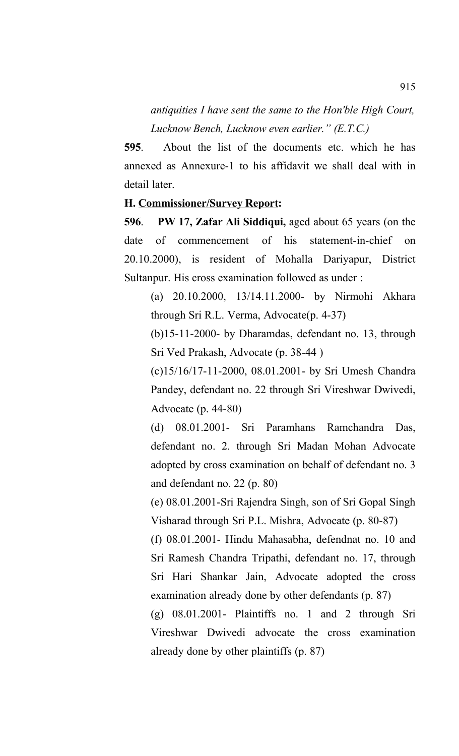*antiquities I have sent the same to the Hon'ble High Court, Lucknow Bench, Lucknow even earlier." (E.T.C.)*

**595**. About the list of the documents etc. which he has annexed as Annexure-1 to his affidavit we shall deal with in detail later.

### **H. Commissioner/Survey Report:**

**596**. **PW 17, Zafar Ali Siddiqui,** aged about 65 years (on the date of commencement of his statement-in-chief on 20.10.2000), is resident of Mohalla Dariyapur, District Sultanpur. His cross examination followed as under :

(a) 20.10.2000, 13/14.11.2000- by Nirmohi Akhara through Sri R.L. Verma, Advocate(p. 4-37)

(b)15-11-2000- by Dharamdas, defendant no. 13, through Sri Ved Prakash, Advocate (p. 38-44 )

(c)15/16/17-11-2000, 08.01.2001- by Sri Umesh Chandra Pandey, defendant no. 22 through Sri Vireshwar Dwivedi, Advocate (p. 44-80)

(d) 08.01.2001- Sri Paramhans Ramchandra Das, defendant no. 2. through Sri Madan Mohan Advocate adopted by cross examination on behalf of defendant no. 3 and defendant no. 22 (p. 80)

(e) 08.01.2001-Sri Rajendra Singh, son of Sri Gopal Singh Visharad through Sri P.L. Mishra, Advocate (p. 80-87)

(f) 08.01.2001- Hindu Mahasabha, defendnat no. 10 and Sri Ramesh Chandra Tripathi, defendant no. 17, through Sri Hari Shankar Jain, Advocate adopted the cross examination already done by other defendants (p. 87)

(g) 08.01.2001- Plaintiffs no. 1 and 2 through Sri Vireshwar Dwivedi advocate the cross examination already done by other plaintiffs (p. 87)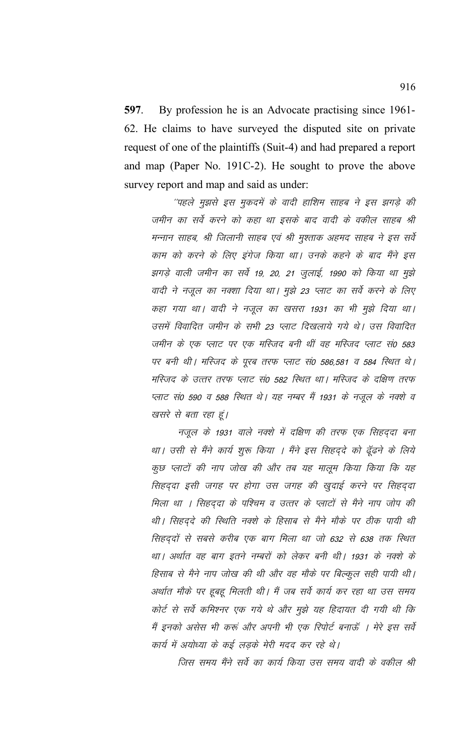597. By profession he is an Advocate practising since 1961-62. He claims to have surveyed the disputed site on private request of one of the plaintiffs (Suit-4) and had prepared a report and map (Paper No. 191C-2). He sought to prove the above survey report and map and said as under:

''पहले मुझसे इस मुकदमें के वादी हाशिम साहब ने इस झगड़े की जमीन का सर्वे करने को कहा था इसके बाद वादी के वकील साहब श्री मन्नान साहब, श्री जिलानी साहब एवं श्री मुश्ताक अहमद साहब ने इस सर्वे काम को करने के लिए इंगेज किया था। उनके कहने के बाद मैंने इस झगड़े वाली जमीन का सर्वे 19, 20, 21 जुलाई, 1990 को किया था मुझे वादी ने नजूल का नक्शा दिया था। मुझे 23 प्लाट का सर्वे करने के लिए कहा गया था। वादी ने नजूल का खसरा 1931 का भी मुझे दिया था। उसमें विवादित जमीन के सभी 23 प्लाट दिखलाये गये थे। उस विवादित जमीन के एक प्लाट पर एक मस्जिद बनी थीं वह मस्जिद प्लाट सं0 583 पर बनी थी। मस्जिद के पूरब तरफ प्लाट सं0 586,581 व 584 स्थित थे। मरिजद के उत्तर तरफ प्लाट सं0 582 रिथत था। मरिजद के दक्षिण तरफ प्लाट सं0 590 व 588 रिथत थे। यह नम्बर मैं 1931 के नजूल के नक्शे व खसरे से बता रहा हूं।

नजूल के 1931 वाले नक्शे में दक्षिण की तरफ एक सिहददा बना था। उसी से मैंने कार्य शुरू किया । मैंने इस सिहदुदे को ढूँढने के लिये कूछ प्लाटों की नाप जोख की और तब यह मालूम किया किया कि यह सिहदुदा इसी जगह पर होगा उस जगह की खुदाई करने पर सिहदुदा मिला था । सिहददा के पश्चिम व उत्तर के प्लाटों से मैने नाप जोप की थी। सिहदुदे की स्थिति नक्शे के हिसाब से मैने मौके पर ठीक पायी थी सिहदुदों से सबसे करीब एक बाग मिला था जो 632 से 638 तक स्थित था। अर्थात वह बाग इतने नम्बरों को लेकर बनी थी। 1931 के नक्शे के हिसाब से मैने नाप जोख की थी और वह मौके पर बिल्कुल सही पायी थी। अर्थात मौके पर हूबहू मिलती थी। मैं जब सर्वे कार्य कर रहा था उस समय कोर्ट से सर्वे कमिश्नर एक गये थे और मुझे यह हिदायत दी गयी थी कि मैं इनको असेस भी करूं और अपनी भी एक रिपोर्ट बनाऊँ । मेरे इस सर्वे कार्य में अयोध्या के कई लड़के मेरी मदद कर रहे थे।

जिस समय मैंने सर्वे का कार्य किया उस समय वादी के वकील श्री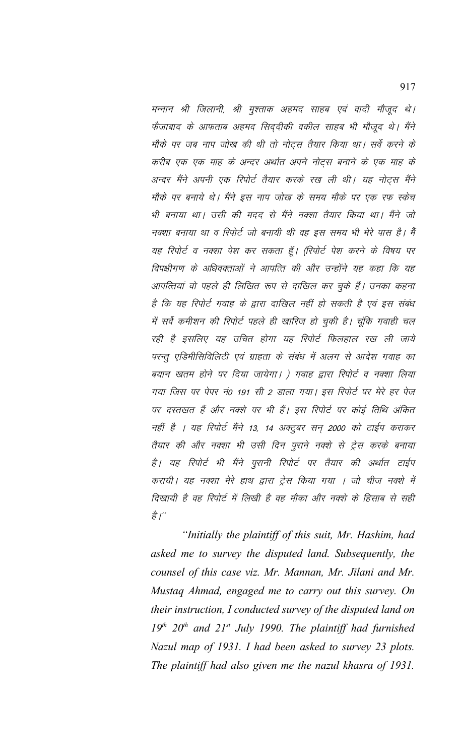मन्नान श्री जिलानी, श्री मुश्ताक अहमद साहब एवं वादी मौजूद थे। फैजाबाद के आफताब अहमद सिददीकी वकील साहब भी मौजूद थे। मैंने मौके पर जब नाप जोख की थी तो नोट्स तैयार किया था। सर्वे करने के करीब एक एक माह के अन्दर अर्थात अपने नोट्स बनाने के एक माह के अन्दर मैंने अपनी एक रिपोर्ट तैयार करके रख ली थी। यह नोट्स मैंने मौके पर बनाये थे। मैंने इस नाप जोख के समय मौके पर एक रफ स्केच भी बनाया था। उसी की मदद से मैंने नक्शा तैयार किया था। मैंने जो नक्शा बनाया था व रिपोर्ट जो बनायी थी वह इस समय भी मेरे पास है। मैं यह रिपोर्ट व नक्शा पेश कर सकता हूँ। (रिपोर्ट पेश करने के विषय पर विपक्षीगण के अधिवक्ताओं ने आपत्ति की और उन्होंने यह कहा कि यह आपत्तियां वो पहले ही लिखित रूप से दाखिल कर चुके हैं। उनका कहना है कि यह रिपोर्ट गवाह के द्वारा दाखिल नहीं हो सकती है एवं इस संबंध में सर्वे कमीशन की रिपोर्ट पहले ही खारिज हो चुकी है। चूंकि गवाही चल रही है इसलिए यह उचित होगा यह रिपोर्ट फिलहाल रख ली जाये परन्तू एडिमीसिविलिटी एवं ग्राहता के संबंध में अलग से आदेश गवाह का बयान खतम होने पर दिया जायेगा। ) गवाह द्वारा रिपोर्ट व नक्शा लिया गया जिस पर पेपर नं0 191 सी 2 डाला गया। इस रिपोर्ट पर मेरे हर पेज पर दस्तखत हैं और नक्शे पर भी हैं। इस रिपोर्ट पर कोई तिथि अंकित नहीं है । यह रिपोर्ट मैंने 13, 14 अक्टूबर सन 2000 को टाईप कराकर तैयार की और नक्शा भी उसी दिन पुराने नक्शे से ट्रेस करके बनाया है। यह रिपोर्ट भी मैंने पुरानी रिपोर्ट पर तैयार की अर्थात टाईप करायी। यह नक्शा मेरे हाथ द्वारा ट्रेस किया गया । जो चीज नक्शे में दिखायी है वह रिपोर्ट में लिखी है वह मौका और नक्शे के हिसाब से सही है।"

"Initially the plaintiff of this suit, Mr. Hashim, had asked me to survey the disputed land. Subsequently, the counsel of this case viz. Mr. Mannan, Mr. Jilani and Mr. Mustaq Ahmad, engaged me to carry out this survey. On their instruction, I conducted survey of the disputed land on  $19<sup>th</sup> 20<sup>th</sup>$  and  $21<sup>st</sup>$  July 1990. The plaintiff had furnished Nazul map of 1931. I had been asked to survey 23 plots. The plaintiff had also given me the nazul khasra of 1931.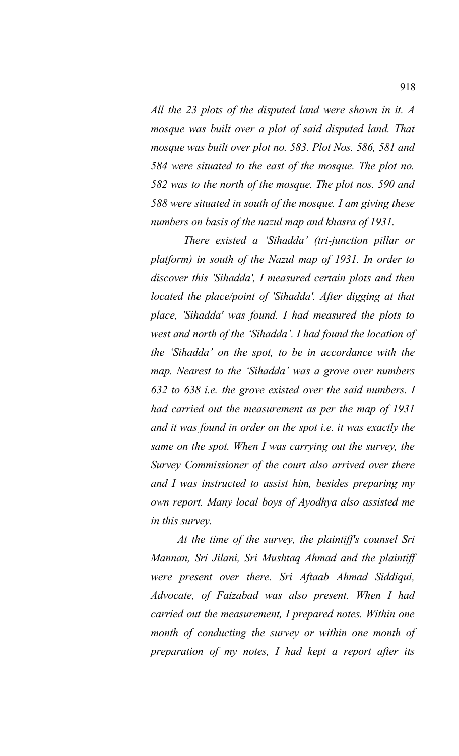*All the 23 plots of the disputed land were shown in it. A mosque was built over a plot of said disputed land. That mosque was built over plot no. 583. Plot Nos. 586, 581 and 584 were situated to the east of the mosque. The plot no. 582 was to the north of the mosque. The plot nos. 590 and 588 were situated in south of the mosque. I am giving these numbers on basis of the nazul map and khasra of 1931.* 

 *There existed a 'Sihadda' (tri-junction pillar or platform) in south of the Nazul map of 1931. In order to discover this 'Sihadda', I measured certain plots and then located the place/point of 'Sihadda'. After digging at that place, 'Sihadda' was found. I had measured the plots to west and north of the 'Sihadda'. I had found the location of the 'Sihadda' on the spot, to be in accordance with the map. Nearest to the 'Sihadda' was a grove over numbers 632 to 638 i.e. the grove existed over the said numbers. I had carried out the measurement as per the map of 1931 and it was found in order on the spot i.e. it was exactly the same on the spot. When I was carrying out the survey, the Survey Commissioner of the court also arrived over there and I was instructed to assist him, besides preparing my own report. Many local boys of Ayodhya also assisted me in this survey.* 

*At the time of the survey, the plaintiff's counsel Sri Mannan, Sri Jilani, Sri Mushtaq Ahmad and the plaintiff were present over there. Sri Aftaab Ahmad Siddiqui, Advocate, of Faizabad was also present. When I had carried out the measurement, I prepared notes. Within one month of conducting the survey or within one month of preparation of my notes, I had kept a report after its*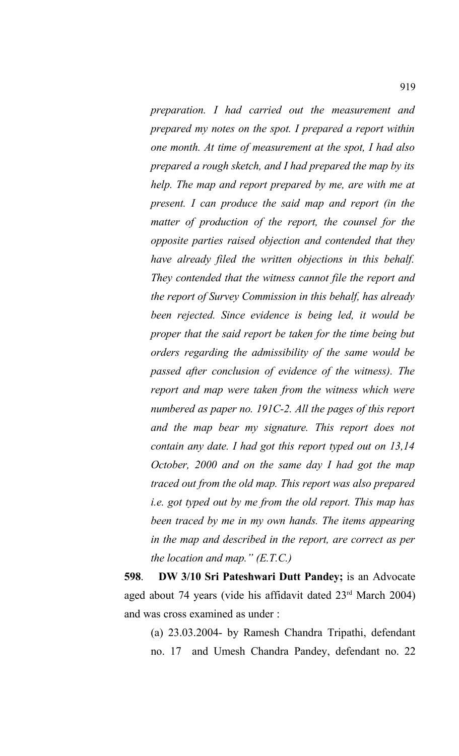*preparation. I had carried out the measurement and prepared my notes on the spot. I prepared a report within one month. At time of measurement at the spot, I had also prepared a rough sketch, and I had prepared the map by its help. The map and report prepared by me, are with me at present. I can produce the said map and report (in the matter of production of the report, the counsel for the opposite parties raised objection and contended that they have already filed the written objections in this behalf. They contended that the witness cannot file the report and the report of Survey Commission in this behalf, has already been rejected. Since evidence is being led, it would be proper that the said report be taken for the time being but orders regarding the admissibility of the same would be passed after conclusion of evidence of the witness). The report and map were taken from the witness which were numbered as paper no. 191C-2. All the pages of this report and the map bear my signature. This report does not contain any date. I had got this report typed out on 13,14 October, 2000 and on the same day I had got the map traced out from the old map. This report was also prepared i.e. got typed out by me from the old report. This map has been traced by me in my own hands. The items appearing in the map and described in the report, are correct as per the location and map." (E.T.C.)*

**598**. **DW 3/10 Sri Pateshwari Dutt Pandey;** is an Advocate aged about 74 years (vide his affidavit dated 23rd March 2004) and was cross examined as under :

(a) 23.03.2004- by Ramesh Chandra Tripathi, defendant no. 17 and Umesh Chandra Pandey, defendant no. 22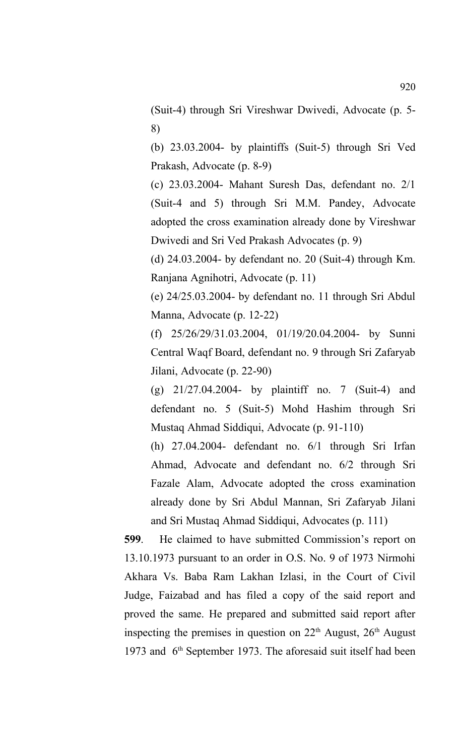(Suit-4) through Sri Vireshwar Dwivedi, Advocate (p. 5- 8)

(b) 23.03.2004- by plaintiffs (Suit-5) through Sri Ved Prakash, Advocate (p. 8-9)

(c) 23.03.2004- Mahant Suresh Das, defendant no. 2/1 (Suit-4 and 5) through Sri M.M. Pandey, Advocate adopted the cross examination already done by Vireshwar Dwivedi and Sri Ved Prakash Advocates (p. 9)

(d) 24.03.2004- by defendant no. 20 (Suit-4) through Km. Ranjana Agnihotri, Advocate (p. 11)

(e) 24/25.03.2004- by defendant no. 11 through Sri Abdul Manna, Advocate (p. 12-22)

(f) 25/26/29/31.03.2004, 01/19/20.04.2004- by Sunni Central Waqf Board, defendant no. 9 through Sri Zafaryab Jilani, Advocate (p. 22-90)

(g) 21/27.04.2004- by plaintiff no. 7 (Suit-4) and defendant no. 5 (Suit-5) Mohd Hashim through Sri Mustaq Ahmad Siddiqui, Advocate (p. 91-110)

(h) 27.04.2004- defendant no. 6/1 through Sri Irfan Ahmad, Advocate and defendant no. 6/2 through Sri Fazale Alam, Advocate adopted the cross examination already done by Sri Abdul Mannan, Sri Zafaryab Jilani and Sri Mustaq Ahmad Siddiqui, Advocates (p. 111)

**599**. He claimed to have submitted Commission's report on 13.10.1973 pursuant to an order in O.S. No. 9 of 1973 Nirmohi Akhara Vs. Baba Ram Lakhan Izlasi, in the Court of Civil Judge, Faizabad and has filed a copy of the said report and proved the same. He prepared and submitted said report after inspecting the premises in question on  $22<sup>th</sup>$  August,  $26<sup>th</sup>$  August 1973 and 6<sup>th</sup> September 1973. The aforesaid suit itself had been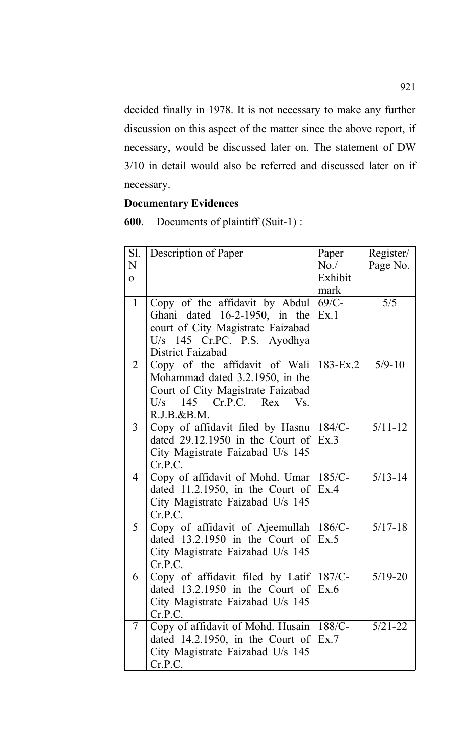decided finally in 1978. It is not necessary to make any further discussion on this aspect of the matter since the above report, if necessary, would be discussed later on. The statement of DW 3/10 in detail would also be referred and discussed later on if necessary.

## **Documentary Evidences**

**600**. Documents of plaintiff (Suit-1) :

| Sl.            | Description of Paper                    | Paper        | Register/   |
|----------------|-----------------------------------------|--------------|-------------|
| N              |                                         | No.          | Page No.    |
| $\Omega$       |                                         | Exhibit      |             |
|                |                                         | mark         |             |
| $\mathbf{1}$   |                                         | $69/C-$      | 5/5         |
|                | Copy of the affidavit by Abdul          |              |             |
|                | Ghani dated 16-2-1950, in the           | Ex.1         |             |
|                | court of City Magistrate Faizabad       |              |             |
|                | U/s 145 Cr.PC. P.S. Ayodhya             |              |             |
|                | District Faizabad                       |              |             |
| 2              | Copy of the affidavit of Wali           | $183 - Ex.2$ | $5/9 - 10$  |
|                | Mohammad dated 3.2.1950, in the         |              |             |
|                | Court of City Magistrate Faizabad       |              |             |
|                | 145 Cr.P.C. Rex Vs.<br>U/s              |              |             |
|                | R.J.B.&B.M.                             |              |             |
| 3              | Copy of affidavit filed by Hasnu        | $184/C$ -    | $5/11 - 12$ |
|                | dated $29.12.1950$ in the Court of      | Ex.3         |             |
|                | City Magistrate Faizabad U/s 145        |              |             |
|                | Cr.P.C.                                 |              |             |
| $\overline{4}$ | Copy of affidavit of Mohd. Umar         | $185/C$ -    | $5/13 - 14$ |
|                | dated 11.2.1950, in the Court of        | Ex.4         |             |
|                | City Magistrate Faizabad U/s 145        |              |             |
|                | Cr.P.C.                                 |              |             |
| 5              | Copy of affidavit of Ajeemullah         | $186/C$ -    | $5/17 - 18$ |
|                | dated $13.2.1950$ in the Court of       | Ex.5         |             |
|                | City Magistrate Faizabad U/s 145        |              |             |
|                | Cr.P.C.                                 |              |             |
| 6              | Copy of affidavit filed by Latif 187/C- |              | $5/19 - 20$ |
|                | dated $13.2.1950$ in the Court of       | Ex.6         |             |
|                | City Magistrate Faizabad U/s 145        |              |             |
|                | Cr.P.C.                                 |              |             |
| 7              | Copy of affidavit of Mohd. Husain       | $188/C-$     | $5/21 - 22$ |
|                | dated $14.2.1950$ , in the Court of     | Ex.7         |             |
|                | City Magistrate Faizabad U/s 145        |              |             |
|                | Cr.P.C.                                 |              |             |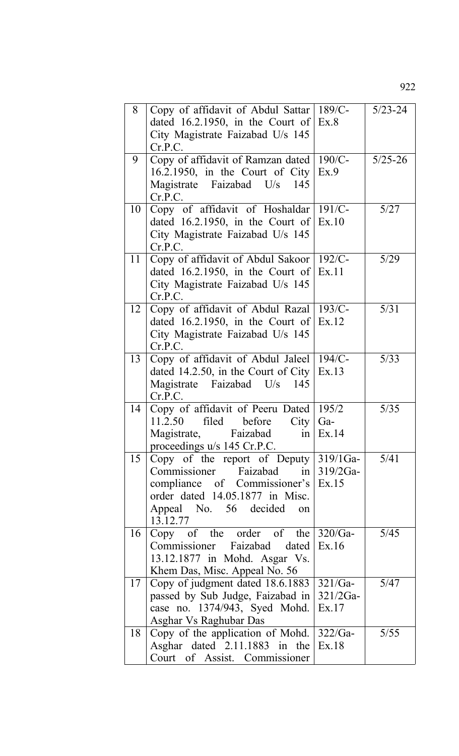| 8  | Copy of affidavit of Abdul Sattar                       | $189/C-$        | $5/23 - 24$ |
|----|---------------------------------------------------------|-----------------|-------------|
|    | dated 16.2.1950, in the Court of $Ex.8$                 |                 |             |
|    | City Magistrate Faizabad U/s 145                        |                 |             |
|    | Cr.P.C.                                                 |                 |             |
| 9  | Copy of affidavit of Ramzan dated                       | $190/C$ -       | $5/25 - 26$ |
|    | 16.2.1950, in the Court of City                         | Ex.9            |             |
|    | Magistrate Faizabad U/s<br>145                          |                 |             |
|    | Cr.P.C.                                                 |                 |             |
| 10 | Copy of affidavit of Hoshaldar                          | $191/C-$        | 5/27        |
|    | dated 16.2.1950, in the Court of $\text{Ex.10}$         |                 |             |
|    | City Magistrate Faizabad U/s 145<br>Cr.P.C.             |                 |             |
| 11 | Copy of affidavit of Abdul Sakoor   192/C-              |                 | 5/29        |
|    | dated 16.2.1950, in the Court of                        | Ex.11           |             |
|    | City Magistrate Faizabad U/s 145                        |                 |             |
|    | Cr.P.C.                                                 |                 |             |
| 12 | Copy of affidavit of Abdul Razal                        | $193/C$ -       | 5/31        |
|    | dated 16.2.1950, in the Court of                        | Ex.12           |             |
|    | City Magistrate Faizabad U/s 145                        |                 |             |
|    | Cr.P.C.                                                 |                 |             |
| 13 | Copy of affidavit of Abdul Jaleel                       | $194/C -$       | 5/33        |
|    | dated 14.2.50, in the Court of City                     | Ex.13           |             |
|    | Magistrate Faizabad U/s<br>145                          |                 |             |
| 14 | Cr.P.C.<br>Copy of affidavit of Peeru Dated             | 195/2           | 5/35        |
|    | 11.2.50<br>filed<br>before<br>City                      | Ga-             |             |
|    | Faizabad<br>Magistrate,<br>1n                           | Ex.14           |             |
|    | proceedings u/s 145 Cr.P.C.                             |                 |             |
| 15 | Copy of the report of Deputy $319/1$ Ga-                |                 | 5/41        |
|    | Commissioner Faizabad in                                | $319/2Ga-$      |             |
|    | compliance of Commissioner's $\vert$ Ex.15              |                 |             |
|    | order dated 14.05.1877 in Misc.                         |                 |             |
|    | Appeal No. 56 decided<br>on                             |                 |             |
|    | 13.12.77                                                |                 |             |
| 16 | Copy of the order of the<br>Commissioner Faizabad dated | 320/Ga<br>Ex.16 | 5/45        |
|    | 13.12.1877 in Mohd. Asgar Vs.                           |                 |             |
|    | Khem Das, Misc. Appeal No. 56                           |                 |             |
| 17 | Copy of judgment dated 18.6.1883                        | $321/Ga-$       | 5/47        |
|    | passed by Sub Judge, Faizabad in                        | $321/2Ga-$      |             |
|    | case no. 1374/943, Syed Mohd.                           | Ex.17           |             |
|    | Asghar Vs Raghubar Das                                  |                 |             |
| 18 | Copy of the application of Mohd.                        | $322/Ga-$       | 5/55        |
|    | Asghar dated $2.11.1883$ in the                         | Ex.18           |             |
|    | Court of Assist. Commissioner                           |                 |             |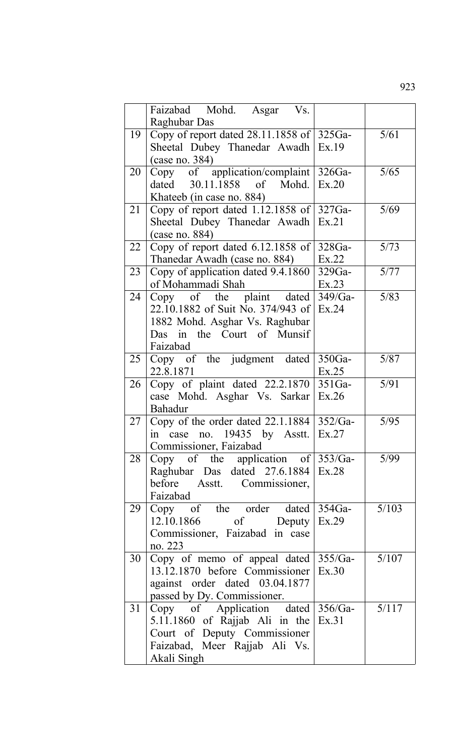|    | Faizabad Mohd. Asgar Vs.<br>Raghubar Das                                                                                                                    |                   |       |
|----|-------------------------------------------------------------------------------------------------------------------------------------------------------------|-------------------|-------|
| 19 | Copy of report dated $28.11.1858$ of $ 325Ga-$<br>Sheetal Dubey Thanedar Awadh Ex.19<br>$(\text{case no. } 384)$                                            |                   | 5/61  |
| 20 | Copy of application/complaint $ 326Ga-$<br>dated 30.11.1858 of Mohd.<br>Khateeb (in case no. 884)                                                           | Ex.20             | 5/65  |
| 21 | Copy of report dated $1.12.1858$ of $327Ga-$<br>Sheetal Dubey Thanedar Awadh Ex.21<br>(case no. 884)                                                        |                   | 5/69  |
| 22 | Copy of report dated $6.12.1858$ of $ 328Ga-$<br>Thanedar Awadh (case no. 884)                                                                              | Ex.22             | 5/73  |
| 23 | Copy of application dated 9.4.1860<br>of Mohammadi Shah                                                                                                     | 329Ga-<br>Ex.23   | 5/77  |
| 24 | Copy of the plaint dated $349/Ga$ -<br>22.10.1882 of Suit No. 374/943 of<br>1882 Mohd. Asghar Vs. Raghubar<br>Das in the Court of Munsif<br>Faizabad        | Ex.24             | 5/83  |
| 25 | Copy of the judgment dated<br>22.8.1871                                                                                                                     | $350Ga-$<br>Ex.25 | 5/87  |
| 26 | Copy of plaint dated $22.2.1870$ 351Ga-<br>case Mohd. Asghar Vs. Sarkar   Ex.26<br>Bahadur                                                                  |                   | 5/91  |
| 27 | Copy of the order dated $22.1.1884$ 352/Ga-<br>in case no. 19435 by Asstt.<br>Commissioner, Faizabad                                                        | Ex.27             | 5/95  |
| 28 | Copy of the application of $353/Ga$ -<br>Raghubar Das dated 27.6.1884 Ex.28<br>before Asstt. Commissioner,<br>Faizabad                                      |                   | 5/99  |
| 29 | Copy of the order dated $354Ga$ -<br>$12.10.1866$ of Deputy Ex.29<br>Commissioner, Faizabad in case<br>no. 223                                              |                   | 5/103 |
| 30 | Copy of memo of appeal dated $355/Ga$ -<br>13.12.1870 before Commissioner   Ex.30<br>against order dated 03.04.1877<br>passed by Dy. Commissioner.          |                   | 5/107 |
| 31 | Copy of Application dated 356/Ga-<br>5.11.1860 of Rajjab Ali in the $Ex.31$<br>Court of Deputy Commissioner<br>Faizabad, Meer Rajjab Ali Vs.<br>Akali Singh |                   | 5/117 |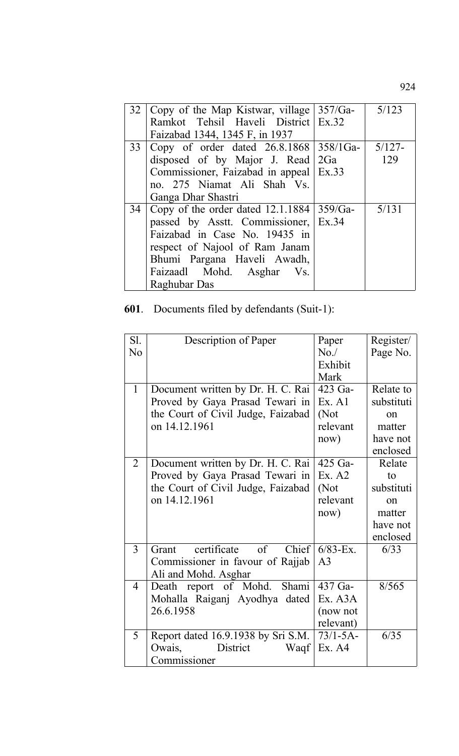|    | 32   Copy of the Map Kistwar, village   357/Ga-  | 5/123  |
|----|--------------------------------------------------|--------|
|    | Ramkot Tehsil Haveli District Ex.32              |        |
|    | Faizabad 1344, 1345 F, in 1937                   |        |
| 33 | Copy of order dated $26.8.1868$ 358/1Ga-         | 5/127- |
|    | disposed of by Major J. Read $2Ga$               | 129    |
|    | Commissioner, Faizabad in appeal   Ex.33         |        |
|    | no. 275 Niamat Ali Shah Vs.                      |        |
|    | Ganga Dhar Shastri                               |        |
|    | 34   Copy of the order dated 12.1.1884   359/Ga- | 5/131  |
|    | passed by Asstt. Commissioner, Ex.34             |        |
|    | Faizabad in Case No. 19435 in                    |        |
|    | respect of Najool of Ram Janam                   |        |
|    | Bhumi Pargana Haveli Awadh,                      |        |
|    | Faizaadl Mohd. Asghar Vs.                        |        |
|    | Raghubar Das                                     |        |

## **601**. Documents filed by defendants (Suit-1):

| SI.            | Description of Paper                       | Paper          | Register/  |
|----------------|--------------------------------------------|----------------|------------|
| N <sub>0</sub> |                                            | No.            | Page No.   |
|                |                                            | Exhibit        |            |
|                |                                            | Mark           |            |
| $\mathbf{1}$   | Document written by Dr. H. C. Rai          | 423 Ga-        | Relate to  |
|                | Proved by Gaya Prasad Tewari in            | Ex. A1         | substituti |
|                | the Court of Civil Judge, Faizabad         | (Not           | on         |
|                | on 14.12.1961                              | relevant       | matter     |
|                |                                            | now)           | have not   |
|                |                                            |                | enclosed   |
| $\overline{2}$ | Document written by Dr. H. C. Rai          | 425 Ga-        | Relate     |
|                | Proved by Gaya Prasad Tewari in            | Ex. A2         | to         |
|                | the Court of Civil Judge, Faizabad         | (Not           | substituti |
|                | on 14.12.1961                              | relevant       | on         |
|                |                                            | now)           | matter     |
|                |                                            |                | have not   |
|                |                                            |                | enclosed   |
| $\overline{3}$ | certificate<br>of<br><b>Chief</b><br>Grant | $6/83 - Ex.$   | 6/33       |
|                | Commissioner in favour of Rajjab           | A <sub>3</sub> |            |
|                | Ali and Mohd. Asghar                       |                |            |
| $\overline{4}$ | report of Mohd.<br><b>Shami</b><br>Death   | 437 Ga-        | 8/565      |
|                | Mohalla Raiganj Ayodhya dated              | Ex. A3A        |            |
|                | 26.6.1958                                  | (now not       |            |
|                |                                            | relevant)      |            |
| 5              | Report dated 16.9.1938 by Sri S.M.         | $73/1 - 5A$ -  | 6/35       |
|                | District<br>Waqf<br>Owais,                 | Ex. A4         |            |
|                | Commissioner                               |                |            |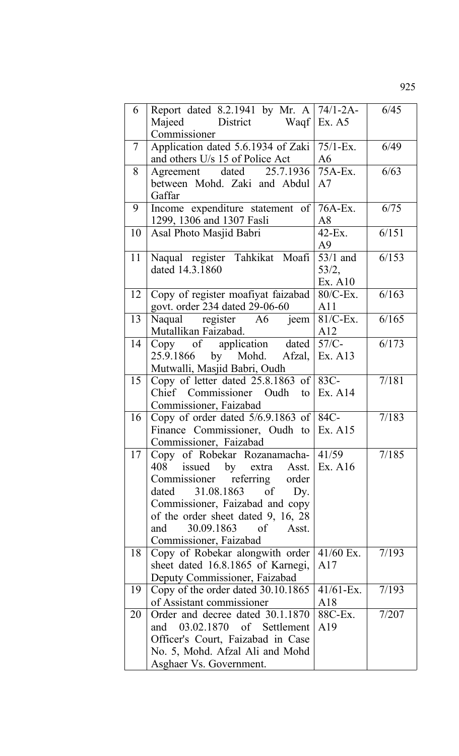| 6      | Report dated 8.2.1941 by Mr. A   74/1-2A-<br>District Waqf Ex. A5<br>Majeed<br>Commissioner                                                                                                                                                                                                   |                                | 6/45  |
|--------|-----------------------------------------------------------------------------------------------------------------------------------------------------------------------------------------------------------------------------------------------------------------------------------------------|--------------------------------|-------|
| $\tau$ | Application dated 5.6.1934 of Zaki<br>and others U/s 15 of Police Act                                                                                                                                                                                                                         | $75/1 - Ex.$<br>A6             | 6/49  |
| 8      | Agreement dated 25.7.1936 75A-Ex.<br>between Mohd. Zaki and Abdul<br>Gaffar                                                                                                                                                                                                                   | A7                             | 6/63  |
| 9      | Income expenditure statement of 76A-Ex.<br>1299, 1306 and 1307 Fasli                                                                                                                                                                                                                          | A8                             | 6/75  |
| 10     | Asal Photo Masjid Babri                                                                                                                                                                                                                                                                       | $42$ -Ex.<br>A <sup>9</sup>    | 6/151 |
| 11     | Naqual register Tahkikat Moafi<br>dated 14.3.1860                                                                                                                                                                                                                                             | $53/1$ and<br>53/2,<br>Ex. A10 | 6/153 |
| 12     | Copy of register moafiyat faizabad<br>govt. order 234 dated 29-06-60                                                                                                                                                                                                                          | $80/C$ -Ex.<br>A11             | 6/163 |
| 13     | Naqual register A6 jeem<br>Mutallikan Faizabad.                                                                                                                                                                                                                                               | $81/C$ -Ex.<br>A12             | 6/165 |
| 14     | Copy of application dated<br>25.9.1866 by Mohd. Afzal,<br>Mutwalli, Masjid Babri, Oudh                                                                                                                                                                                                        | $57/C-$<br>Ex. A13             | 6/173 |
| 15     | Copy of letter dated $25.8.1863$ of $ 83C-$<br>Chief Commissioner Oudh<br>to<br>Commissioner, Faizabad                                                                                                                                                                                        | Ex. A14                        | 7/181 |
| 16     | Copy of order dated $5/6.9.1863$ of $ 84C$ -<br>Finance Commissioner, Oudh to<br>Commissioner, Faizabad                                                                                                                                                                                       | Ex. A15                        | 7/183 |
| 17     | Copy of Robekar Rozanamacha- 41/59<br>408<br>issued<br>by extra Asst. $\vert$ Ex. A16<br>Commissioner referring order<br>31.08.1863 of<br>dated<br>Dy.<br>Commissioner, Faizabad and copy<br>of the order sheet dated 9, 16, 28<br>30.09.1863<br>of<br>Asst.<br>and<br>Commissioner, Faizabad |                                | 7/185 |
| 18     | Copy of Robekar alongwith order<br>sheet dated 16.8.1865 of Karnegi,<br>Deputy Commissioner, Faizabad                                                                                                                                                                                         | $41/60$ Ex.<br>A17             | 7/193 |
| 19     | Copy of the order dated 30.10.1865<br>of Assistant commissioner                                                                                                                                                                                                                               | $41/61 - Ex.$<br>A18           | 7/193 |
| 20     | Order and decree dated 30.1.1870<br>and 03.02.1870 of Settlement<br>Officer's Court, Faizabad in Case<br>No. 5, Mohd. Afzal Ali and Mohd<br>Asghaer Vs. Government.                                                                                                                           | 88C-Ex.<br>A19                 | 7/207 |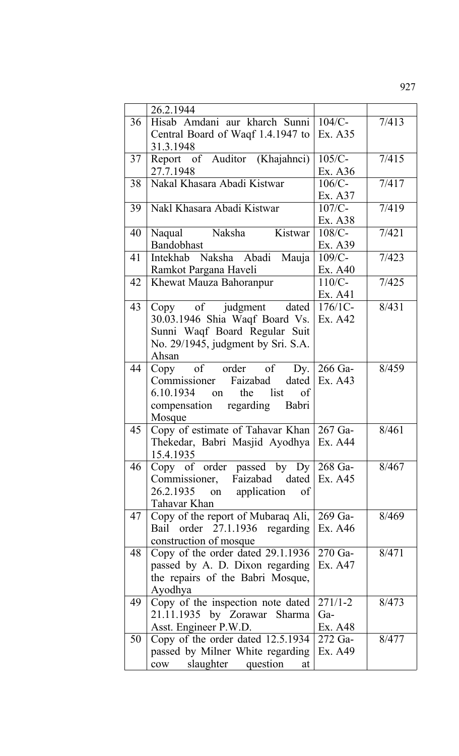|    | 26.2.1944                                      |             |       |
|----|------------------------------------------------|-------------|-------|
| 36 | Hisab Amdani aur kharch Sunni                  | $104/C$ -   | 7/413 |
|    | Central Board of Waqf 1.4.1947 to<br>31.3.1948 | Ex. A35     |       |
| 37 | Report of Auditor (Khajahnci)                  | $105/C$ -   | 7/415 |
|    | 27.7.1948                                      | Ex. A36     |       |
| 38 | Nakal Khasara Abadi Kistwar                    | $106/C$ -   | 7/417 |
|    |                                                | Ex. A37     |       |
| 39 | Nakl Khasara Abadi Kistwar                     | $107/C$ -   | 7/419 |
|    |                                                | Ex. A38     |       |
| 40 | Naksha<br>Kistwar<br>Naqual                    | $108/C$ -   | 7/421 |
|    | Bandobhast                                     | Ex. A39     |       |
| 41 | Intekhab Naksha Abadi<br>Mauja                 | $109/C$ -   | 7/423 |
|    | Ramkot Pargana Haveli                          | Ex. A40     |       |
| 42 | Khewat Mauza Bahoranpur                        | $110/C-$    | 7/425 |
|    |                                                | Ex. A41     |       |
| 43 | Copy of judgment dated                         | $176/1C-$   | 8/431 |
|    | 30.03.1946 Shia Waqf Board Vs.                 | Ex. A42     |       |
|    | Sunni Waqf Board Regular Suit                  |             |       |
|    | No. 29/1945, judgment by Sri. S.A.             |             |       |
|    | Ahsan                                          |             |       |
| 44 | Copy of order of<br>$\Delta y$ .               | 266 Ga-     | 8/459 |
|    | Commissioner Faizabad<br>dated                 | Ex. A43     |       |
|    | list<br>$6.10.1934$ on<br>the<br>of            |             |       |
|    | compensation regarding Babri                   |             |       |
|    | Mosque                                         |             |       |
| 45 | Copy of estimate of Tahavar Khan 267 Ga-       |             | 8/461 |
|    | Thekedar, Babri Masjid Ayodhya Ex. A44         |             |       |
|    | 15.4.1935                                      |             |       |
| 46 | Copy of order passed by $Dy \mid 268$ Ga-      |             | 8/467 |
|    | Commissioner, Faizabad dated Ex. A45           |             |       |
|    | 26.2.1935 on application of                    |             |       |
|    | Tahavar Khan                                   |             |       |
| 47 | Copy of the report of Mubaraq Ali,             | $269$ Ga-   | 8/469 |
|    | Bail order 27.1.1936 regarding                 | Ex. A46     |       |
|    | construction of mosque                         |             |       |
| 48 | Copy of the order dated 29.1.1936              | $270$ Ga-   | 8/471 |
|    |                                                |             |       |
|    | passed by A. D. Dixon regarding                | Ex. A47     |       |
|    | the repairs of the Babri Mosque,               |             |       |
|    | Ayodhya                                        |             |       |
| 49 | Copy of the inspection note dated              | $271/1 - 2$ | 8/473 |
|    | 21.11.1935 by Zorawar Sharma                   | $Ga-$       |       |
|    | Asst. Engineer P.W.D.                          | Ex. A48     |       |
| 50 | Copy of the order dated 12.5.1934              | $272$ Ga-   | 8/477 |
|    | passed by Milner White regarding               | Ex. A49     |       |
|    | slaughter<br>question<br>$\text{cow}$<br>at    |             |       |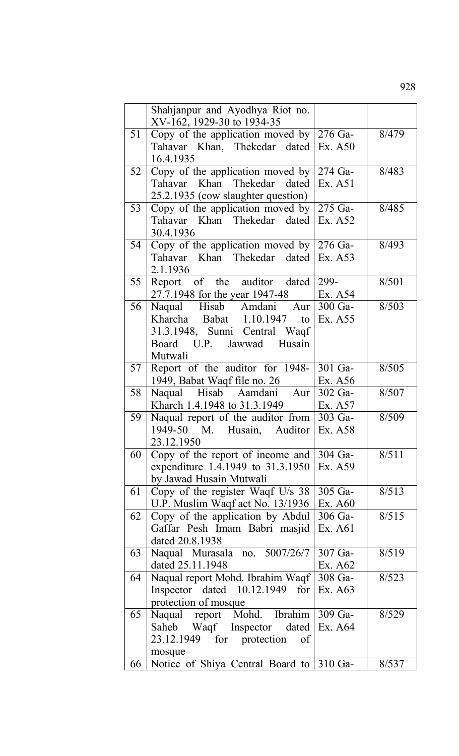|    | Shahjanpur and Ayodhya Riot no.<br>XV-162, 1929-30 to 1934-35          |                    |       |
|----|------------------------------------------------------------------------|--------------------|-------|
| 51 | Copy of the application moved by $\frac{276}{3}$ -                     |                    | 8/479 |
|    | Tahavar Khan, Thekedar dated                                           | Ex. A50            |       |
|    | 16.4.1935                                                              |                    |       |
| 52 | Copy of the application moved by $\sqrt{274 \text{ Ga}}$               |                    | 8/483 |
|    | Tahavar Khan Thekedar dated                                            | Ex. A51            |       |
| 53 | 25.2.1935 (cow slaughter question)<br>Copy of the application moved by | 275 Ga-            | 8/485 |
|    | Tahavar Khan Thekedar dated                                            | Ex. A52            |       |
|    | 30.4.1936                                                              |                    |       |
| 54 | Copy of the application moved by $276$ Ga-                             |                    | 8/493 |
|    | Tahavar Khan Thekedar dated Ex. A53                                    |                    |       |
|    | 2.1.1936                                                               |                    |       |
| 55 | Report of the auditor dated                                            | 299-               | 8/501 |
|    | 27.7.1948 for the year 1947-48                                         | Ex. A54            |       |
| 56 | Naqual Hisab Amdani Aur                                                | 300 Ga-            | 8/503 |
|    | Kharcha Babat 1.10.1947<br>to                                          | Ex. A55            |       |
|    | 31.3.1948, Sunni Central Waqf<br>Board U.P. Jawwad Husain              |                    |       |
|    | Mutwali                                                                |                    |       |
| 57 | Report of the auditor for 1948-                                        | 301 Ga-            | 8/505 |
|    | 1949, Babat Waqf file no. 26                                           | Ex. A56            |       |
| 58 | Naqual Hisab Aamdani Aur                                               | 302 Ga-            | 8/507 |
|    | Kharch 1.4.1948 to 31.3.1949                                           | Ex. A57            |       |
| 59 | Naqual report of the auditor from                                      | 303 Ga-            | 8/509 |
|    | 1949-50 M. Husain, Auditor                                             | Ex. A58            |       |
| 60 | 23.12.1950<br>Copy of the report of income and                         | 304 Ga-            | 8/511 |
|    | expenditure 1.4.1949 to 31.3.1950                                      | Ex. A59            |       |
|    | by Jawad Husain Mutwali                                                |                    |       |
| 61 | Copy of the register Waqf U/s 38                                       | 305 Ga-            | 8/513 |
|    | U.P. Muslim Waqf act No. 13/1936                                       | Ex. A60            |       |
| 62 | Copy of the application by Abdul                                       | 306 Ga-            | 8/515 |
|    | Gaffar Pesh Imam Babri masjid                                          | Ex. A61            |       |
|    | dated 20.8.1938                                                        |                    |       |
| 63 | Naqual Murasala no. 5007/26/7<br>dated 25.11.1948                      | 307 Ga-<br>Ex. A62 | 8/519 |
| 64 | Naqual report Mohd. Ibrahim Waqf                                       | 308 Ga-            | 8/523 |
|    | Inspector dated $10.12.1949$ for                                       | Ex. A63            |       |
|    | protection of mosque                                                   |                    |       |
| 65 | Naqual report Mohd. Ibrahim                                            | 309 Ga-            | 8/529 |
|    | Saheb Waqf Inspector dated                                             | Ex. A64            |       |
|    | for protection<br>23.12.1949<br>of                                     |                    |       |
|    | mosque                                                                 |                    |       |
| 66 | Notice of Shiya Central Board to                                       | 310 Ga-            | 8/537 |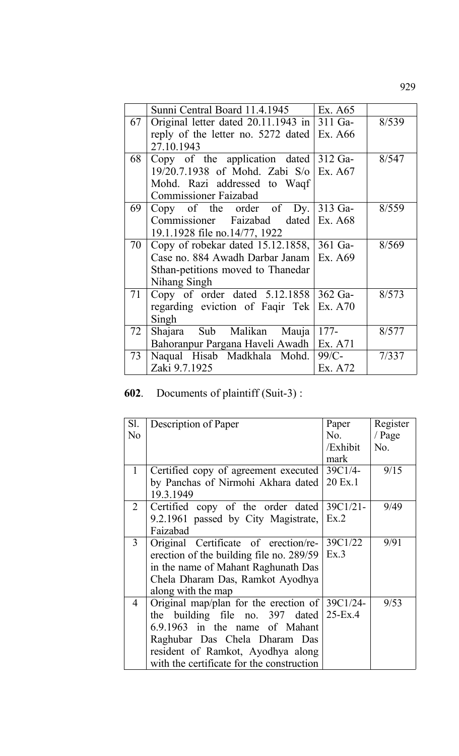|    | Sunni Central Board 11.4.1945             | Ex. A65   |       |
|----|-------------------------------------------|-----------|-------|
| 67 | Original letter dated 20.11.1943 in       | $311$ Ga- | 8/539 |
|    | reply of the letter no. 5272 dated        | Ex. A66   |       |
|    | 27.10.1943                                |           |       |
| 68 | Copy of the application dated 312 Ga-     |           | 8/547 |
|    | 19/20.7.1938 of Mohd. Zabi S/o            | Ex. A67   |       |
|    | Mohd. Razi addressed to Waqf              |           |       |
|    | <b>Commissioner Faizabad</b>              |           |       |
| 69 | Copy of the order of Dy.                  | $313$ Ga- | 8/559 |
|    | Commissioner Faizabad dated Ex. A68       |           |       |
|    | 19.1.1928 file no.14/77, 1922             |           |       |
| 70 | Copy of robekar dated $15.12.1858$ ,      | $361$ Ga- | 8/569 |
|    | Case no. 884 Awadh Darbar Janam   Ex. A69 |           |       |
|    | Sthan-petitions moved to Thanedar         |           |       |
|    | Nihang Singh                              |           |       |
| 71 | Copy of order dated $5.12.1858$ 362 Ga-   |           | 8/573 |
|    | regarding eviction of Faqir Tek           | Ex. A70   |       |
|    | Singh                                     |           |       |
| 72 | Shajara Sub Malikan Mauja                 | $177-$    | 8/577 |
|    | Bahoranpur Pargana Haveli Awadh           | Ex. A71   |       |
| 73 | Naqual Hisab Madkhala Mohd.               | $99/C$ -  | 7/337 |
|    | Zaki 9.7.1925                             | Ex. A72   |       |

# **602**. Documents of plaintiff (Suit-3) :

| Sl.            | Description of Paper                      | Paper       | Register |
|----------------|-------------------------------------------|-------------|----------|
| No             |                                           | No.         | / Page   |
|                |                                           | /Exhibit    | No.      |
|                |                                           | mark        |          |
| $\mathbf{1}$   | Certified copy of agreement executed      | $39C1/4-$   | 9/15     |
|                | by Panchas of Nirmohi Akhara dated        | 20 Ex.1     |          |
|                | 19.3.1949                                 |             |          |
| $\overline{2}$ | Certified copy of the order dated         | $39C1/21 -$ | 9/49     |
|                | 9.2.1961 passed by City Magistrate,       | Ex.2        |          |
|                | Faizabad                                  |             |          |
| 3              | Original Certificate of erection/re-      | 39C1/22     | 9/91     |
|                | erection of the building file no. 289/59  | Ex.3        |          |
|                | in the name of Mahant Raghunath Das       |             |          |
|                | Chela Dharam Das, Ramkot Ayodhya          |             |          |
|                | along with the map                        |             |          |
| $\overline{4}$ | Original map/plan for the erection of     | 39C1/24-    | 9/53     |
|                | the building file no. $397$ dated         | $25-Ex.4$   |          |
|                | 6.9.1963 in the name of Mahant            |             |          |
|                | Raghubar Das Chela Dharam Das             |             |          |
|                | resident of Ramkot, Ayodhya along         |             |          |
|                | with the certificate for the construction |             |          |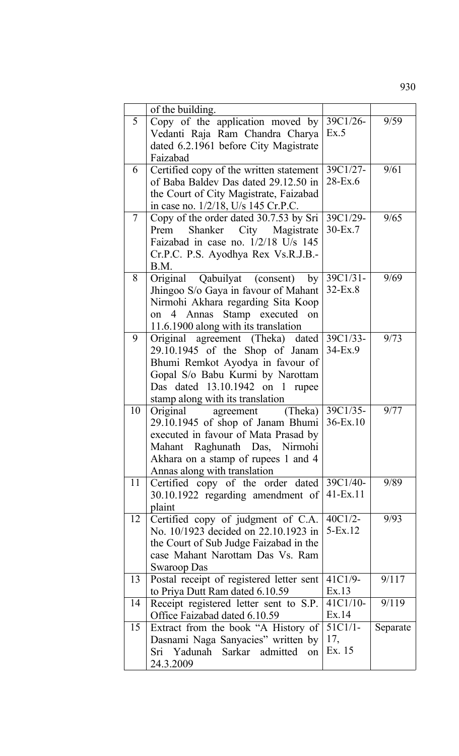|                | of the building.                         |               |          |
|----------------|------------------------------------------|---------------|----------|
| 5              | Copy of the application moved by         | 39C1/26-      | 9/59     |
|                | Vedanti Raja Ram Chandra Charya          | Ex.5          |          |
|                | dated 6.2.1961 before City Magistrate    |               |          |
|                | Faizabad                                 |               |          |
| 6              | Certified copy of the written statement  | 39C1/27-      | 9/61     |
|                | of Baba Baldey Das dated 29.12.50 in     | $28$ -Ex.6    |          |
|                | the Court of City Magistrate, Faizabad   |               |          |
|                | in case no. 1/2/18, U/s 145 Cr.P.C.      |               |          |
| $\overline{7}$ | Copy of the order dated 30.7.53 by Sri   | 39C1/29-      | 9/65     |
|                | Prem Shanker City Magistrate             | $30$ -Ex. $7$ |          |
|                | Faizabad in case no. 1/2/18 U/s 145      |               |          |
|                | Cr.P.C. P.S. Ayodhya Rex Vs.R.J.B.-      |               |          |
|                | B.M.                                     |               |          |
| 8              | Original Qabuilyat (consent) by          | $39C1/31-$    | 9/69     |
|                | Jhingoo S/o Gaya in favour of Mahant     | 32-Ex.8       |          |
|                | Nirmohi Akhara regarding Sita Koop       |               |          |
|                | on 4 Annas Stamp executed<br>on          |               |          |
|                | 11.6.1900 along with its translation     |               |          |
| 9              | Original agreement (Theka) dated         | 39C1/33-      | 9/73     |
|                | $29.10.1945$ of the Shop of Janam        | $34-Ex.9$     |          |
|                | Bhumi Remkot Ayodya in favour of         |               |          |
|                | Gopal S/o Babu Kurmi by Narottam         |               |          |
|                | Das dated 13.10.1942 on 1 rupee          |               |          |
|                | stamp along with its translation         |               |          |
| 10             | Original<br>agreement<br>(The ka)        | 39C1/35-      | 9/77     |
|                | 29.10.1945 of shop of Janam Bhumi        | $36 - Ex.10$  |          |
|                | executed in favour of Mata Prasad by     |               |          |
|                | Mahant Raghunath Das, Nirmohi            |               |          |
|                | Akhara on a stamp of rupees 1 and 4      |               |          |
|                | Annas along with translation             |               |          |
| 11             | Certified copy of the order dated        | 39C1/40-      | 9/89     |
|                | 30.10.1922 regarding amendment of        | $41 - Ex.11$  |          |
|                | plaint                                   |               |          |
| 12             | Certified copy of judgment of C.A.       | $40C1/2-$     | 9/93     |
|                | No. 10/1923 decided on 22.10.1923 in     | $5-Ex.12$     |          |
|                | the Court of Sub Judge Faizabad in the   |               |          |
|                | case Mahant Narottam Das Vs. Ram         |               |          |
|                | Swaroop Das                              |               |          |
| 13             | Postal receipt of registered letter sent | $41C1/9-$     | 9/117    |
|                | to Priya Dutt Ram dated 6.10.59          | Ex.13         |          |
| 14             | Receipt registered letter sent to S.P.   | $41C1/10-$    | 9/119    |
|                | Office Faizabad dated 6.10.59            | Ex.14         |          |
| 15             | Extract from the book "A History of      | $51C1/1-$     | Separate |
|                | Dasnami Naga Sanyacies" written by       | 17,           |          |
|                | Sri Yadunah Sarkar admitted<br>on        | Ex. 15        |          |
|                | 24.3.2009                                |               |          |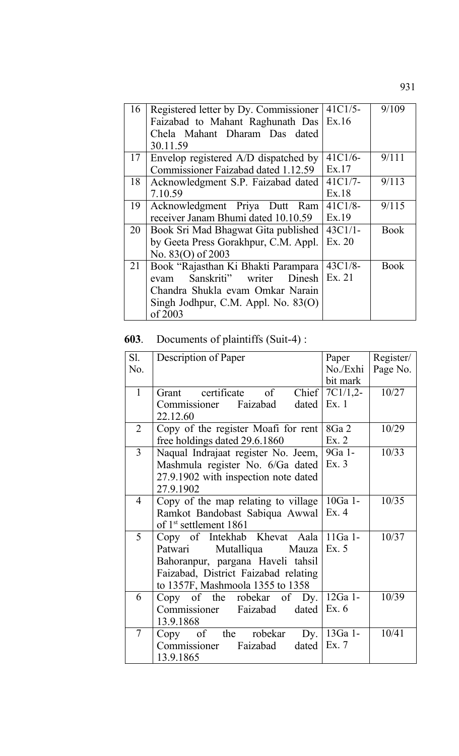| 16 | Registered letter by Dy. Commissioner<br>Faizabad to Mahant Raghunath Das                                                                                           | $41C1/5-$<br>Ex.16  | 9/109       |
|----|---------------------------------------------------------------------------------------------------------------------------------------------------------------------|---------------------|-------------|
|    | Chela Mahant Dharam Das dated<br>30.11.59                                                                                                                           |                     |             |
| 17 | Envelop registered A/D dispatched by<br>Commissioner Faizabad dated 1.12.59                                                                                         | $41C1/6-$<br>Ex.17  | 9/111       |
| 18 | Acknowledgment S.P. Faizabad dated<br>7.10.59                                                                                                                       | $41C1/7-$<br>Ex.18  | 9/113       |
| 19 | Acknowledgment Priya Dutt Ram<br>receiver Janam Bhumi dated 10.10.59                                                                                                | $41C1/8-$<br>Ex.19  | 9/115       |
| 20 | Book Sri Mad Bhagwat Gita published<br>by Geeta Press Gorakhpur, C.M. Appl.<br>No. 83(O) of 2003                                                                    | $43C1/1-$<br>Ex. 20 | <b>Book</b> |
| 21 | Book "Rajasthan Ki Bhakti Parampara<br>Sanskriti"<br>writer<br>Dinesh<br>evam<br>Chandra Shukla evam Omkar Narain<br>Singh Jodhpur, C.M. Appl. No. 83(O)<br>of 2003 | $43C1/8-$<br>Ex. 21 | <b>Book</b> |

## **603**. Documents of plaintiffs (Suit-4) :

| Sl.            | Description of Paper                       | Paper      | Register/ |
|----------------|--------------------------------------------|------------|-----------|
| No.            |                                            | No./Exhi   | Page No.  |
|                |                                            | bit mark   |           |
| $\mathbf{1}$   | Grant certificate of<br>Chief <sup>1</sup> | $7C1/1,2-$ | 10/27     |
|                | Commissioner Faizabad<br>dated             | Ex.1       |           |
|                | 22.12.60                                   |            |           |
| $\overline{2}$ | Copy of the register Moafi for rent        | 8Ga 2      | 10/29     |
|                | free holdings dated 29.6.1860              | Ex. 2      |           |
| $\overline{3}$ | Naqual Indrajaat register No. Jeem,        | 9Ga 1-     | 10/33     |
|                | Mashmula register No. 6/Ga dated           | Ex. 3      |           |
|                | 27.9.1902 with inspection note dated       |            |           |
|                | 27.9.1902                                  |            |           |
| $\overline{4}$ | Copy of the map relating to village        | 10Ga 1-    | 10/35     |
|                | Ramkot Bandobast Sabiqua Awwal             | Ex.4       |           |
|                | of 1 <sup>st</sup> settlement 1861         |            |           |
| 5              | Copy of Intekhab Khevat Aala               | $11Ga$ 1-  | 10/37     |
|                | Mutalliqua Mauza<br>Patwari                | Ex. 5      |           |
|                | Bahoranpur, pargana Haveli tahsil          |            |           |
|                | Faizabad, District Faizabad relating       |            |           |
|                | to 1357F, Mashmoola 1355 to 1358           |            |           |
| 6              | Copy of the robekar of Dy.                 | 12Ga 1-    | 10/39     |
|                | Commissioner Faizabad<br>dated             | Ex. 6      |           |
|                | 13.9.1868                                  |            |           |
| 7              | Copy of the robekar<br>Dy.                 | 13Ga 1-    | 10/41     |
|                | Commissioner<br>Faizabad<br>dated          | Ex.7       |           |
|                | 13.9.1865                                  |            |           |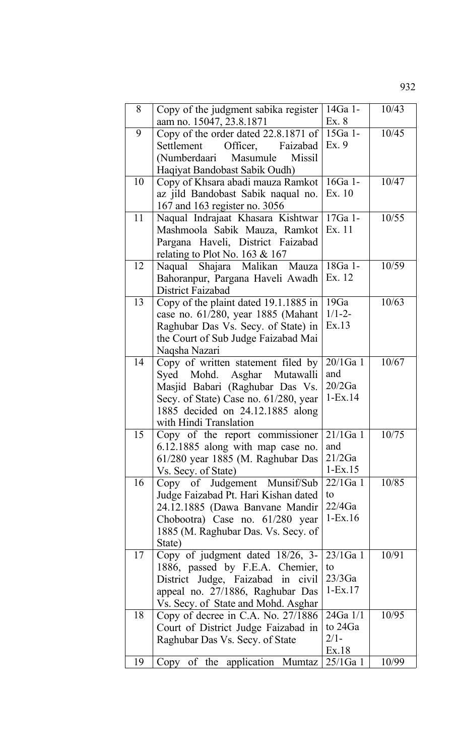| 8  | Copy of the judgment sabika register<br>aam no. 15047, 23.8.1871     | 14Ga 1-<br>Ex. 8        | 10/43 |
|----|----------------------------------------------------------------------|-------------------------|-------|
| 9  | Copy of the order dated $22.8.1871$ of                               | 15Ga 1-                 | 10/45 |
|    | Settlement<br>Officer,<br>Faizabad                                   | Ex. 9                   |       |
|    | (Numberdaari Masumule<br><b>Missil</b>                               |                         |       |
|    | Haqiyat Bandobast Sabik Oudh)                                        |                         |       |
| 10 | Copy of Khsara abadi mauza Ramkot                                    | 16Ga 1-                 | 10/47 |
|    | az jild Bandobast Sabik naqual no.                                   | Ex. 10                  |       |
|    | 167 and 163 register no. 3056                                        |                         |       |
| 11 | Naqual Indrajaat Khasara Kishtwar                                    | 17Ga 1-                 | 10/55 |
|    | Mashmoola Sabik Mauza, Ramkot                                        | Ex. 11                  |       |
|    | Pargana Haveli, District Faizabad                                    |                         |       |
|    | relating to Plot No. 163 & 167                                       |                         |       |
| 12 | Naqual Shajara Malikan Mauza                                         | 18Ga 1-                 | 10/59 |
|    | Bahoranpur, Pargana Haveli Awadh<br>District Faizabad                | Ex. 12                  |       |
| 13 | Copy of the plaint dated 19.1.1885 in                                | 19Ga                    | 10/63 |
|    | case no. 61/280, year 1885 (Mahant                                   | $1/1 - 2 -$             |       |
|    | Raghubar Das Vs. Secy. of State) in                                  | Ex.13                   |       |
|    | the Court of Sub Judge Faizabad Mai                                  |                         |       |
|    | Naqsha Nazari                                                        |                         |       |
| 14 | Copy of written statement filed by                                   | $20/1$ Ga 1             | 10/67 |
|    | Syed Mohd. Asghar Mutawalli                                          | and                     |       |
|    | Masjid Babari (Raghubar Das Vs.                                      | 20/2Ga                  |       |
|    | Secy. of State) Case no. 61/280, year                                | $1 - Ex.14$             |       |
|    | 1885 decided on 24.12.1885 along                                     |                         |       |
|    | with Hindi Translation                                               |                         |       |
| 15 | Copy of the report commissioner $\sqrt{21/1}$ Ga 1                   |                         | 10/75 |
|    | 6.12.1885 along with map case no.                                    | and                     |       |
|    | 61/280 year 1885 (M. Raghubar Das                                    | 21/2Ga                  |       |
| 16 | Vs. Secy. of State)                                                  | $1 - Ex.15$<br>22/1Ga 1 | 10/85 |
|    | Copy of Judgement Munsif/Sub<br>Judge Faizabad Pt. Hari Kishan dated | to                      |       |
|    | 24.12.1885 (Dawa Banvane Mandir                                      | 22/4Ga                  |       |
|    | Chobootra) Case no. 61/280 year                                      | $1-Ex.16$               |       |
|    | 1885 (M. Raghubar Das. Vs. Secy. of                                  |                         |       |
|    | State)                                                               |                         |       |
| 17 | Copy of judgment dated 18/26, 3-                                     | $23/1$ Ga 1             | 10/91 |
|    | 1886, passed by F.E.A. Chemier,                                      | to                      |       |
|    | District Judge, Faizabad in civil                                    | 23/3Ga                  |       |
|    | appeal no. 27/1886, Raghubar Das                                     | $1-Ex.17$               |       |
|    | Vs. Secy. of State and Mohd. Asghar                                  |                         |       |
| 18 | Copy of decree in C.A. No. $27/1886$                                 | 24Ga 1/1                | 10/95 |
|    | Court of District Judge Faizabad in                                  | to 24Ga                 |       |
|    | Raghubar Das Vs. Secy. of State                                      | $2/1-$                  |       |
| 19 |                                                                      | Ex.18<br>$25/1$ Ga 1    | 10/99 |
|    | Copy of the application Mumtaz                                       |                         |       |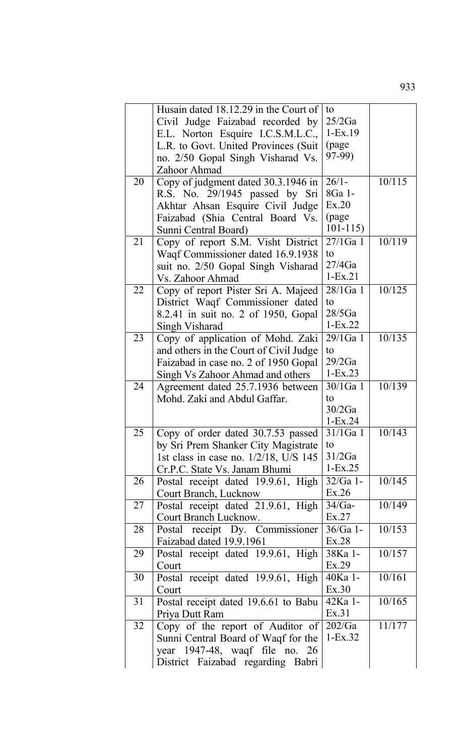|    | Husain dated 18.12.29 in the Court of  | to          |        |
|----|----------------------------------------|-------------|--------|
|    | Civil Judge Faizabad recorded by       | 25/2Ga      |        |
|    | E.L. Norton Esquire I.C.S.M.L.C.,      | $1-Ex.19$   |        |
|    | L.R. to Govt. United Provinces (Suit)  | (page)      |        |
|    | no. 2/50 Gopal Singh Visharad Vs.      | 97-99)      |        |
|    | Zahoor Ahmad                           |             |        |
| 20 | Copy of judgment dated 30.3.1946 in    | $26/1-$     | 10/115 |
|    |                                        | 8Ga 1-      |        |
|    | R.S. No. 29/1945 passed by Sri         | Ex.20       |        |
|    | Akhtar Ahsan Esquire Civil Judge       |             |        |
|    | Faizabad (Shia Central Board Vs.       | (page       |        |
|    | Sunni Central Board)                   | $101 - 115$ |        |
| 21 | Copy of report S.M. Visht District     | 27/1Ga 1    | 10/119 |
|    | Waqf Commissioner dated 16.9.1938      | to          |        |
|    | suit no. 2/50 Gopal Singh Visharad     | 27/4Ga      |        |
|    | Vs. Zahoor Ahmad                       | $1-Ex.21$   |        |
| 22 | Copy of report Pister Sri A. Majeed    | 28/1Ga 1    | 10/125 |
|    | District Waqf Commissioner dated       | to          |        |
|    | 8.2.41 in suit no. 2 of 1950, Gopal    | 28/5Ga      |        |
|    | Singh Visharad                         | $1-Ex.22$   |        |
| 23 | Copy of application of Mohd. Zaki      | 29/1Ga 1    | 10/135 |
|    | and others in the Court of Civil Judge | to          |        |
|    |                                        | 29/2Ga      |        |
|    | Faizabad in case no. 2 of 1950 Gopal   | $1-Ex.23$   |        |
|    | Singh Vs Zahoor Ahmad and others       |             |        |
| 24 | Agreement dated 25.7.1936 between      | 30/1Ga 1    | 10/139 |
|    | Mohd. Zaki and Abdul Gaffar.           | to          |        |
|    |                                        | 30/2Ga      |        |
|    |                                        | $1-Ex.24$   |        |
| 25 | Copy of order dated 30.7.53 passed     | $31/1$ Ga 1 | 10/143 |
|    | by Sri Prem Shanker City Magistrate    | to          |        |
|    | 1st class in case no. 1/2/18, U/S 145  | 31/2Ga      |        |
|    | Cr.P.C. State Vs. Janam Bhumi          | $1-Ex.25$   |        |
| 26 | Postal receipt dated 19.9.61, High     | $32/Ga$ 1-  | 10/145 |
|    | Court Branch, Lucknow                  | Ex.26       |        |
| 27 | Postal receipt dated 21.9.61, High     | $34/Ga-$    | 10/149 |
|    | Court Branch Lucknow.                  | Ex.27       |        |
| 28 | Postal receipt Dy. Commissioner        | $36/Ga$ 1-  | 10/153 |
|    | Faizabad dated 19.9.1961               | Ex.28       |        |
| 29 | Postal receipt dated 19.9.61, High     | 38Ka 1-     | 10/157 |
|    | Court                                  | Ex.29       |        |
| 30 | Postal receipt dated 19.9.61, High     | 40Ka 1-     | 10/161 |
|    |                                        | Ex.30       |        |
|    | Court                                  |             |        |
| 31 | Postal receipt dated 19.6.61 to Babu   | 42Ka 1-     | 10/165 |
|    | Priya Dutt Ram                         | Ex.31       |        |
| 32 | Copy of the report of Auditor of       | 202/Ga      | 11/177 |
|    | Sunni Central Board of Waqf for the    | $1-Ex.32$   |        |
|    | year 1947-48, waqf file no. 26         |             |        |
|    | District Faizabad regarding Babri      |             |        |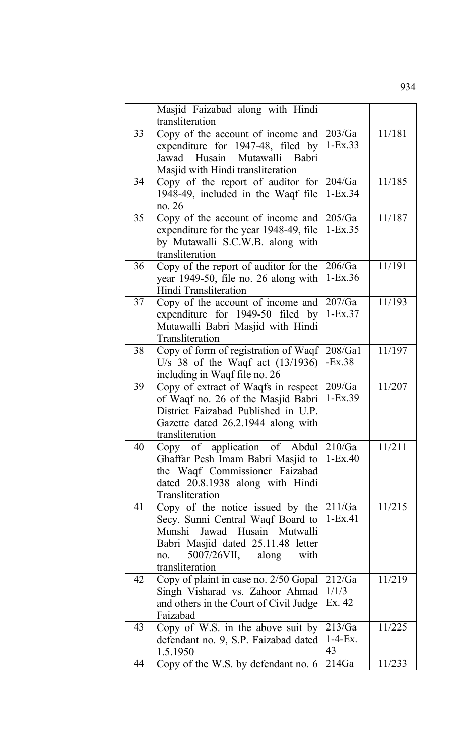|    | Masjid Faizabad along with Hindi<br>transliteration                                                                                                                                                |                            |        |
|----|----------------------------------------------------------------------------------------------------------------------------------------------------------------------------------------------------|----------------------------|--------|
| 33 | Copy of the account of income and<br>expenditure for 1947-48, filed by<br>Jawad Husain Mutawalli Babri<br>Masjid with Hindi transliteration                                                        | 203/Ga<br>$1-Ex.33$        | 11/181 |
| 34 | Copy of the report of auditor for<br>1948-49, included in the Waqf file<br>no. 26                                                                                                                  | 204/Ga<br>$1-Ex.34$        | 11/185 |
| 35 | Copy of the account of income and<br>expenditure for the year 1948-49, file<br>by Mutawalli S.C.W.B. along with<br>transliteration                                                                 | 205/Ga<br>$1-Ex.35$        | 11/187 |
| 36 | Copy of the report of auditor for the<br>year 1949-50, file no. 26 along with<br>Hindi Transliteration                                                                                             | 206/Ga<br>$1-Ex.36$        | 11/191 |
| 37 | Copy of the account of income and<br>expenditure for 1949-50 filed by<br>Mutawalli Babri Masjid with Hindi<br>Transliteration                                                                      | 207/Ga<br>$1-Ex.37$        | 11/193 |
| 38 | Copy of form of registration of Waqf<br>U/s 38 of the Waqf act $(13/1936)$<br>including in Waqf file no. 26                                                                                        | 208/Ga1<br>$-Ex.38$        | 11/197 |
| 39 | Copy of extract of Waqfs in respect<br>of Waqf no. 26 of the Masjid Babri<br>District Faizabad Published in U.P.<br>Gazette dated 26.2.1944 along with<br>transliteration                          | 209/Ga<br>$1-Ex.39$        | 11/207 |
| 40 | Copy of application of Abdul<br>Ghaffar Pesh Imam Babri Masjid to<br>the Waqf Commissioner Faizabad<br>dated 20.8.1938 along with Hindi<br>Transliteration                                         | 210/Ga<br>$1-Ex.40$        | 11/211 |
| 41 | Copy of the notice issued by the<br>Secy. Sunni Central Waqf Board to<br>Jawad Husain Mutwalli<br>Munshi<br>Babri Masjid dated 25.11.48 letter<br>5007/26VII, along with<br>no.<br>transliteration | 211/Ga<br>$1 - Ex.41$      | 11/215 |
| 42 | Copy of plaint in case no. 2/50 Gopal<br>Singh Visharad vs. Zahoor Ahmad<br>and others in the Court of Civil Judge<br>Faizabad                                                                     | 212/Ga<br>1/1/3<br>Ex. 42  | 11/219 |
| 43 | Copy of W.S. in the above suit by<br>defendant no. 9, S.P. Faizabad dated<br>1.5.1950                                                                                                              | 213/Ga<br>$1-4-Ex$ .<br>43 | 11/225 |
| 44 | Copy of the W.S. by defendant no. 6                                                                                                                                                                | 214Ga                      | 11/233 |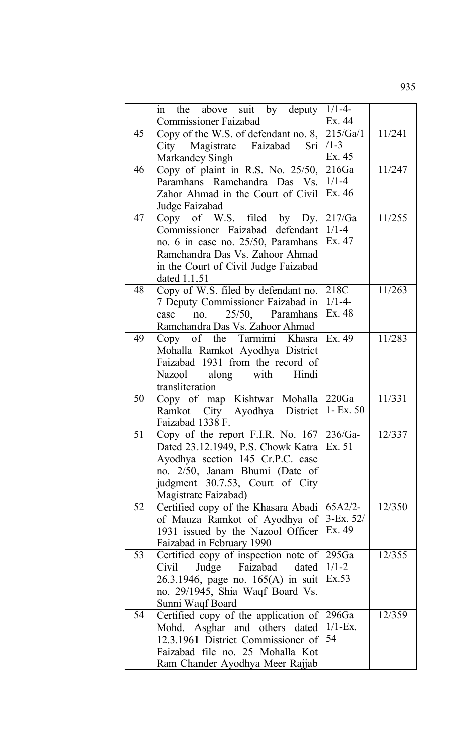|    | in the above suit by deputy                             | $1/1 - 4$     |        |
|----|---------------------------------------------------------|---------------|--------|
|    | <b>Commissioner Faizabad</b>                            | Ex. 44        |        |
| 45 |                                                         |               | 11/241 |
|    | Copy of the W.S. of defendant no. 8, 215/Ga/1           | $/1 - 3$      |        |
|    | City Magistrate Faizabad Sri                            |               |        |
|    | Markandey Singh                                         | Ex. 45        |        |
| 46 | Copy of plaint in R.S. No. $25/50$ , $216Ga$            |               | 11/247 |
|    | Paramhans Ramchandra Das Vs. 1/1-4                      |               |        |
|    | Zahor Ahmad in the Court of Civil   Ex. 46              |               |        |
|    | Judge Faizabad                                          |               |        |
| 47 | Copy of W.S. filed by Dy.                               | 217/Ga        | 11/255 |
|    | Commissioner Faizabad defendant 1/1-4                   |               |        |
|    | no. 6 in case no. $25/50$ , Paramhans   Ex. 47          |               |        |
|    | Ramchandra Das Vs. Zahoor Ahmad                         |               |        |
|    | in the Court of Civil Judge Faizabad                    |               |        |
|    | dated 1.1.51                                            |               |        |
| 48 | Copy of W.S. filed by defendant no. 218C                |               | 11/263 |
|    | 7 Deputy Commissioner Faizabad in   1/1-4-              |               |        |
|    | no. $25/50$ , Paramhans<br>case                         | Ex. 48        |        |
|    | Ramchandra Das Vs. Zahoor Ahmad                         |               |        |
| 49 | Copy of the Tarmimi Khasra Ex. 49                       |               | 11/283 |
|    | Mohalla Ramkot Ayodhya District                         |               |        |
|    | Faizabad 1931 from the record of                        |               |        |
|    |                                                         |               |        |
|    | Nazool along with Hindi<br>transliteration              |               |        |
| 50 | Copy of map Kishtwar Mohalla 220Ga                      |               | 11/331 |
|    |                                                         |               |        |
|    | Ramkot City Ayodhya District 1- Ex. 50                  |               |        |
|    | Faizabad 1338 F.                                        |               |        |
| 51 | Copy of the report F.I.R. No. $167\overline{)236/Ga}$ - |               | 12/337 |
|    | Dated 23.12.1949, P.S. Chowk Katra   Ex. 51             |               |        |
|    | Ayodhya section 145 Cr.P.C. case                        |               |        |
|    | no. 2/50, Janam Bhumi (Date of                          |               |        |
|    | judgment 30.7.53, Court of City                         |               |        |
|    | Magistrate Faizabad)                                    |               |        |
| 52 | Certified copy of the Khasara Abadi                     | $65A2/2-$     | 12/350 |
|    | of Mauza Ramkot of Ayodhya of                           | $3 - Ex. 52/$ |        |
|    | 1931 issued by the Nazool Officer                       | Ex. 49        |        |
|    | Faizabad in February 1990                               |               |        |
| 53 | Certified copy of inspection note of                    | 295Ga         | 12/355 |
|    | Judge Faizabad dated<br>Civil                           | $1/1 - 2$     |        |
|    | 26.3.1946, page no. 165(A) in suit                      | Ex.53         |        |
|    | no. 29/1945, Shia Waqf Board Vs.                        |               |        |
|    | Sunni Waqf Board                                        |               |        |
| 54 | Certified copy of the application of $\sqrt{296}$       |               | 12/359 |
|    | Mohd. Asghar and others dated                           | $1/1$ -Ex.    |        |
|    | 12.3.1961 District Commissioner of                      | 54            |        |
|    | Faizabad file no. 25 Mohalla Kot                        |               |        |
|    | Ram Chander Ayodhya Meer Rajjab                         |               |        |
|    |                                                         |               |        |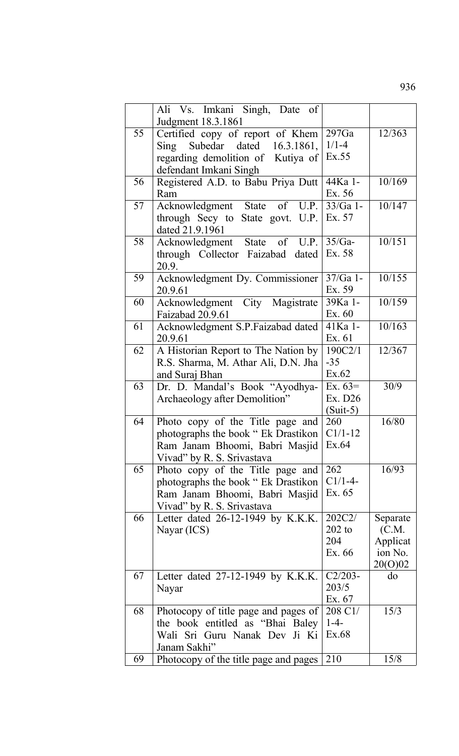|    | Ali Vs. Imkani Singh, Date of<br>Judgment 18.3.1861 |                       |                   |
|----|-----------------------------------------------------|-----------------------|-------------------|
| 55 | Certified copy of report of Khem                    | 297Ga                 | 12/363            |
|    | Sing Subedar dated 16.3.1861,                       | $1/1 - 4$             |                   |
|    | regarding demolition of Kutiya of                   | Ex.55                 |                   |
|    | defendant Imkani Singh                              |                       |                   |
| 56 | Registered A.D. to Babu Priya Dutt                  | 44Ka 1-               | 10/169            |
|    | Ram                                                 | Ex. 56                |                   |
| 57 | Acknowledgment State<br>of $U.P.$                   | $33/Ga$ 1-            | 10/147            |
|    | through Secy to State govt. U.P.                    | Ex. 57                |                   |
|    | dated 21.9.1961                                     |                       |                   |
| 58 | Acknowledgment State of U.P.                        | $35/Ga-$<br>Ex. 58    | 10/151            |
|    | through Collector Faizabad dated<br>20.9.           |                       |                   |
| 59 | Acknowledgment Dy. Commissioner                     | $37/Ga$ 1-            | 10/155            |
|    | 20.9.61                                             | Ex. 59                |                   |
| 60 | Acknowledgment City Magistrate                      | 39Ka 1-               | 10/159            |
|    | Faizabad 20.9.61                                    | Ex. 60                |                   |
| 61 | Acknowledgment S.P.Faizabad dated                   | 41Ka 1-               | 10/163            |
|    | 20.9.61                                             | Ex. 61                |                   |
| 62 | A Historian Report to The Nation by                 | 190C2/1               | 12/367            |
|    | R.S. Sharma, M. Athar Ali, D.N. Jha                 | $-35$                 |                   |
|    | and Suraj Bhan                                      | Ex.62                 |                   |
| 63 | Dr. D. Mandal's Book "Ayodhya-                      | Ex. $63=$             | 30/9              |
|    | Archaeology after Demolition"                       | Ex. D26<br>$(Suit-5)$ |                   |
| 64 | Photo copy of the Title page and                    | 260                   | 16/80             |
|    | photographs the book " Ek Drastikon                 | $C1/1-12$             |                   |
|    | Ram Janam Bhoomi, Babri Masjid                      | Ex.64                 |                   |
|    | Vivad" by R. S. Srivastava                          |                       |                   |
| 65 | Photo copy of the Title page and                    | 262                   | 16/93             |
|    | photographs the book " Ek Drastikon                 | $C1/1-4-$             |                   |
|    | Ram Janam Bhoomi, Babri Masjid                      | Ex. 65                |                   |
|    | Vivad" by R. S. Srivastava                          |                       |                   |
| 66 | Letter dated $26-12-1949$ by K.K.K.                 | 202C2/                | Separate          |
|    | Nayar (ICS)                                         | $202$ to<br>204       | (C.M.<br>Applicat |
|    |                                                     | Ex. 66                | ion No.           |
|    |                                                     |                       | 20(0)02           |
| 67 | Letter dated $27-12-1949$ by K.K.K.                 | $C2/203-$             | do                |
|    | Nayar                                               | 203/5                 |                   |
|    |                                                     | Ex. 67                |                   |
| 68 | Photocopy of title page and pages of                | 208 C1/               | 15/3              |
|    | the book entitled as "Bhai Baley"                   | $1-4-$                |                   |
|    | Wali Sri Guru Nanak Dev Ji Ki                       | Ex.68                 |                   |
| 69 | Janam Sakhi"                                        | 210                   | 15/8              |
|    | Photocopy of the title page and pages               |                       |                   |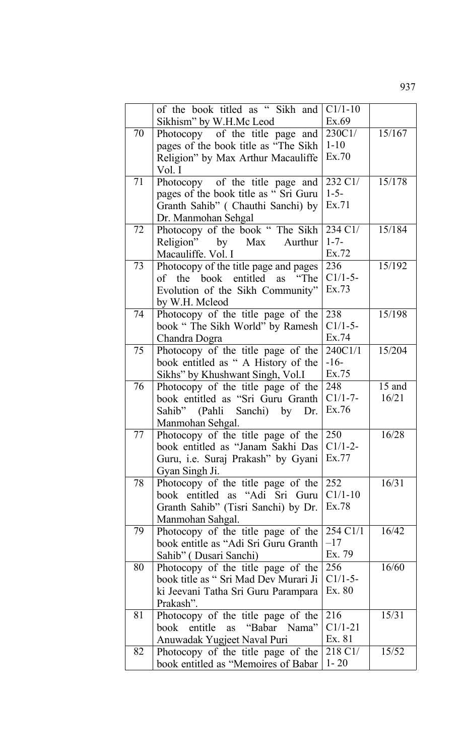|    | of the book titled as " Sikh and                     | $C1/1-10$            |        |
|----|------------------------------------------------------|----------------------|--------|
|    | Sikhism" by W.H.Mc Leod                              | Ex.69                |        |
| 70 | Photocopy of the title page and                      | 230C1/               | 15/167 |
|    | pages of the book title as "The Sikh"                | $1 - 10$             |        |
|    | Religion" by Max Arthur Macauliffe                   | Ex.70                |        |
|    | Vol. I                                               |                      |        |
| 71 | Photocopy of the title page and                      | 232 C1/              | 15/178 |
|    | pages of the book title as "Sri Guru                 | $1 - 5 -$            |        |
|    | Granth Sahib" (Chauthi Sanchi) by                    | Ex.71                |        |
|    | Dr. Manmohan Sehgal                                  |                      |        |
| 72 | Photocopy of the book "The Sikh                      | 234 C1/<br>$1 - 7 -$ | 15/184 |
|    | Religion" by Max<br>Aurthur<br>Macauliffe. Vol. I    | Ex.72                |        |
| 73 | Photocopy of the title page and pages                | 236                  | 15/192 |
|    | of the book entitled as "The                         | $C1/1-5-$            |        |
|    | Evolution of the Sikh Community"                     | Ex.73                |        |
|    | by W.H. Mcleod                                       |                      |        |
| 74 | Photocopy of the title page of the                   | 238                  | 15/198 |
|    | book "The Sikh World" by Ramesh                      | $C1/1-5-$            |        |
|    | Chandra Dogra                                        | Ex.74                |        |
| 75 | Photocopy of the title page of the                   | 240C1/1              | 15/204 |
|    | book entitled as "A History of the                   | $-16-$               |        |
|    | Sikhs" by Khushwant Singh, Vol.I                     | Ex.75                |        |
| 76 | Photocopy of the title page of the                   | 248                  | 15 and |
|    | book entitled as "Sri Guru Granth                    | $C1/1-7-$            | 16/21  |
|    | Sahib" (Pahli Sanchi) by Dr.                         | Ex.76                |        |
|    | Manmohan Sehgal.                                     |                      |        |
| 77 | Photocopy of the title page of the                   | 250                  | 16/28  |
|    | book entitled as "Janam Sakhi Das                    | $C1/1-2-$<br>Ex.77   |        |
|    | Guru, i.e. Suraj Prakash" by Gyani<br>Gyan Singh Ji. |                      |        |
| 78 | Photocopy of the title page of the                   | 252                  | 16/31  |
|    | book entitled as "Adi Sri Guru                       | $C1/1-10$            |        |
|    | Granth Sahib" (Tisri Sanchi) by Dr.                  | Ex.78                |        |
|    | Manmohan Sahgal.                                     |                      |        |
| 79 | Photocopy of the title page of the                   | 254 C1/1             | 16/42  |
|    | book entitle as "Adi Sri Guru Granth                 | $-17$                |        |
|    | Sahib" (Dusari Sanchi)                               | Ex. 79               |        |
| 80 | Photocopy of the title page of the                   | 256                  | 16/60  |
|    | book title as "Sri Mad Dev Murari Ji                 | $C1/1-5-$            |        |
|    | ki Jeevani Tatha Sri Guru Parampara                  | Ex. 80               |        |
|    | Prakash".                                            |                      |        |
| 81 | Photocopy of the title page of the                   | 216                  | 15/31  |
|    | "Babar Nama"<br>entitle<br>book<br>as                | $C1/1-21$            |        |
|    | Anuwadak Yugjeet Naval Puri                          | Ex. 81               |        |
| 82 | Photocopy of the title page of the                   | 218 C1/              | 15/52  |
|    | book entitled as "Memoires of Babar                  | $1 - 20$             |        |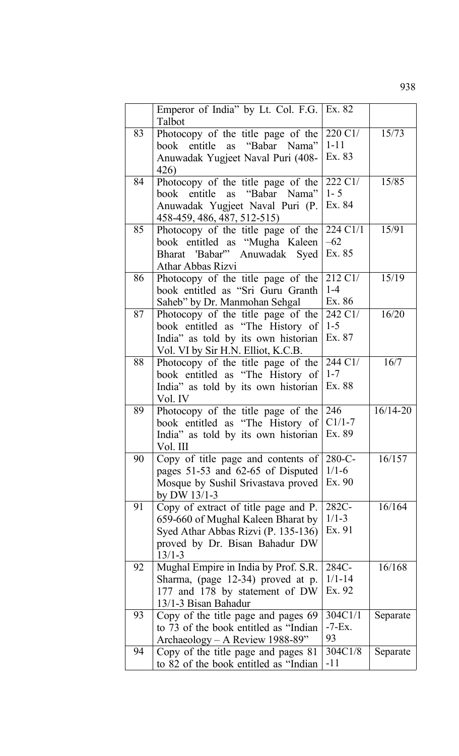|    | Emperor of India" by Lt. Col. F.G.   Ex. 82<br>Talbot                    |                     |              |
|----|--------------------------------------------------------------------------|---------------------|--------------|
| 83 | Photocopy of the title page of the<br>book entitle as "Babar Nama"       | 220 C1/<br>$1 - 11$ | 15/73        |
|    | Anuwadak Yugjeet Naval Puri (408-                                        | Ex. 83              |              |
|    | 426)                                                                     |                     |              |
| 84 | Photocopy of the title page of the                                       | 222 C1/<br>$1 - 5$  | 15/85        |
|    | book entitle as "Babar Nama"<br>Anuwadak Yugjeet Naval Puri (P.          | Ex. 84              |              |
|    | 458-459, 486, 487, 512-515)                                              |                     |              |
| 85 | Photocopy of the title page of the                                       | 224 C1/1            | 15/91        |
|    | book entitled as "Mugha Kaleen<br>Bharat 'Babar'" Anuwadak Syed          | $-62$<br>Ex. 85     |              |
|    | Athar Abbas Rizvi                                                        |                     |              |
| 86 | Photocopy of the title page of the                                       | $212 \text{ C}1/$   | 15/19        |
|    | book entitled as "Sri Guru Granth                                        | $1-4$<br>Ex. 86     |              |
| 87 | Saheb" by Dr. Manmohan Sehgal<br>Photocopy of the title page of the      | 242 C1/             | 16/20        |
|    | book entitled as "The History of                                         | $1 - 5$             |              |
|    | India" as told by its own historian                                      | Ex. 87              |              |
| 88 | Vol. VI by Sir H.N. Elliot, K.C.B.<br>Photocopy of the title page of the | 244 C1/             | 16/7         |
|    | book entitled as "The History of                                         | $1 - 7$             |              |
|    | India" as told by its own historian                                      | Ex. 88              |              |
| 89 | Vol. IV<br>Photocopy of the title page of the                            | 246                 | $16/14 - 20$ |
|    | book entitled as "The History of                                         | $C1/1-7$            |              |
|    | India" as told by its own historian                                      | Ex. 89              |              |
| 90 | Vol. III<br>Copy of title page and contents of                           | 280-C-              | 16/157       |
|    | pages 51-53 and 62-65 of Disputed                                        | $1/1-6$             |              |
|    | Mosque by Sushil Srivastava proved                                       | Ex. 90              |              |
| 91 | by DW 13/1-3<br>Copy of extract of title page and P.                     | 282C-               | 16/164       |
|    | 659-660 of Mughal Kaleen Bharat by                                       | $1/1 - 3$           |              |
|    | Syed Athar Abbas Rizvi (P. 135-136)                                      | Ex. 91              |              |
|    | proved by Dr. Bisan Bahadur DW<br>$13/1 - 3$                             |                     |              |
| 92 | Mughal Empire in India by Prof. S.R.                                     | 284C-               | 16/168       |
|    | Sharma, (page 12-34) proved at p.                                        | $1/1 - 14$          |              |
|    | 177 and 178 by statement of DW<br>13/1-3 Bisan Bahadur                   | Ex. 92              |              |
| 93 | Copy of the title page and pages 69                                      | 304C1/1             | Separate     |
|    | to 73 of the book entitled as "Indian"                                   | $-7-Ex$ .           |              |
| 94 | Archaeology – A Review 1988-89"<br>Copy of the title page and pages 81   | 93<br>304C1/8       | Separate     |
|    | to 82 of the book entitled as "Indian"                                   | $-11$               |              |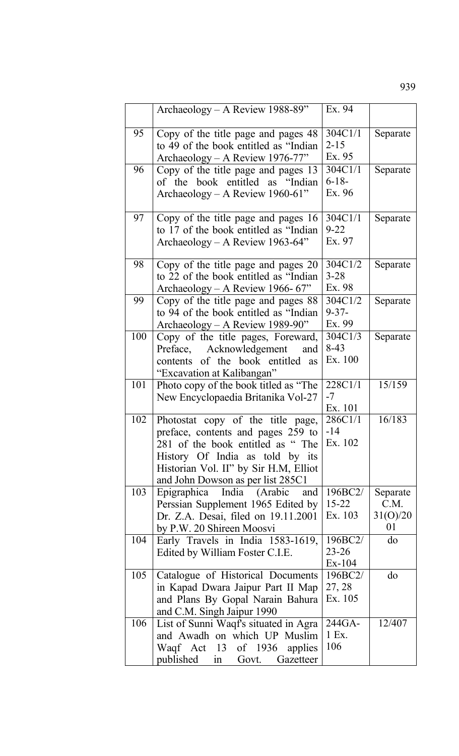|     | Archaeology – A Review 1988-89"                                            | Ex. 94         |          |
|-----|----------------------------------------------------------------------------|----------------|----------|
|     |                                                                            |                |          |
| 95  | Copy of the title page and pages 48                                        | 304C1/1        | Separate |
|     | to 49 of the book entitled as "Indian                                      | $2 - 15$       |          |
|     | Archaeology - A Review 1976-77"                                            | Ex. 95         |          |
| 96  | Copy of the title page and pages 13                                        | 304C1/1        | Separate |
|     | of the book entitled as "Indian                                            | $6 - 18 -$     |          |
|     | Archaeology - A Review 1960-61"                                            | Ex. 96         |          |
|     |                                                                            |                |          |
| 97  | Copy of the title page and pages 16                                        | 304C1/1        | Separate |
|     | to 17 of the book entitled as "Indian                                      | $9 - 22$       |          |
|     | Archaeology – A Review 1963-64"                                            | Ex. 97         |          |
| 98  | Copy of the title page and pages 20                                        | 304C1/2        | Separate |
|     | to 22 of the book entitled as "Indian                                      | $3 - 28$       |          |
|     | Archaeology – A Review 1966-67"                                            | Ex. 98         |          |
| 99  | Copy of the title page and pages 88                                        | 304C1/2        | Separate |
|     | to 94 of the book entitled as "Indian                                      | $9 - 37 -$     |          |
|     | Archaeology – A Review 1989-90"                                            | Ex. 99         |          |
| 100 | Copy of the title pages, Foreward,                                         | 304C1/3        | Separate |
|     | Preface, Acknowledgement<br>and                                            | $8-43$         |          |
|     | contents of the book entitled as                                           | Ex. 100        |          |
|     | "Excavation at Kalibangan"                                                 |                |          |
| 101 | Photo copy of the book titled as "The                                      | 228C1/1        | 15/159   |
|     | New Encyclopaedia Britanika Vol-27                                         | $-7$           |          |
|     |                                                                            | Ex. 101        |          |
| 102 | Photostat copy of the title page,                                          | 286C1/1        | 16/183   |
|     | preface, contents and pages 259 to                                         | -14<br>Ex. 102 |          |
|     | 281 of the book entitled as "The                                           |                |          |
|     | History Of India as told by its                                            |                |          |
|     | Historian Vol. II" by Sir H.M, Elliot<br>and John Dowson as per list 285C1 |                |          |
| 103 | Epigraphica India (Arabic<br>and                                           | 196BC2/        | Separate |
|     | Perssian Supplement 1965 Edited by                                         | $15 - 22$      | C.M.     |
|     | Dr. Z.A. Desai, filed on 19.11.2001                                        | Ex. 103        | 31(0)/20 |
|     | by P.W. 20 Shireen Moosvi                                                  |                | 01       |
| 104 | Early Travels in India 1583-1619,                                          | 196BC2/        | do       |
|     | Edited by William Foster C.I.E.                                            | $23 - 26$      |          |
|     |                                                                            | $Ex-104$       |          |
| 105 | Catalogue of Historical Documents                                          | 196BC2/        | do       |
|     | in Kapad Dwara Jaipur Part II Map                                          | 27, 28         |          |
|     | and Plans By Gopal Narain Bahura                                           | Ex. 105        |          |
|     | and C.M. Singh Jaipur 1990                                                 |                |          |
| 106 | List of Sunni Waqf's situated in Agra                                      | 244GA-         | 12/407   |
|     | and Awadh on which UP Muslim                                               | 1 Ex.          |          |
|     | Waqf Act 13 of 1936<br>applies                                             | 106            |          |
|     | published<br>Gazetteer<br>Govt.<br>in                                      |                |          |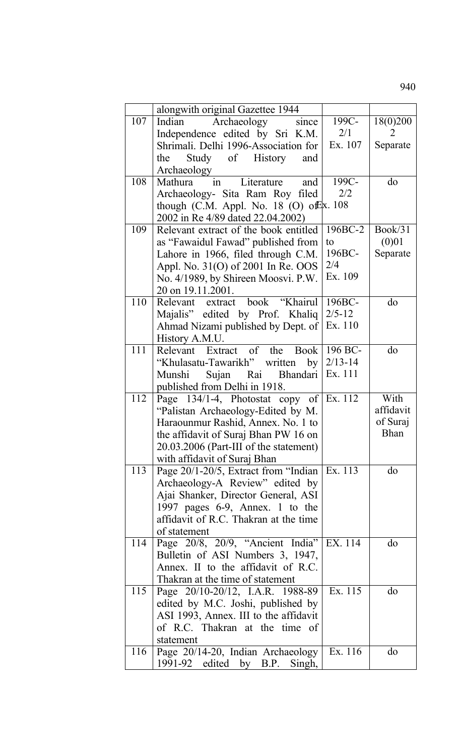|     | alongwith original Gazettee 1944                                        |             |             |
|-----|-------------------------------------------------------------------------|-------------|-------------|
| 107 | Archaeology<br>Indian<br>since                                          | 199C-       | 18(0)200    |
|     | Independence edited by Sri K.M.                                         | 2/1         | 2           |
|     | Shrimali. Delhi 1996-Association for                                    | Ex. 107     | Separate    |
|     | Study of History<br>the<br>and                                          |             |             |
|     | Archaeology                                                             |             |             |
| 108 | Literature<br>and<br>Mathura<br>in                                      | 199C-       | do          |
|     | Archaeology- Sita Ram Roy filed                                         | 2/2         |             |
|     | though (C.M. Appl. No. 18 (O) of $\&$ x. 108                            |             |             |
|     | 2002 in Re 4/89 dated 22.04.2002)                                       |             |             |
| 109 | Relevant extract of the book entitled                                   | 196BC-2     | Book/31     |
|     | as "Fawaidul Fawad" published from                                      | to          | (0)01       |
|     | Lahore in 1966, filed through C.M.                                      | 196BC-      | Separate    |
|     | Appl. No. 31(O) of 2001 In Re. OOS                                      | 2/4         |             |
|     | No. 4/1989, by Shireen Moosvi. P.W.                                     | Ex. 109     |             |
|     | 20 on 19.11.2001.                                                       |             |             |
| 110 | Relevant extract book "Khairul                                          | 196BC-      | do          |
|     | Majalis" edited by Prof. Khaliq                                         | $2/5 - 12$  |             |
|     | Ahmad Nizami published by Dept. of                                      | Ex. 110     |             |
|     | History A.M.U.                                                          |             |             |
| 111 | Relevant Extract of the Book                                            | 196 BC-     | do          |
|     | "Khulasatu-Tawarikh" written<br>by                                      | $2/13 - 14$ |             |
|     | Sujan Rai Bhandari<br>Munshi                                            | Ex. 111     |             |
|     | published from Delhi in 1918.                                           |             |             |
| 112 | Page $134/1-4$ , Photostat copy of Ex. 112                              |             | With        |
|     | "Palistan Archaeology-Edited by M.                                      |             | affidavit   |
|     | Haraounmur Rashid, Annex. No. 1 to                                      |             | of Suraj    |
|     | the affidavit of Suraj Bhan PW 16 on                                    |             | <b>Bhan</b> |
|     | 20.03.2006 (Part-III of the statement)                                  |             |             |
|     | with affidavit of Suraj Bhan                                            |             |             |
| 113 | Page 20/1-20/5, Extract from "Indian"                                   | Ex. 113     | do          |
|     | Archaeology-A Review" edited by                                         |             |             |
|     | Ajai Shanker, Director General, ASI                                     |             |             |
|     | 1997 pages 6-9, Annex. 1 to the                                         |             |             |
|     | affidavit of R.C. Thakran at the time                                   |             |             |
|     | of statement                                                            |             |             |
| 114 | Page 20/8, 20/9, "Ancient India" EX. 114                                |             | do          |
|     | Bulletin of ASI Numbers 3, 1947,                                        |             |             |
|     | Annex. II to the affidavit of R.C.                                      |             |             |
|     | Thakran at the time of statement                                        |             |             |
| 115 | Page 20/10-20/12, I.A.R. 1988-89                                        | Ex. 115     | do          |
|     | edited by M.C. Joshi, published by                                      |             |             |
|     | ASI 1993, Annex. III to the affidavit<br>of R.C. Thakran at the time of |             |             |
|     | statement                                                               |             |             |
| 116 | Page 20/14-20, Indian Archaeology                                       | Ex. 116     | do          |
|     | $1991-92$ edited by B.P.<br>Singh,                                      |             |             |
|     |                                                                         |             |             |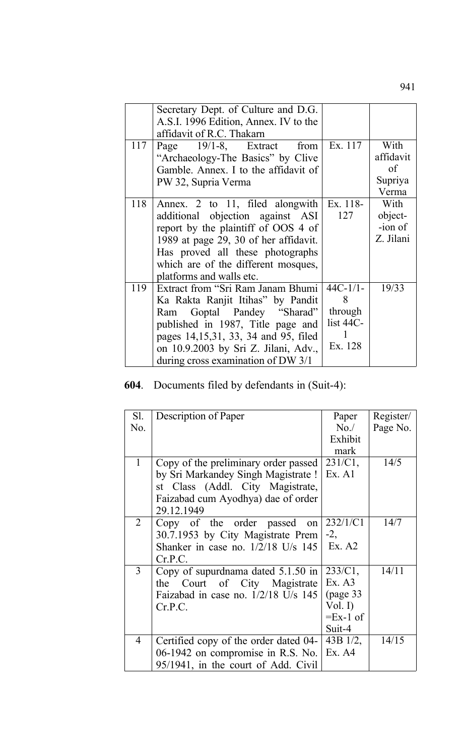|     | Secretary Dept. of Culture and D.G.<br>A.S.I. 1996 Edition, Annex. IV to the |            |           |
|-----|------------------------------------------------------------------------------|------------|-----------|
|     | affidavit of R.C. Thakarn                                                    |            |           |
| 117 | Page 19/1-8, Extract from                                                    | Ex. 117    | With      |
|     | "Archaeology-The Basics" by Clive                                            |            | affidavit |
|     | Gamble. Annex. I to the affidavit of                                         |            | $\sigma$  |
|     | PW 32, Supria Verma                                                          |            | Supriya   |
|     |                                                                              |            | Verma     |
| 118 | Annex. 2 to 11, filed alongwith                                              | Ex. 118-   | With      |
|     | additional objection against ASI                                             | 127        | object-   |
|     | report by the plaintiff of OOS 4 of                                          |            | -ion of   |
|     | 1989 at page 29, 30 of her affidavit.                                        |            | Z. Jilani |
|     | Has proved all these photographs                                             |            |           |
|     | which are of the different mosques,                                          |            |           |
|     | platforms and walls etc.                                                     |            |           |
| 119 | Extract from "Sri Ram Janam Bhumi"                                           | $44C-1/1-$ | 19/33     |
|     | Ka Rakta Ranjit Itihas" by Pandit                                            | 8          |           |
|     | Ram Goptal Pandey "Sharad"                                                   | through    |           |
|     | published in 1987, Title page and                                            | list 44C-  |           |
|     | pages 14,15,31, 33, 34 and 95, filed                                         |            |           |
|     | on 10.9.2003 by Sri Z. Jilani, Adv.,                                         | Ex. 128    |           |
|     | during cross examination of DW $3/1$                                         |            |           |
|     |                                                                              |            |           |

## **604**. Documents filed by defendants in (Suit-4):

| Sl.            | Description of Paper                  | Paper      | Register/ |
|----------------|---------------------------------------|------------|-----------|
| No.            |                                       | No.        | Page No.  |
|                |                                       | Exhibit    |           |
|                |                                       | mark       |           |
| $\mathbf{1}$   | Copy of the preliminary order passed  | $231/C1$ , | 14/5      |
|                | by Sri Markandey Singh Magistrate !   | Ex. A1     |           |
|                | st Class (Addl. City Magistrate,      |            |           |
|                | Faizabad cum Ayodhya) dae of order    |            |           |
|                | 29.12.1949                            |            |           |
| 2              | Copy of the order passed<br>on        | 232/1/C1   | 14/7      |
|                | 30.7.1953 by City Magistrate Prem     | $-2,$      |           |
|                | Shanker in case no. $1/2/18$ U/s 145  | Ex. A2     |           |
|                | Cr.P.C.                               |            |           |
| $\overline{3}$ | Copy of supurdnama dated $5.1.50$ in  | $233/C1$ , | 14/11     |
|                | Court of City Magistrate<br>the       | Ex. A3     |           |
|                | Faizabad in case no. $1/2/18$ U/s 145 | (page 33)  |           |
|                | Cr.P.C.                               | Vol. $I$ ) |           |
|                |                                       | $=Ex-1$ of |           |
|                |                                       | Suit-4     |           |
| 4              | Certified copy of the order dated 04- | 43B 1/2,   | 14/15     |
|                | 06-1942 on compromise in R.S. No.     | Ex. A4     |           |
|                | 95/1941, in the court of Add. Civil   |            |           |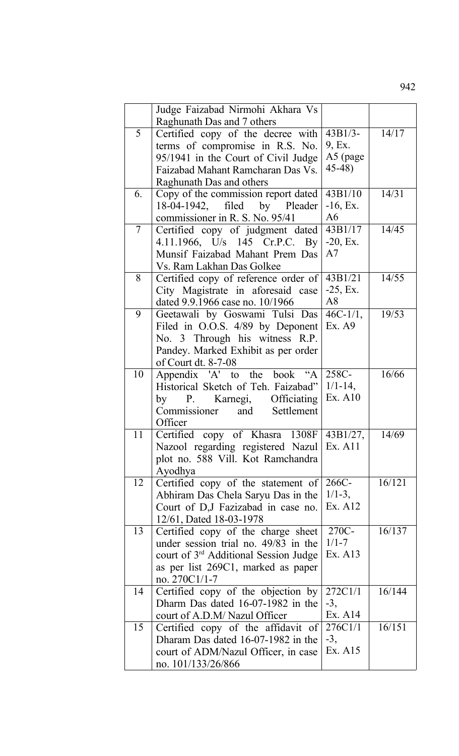|                | Judge Faizabad Nirmohi Akhara Vs<br>Raghunath Das and 7 others                          |                    |        |
|----------------|-----------------------------------------------------------------------------------------|--------------------|--------|
| 5              | Certified copy of the decree with                                                       | $43B1/3-$          | 14/17  |
|                | terms of compromise in R.S. No.                                                         | 9, Ex.             |        |
|                | 95/1941 in the Court of Civil Judge                                                     | A5 (page           |        |
|                | Faizabad Mahant Ramcharan Das Vs.                                                       | 45-48)             |        |
|                | Raghunath Das and others                                                                |                    |        |
| 6.             | Copy of the commission report dated                                                     | 43B1/10            | 14/31  |
|                | 18-04-1942, filed by Pleader                                                            | $-16$ , Ex.        |        |
|                | commissioner in R. S. No. 95/41                                                         | A6                 |        |
| $\overline{7}$ | Certified copy of judgment dated                                                        | 43B1/17            | 14/45  |
|                | 4.11.1966, U/s 145 Cr.P.C. By                                                           | $-20$ , Ex.        |        |
|                | Munsif Faizabad Mahant Prem Das                                                         | A7                 |        |
|                | Vs. Ram Lakhan Das Golkee                                                               |                    |        |
| 8              | Certified copy of reference order of                                                    | 43B1/21            | 14/55  |
|                | City Magistrate in aforesaid case                                                       | $-25$ , Ex.        |        |
|                | dated 9.9.1966 case no. 10/1966                                                         | A8                 |        |
| 9              | Geetawali by Goswami Tulsi Das                                                          | $46C-1/1$ ,        | 19/53  |
|                | Filed in O.O.S. 4/89 by Deponent                                                        | Ex. A9             |        |
|                | No. 3 Through his witness R.P.                                                          |                    |        |
|                | Pandey. Marked Exhibit as per order                                                     |                    |        |
|                | of Court dt. 8-7-08                                                                     |                    |        |
| 10             | Appendix 'A' to the book "A                                                             | 258C-              | 16/66  |
|                | Historical Sketch of Teh. Faizabad"                                                     | $1/1 - 14$ ,       |        |
|                | Karnegi, Officiating<br>P.<br>by                                                        | Ex. A10            |        |
|                | Commissioner and Settlement                                                             |                    |        |
|                | Officer                                                                                 |                    |        |
| 11             | Certified copy of Khasra<br>1308F                                                       | 43B1/27,           | 14/69  |
|                | Nazool regarding registered Nazul Ex. A11                                               |                    |        |
|                | plot no. 588 Vill. Kot Ramchandra                                                       |                    |        |
|                | Ayodhya                                                                                 |                    |        |
| 12             | Certified copy of the statement of                                                      | 266C-              | 16/121 |
|                | Abhiram Das Chela Saryu Das in the                                                      | $1/1-3$ ,          |        |
|                | Court of D,J Fazizabad in case no.                                                      | Ex. A12            |        |
|                | 12/61, Dated 18-03-1978                                                                 |                    |        |
| 13             | Certified copy of the charge sheet                                                      | 270C-<br>$1/1 - 7$ | 16/137 |
|                | under session trial no. 49/83 in the                                                    | Ex. A13            |        |
|                | court of 3 <sup>rd</sup> Additional Session Judge<br>as per list 269C1, marked as paper |                    |        |
|                | no. $270C1/1-7$                                                                         |                    |        |
| 14             | Certified copy of the objection by                                                      | 272C1/1            | 16/144 |
|                | Dharm Das dated 16-07-1982 in the                                                       | $-3,$              |        |
|                | court of A.D.M/Nazul Officer                                                            | Ex. A14            |        |
| 15             | Certified copy of the affidavit of                                                      | 276C1/1            | 16/151 |
|                | Dharam Das dated 16-07-1982 in the                                                      | $-3,$              |        |
|                | court of ADM/Nazul Officer, in case                                                     | Ex. A15            |        |
|                | no. 101/133/26/866                                                                      |                    |        |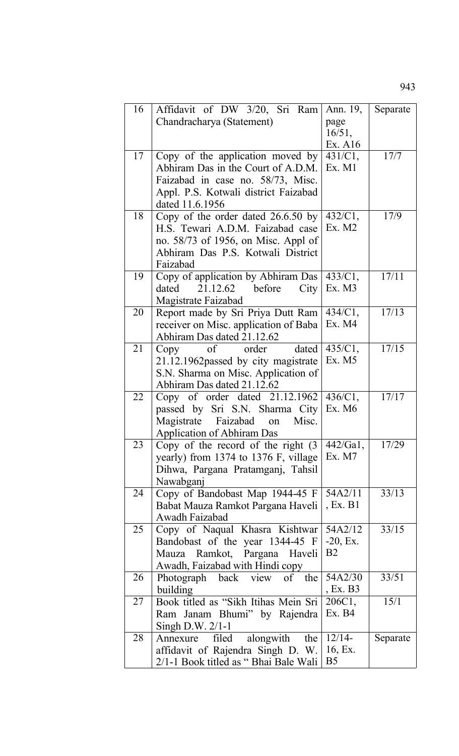| 16 | Affidavit of DW 3/20, Sri Ram                                     | Ann. 19,          | Separate |
|----|-------------------------------------------------------------------|-------------------|----------|
|    | Chandracharya (Statement)                                         | page              |          |
|    |                                                                   | 16/51,            |          |
|    |                                                                   | Ex. A16           |          |
| 17 | Copy of the application moved by                                  | 431/C1,           | 17/7     |
|    | Abhiram Das in the Court of A.D.M.                                | Ex. M1            |          |
|    | Faizabad in case no. 58/73, Misc.                                 |                   |          |
|    | Appl. P.S. Kotwali district Faizabad                              |                   |          |
|    | dated 11.6.1956                                                   |                   |          |
| 18 | Copy of the order dated $26.6.50$ by                              | 432/C1,           | 17/9     |
|    | H.S. Tewari A.D.M. Faizabad case                                  | Ex. M2            |          |
|    | no. 58/73 of 1956, on Misc. Appl of                               |                   |          |
|    | Abhiram Das P.S. Kotwali District                                 |                   |          |
|    | Faizabad                                                          |                   |          |
| 19 | Copy of application by Abhiram Das                                | 433/C1,           | 17/11    |
|    | 21.12.62<br>before<br>City<br>dated                               | Ex. M3            |          |
|    | Magistrate Faizabad                                               |                   |          |
| 20 | Report made by Sri Priya Dutt Ram                                 | 434/C1,           | 17/13    |
|    | receiver on Misc. application of Baba                             | Ex. M4            |          |
|    | Abhiram Das dated 21.12.62                                        |                   |          |
| 21 | of order<br>dated<br>Copy                                         | 435/C1,<br>Ex. M5 | 17/15    |
|    | 21.12.1962 passed by city magistrate                              |                   |          |
|    | S.N. Sharma on Misc. Application of<br>Abhiram Das dated 21.12.62 |                   |          |
| 22 | Copy of order dated $21.12.1962$                                  | 436/C1,           | 17/17    |
|    | passed by Sri S.N. Sharma City                                    | Ex. M6            |          |
|    | Magistrate Faizabad<br>Misc.<br>on                                |                   |          |
|    | <b>Application of Abhiram Das</b>                                 |                   |          |
| 23 | Copy of the record of the right $(3)$                             | 442/Ga1,          | 17/29    |
|    | yearly) from 1374 to 1376 F, village                              | Ex. M7            |          |
|    | Dihwa, Pargana Pratamganj, Tahsil                                 |                   |          |
|    | Nawabganj                                                         |                   |          |
| 24 | Copy of Bandobast Map 1944-45 F                                   | 54A2/11           | 33/13    |
|    | Babat Mauza Ramkot Pargana Haveli                                 | , Ex. B1          |          |
|    | Awadh Faizabad                                                    |                   |          |
| 25 | Copy of Naqual Khasra Kishtwar                                    | 54A2/12           | 33/15    |
|    | Bandobast of the year 1344-45 F                                   | $-20$ , Ex.       |          |
|    | Mauza Ramkot, Pargana Haveli                                      | B <sub>2</sub>    |          |
|    | Awadh, Faizabad with Hindi copy                                   |                   |          |
| 26 | Photograph back view of the                                       | 54A2/30           | 33/51    |
|    | building                                                          | , Ex. B3          |          |
| 27 | Book titled as "Sikh Itihas Mein Sri                              | 206C1,<br>Ex. B4  | 15/1     |
|    | Ram Janam Bhumi" by Rajendra                                      |                   |          |
| 28 | Singh D.W. $2/1-1$<br>alongwith<br>filed<br>Annexure<br>the       | $12/14-$          | Separate |
|    | affidavit of Rajendra Singh D. W.                                 | 16, Ex.           |          |
|    | 2/1-1 Book titled as "Bhai Bale Wali                              | B5                |          |
|    |                                                                   |                   |          |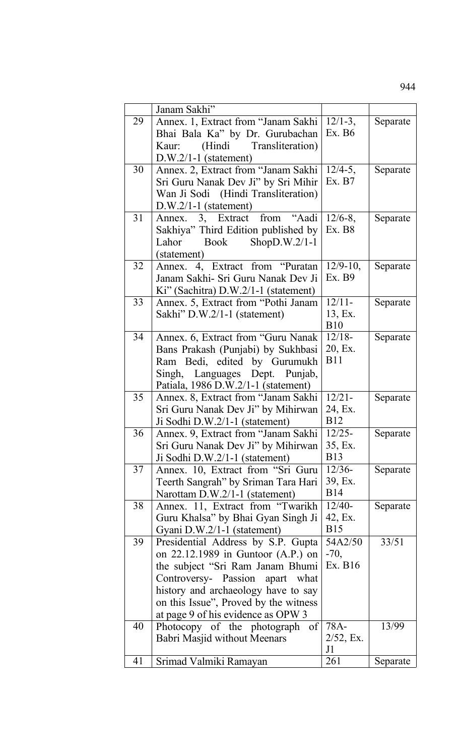|    | Janam Sakhi"                                                               |                       |          |
|----|----------------------------------------------------------------------------|-----------------------|----------|
| 29 | Annex. 1, Extract from "Janam Sakhi                                        | $12/1-3$ ,            | Separate |
|    | Bhai Bala Ka" by Dr. Gurubachan                                            | Ex. B6                |          |
|    | (Hindi Transliteration)<br>Kaur:                                           |                       |          |
|    | $D.W.2/1-1$ (statement)                                                    |                       |          |
| 30 | Annex. 2, Extract from "Janam Sakhi                                        | $12/4-5$ ,            | Separate |
|    | Sri Guru Nanak Dev Ji" by Sri Mihir                                        | Ex. B7                |          |
|    | Wan Ji Sodi (Hindi Transliteration)                                        |                       |          |
|    | $D.W.2/1-1$ (statement)                                                    |                       |          |
| 31 | Annex. 3, Extract from "Aadi                                               | $12/6 - 8$ ,          | Separate |
|    | Sakhiya" Third Edition published by                                        | Ex. B8                |          |
|    | Book ShopD.W.2/1-1<br>Lahor                                                |                       |          |
|    | (statement)                                                                |                       |          |
| 32 | Annex. 4, Extract from "Puratan                                            | $12/9-10$ ,           | Separate |
|    | Janam Sakhi- Sri Guru Nanak Dev Ji                                         | Ex. B9                |          |
|    | $Ki''$ (Sachitra) $D.W.2/1-1$ (statement)                                  |                       |          |
| 33 | Annex. 5, Extract from "Pothi Janam"                                       | $12/11-$              | Separate |
|    | Sakhi" D.W.2/1-1 (statement)                                               | 13, Ex.               |          |
|    |                                                                            | <b>B10</b>            |          |
| 34 | Annex. 6, Extract from "Guru Nanak                                         | $12/18-$              | Separate |
|    | Bans Prakash (Punjabi) by Sukhbasi                                         | 20, Ex.               |          |
|    | Ram Bedi, edited by Gurumukh                                               | <b>B11</b>            |          |
|    | Singh, Languages Dept. Punjab,                                             |                       |          |
|    | Patiala, 1986 D.W.2/1-1 (statement)                                        |                       |          |
| 35 | Annex. 8, Extract from "Janam Sakhi                                        | $12/21 -$             | Separate |
|    | Sri Guru Nanak Dev Ji" by Mihirwan                                         | 24, Ex.               |          |
|    | Ji Sodhi D.W.2/1-1 (statement)                                             | <b>B12</b>            |          |
| 36 | Annex. 9. Extract from "Janam Sakhi                                        | $12/25 -$             | Separate |
|    | Sri Guru Nanak Dev Ji" by Mihirwan                                         | 35, Ex.               |          |
|    | Ji Sodhi D.W.2/1-1 (statement)                                             | <b>B</b> 13           |          |
| 37 | Annex. 10, Extract from "Sri Guru                                          | $12/36-$              | Separate |
|    | Teerth Sangrah" by Sriman Tara Hari                                        | 39, Ex.<br><b>B14</b> |          |
|    | Narottam D.W.2/1-1 (statement)                                             | $12/40-$              |          |
| 38 | Annex. 11, Extract from "Twarikh"                                          | 42, Ex.               | Separate |
|    | Guru Khalsa" by Bhai Gyan Singh Ji                                         | <b>B</b> 15           |          |
| 39 | Gyani D.W.2/1-1 (statement)                                                | 54A2/50               | 33/51    |
|    | Presidential Address by S.P. Gupta<br>on $22.12.1989$ in Guntoor (A.P.) on | $-70,$                |          |
|    | the subject "Sri Ram Janam Bhumi                                           | Ex. B16               |          |
|    | Controversy- Passion apart what                                            |                       |          |
|    | history and archaeology have to say                                        |                       |          |
|    | on this Issue", Proved by the witness                                      |                       |          |
|    | at page 9 of his evidence as OPW 3                                         |                       |          |
| 40 | Photocopy of the photograph of                                             | 78A-                  | 13/99    |
|    | Babri Masjid without Meenars                                               | $2/52$ , Ex.          |          |
|    |                                                                            | J1                    |          |
| 41 | Srimad Valmiki Ramayan                                                     | 261                   | Separate |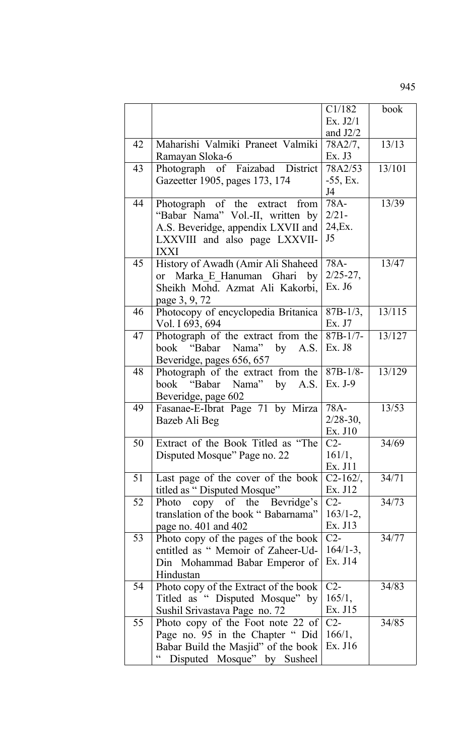C1/182 Ex. J2/1 and J2/2 book 42 Maharishi Valmiki Praneet Valmiki Ramayan Sloka-6 78A2/7, Ex. J3 13/13 43 Photograph of Faizabad District Gazeetter 1905, pages 173, 174 78A2/53 -55, Ex. J4 13/101 44 Photograph of the extract from "Babar Nama" Vol.-II, written by A.S. Beveridge, appendix LXVII and LXXVIII and also page LXXVII-IXXI 78A- $2/21 -$ 24,Ex. J5 13/39 45 History of Awadh (Amir Ali Shaheed or Marka\_E\_Hanuman Ghari by Sheikh Mohd. Azmat Ali Kakorbi, page 3, 9, 72 78A-2/25-27, Ex. J6 13/47 46 Photocopy of encyclopedia Britanica Vol. I 693, 694 87B-1/3, Ex. J7 13/115 47 Photograph of the extract from the book "Babar Nama" by A.S. Beveridge, pages 656, 657  $87B-1/7-$ Ex. J8 13/127 48 Photograph of the extract from the book "Babar Nama" by A.S. Beveridge, page 602 87B-1/8- Ex. J-9 13/129 49 Fasanae-E-Ibrat Page 71 by Mirza Bazeb Ali Beg 78A-2/28-30, Ex. J10 13/53 50 Extract of the Book Titled as "The Disputed Mosque" Page no. 22  $C2-$ 161/1, Ex. J11 34/69 51 Last page of the cover of the book titled as "Disputed Mosque"  $C2-162/$ Ex. J12 34/71 52 Photo copy of the Bevridge's translation of the book " Babarnama" page no. 401 and 402  $C2-$ 163/1-2, Ex. J13 34/73 53 Photo copy of the pages of the book entitled as " Memoir of Zaheer-Ud-Din Mohammad Babar Emperor of Hindustan  $\overline{C2}$ -164/1-3, Ex. J14 34/77 54 | Photo copy of the Extract of the book Titled as " Disputed Mosque" by Sushil Srivastava Page no. 72 C2- 165/1, Ex. J15 34/83 55 Photo copy of the Foot note 22 of Page no. 95 in the Chapter " Did Babar Build the Masjid" of the book  $\vert$  Ex. J16  $\overline{C2}$ 166/1, 34/85

" Disputed Mosque" by Susheel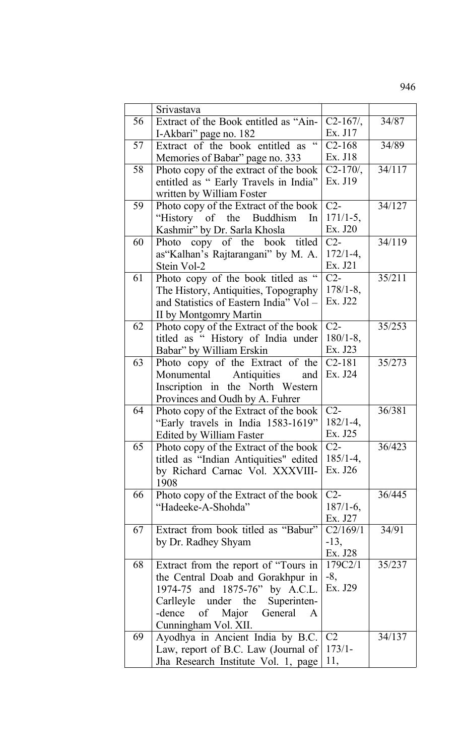|    | Srivastava                                                                   |                |        |
|----|------------------------------------------------------------------------------|----------------|--------|
| 56 | Extract of the Book entitled as "Ain-                                        | $C2-167/$ ,    | 34/87  |
|    | I-Akbari" page no. 182                                                       | Ex. J17        |        |
| 57 | $\boldsymbol{\zeta}$ $\boldsymbol{\zeta}$<br>Extract of the book entitled as | $C2 - 168$     | 34/89  |
|    | Memories of Babar" page no. 333                                              | Ex. J18        |        |
| 58 | Photo copy of the extract of the book                                        | $C2-170/$ ,    | 34/117 |
|    | entitled as " Early Travels in India"                                        | Ex. J19        |        |
|    | written by William Foster                                                    |                |        |
| 59 | Photo copy of the Extract of the book                                        | $C2-$          | 34/127 |
|    | "History of the Buddhism"<br>In                                              | $171/1-5$ ,    |        |
|    | Kashmir" by Dr. Sarla Khosla                                                 | Ex. J20        |        |
| 60 | Photo copy of the book titled                                                | $C2-$          | 34/119 |
|    | as "Kalhan's Rajtarangani" by M. A.                                          | $172/1 - 4$ ,  |        |
|    | Stein Vol-2                                                                  | Ex. J21        |        |
| 61 | Photo copy of the book titled as "                                           | $C2-$          | 35/211 |
|    | The History, Antiquities, Topography                                         | $178/1 - 8$ ,  |        |
|    | and Statistics of Eastern India" Vol -                                       | Ex. J22        |        |
|    | II by Montgomry Martin                                                       |                |        |
| 62 | Photo copy of the Extract of the book                                        | $C2-$          | 35/253 |
|    | titled as "History of India under                                            | $180/1 - 8$ ,  |        |
|    | Babar" by William Erskin                                                     | Ex. J23        |        |
| 63 | Photo copy of the Extract of the                                             | $C2 - 181$     | 35/273 |
|    | Monumental<br>Antiquities<br>and                                             | Ex. J24        |        |
|    | Inscription in the North Western                                             |                |        |
|    | Provinces and Oudh by A. Fuhrer                                              |                |        |
| 64 | Photo copy of the Extract of the book                                        | $C2-$          | 36/381 |
|    | "Early travels in India 1583-1619"                                           | $182/1 - 4$ ,  |        |
|    | <b>Edited by William Faster</b>                                              | Ex. J25        |        |
| 65 | Photo copy of the Extract of the book                                        | $C2-$          | 36/423 |
|    | titled as "Indian Antiquities" edited                                        | $185/1 - 4$ ,  |        |
|    | by Richard Carnac Vol. XXXVIII-                                              | Ex. J26        |        |
|    | 1908                                                                         |                |        |
| 66 | Photo copy of the Extract of the book                                        | $C2-$          | 36/445 |
|    | "Hadeeke-A-Shohda"                                                           | $187/1-6$ ,    |        |
|    |                                                                              | Ex. J27        |        |
| 67 | Extract from book titled as "Babur"                                          | C2/169/1       | 34/91  |
|    | by Dr. Radhey Shyam                                                          | $-13$ .        |        |
|    |                                                                              | Ex. J28        |        |
| 68 | Extract from the report of "Tours in                                         | 179C2/1        | 35/237 |
|    | the Central Doab and Gorakhpur in                                            | $-8,$          |        |
|    | 1974-75 and 1875-76" by A.C.L.                                               | Ex. J29        |        |
|    | Carlleyle under the<br>Superinten-                                           |                |        |
|    | -dence of Major General A                                                    |                |        |
|    | Cunningham Vol. XII.                                                         |                |        |
| 69 | Ayodhya in Ancient India by B.C.                                             | C <sub>2</sub> | 34/137 |
|    | Law, report of B.C. Law (Journal of                                          | $173/1-$       |        |
|    | Jha Research Institute Vol. 1, page                                          | 11,            |        |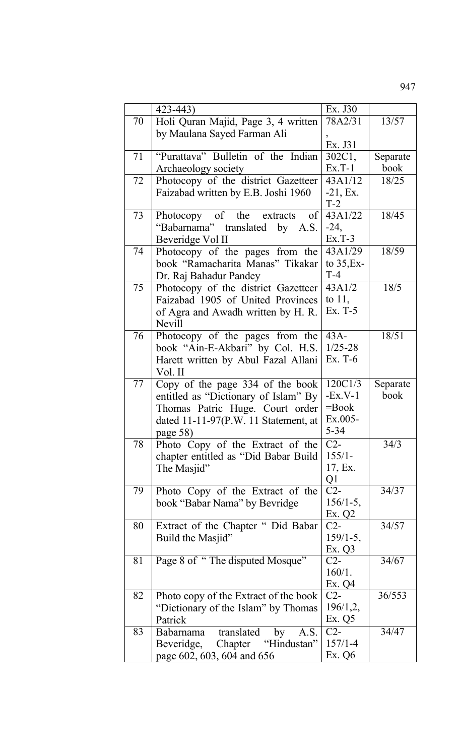|    | 423-443)                              | Ex. J30         |          |
|----|---------------------------------------|-----------------|----------|
| 70 | Holi Quran Majid, Page 3, 4 written   | 78A2/31         | 13/57    |
|    | by Maulana Sayed Farman Ali           |                 |          |
|    |                                       | Ex. J31         |          |
| 71 | "Purattava" Bulletin of the Indian    | 302C1,          | Separate |
|    | Archaeology society                   | $Ex.T-1$        | book     |
| 72 | Photocopy of the district Gazetteer   | 43A1/12         | 18/25    |
|    | Faizabad written by E.B. Joshi 1960   | $-21, Ex.$      |          |
|    |                                       | $T-2$           |          |
| 73 | Photocopy of the extracts<br>$\sigma$ | 43A1/22         | 18/45    |
|    | "Babarnama" translated by A.S.        | $-24,$          |          |
|    | Beveridge Vol II                      | $Ex.T-3$        |          |
| 74 | Photocopy of the pages from the       | 43A1/29         | 18/59    |
|    | book "Ramacharita Manas" Tikakar      | to $35, Ex-$    |          |
|    | Dr. Raj Bahadur Pandey                | $T-4$           |          |
| 75 | Photocopy of the district Gazetteer   | 43A1/2          | 18/5     |
|    | Faizabad 1905 of United Provinces     | to $11$ ,       |          |
|    | of Agra and Awadh written by H. R.    | $Ex. T-5$       |          |
|    | <b>Nevill</b>                         |                 |          |
| 76 | Photocopy of the pages from the       | $43A-$          | 18/51    |
|    | book "Ain-E-Akbari" by Col. H.S.      | $1/25 - 28$     |          |
|    | Harett written by Abul Fazal Allani   | Ex. T-6         |          |
|    | Vol. II                               |                 |          |
| 77 | Copy of the page 334 of the book      | 120C1/3         | Separate |
|    | entitled as "Dictionary of Islam" By  | $-Ex.V-1$       | book     |
|    | Thomas Patric Huge. Court order       | $=$ Book        |          |
|    | dated 11-11-97(P.W. 11 Statement, at  | $Ex.005-$       |          |
|    | page 58)                              | $5 - 34$        |          |
| 78 | Photo Copy of the Extract of the      | $C2-$           | 34/3     |
|    | chapter entitled as "Did Babar Build  | $155/1-$        |          |
|    | The Masjid"                           | 17, Ex.         |          |
|    |                                       | Q1              |          |
| 79 | Photo Copy of the Extract of the      | $C2-$           | 34/37    |
|    | book "Babar Nama" by Bevridge         | $156/1-5,$      |          |
| 80 | Extract of the Chapter " Did Babar    | Ex. Q2<br>$C2-$ | 34/57    |
|    | Build the Masjid"                     | $159/1-5$ ,     |          |
|    |                                       | Ex. Q3          |          |
| 81 | Page 8 of "The disputed Mosque"       | $C2-$           | 34/67    |
|    |                                       | 160/1.          |          |
|    |                                       | Ex. Q4          |          |
| 82 | Photo copy of the Extract of the book | $C2-$           | 36/553   |
|    | "Dictionary of the Islam" by Thomas   | 196/1,2,        |          |
|    | Patrick                               | Ex. $Q5$        |          |
| 83 | translated<br>Babarnama<br>by<br>A.S. | $C2-$           | 34/47    |
|    | Chapter<br>"Hindustan"<br>Beveridge,  | $157/1 - 4$     |          |
|    | page 602, 603, 604 and 656            | Ex. Q6          |          |
|    |                                       |                 |          |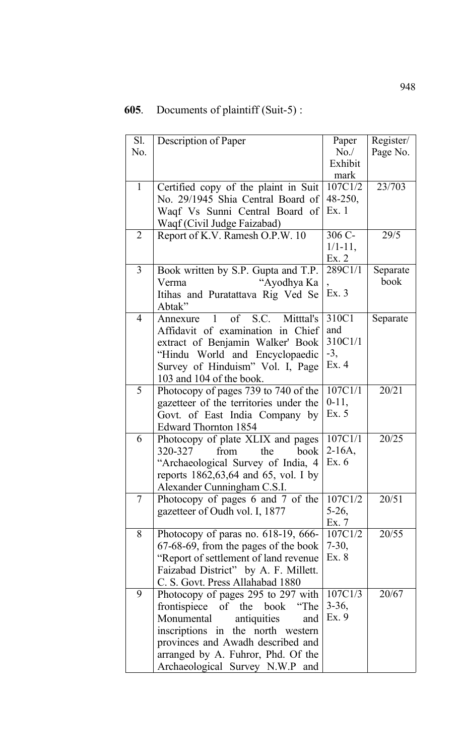## **605**. Documents of plaintiff (Suit-5) :

| Sl.<br>No.     | Description of Paper                                                                                                                                                                                                                                          | Paper<br>No.<br>Exhibit<br>mark          | Register/<br>Page No. |
|----------------|---------------------------------------------------------------------------------------------------------------------------------------------------------------------------------------------------------------------------------------------------------------|------------------------------------------|-----------------------|
| $\mathbf{1}$   | Certified copy of the plaint in Suit<br>No. 29/1945 Shia Central Board of<br>Waqf Vs Sunni Central Board of<br>Waqf (Civil Judge Faizabad)                                                                                                                    | 107C1/2<br>$48 - 250,$<br>Ex.1           | 23/703                |
| $\overline{2}$ | Report of K.V. Ramesh O.P.W. 10                                                                                                                                                                                                                               | 306 C-<br>$1/1 - 11$ ,<br>Ex. 2          | 29/5                  |
| 3              | Book written by S.P. Gupta and T.P.<br>"Ayodhya Ka<br>Verma<br>Itihas and Puratattava Rig Ved Se<br>Abtak"                                                                                                                                                    | 289C1/1<br>Ex.3                          | Separate<br>book      |
| $\overline{4}$ | Annexure 1 of S.C. Mittel's<br>Affidavit of examination in Chief<br>extract of Benjamin Walker' Book<br>"Hindu World and Encyclopaedic<br>Survey of Hinduism" Vol. I, Page<br>103 and 104 of the book.                                                        | 310C1<br>and<br>310C1/1<br>$-3,$<br>Ex.4 | Separate              |
| 5              | Photocopy of pages 739 to 740 of the<br>gazetteer of the territories under the<br>Govt. of East India Company by<br><b>Edward Thornton 1854</b>                                                                                                               | 107C1/1<br>$0-11,$<br>Ex. 5              | 20/21                 |
| 6              | Photocopy of plate XLIX and pages<br>320-327<br>from<br>the<br>book<br>"Archaeological Survey of India, 4<br>reports $1862,63,64$ and 65, vol. I by<br>Alexander Cunningham C.S.I.                                                                            | 107C1/1<br>$2-16A$ ,<br>Ex. 6            | 20/25                 |
| 7              | Photocopy of pages 6 and 7 of the<br>gazetteer of Oudh vol. I, 1877                                                                                                                                                                                           | 107C1/2<br>$5-26$ ,<br>Ex. 7             | 20/51                 |
| 8              | Photocopy of paras no. $618-19$ , $666-$<br>67-68-69, from the pages of the book<br>"Report of settlement of land revenue<br>Faizabad District" by A. F. Millett.<br>C. S. Govt. Press Allahabad 1880                                                         | 107C1/2<br>$7-30,$<br>Ex. 8              | 20/55                 |
| 9              | Photocopy of pages 295 to 297 with<br>frontispiece of the book<br>"The<br>Monumental<br>antiquities<br>and<br>inscriptions in the north western<br>provinces and Awadh described and<br>arranged by A. Fuhror, Phd. Of the<br>Archaeological Survey N.W.P and | 107C1/3<br>$3-36,$<br>Ex. 9              | 20/67                 |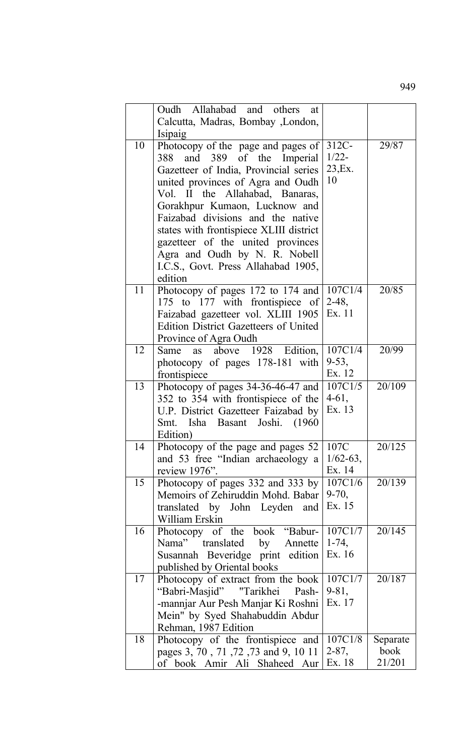|    | Oudh Allahabad and others<br>at              |               |          |
|----|----------------------------------------------|---------------|----------|
|    | Calcutta, Madras, Bombay , London,           |               |          |
|    | Isipaig                                      |               |          |
| 10 | Photocopy of the page and pages of           | $312C -$      | 29/87    |
|    | 388 and 389 of the Imperial                  | $1/22 -$      |          |
|    | Gazetteer of India, Provincial series        | 23, Ex.       |          |
|    | united provinces of Agra and Oudh            | 10            |          |
|    | Vol. II the Allahabad, Banaras,              |               |          |
|    | Gorakhpur Kumaon, Lucknow and                |               |          |
|    | Faizabad divisions and the native            |               |          |
|    | states with frontispiece XLIII district      |               |          |
|    | gazetteer of the united provinces            |               |          |
|    |                                              |               |          |
|    | Agra and Oudh by N. R. Nobell                |               |          |
|    | I.C.S., Govt. Press Allahabad 1905,          |               |          |
|    | edition                                      |               |          |
| 11 | Photocopy of pages 172 to 174 and            | 107C1/4       | 20/85    |
|    | 175 to 177 with frontispiece of              | $2-48,$       |          |
|    | Faizabad gazetteer vol. XLIII 1905           | Ex. 11        |          |
|    | <b>Edition District Gazetteers of United</b> |               |          |
|    | Province of Agra Oudh                        |               |          |
| 12 | Same as above 1928 Edition,                  | 107C1/4       | 20/99    |
|    | photocopy of pages 178-181 with              | $9-53,$       |          |
|    | frontispiece                                 | Ex. 12        |          |
| 13 | Photocopy of pages 34-36-46-47 and           | 107C1/5       | 20/109   |
|    | 352 to 354 with frontispiece of the          | $4-61,$       |          |
|    | U.P. District Gazetteer Faizabad by          | Ex. 13        |          |
|    | Smt. Isha Basant Joshi.<br>(1960)            |               |          |
|    | Edition)                                     |               |          |
| 14 | Photocopy of the page and pages 52           | 107C          | 20/125   |
|    | and 53 free "Indian archaeology a            | $1/62 - 63$ , |          |
|    | review 1976".                                | Ex. 14        |          |
| 15 | Photocopy of pages 332 and 333 by            | 107C1/6       | 20/139   |
|    | Memoirs of Zehiruddin Mohd. Babar            | $9 - 70,$     |          |
|    | translated by John Leyden and                | Ex. 15        |          |
|    | William Erskin                               |               |          |
| 16 | Photocopy of the book "Babur-                | 107C1/7       | 20/145   |
|    | Nama" translated by Annette                  | $1-74,$       |          |
|    |                                              | Ex. 16        |          |
|    | Susannah Beveridge print edition             |               |          |
| 17 | published by Oriental books                  | 107C1/7       | 20/187   |
|    | Photocopy of extract from the book           |               |          |
|    | "Babri-Masjid" "Tarikhei<br>Pash-            | $9 - 81,$     |          |
|    | -mannjar Aur Pesh Manjar Ki Roshni           | Ex. 17        |          |
|    | Mein" by Syed Shahabuddin Abdur              |               |          |
|    | Rehman, 1987 Edition                         |               |          |
| 18 | Photocopy of the frontispiece and            | 107C1/8       | Separate |
|    | pages 3, 70, 71, 72, 73 and 9, 10 11         | $2 - 87,$     | book     |
|    | of book Amir Ali Shaheed Aur                 | Ex. 18        | 21/201   |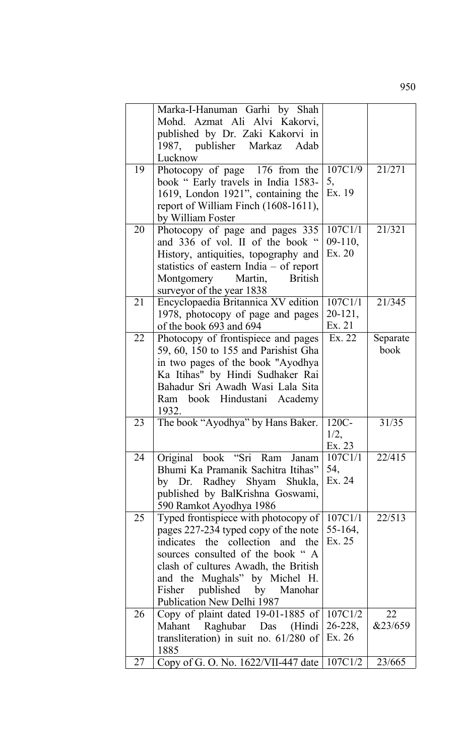|    | Marka-I-Hanuman Garhi by Shah                 |              |                  |
|----|-----------------------------------------------|--------------|------------------|
|    | Mohd. Azmat Ali Alvi Kakorvi,                 |              |                  |
|    | published by Dr. Zaki Kakorvi in              |              |                  |
|    | 1987, publisher Markaz<br>Adab                |              |                  |
|    | Lucknow                                       |              |                  |
| 19 | Photocopy of page 176 from the                | 107C1/9      | 21/271           |
|    | book " Early travels in India 1583-           | 5,           |                  |
|    | 1619, London 1921", containing the            | Ex. 19       |                  |
|    | report of William Finch (1608-1611),          |              |                  |
|    | by William Foster                             |              |                  |
| 20 | Photocopy of page and pages 335               | 107C1/1      | 21/321           |
|    | and 336 of vol. II of the book "              | $09-110,$    |                  |
|    | History, antiquities, topography and          | Ex. 20       |                  |
|    | statistics of eastern India $-$ of report     |              |                  |
|    | Montgomery<br>Martin,<br><b>British</b>       |              |                  |
|    | surveyor of the year 1838                     |              |                  |
| 21 | Encyclopaedia Britannica XV edition           | 107C1/1      | 21/345           |
|    |                                               | 20-121,      |                  |
|    | 1978, photocopy of page and pages             | Ex. 21       |                  |
|    | of the book 693 and 694                       |              |                  |
| 22 | Photocopy of frontispiece and pages           | Ex. 22       | Separate<br>book |
|    | 59, 60, 150 to 155 and Parishist Gha          |              |                  |
|    | in two pages of the book "Ayodhya"            |              |                  |
|    | Ka Itihas" by Hindi Sudhaker Rai              |              |                  |
|    | Bahadur Sri Awadh Wasi Lala Sita              |              |                  |
|    | Ram book Hindustani Academy                   |              |                  |
|    | 1932.                                         |              |                  |
| 23 | The book "Ayodhya" by Hans Baker.             | 120C-        | 31/35            |
|    |                                               | 1/2,         |                  |
|    |                                               | Ex. 23       |                  |
| 24 | Original book "Sri Ram Janam                  | 107C1/1      | 22/415           |
|    | Bhumi Ka Pramanik Sachitra Itihas"            | 54,          |                  |
|    | by Dr. Radhey Shyam Shukla,                   | Ex. 24       |                  |
|    | published by BalKrishna Goswami,              |              |                  |
|    | 590 Ramkot Ayodhya 1986                       |              |                  |
| 25 | Typed frontispiece with photocopy of          | 107C1/1      | 22/513           |
|    | pages 227-234 typed copy of the note          | 55-164,      |                  |
|    | indicates the collection and the              | Ex. 25       |                  |
|    | sources consulted of the book "A              |              |                  |
|    | clash of cultures Awadh, the British          |              |                  |
|    | and the Mughals" by Michel H.                 |              |                  |
|    | published by Manohar<br>Fisher                |              |                  |
|    | Publication New Delhi 1987                    |              |                  |
| 26 | Copy of plaint dated 19-01-1885 of            | 107C1/2      | 22               |
|    | Mahant Raghubar Das (Hindi                    | $26 - 228$ , | &23/659          |
|    | transliteration) in suit no. $61/280$ of      | Ex. 26       |                  |
|    | 1885                                          |              |                  |
| 27 | Copy of G. O. No. 1622/VII-447 date   107C1/2 |              | 23/665           |
|    |                                               |              |                  |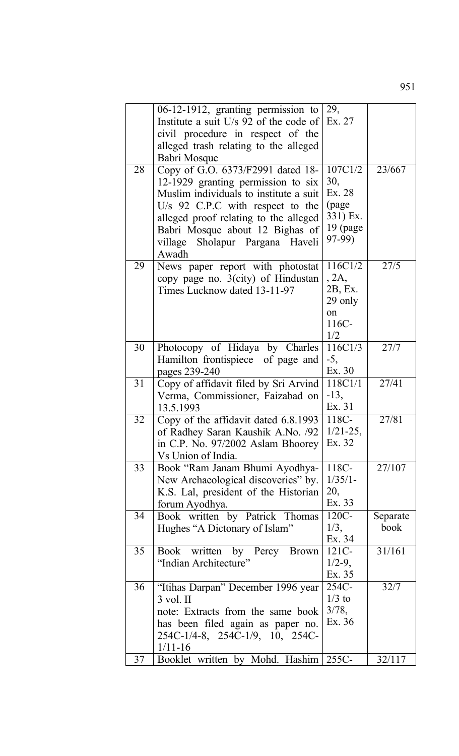|    | 06-12-1912, granting permission to                                       | 29,              |                  |
|----|--------------------------------------------------------------------------|------------------|------------------|
|    | Institute a suit U/s 92 of the code of                                   | Ex. 27           |                  |
|    | civil procedure in respect of the                                        |                  |                  |
|    | alleged trash relating to the alleged                                    |                  |                  |
|    | Babri Mosque                                                             |                  |                  |
| 28 | Copy of G.O. 6373/F2991 dated 18-                                        | 107C1/2          | 23/667           |
|    | 12-1929 granting permission to six                                       | 30,<br>Ex. 28    |                  |
|    | Muslim individuals to institute a suit                                   | (page            |                  |
|    | U/s 92 C.P.C with respect to the                                         | 331) Ex.         |                  |
|    | alleged proof relating to the alleged<br>Babri Mosque about 12 Bighas of | 19 (page         |                  |
|    | village Sholapur Pargana Haveli                                          | 97-99)           |                  |
|    | Awadh                                                                    |                  |                  |
| 29 | News paper report with photostat                                         | 116C1/2          | 27/5             |
|    | copy page no. 3(city) of Hindustan                                       | .2A.             |                  |
|    | Times Lucknow dated 13-11-97                                             | 2B, Ex.          |                  |
|    |                                                                          | 29 only          |                  |
|    |                                                                          | on               |                  |
|    |                                                                          | 116C-            |                  |
|    |                                                                          | 1/2              |                  |
| 30 | Photocopy of Hidaya by Charles                                           | 116C1/3<br>$-5,$ | 27/7             |
|    | Hamilton frontispiece of page and<br>pages 239-240                       | Ex. 30           |                  |
| 31 | Copy of affidavit filed by Sri Arvind                                    | 118C1/1          | 27/41            |
|    | Verma, Commissioner, Faizabad on                                         | $-13,$           |                  |
|    | 13.5.1993                                                                | Ex. 31           |                  |
| 32 | Copy of the affidavit dated 6.8.1993                                     | 118C-            | 27/81            |
|    | of Radhey Saran Kaushik A.No. /92                                        | $1/21 - 25$ ,    |                  |
|    | in C.P. No. 97/2002 Aslam Bhoorey                                        | Ex. 32           |                  |
|    | Vs Union of India.                                                       |                  |                  |
| 33 | Book "Ram Janam Bhumi Ayodhya-                                           | 118C-            | 27/107           |
|    | New Archaeological discoveries" by.                                      | $1/35/1-$        |                  |
|    | K.S. Lal, president of the Historian                                     | 20,<br>Ex. 33    |                  |
|    | forum Ayodhya.                                                           |                  |                  |
| 34 | Book written by Patrick Thomas<br>Hughes "A Dictonary of Islam"          | 120C-<br>1/3,    | Separate<br>book |
|    |                                                                          | Ex. 34           |                  |
| 35 | Book written by Percy Brown                                              | $121C -$         | 31/161           |
|    | "Indian Architecture"                                                    | $1/2-9$ ,        |                  |
|    |                                                                          | Ex. 35           |                  |
| 36 | "Itihas Darpan" December 1996 year                                       | 254C-            | 32/7             |
|    | $3$ vol. II                                                              | $1/3$ to         |                  |
|    | note: Extracts from the same book                                        | 3/78,            |                  |
|    | has been filed again as paper no.                                        | Ex. 36           |                  |
|    | 254C-1/4-8, 254C-1/9, 10, 254C-                                          |                  |                  |
|    | $1/11 - 16$                                                              |                  |                  |
| 37 | Booklet written by Mohd. Hashim                                          | 255C-            | 32/117           |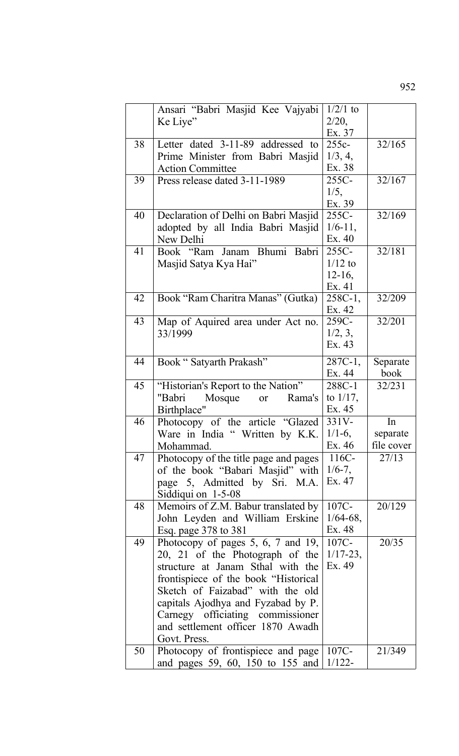|    | Ansari "Babri Masjid Kee Vajyabi        | $1/2/1$ to    |            |
|----|-----------------------------------------|---------------|------------|
|    | Ke Liye"                                | 2/20,         |            |
|    |                                         | Ex. 37        |            |
| 38 | Letter dated 3-11-89 addressed to       | $255c -$      | 32/165     |
|    | Prime Minister from Babri Masjid        | 1/3, 4,       |            |
|    | <b>Action Committee</b>                 | Ex. 38        |            |
| 39 | Press release dated 3-11-1989           | 255C-         | 32/167     |
|    |                                         | 1/5,          |            |
|    |                                         | Ex. 39        |            |
| 40 | Declaration of Delhi on Babri Masjid    | 255C-         | 32/169     |
|    | adopted by all India Babri Masjid       | $1/6 - 11$ ,  |            |
|    | New Delhi                               | Ex. 40        |            |
| 41 | Book "Ram Janam Bhumi Babri             | $255C -$      | 32/181     |
|    | Masjid Satya Kya Hai"                   | $1/12$ to     |            |
|    |                                         | $12-16$ ,     |            |
|    |                                         | Ex. 41        |            |
| 42 | Book "Ram Charitra Manas" (Gutka)       | 258C-1,       | 32/209     |
|    |                                         | Ex. 42        |            |
| 43 | Map of Aquired area under Act no.       | 259C-         | 32/201     |
|    | 33/1999                                 | 1/2, 3,       |            |
|    |                                         | Ex. 43        |            |
| 44 | Book "Satyarth Prakash"                 | $287C-1,$     | Separate   |
|    |                                         | Ex. 44        | book       |
| 45 | "Historian's Report to the Nation"      | 288C-1        | 32/231     |
|    | Mosque<br>"Babri<br>Rama's<br><b>or</b> | to $1/17$ ,   |            |
|    | Birthplace"                             | Ex. 45        |            |
| 46 | Photocopy of the article "Glazed        | $331V -$      | In         |
|    | Ware in India " Written by K.K          | $1/1-6$ ,     | separate   |
|    | Mohammad.                               | Ex. 46        | file cover |
| 47 | Photocopy of the title page and pages   | 116C-         | 27/13      |
|    | of the book "Babari Masjid" with        | $1/6 - 7$ ,   |            |
|    | page 5, Admitted by Sri. M.A.           | Ex. 47        |            |
|    | Siddiqui on $1-5-08$                    |               |            |
| 48 | Memoirs of Z.M. Babur translated by     | 107C-         | 20/129     |
|    | John Leyden and William Erskine         | $1/64 - 68$ , |            |
|    | Esq. page 378 to 381                    | Ex. 48        |            |
| 49 | Photocopy of pages $5, 6, 7$ and $19,$  | 107C-         | 20/35      |
|    | 20, 21 of the Photograph of the         | $1/17 - 23$ , |            |
|    | structure at Janam Sthal with the       | Ex. 49        |            |
|    | frontispiece of the book "Historical"   |               |            |
|    | Sketch of Faizabad" with the old        |               |            |
|    | capitals Ajodhya and Fyzabad by P.      |               |            |
|    | Carnegy officiating commissioner        |               |            |
|    | and settlement officer 1870 Awadh       |               |            |
|    | Govt. Press.                            |               |            |
| 50 | Photocopy of frontispiece and page      | 107C-         | 21/349     |
|    | and pages 59, 60, 150 to 155 and        | $1/122 -$     |            |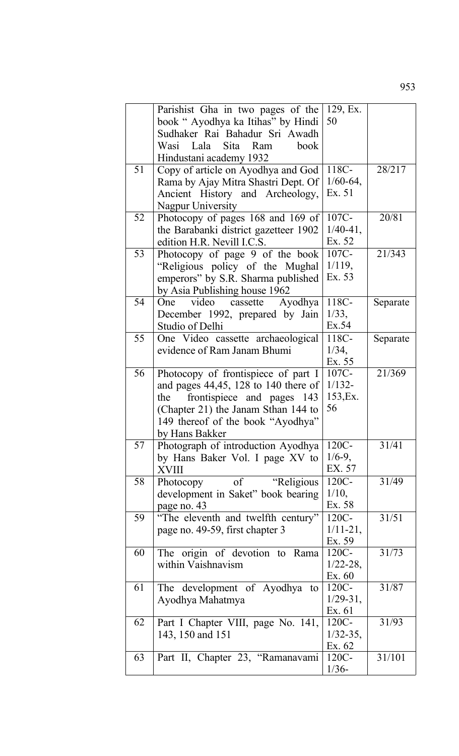|    | Parishist Gha in two pages of the       | 129, Ex.      |          |
|----|-----------------------------------------|---------------|----------|
|    | book "Ayodhya ka Itihas" by Hindi       | 50            |          |
|    | Sudhaker Rai Bahadur Sri Awadh          |               |          |
|    | Wasi Lala Sita Ram<br>book              |               |          |
|    | Hindustani academy 1932                 |               |          |
| 51 | Copy of article on Ayodhya and God      | 118C-         | 28/217   |
|    | Rama by Ajay Mitra Shastri Dept. Of     | $1/60-64,$    |          |
|    | Ancient History and Archeology,         | Ex. 51        |          |
|    | Nagpur University                       |               |          |
| 52 | Photocopy of pages 168 and 169 of       | 107C-         | 20/81    |
|    | the Barabanki district gazetteer 1902   | $1/40-41,$    |          |
|    | edition H.R. Nevill I.C.S.              | Ex. 52        |          |
|    |                                         | 107C-         | 21/343   |
| 53 | Photocopy of page 9 of the book         |               |          |
|    | "Religious policy of the Mughal         | $1/119$ ,     |          |
|    | emperors" by S.R. Sharma published      | Ex. 53        |          |
|    | by Asia Publishing house 1962           |               |          |
| 54 | video cassette Ayodhya<br>One           | 118C-         | Separate |
|    | December 1992, prepared by Jain         | 1/33,         |          |
|    | <b>Studio of Delhi</b>                  | Ex.54         |          |
| 55 | One Video cassette archaeological       | 118C-         | Separate |
|    | evidence of Ram Janam Bhumi             | 1/34,         |          |
|    |                                         | Ex. 55        |          |
| 56 | Photocopy of frontispiece of part I     | 107C-         | 21/369   |
|    | and pages $44,45$ , 128 to 140 there of | $1/132 -$     |          |
|    | frontispiece and pages 143<br>the       | 153, Ex.      |          |
|    | (Chapter 21) the Janam Sthan 144 to     | 56            |          |
|    | 149 thereof of the book "Ayodhya"       |               |          |
|    | by Hans Bakker                          |               |          |
| 57 | Photograph of introduction Ayodhya      | 120C-         | 31/41    |
|    | by Hans Baker Vol. I page XV to         | $1/6-9$ ,     |          |
|    |                                         | EX. 57        |          |
|    | XVIII                                   | 120C-         | 31/49    |
| 58 | "Religious"<br>Photocopy<br>of          |               |          |
|    | development in Saket" book bearing      | $1/10$ ,      |          |
|    | page no. 43                             | Ex. 58        |          |
| 59 | "The eleventh and twelfth century"      | 120C-         | 31/51    |
|    | page no. 49-59, first chapter 3         | $1/11 - 21$ , |          |
|    |                                         | Ex. 59        |          |
| 60 | The origin of devotion to Rama          | 120C-         | 31/73    |
|    | within Vaishnavism                      | $1/22 - 28$ , |          |
|    |                                         | Ex. 60        |          |
| 61 | The development of Ayodhya<br>to        | 120C-         | 31/87    |
|    | Ayodhya Mahatmya                        | $1/29 - 31$ , |          |
|    |                                         | Ex. 61        |          |
| 62 | Part I Chapter VIII, page No. 141,      | $120C -$      | 31/93    |
|    | 143, 150 and 151                        | $1/32 - 35$ , |          |
|    |                                         | Ex. 62        |          |
| 63 | Part II, Chapter 23, "Ramanavami        | 120C-         | 31/101   |
|    |                                         | $1/36-$       |          |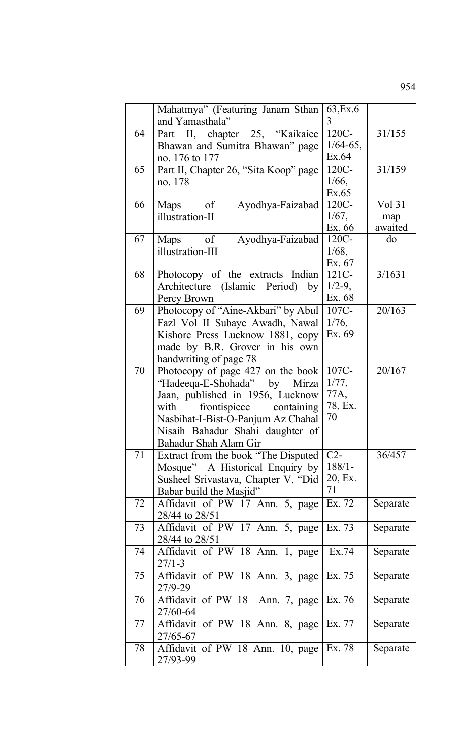|    | Mahatmya" (Featuring Janam Sthan<br>and Yamasthala" | 63, Ex. 6<br>3 |          |
|----|-----------------------------------------------------|----------------|----------|
| 64 | Part II, chapter 25, "Kaikaiee                      | 120C-          | 31/155   |
|    | Bhawan and Sumitra Bhawan" page                     | $1/64 - 65$ ,  |          |
|    | no. 176 to 177                                      | Ex.64          |          |
| 65 | Part II, Chapter 26, "Sita Koop" page               | 120C-          | 31/159   |
|    | no. 178                                             | $1/66$ ,       |          |
|    |                                                     | Ex.65          |          |
| 66 | $\circ$ of<br>Ayodhya-Faizabad<br>Maps              | 120C-          | Vol 31   |
|    | illustration-II                                     | 1/67,          | map      |
|    |                                                     | Ex. 66         | awaited  |
| 67 | Ayodhya-Faizabad<br>of<br>Maps                      | 120C-          | do       |
|    | illustration-III                                    | $1/68$ ,       |          |
|    |                                                     | Ex. 67         |          |
| 68 | Photocopy of the extracts Indian                    | 121C-          | 3/1631   |
|    | Architecture (Islamic Period)<br>by                 | $1/2-9$ ,      |          |
|    | Percy Brown                                         | Ex. 68         |          |
| 69 | Photocopy of "Aine-Akbari" by Abul                  | 107C-          | 20/163   |
|    | Fazl Vol II Subaye Awadh, Nawal                     | 1/76,          |          |
|    | Kishore Press Lucknow 1881, copy                    | Ex. 69         |          |
|    | made by B.R. Grover in his own                      |                |          |
|    | handwriting of page 78                              |                |          |
| 70 | Photocopy of page 427 on the book                   | 107C-          | 20/167   |
|    | "Hadeeqa-E-Shohada" by Mirza                        | 1/77,          |          |
|    | Jaan, published in 1956, Lucknow                    | 77A,           |          |
|    | frontispiece containing<br>with                     | 78, Ex.        |          |
|    | Nasbihat-I-Bist-O-Panjum Az Chahal                  | 70             |          |
|    | Nisaih Bahadur Shahi daughter of                    |                |          |
|    | Bahadur Shah Alam Gir                               |                |          |
| 71 | Extract from the book "The Disputed"                | $C2-$          | 36/457   |
|    | Mosque" A Historical Enquiry by                     | $188/1 -$      |          |
|    | Susheel Srivastava, Chapter V, "Did                 | 20, Ex.        |          |
|    | Babar build the Masjid"                             | 71             |          |
| 72 | Affidavit of PW 17 Ann. 5, page                     | Ex. 72         | Separate |
|    | 28/44 to 28/51                                      |                |          |
| 73 | Affidavit of PW 17 Ann. 5, page                     | Ex. 73         | Separate |
|    | 28/44 to 28/51                                      |                |          |
| 74 | Affidavit of PW 18 Ann. 1, page                     | Ex.74          | Separate |
|    | $27/1 - 3$                                          |                |          |
| 75 | Affidavit of PW 18 Ann. 3, page                     | Ex. 75         | Separate |
|    | 27/9-29                                             |                |          |
| 76 | Affidavit of PW 18 Ann. 7, page                     | Ex. 76         | Separate |
|    | 27/60-64                                            |                |          |
| 77 | Affidavit of PW 18 Ann. 8, page                     | Ex. 77         | Separate |
|    | 27/65-67                                            |                |          |
| 78 | Affidavit of PW 18 Ann. 10, page                    | Ex. 78         | Separate |
|    | 27/93-99                                            |                |          |
|    |                                                     |                |          |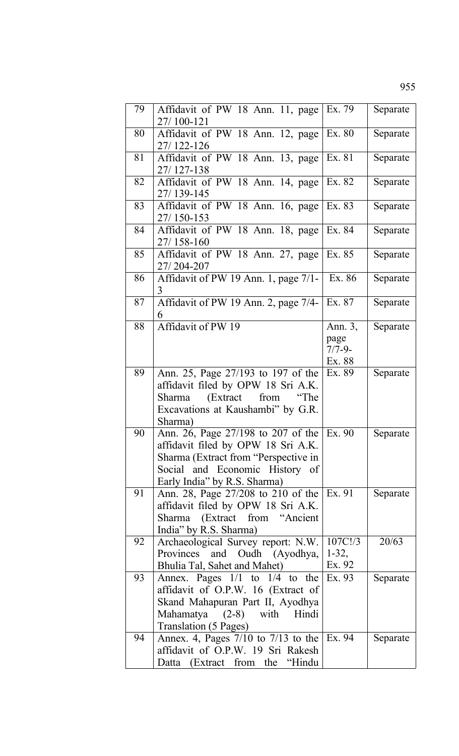| 79 | Affidavit of PW 18 Ann. 11, page<br>27/100-121                                                                                                                                     | Ex. 79                                   | Separate |
|----|------------------------------------------------------------------------------------------------------------------------------------------------------------------------------------|------------------------------------------|----------|
| 80 | Affidavit of PW 18 Ann. 12, page<br>27/122-126                                                                                                                                     | Ex. 80                                   | Separate |
| 81 | Affidavit of PW 18 Ann. 13, page<br>27/127-138                                                                                                                                     | Ex. 81                                   | Separate |
| 82 | Affidavit of PW 18 Ann. 14, page<br>27/139-145                                                                                                                                     | Ex. 82                                   | Separate |
| 83 | Affidavit of PW 18 Ann. 16, page<br>27/150-153                                                                                                                                     | Ex. 83                                   | Separate |
| 84 | Affidavit of PW 18 Ann. 18, page<br>27/158-160                                                                                                                                     | Ex. 84                                   | Separate |
| 85 | Affidavit of PW 18 Ann. 27, page<br>27/204-207                                                                                                                                     | Ex. 85                                   | Separate |
| 86 | Affidavit of PW 19 Ann. 1, page 7/1-<br>3                                                                                                                                          | Ex. 86                                   | Separate |
| 87 | Affidavit of PW 19 Ann. 2, page 7/4-<br>6                                                                                                                                          | Ex. 87                                   | Separate |
| 88 | Affidavit of PW 19                                                                                                                                                                 | Ann. 3,<br>page<br>$7/7 - 9$ -<br>Ex. 88 | Separate |
| 89 | Ann. 25, Page 27/193 to 197 of the<br>affidavit filed by OPW 18 Sri A.K.<br>(Extract<br>from<br>Sharma<br>"The<br>Excavations at Kaushambi" by G.R.<br>Sharma)                     | Ex. 89                                   | Separate |
| 90 | Ann. 26, Page 27/198 to 207 of the<br>affidavit filed by OPW 18 Sri A.K.<br>Sharma (Extract from "Perspective in<br>Social and Economic History of<br>Early India" by R.S. Sharma) | Ex. 90                                   | Separate |
| 91 | Ann. 28, Page 27/208 to 210 of the Ex. 91<br>affidavit filed by OPW 18 Sri A.K.<br>Sharma (Extract from "Ancient<br>India" by R.S. Sharma)                                         |                                          | Separate |
| 92 | Archaeological Survey report: N.W.<br>Provinces and Oudh (Ayodhya,<br>Bhulia Tal, Sahet and Mahet)                                                                                 | 107C!/3<br>$1-32,$<br>Ex. 92             | 20/63    |
| 93 | Annex. Pages $1/1$ to $1/4$ to the<br>affidavit of O.P.W. 16 (Extract of<br>Skand Mahapuran Part II, Ayodhya<br>Mahamatya (2-8) with Hindi<br>Translation (5 Pages)                | Ex. 93                                   | Separate |
| 94 | Annex. 4, Pages $7/10$ to $7/13$ to the Ex. 94<br>affidavit of O.P.W. 19 Sri Rakesh<br>Datta (Extract from the "Hindu"                                                             |                                          | Separate |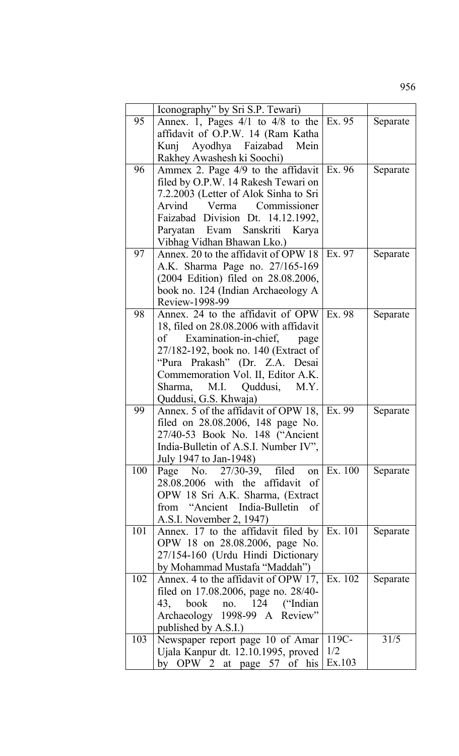|     | Iconography" by Sri S.P. Tewari)                   |         |          |
|-----|----------------------------------------------------|---------|----------|
| 95  | Annex. 1, Pages $4/1$ to $4/8$ to the              | Ex. 95  | Separate |
|     | affidavit of O.P.W. 14 (Ram Katha                  |         |          |
|     | Kunj Ayodhya Faizabad Mein                         |         |          |
|     | Rakhey Awashesh ki Soochi)                         |         |          |
| 96  | Ammex 2. Page $4/9$ to the affidavit               | Ex. 96  | Separate |
|     | filed by O.P.W. 14 Rakesh Tewari on                |         |          |
|     | 7.2.2003 (Letter of Alok Sinha to Sri              |         |          |
|     | Arvind Verma Commissioner                          |         |          |
|     | Faizabad Division Dt. 14.12.1992,                  |         |          |
|     | Paryatan Evam Sanskriti Karya                      |         |          |
|     |                                                    |         |          |
| 97  | Vibhag Vidhan Bhawan Lko.)                         | Ex. 97  |          |
|     | Annex. 20 to the affidavit of OPW 18               |         | Separate |
|     | A.K. Sharma Page no. 27/165-169                    |         |          |
|     | (2004 Edition) filed on 28.08.2006,                |         |          |
|     | book no. 124 (Indian Archaeology A                 |         |          |
|     | Review-1998-99                                     |         |          |
| 98  | Annex. 24 to the affidavit of OPW                  | Ex. 98  | Separate |
|     | 18, filed on 28.08.2006 with affidavit             |         |          |
|     | of Examination-in-chief, page                      |         |          |
|     | 27/182-192, book no. 140 (Extract of               |         |          |
|     | "Pura Prakash" (Dr. Z.A. Desai                     |         |          |
|     | Commemoration Vol. II, Editor A.K.                 |         |          |
|     | Quddusi, M.Y.<br>Sharma,<br>M.I.                   |         |          |
|     | Quddusi, G.S. Khwaja)                              |         |          |
| 99  | Annex. 5 of the affidavit of OPW 18,               | Ex. 99  | Separate |
|     | filed on 28.08.2006, 148 page No.                  |         |          |
|     | 27/40-53 Book No. 148 ("Ancient                    |         |          |
|     | India-Bulletin of A.S.I. Number IV",               |         |          |
|     | July 1947 to Jan-1948)                             |         |          |
| 100 | Page No. 27/30-39, filed on                        | Ex. 100 | Separate |
|     | 28.08.2006 with the affidavit<br>- of              |         |          |
|     | OPW 18 Sri A.K. Sharma, (Extract                   |         |          |
|     | from "Ancient India-Bulletin of                    |         |          |
|     | A.S.I. November 2, 1947)                           |         |          |
| 101 | Annex. 17 to the affidavit filed by                | Ex. 101 | Separate |
|     | OPW 18 on 28.08.2006, page No.                     |         |          |
|     | 27/154-160 (Urdu Hindi Dictionary                  |         |          |
|     | by Mohammad Mustafa "Maddah")                      |         |          |
| 102 | Annex. 4 to the affidavit of OPW 17,               | Ex. 102 | Separate |
|     | filed on 17.08.2006, page no. 28/40-               |         |          |
|     | 43, book no. 124 ("Indian"                         |         |          |
|     | Archaeology 1998-99 A Review"                      |         |          |
|     | published by A.S.I.)                               |         |          |
| 103 | Newspaper report page 10 of Amar                   | 119C-   | 31/5     |
|     | Ujala Kanpur dt. 12.10.1995, proved                | 1/2     |          |
|     | OPW 2 at page 57 of his<br>$\mathbf{b} \mathbf{v}$ | Ex.103  |          |
|     |                                                    |         |          |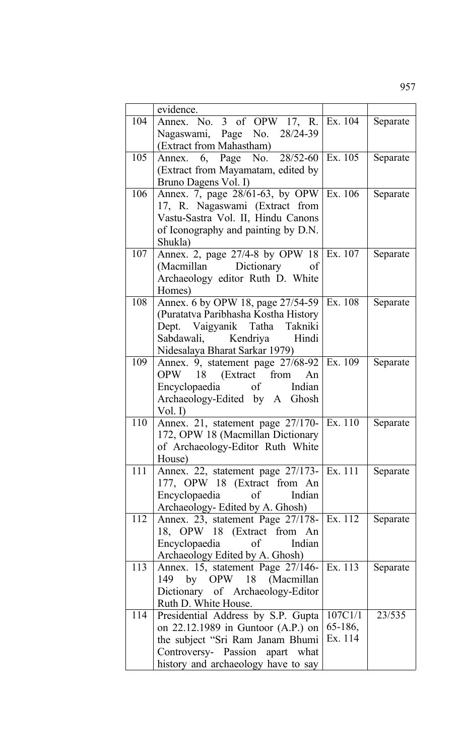|     | evidence.                                                           |                    |          |
|-----|---------------------------------------------------------------------|--------------------|----------|
| 104 | Annex. No. 3 of OPW 17, R. Ex. 104                                  |                    | Separate |
|     | Nagaswami, Page No. 28/24-39                                        |                    |          |
|     | (Extract from Mahastham)                                            |                    |          |
| 105 | Annex. 6, Page No. 28/52-60 Ex. 105                                 |                    | Separate |
|     | (Extract from Mayamatam, edited by                                  |                    |          |
|     | Bruno Dagens Vol. I)                                                |                    |          |
| 106 | Annex. 7, page 28/61-63, by OPW Ex. 106                             |                    | Separate |
|     | 17, R. Nagaswami (Extract from                                      |                    |          |
|     | Vastu-Sastra Vol. II, Hindu Canons                                  |                    |          |
|     | of Iconography and painting by D.N.                                 |                    |          |
|     | Shukla)                                                             |                    |          |
| 107 | Annex. 2, page 27/4-8 by OPW 18 Ex. 107                             |                    | Separate |
|     | (Macmillan Dictionary of<br>Archaeology editor Ruth D. White        |                    |          |
|     | Homes)                                                              |                    |          |
| 108 | Annex. 6 by OPW 18, page 27/54-59 Ex. 108                           |                    | Separate |
|     | (Puratatva Paribhasha Kostha History                                |                    |          |
|     | Dept. Vaigyanik Tatha Takniki                                       |                    |          |
|     | Sabdawali, Kendriya Hindi                                           |                    |          |
|     | Nidesalaya Bharat Sarkar 1979)                                      |                    |          |
| 109 | Annex. 9, statement page 27/68-92 Ex. 109                           |                    | Separate |
|     | OPW 18 (Extract from An                                             |                    |          |
|     | Encyclopaedia of Indian                                             |                    |          |
|     | Archaeology-Edited by A Ghosh                                       |                    |          |
|     | Vol. I)                                                             |                    |          |
| 110 | Annex. 21, statement page 27/170- Ex. 110                           |                    | Separate |
|     | 172, OPW 18 (Macmillan Dictionary                                   |                    |          |
|     | of Archaeology-Editor Ruth White<br>House)                          |                    |          |
| 111 | Annex. 22, statement page 27/173- Ex. 111                           |                    | Separate |
|     | 177, OPW 18 (Extract from An                                        |                    |          |
|     | Encyclopaedia of<br>Indian                                          |                    |          |
|     | Archaeology- Edited by A. Ghosh)                                    |                    |          |
| 112 | Annex. 23, statement Page 27/178- Ex. 112                           |                    | Separate |
|     | 18, OPW 18 (Extract from An                                         |                    |          |
|     | Encyclopaedia of<br>Indian                                          |                    |          |
|     | Archaeology Edited by A. Ghosh)                                     |                    |          |
| 113 | Annex. 15, statement Page 27/146-   Ex. 113                         |                    | Separate |
|     | 149 by OPW 18 (Macmillan                                            |                    |          |
|     | Dictionary of Archaeology-Editor                                    |                    |          |
|     | Ruth D. White House.                                                |                    |          |
| 114 | Presidential Address by S.P. Gupta                                  | 107C1/1            | 23/535   |
|     | on 22.12.1989 in Guntoor $(A.P.)$ on                                | 65-186,<br>Ex. 114 |          |
|     | the subject "Sri Ram Janam Bhumi<br>Controversy- Passion apart what |                    |          |
|     | history and archaeology have to say                                 |                    |          |
|     |                                                                     |                    |          |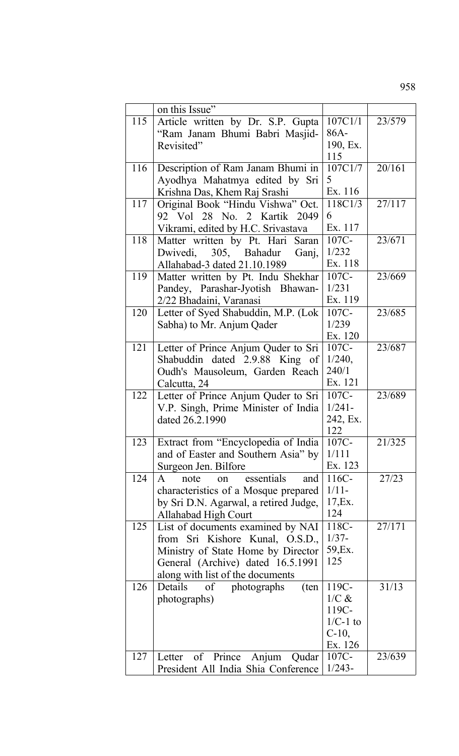|     | on this Issue"                        |            |        |
|-----|---------------------------------------|------------|--------|
| 115 | Article written by Dr. S.P. Gupta     | 107C1/1    | 23/579 |
|     | "Ram Janam Bhumi Babri Masjid-        | 86A-       |        |
|     | Revisited"                            | 190, Ex.   |        |
|     |                                       | 115        |        |
| 116 | Description of Ram Janam Bhumi in     | 107C1/7    | 20/161 |
|     | Ayodhya Mahatmya edited by Sri        | 5          |        |
|     | Krishna Das, Khem Raj Srashi          | Ex. 116    |        |
| 117 | Original Book "Hindu Vishwa" Oct.     | 118C1/3    | 27/117 |
|     | 92 Vol 28 No. 2 Kartik 2049           | 6          |        |
|     | Vikrami, edited by H.C. Srivastava    | Ex. 117    |        |
| 118 | Matter written by Pt. Hari Saran      | 107C-      | 23/671 |
|     | Dwivedi, 305, Bahadur<br>Ganj,        | 1/232      |        |
|     | Allahabad-3 dated 21.10.1989          | Ex. 118    |        |
| 119 | Matter written by Pt. Indu Shekhar    | 107C-      | 23/669 |
|     | Pandey, Parashar-Jyotish Bhawan-      | 1/231      |        |
|     | 2/22 Bhadaini, Varanasi               | Ex. 119    |        |
| 120 | Letter of Syed Shabuddin, M.P. (Lok   | 107C-      | 23/685 |
|     |                                       | 1/239      |        |
|     | Sabha) to Mr. Anjum Qader             | Ex. 120    |        |
| 121 | Letter of Prince Anjum Quder to Sri   | 107C-      | 23/687 |
|     | Shabuddin dated 2.9.88 King of        | 1/240,     |        |
|     | Oudh's Mausoleum, Garden Reach        | 240/1      |        |
|     | Calcutta, 24                          | Ex. 121    |        |
| 122 | Letter of Prince Anjum Quder to Sri   | $107C -$   | 23/689 |
|     | V.P. Singh, Prime Minister of India   | $1/241 -$  |        |
|     | dated 26.2.1990                       | 242, Ex.   |        |
|     |                                       | 122        |        |
| 123 | Extract from "Encyclopedia of India   | 107C-      | 21/325 |
|     | and of Easter and Southern Asia" by   | 1/111      |        |
|     | Surgeon Jen. Bilfore                  | Ex. 123    |        |
| 124 | essentials<br>A<br>note<br>and<br>on  | 116C-      | 27/23  |
|     | characteristics of a Mosque prepared  | $1/11-$    |        |
|     | by Sri D.N. Agarwal, a retired Judge, | 17, Ex.    |        |
|     | <b>Allahabad High Court</b>           | 124        |        |
| 125 | List of documents examined by NAI     | 118C-      | 27/171 |
|     | from Sri Kishore Kunal, O.S.D.,       | $1/37 -$   |        |
|     | Ministry of State Home by Director    | 59, Ex.    |        |
|     | General (Archive) dated 16.5.1991     | 125        |        |
|     | along with list of the documents      |            |        |
| 126 | Details<br>photographs<br>(ten<br>of  | 119C-      | 31/13  |
|     | photographs)                          | $1/C$ &    |        |
|     |                                       | 119C-      |        |
|     |                                       | $1/C-1$ to |        |
|     |                                       | $C-10$ ,   |        |
|     |                                       | Ex. 126    |        |
| 127 | Anjum<br>of Prince<br>Letter<br>Qudar | 107C-      | 23/639 |
|     | President All India Shia Conference   | $1/243-$   |        |
|     |                                       |            |        |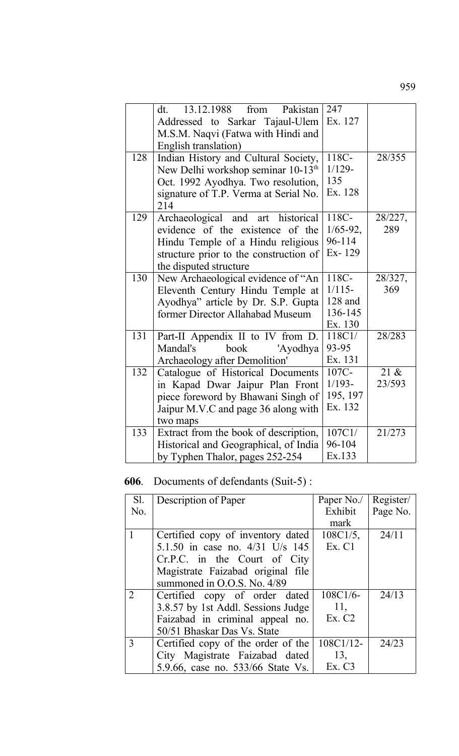|     | dt. 13.12.1988 from<br>Pakistan                | 247           |         |
|-----|------------------------------------------------|---------------|---------|
|     | Addressed to Sarkar Tajaul-Ulem                | Ex. 127       |         |
|     | M.S.M. Naqvi (Fatwa with Hindi and             |               |         |
|     | English translation)                           |               |         |
| 128 | Indian History and Cultural Society,           | 118C-         | 28/355  |
|     | New Delhi workshop seminar 10-13 <sup>th</sup> | $1/129 -$     |         |
|     | Oct. 1992 Ayodhya. Two resolution,             | 135           |         |
|     | signature of T.P. Verma at Serial No.          | Ex. 128       |         |
|     | 214                                            |               |         |
| 129 | Archaeological and art historical              | 118C-         | 28/227, |
|     | evidence of the existence of the               | $1/65 - 92$ , | 289     |
|     | Hindu Temple of a Hindu religious              | 96-114        |         |
|     | structure prior to the construction of         | Ex-129        |         |
|     | the disputed structure                         |               |         |
| 130 | New Archaeological evidence of "An             | 118C-         | 28/327, |
|     | Eleventh Century Hindu Temple at               | $1/115-$      | 369     |
|     | Ayodhya" article by Dr. S.P. Gupta             | 128 and       |         |
|     | former Director Allahabad Museum               | 136-145       |         |
|     |                                                | Ex. 130       |         |
| 131 | Part-II Appendix II to IV from D.              | 118C1/        | 28/283  |
|     | Mandal's<br>book<br>'Ayodhya                   | 93-95         |         |
|     | Archaeology after Demolition'                  | Ex. 131       |         |
| 132 | Catalogue of Historical Documents              | 107C-         | 21 &    |
|     | in Kapad Dwar Jaipur Plan Front                | $1/193-$      | 23/593  |
|     | piece foreword by Bhawani Singh of             | 195, 197      |         |
|     | Jaipur M.V.C and page 36 along with            | Ex. 132       |         |
|     | two maps                                       |               |         |
| 133 | Extract from the book of description,          | 107C1         | 21/273  |
|     | Historical and Geographical, of India          | 96-104        |         |
|     | by Typhen Thalor, pages 252-254                | Ex.133        |         |

## **606**. Documents of defendants (Suit-5) :

| Sl.            | Description of Paper               | Paper No./   | Register/ |
|----------------|------------------------------------|--------------|-----------|
| No.            |                                    | Exhibit      | Page No.  |
|                |                                    | mark         |           |
|                | Certified copy of inventory dated  | $108C1/5$ ,  | 24/11     |
|                | 5.1.50 in case no. 4/31 U/s 145    | Ex. C1       |           |
|                | Cr.P.C. in the Court of City       |              |           |
|                | Magistrate Faizabad original file  |              |           |
|                | summoned in O.O.S. No. 4/89        |              |           |
| $\overline{2}$ | Certified copy of order dated      | $108C1/6-$   | 24/13     |
|                | 3.8.57 by 1st Addl. Sessions Judge | 11,          |           |
|                | Faizabad in criminal appeal no.    | Ex. C2       |           |
|                | 50/51 Bhaskar Das Vs. State        |              |           |
| 3              | Certified copy of the order of the | $108C1/12$ - | 24/23     |
|                | City Magistrate Faizabad dated     | 13,          |           |
|                | 5.9.66, case no. 533/66 State Vs.  | Ex. C3       |           |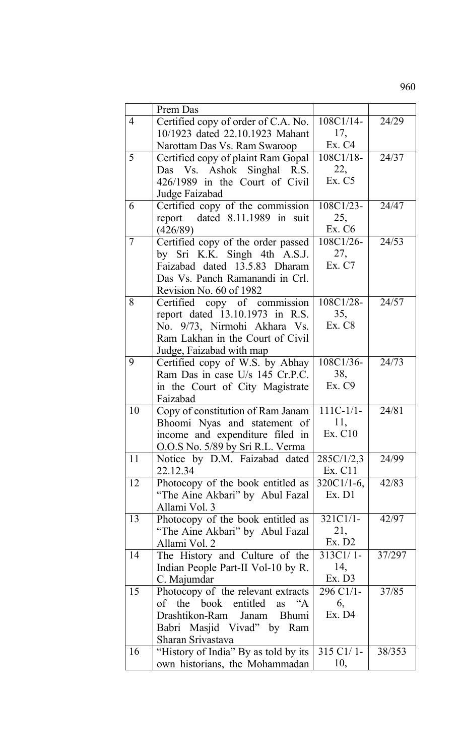|    | Prem Das                                          |               |        |
|----|---------------------------------------------------|---------------|--------|
| 4  | Certified copy of order of C.A. No.               | $108C1/14-$   | 24/29  |
|    | 10/1923 dated 22.10.1923 Mahant                   | 17,           |        |
|    | Narottam Das Vs. Ram Swaroop                      | Ex. C4        |        |
| 5  | Certified copy of plaint Ram Gopal                | 108C1/18-     | 24/37  |
|    | Das Vs. Ashok Singhal R.S.                        | 22,           |        |
|    | 426/1989 in the Court of Civil                    | Ex. C5        |        |
|    | Judge Faizabad                                    |               |        |
| 6  | Certified copy of the commission                  | 108C1/23-     | 24/47  |
|    | report dated 8.11.1989 in suit                    | 25,           |        |
|    | (426/89)                                          | Ex. C6        |        |
| 7  | Certified copy of the order passed                | 108C1/26-     | 24/53  |
|    | by Sri K.K. Singh 4th A.S.J.                      | 27,           |        |
|    | Faizabad dated 13.5.83 Dharam                     | Ex. C7        |        |
|    | Das Vs. Panch Ramanandi in Crl.                   |               |        |
|    | Revision No. 60 of 1982                           |               |        |
| 8  | Certified copy of commission                      | 108C1/28-     | 24/57  |
|    | report dated 13.10.1973 in R.S.                   | 35,           |        |
|    | No. 9/73, Nirmohi Akhara Vs.                      | Ex. C8        |        |
|    | Ram Lakhan in the Court of Civil                  |               |        |
|    | Judge, Faizabad with map                          |               |        |
| 9  | Certified copy of W.S. by Abhay                   | 108C1/36-     | 24/73  |
|    | Ram Das in case U/s 145 Cr.P.C.                   | 38,           |        |
|    | in the Court of City Magistrate                   | Ex. C9        |        |
|    | Faizabad                                          |               |        |
| 10 | Copy of constitution of Ram Janam                 | $111C-1/1-$   | 24/81  |
|    | Bhoomi Nyas and statement of                      | 11,           |        |
|    | income and expenditure filed in                   | Ex. C10       |        |
|    | O.O.S No. 5/89 by Sri R.L. Verma                  |               |        |
| 11 | Notice by D.M. Faizabad dated                     | 285C/1/2,3    | 24/99  |
|    | 22.12.34                                          | Ex. C11       |        |
| 12 | Photocopy of the book entitled as                 | $320C1/1-6$ , | 42/83  |
|    | "The Aine Akbari" by Abul Fazal                   | Ex. D1        |        |
|    | Allami Vol. 3                                     |               |        |
| 13 | Photocopy of the book entitled as                 | 321C1/1-      | 42/97  |
|    | "The Aine Akbari" by Abul Fazal                   | 21,<br>Ex. D2 |        |
|    | Allami Vol. 2                                     | 313C1/1-      | 37/297 |
| 14 | The History and Culture of the                    | 14,           |        |
|    | Indian People Part-II Vol-10 by R.                | Ex. D3        |        |
| 15 | C. Majumdar<br>Photocopy of the relevant extracts | 296 C1/1-     | 37/85  |
|    | of the book<br>entitled<br>as "A                  | 6,            |        |
|    | Drashtikon-Ram<br>Bhumi<br>Janam                  | Ex. D4        |        |
|    | Babri Masjid Vivad" by Ram                        |               |        |
|    | Sharan Srivastava                                 |               |        |
| 16 | "History of India" By as told by its              | 315 C1/1-     | 38/353 |
|    | own historians, the Mohammadan                    | 10,           |        |
|    |                                                   |               |        |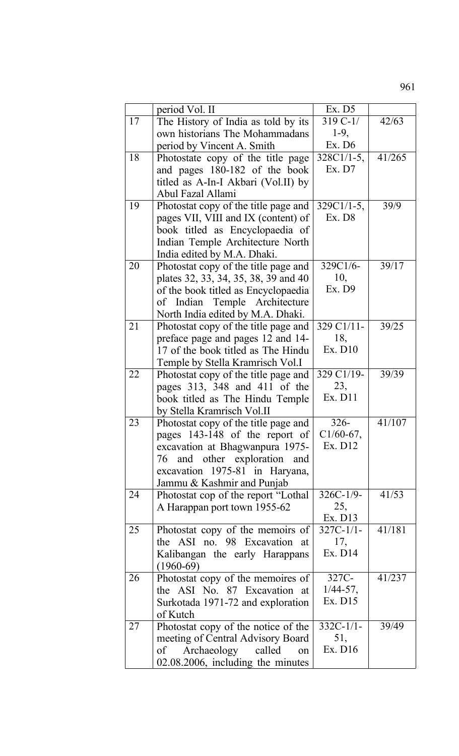| I<br>×,<br>۰.<br>× |  |
|--------------------|--|
|--------------------|--|

|    | period Vol. II                       | Ex. D5        |        |
|----|--------------------------------------|---------------|--------|
| 17 | The History of India as told by its  | $319C-1/$     | 42/63  |
|    | own historians The Mohammadans       | $1-9,$        |        |
|    | period by Vincent A. Smith           | Ex. D6        |        |
| 18 | Photostate copy of the title page    | $328C1/1-5$ , | 41/265 |
|    | and pages 180-182 of the book        | Ex. D7        |        |
|    | titled as A-In-I Akbari (Vol.II) by  |               |        |
|    | Abul Fazal Allami                    |               |        |
| 19 | Photostat copy of the title page and | $329C1/1-5$ , | 39/9   |
|    | pages VII, VIII and IX (content) of  | Ex. D8        |        |
|    |                                      |               |        |
|    | book titled as Encyclopaedia of      |               |        |
|    | Indian Temple Architecture North     |               |        |
|    | India edited by M.A. Dhaki.          |               |        |
| 20 | Photostat copy of the title page and | 329C1/6-      | 39/17  |
|    | plates 32, 33, 34, 35, 38, 39 and 40 | 10,           |        |
|    | of the book titled as Encyclopaedia  | Ex. D9        |        |
|    | of Indian Temple Architecture        |               |        |
|    | North India edited by M.A. Dhaki.    |               |        |
| 21 | Photostat copy of the title page and | 329 C1/11-    | 39/25  |
|    | preface page and pages 12 and 14-    | 18,           |        |
|    | 17 of the book titled as The Hindu   | Ex. D10       |        |
|    | Temple by Stella Kramrisch Vol.I     |               |        |
| 22 | Photostat copy of the title page and | 329 C1/19-    | 39/39  |
|    | pages 313, 348 and 411 of the        | 23,           |        |
|    | book titled as The Hindu Temple      | Ex. D11       |        |
|    | by Stella Kramrisch Vol.II           |               |        |
| 23 | Photostat copy of the title page and | $326 -$       | 41/107 |
|    | pages 143-148 of the report of       | $C1/60-67,$   |        |
|    | excavation at Bhagwanpura 1975-      | Ex. D12       |        |
|    | 76 and other exploration and         |               |        |
|    | excavation 1975-81 in Haryana,       |               |        |
|    | Jammu & Kashmir and Punjab           |               |        |
| 24 | Photostat cop of the report "Lothal" | $326C-1/9$ -  | 41/53  |
|    | A Harappan port town 1955-62         | 25,           |        |
|    |                                      | Ex. D13       |        |
| 25 | Photostat copy of the memoirs of     | $327C-1/1-$   | 41/181 |
|    | the ASI no. 98 Excavation at         | 17,           |        |
|    | Kalibangan the early Harappans       | Ex. D14       |        |
|    | $(1960-69)$                          |               |        |
| 26 | Photostat copy of the memoires of    | 327C-         | 41/237 |
|    | the ASI No. 87 Excavation at         | $1/44 - 57$ , |        |
|    | Surkotada 1971-72 and exploration    | Ex. D15       |        |
|    | of Kutch                             |               |        |
| 27 | Photostat copy of the notice of the  | $332C-1/1-$   | 39/49  |
|    | meeting of Central Advisory Board    | 51,           |        |
|    | of Archaeology<br>called<br>on       | Ex. D16       |        |
|    | 02.08.2006, including the minutes    |               |        |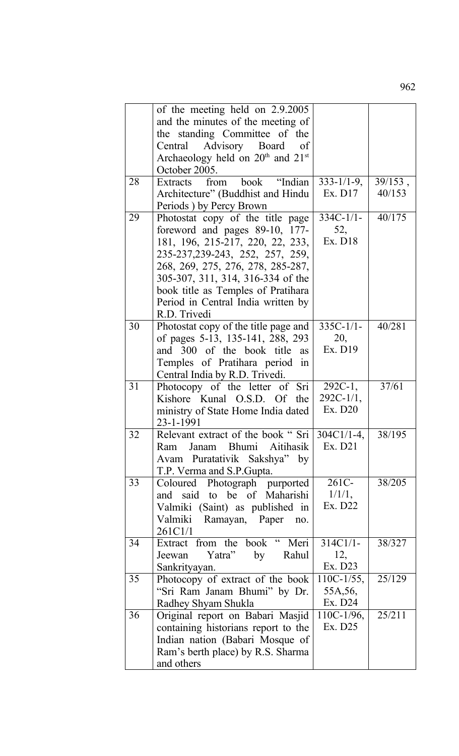|    | of the meeting held on 2.9.2005                                  |                   |            |
|----|------------------------------------------------------------------|-------------------|------------|
|    | and the minutes of the meeting of                                |                   |            |
|    | the standing Committee of the                                    |                   |            |
|    | Central Advisory Board<br>of                                     |                   |            |
|    | Archaeology held on $20th$ and $21st$                            |                   |            |
|    | October 2005.                                                    |                   |            |
| 28 | "Indian<br>book<br>Extracts<br>from                              | $333 - 1/1 - 9$ , | $39/153$ , |
|    | Architecture" (Buddhist and Hindu                                | Ex. D17           | 40/153     |
|    | Periods) by Percy Brown                                          |                   |            |
| 29 | Photostat copy of the title page                                 | $334C-1/1-$       | 40/175     |
|    | foreword and pages 89-10, 177-                                   | 52,               |            |
|    | 181, 196, 215-217, 220, 22, 233,                                 | Ex. D18           |            |
|    | 235-237, 239-243, 252, 257, 259,                                 |                   |            |
|    | 268, 269, 275, 276, 278, 285-287,                                |                   |            |
|    | 305-307, 311, 314, 316-334 of the                                |                   |            |
|    | book title as Temples of Pratihara                               |                   |            |
|    | Period in Central India written by                               |                   |            |
|    | R.D. Trivedi                                                     |                   |            |
| 30 | Photostat copy of the title page and                             | $335C-1/1-$       | 40/281     |
|    | of pages 5-13, 135-141, 288, 293                                 | 20,               |            |
|    | and 300 of the book title<br>as                                  | Ex. D19           |            |
|    | Temples of Pratihara period in                                   |                   |            |
|    | Central India by R.D. Trivedi.                                   |                   |            |
| 31 | Photocopy of the letter of Sri                                   | $292C-1$ ,        | 37/61      |
|    | Kishore Kunal O.S.D. Of<br>the                                   | $292C-1/1,$       |            |
|    | ministry of State Home India dated                               | Ex. D20           |            |
|    | 23-1-1991                                                        |                   |            |
| 32 | Relevant extract of the book " Sri   304C1/1-4.                  |                   | 38/195     |
|    | Janam Bhumi Aitihasik<br>Ram                                     | Ex. D21           |            |
|    | Avam Puratativik Sakshya" by                                     |                   |            |
| 33 | T.P. Verma and S.P. Gupta.                                       | 261C-             | 38/205     |
|    | Coloured Photograph purported                                    |                   |            |
|    | and said to be of Maharishi                                      | 1/1/1,<br>Ex. D22 |            |
|    | Valmiki (Saint) as published in                                  |                   |            |
|    | Ramayan, Paper<br>Valmiki<br>no.                                 |                   |            |
| 34 | 261C1/1<br>Extract from the book " Meri                          | $314C1/1-$        | 38/327     |
|    | Yatra"<br>Rahul<br>by<br>Jeewan                                  | 12,               |            |
|    |                                                                  | Ex. D23           |            |
| 35 | Sankrityayan.                                                    | $110C-1/55$ ,     | 25/129     |
|    | Photocopy of extract of the book<br>"Sri Ram Janam Bhumi" by Dr. | 55A, 56,          |            |
|    |                                                                  | Ex. D24           |            |
| 36 | Radhey Shyam Shukla<br>Original report on Babari Masjid          | $110C-1/96$ ,     | 25/211     |
|    | containing historians report to the                              | Ex. D25           |            |
|    | Indian nation (Babari Mosque of                                  |                   |            |
|    | Ram's berth place) by R.S. Sharma                                |                   |            |
|    | and others                                                       |                   |            |
|    |                                                                  |                   |            |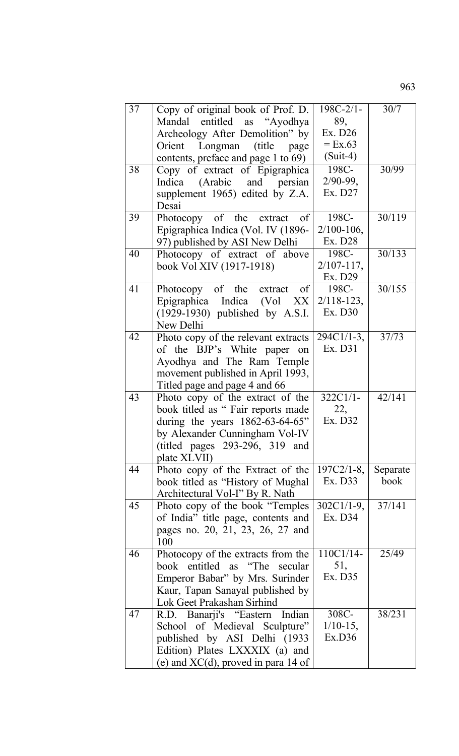| 37 | Copy of original book of Prof. D.<br>Mandal entitled as "Ayodhya<br>Archeology After Demolition" by<br>Longman (title<br>Orient<br>page<br>contents, preface and page 1 to 69)                   | $198C - 2/1 -$<br>89,<br>Ex. D26<br>$=$ Ex.63<br>$(Suit-4)$ | 30/7             |
|----|--------------------------------------------------------------------------------------------------------------------------------------------------------------------------------------------------|-------------------------------------------------------------|------------------|
| 38 | Copy of extract of Epigraphica<br>(Arabic and persian<br>Indica<br>supplement 1965) edited by Z.A.<br>Desai                                                                                      | 198C-<br>$2/90-99,$<br>Ex. D27                              | 30/99            |
| 39 | Photocopy of the extract of<br>Epigraphica Indica (Vol. IV (1896-<br>97) published by ASI New Delhi                                                                                              | 198C-<br>$2/100 - 106$ ,<br>Ex. D28                         | 30/119           |
| 40 | Photocopy of extract of above<br>book Vol XIV (1917-1918)                                                                                                                                        | 198C-<br>$2/107 - 117$ ,<br>Ex. D29                         | 30/133           |
| 41 | Photocopy of the extract of<br>Epigraphica Indica (Vol XX<br>$(1929-1930)$ published by A.S.I.<br>New Delhi                                                                                      | 198C-<br>$2/118 - 123$ ,<br>Ex. D30                         | 30/155           |
| 42 | Photo copy of the relevant extracts<br>of the BJP's White paper on<br>Ayodhya and The Ram Temple<br>movement published in April 1993,<br>Titled page and page 4 and 66                           | $294C1/1-3$ ,<br>Ex. D31                                    | 37/73            |
| 43 | Photo copy of the extract of the<br>book titled as " Fair reports made<br>during the years $1862-63-64-65$ "<br>by Alexander Cunningham Vol-IV<br>(titled pages 293-296, 319 and<br>plate XLVII) | $322C1/1-$<br>22,<br>Ex. D32                                | 42/141           |
| 44 | Photo copy of the Extract of the<br>book titled as "History of Mughal"<br>Architectural Vol-I" By R. Nath                                                                                        | $197C2/1-8$ ,<br>Ex. D33                                    | Separate<br>book |
| 45 | Photo copy of the book "Temples"<br>of India" title page, contents and<br>pages no. 20, 21, 23, 26, 27 and<br>100                                                                                | $302C1/1-9$ ,<br>Ex. D34                                    | 37/141           |
| 46 | Photocopy of the extracts from the<br>book entitled as "The secular<br>Emperor Babar" by Mrs. Surinder<br>Kaur, Tapan Sanayal published by<br>Lok Geet Prakashan Sirhind                         | 110C1/14-<br>51,<br>Ex. D35                                 | 25/49            |
| 47 | R.D. Banarji's "Eastern Indian<br>School of Medieval Sculpture"<br>published by ASI Delhi (1933<br>Edition) Plates LXXXIX (a) and<br>(e) and $XC(d)$ , proved in para 14 of                      | 308C-<br>$1/10-15$ ,<br>Ex.D36                              | 38/231           |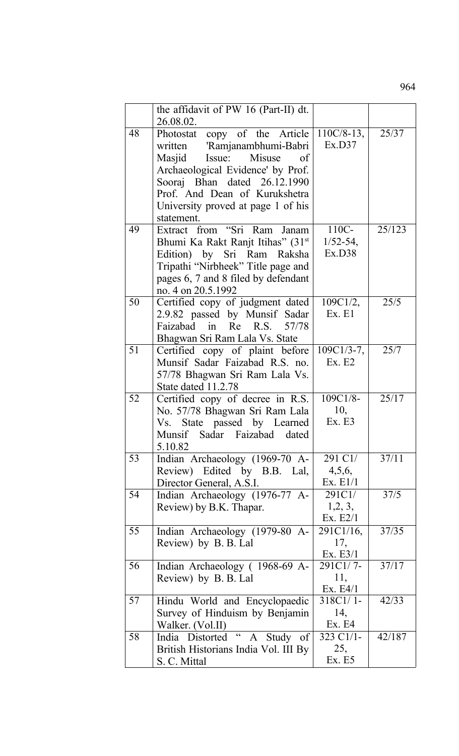the affidavit of PW 16 (Part-II) dt. 26.08.02. 48 Photostat copy of the Article written 'Ramjanambhumi-Babri Masjid Issue: Misuse of Archaeological Evidence' by Prof. Sooraj Bhan dated 26.12.1990 Prof. And Dean of Kurukshetra University proved at page 1 of his statement. 110C/8-13, Ex.D37 25/37 49 Extract from "Sri Ram Janam Bhumi Ka Rakt Ranjt Itihas" (31<sup>st</sup>) Edition) by Sri Ram Raksha Tripathi "Nirbheek" Title page and pages 6, 7 and 8 filed by defendant no. 4 on 20.5.1992 110C-1/52-54, Ex.D38 25/123 50 Certified copy of judgment dated 2.9.82 passed by Munsif Sadar Faizabad in Re R.S. 57/78 Bhagwan Sri Ram Lala Vs. State 109C1/2, Ex. E1 25/5 51 Certified copy of plaint before Munsif Sadar Faizabad R.S. no. 57/78 Bhagwan Sri Ram Lala Vs. State dated 11.2.78 109C1/3-7, Ex. E2 25/7 52 Certified copy of decree in R.S. No. 57/78 Bhagwan Sri Ram Lala Vs. State passed by Learned Munsif Sadar Faizabad dated 5.10.82 109C1/8- 10, Ex. E3 25/17 53 Indian Archaeology (1969-70 A-Review) Edited by B.B. Lal, Director General, A.S.I. 291 C1/ 4,5,6, Ex. E1/1  $37/11$ 54 Indian Archaeology (1976-77 A-Review) by B.K. Thapar. 291C1/ 1,2, 3, Ex. E2/1 37/5 55 Indian Archaeology (1979-80 A-Review) by B. B. Lal 291C1/16, 17, Ex. E3/1 37/35 56 Indian Archaeology ( 1968-69 A-Review) by B. B. Lal 291C1/ 7- 11, Ex. E4/1  $37/17$ 57 Hindu World and Encyclopaedic Survey of Hinduism by Benjamin Walker. (Vol.II) 318C1/ 1- 14, Ex. E4 42/33 58 India Distorted " A Study of British Historians India Vol. III By 323 C1/1- 25, 42/187

Ex. E5

S. C. Mittal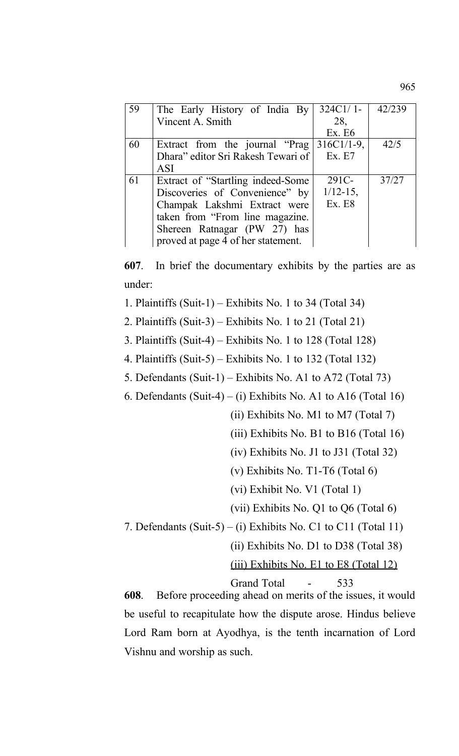| 59 | The Early History of India By      | $324C1/1-$    | 42/239 |
|----|------------------------------------|---------------|--------|
|    | Vincent A. Smith                   | 28,           |        |
|    |                                    | Ex. E6        |        |
| 60 | Extract from the journal "Prag     | $316C1/1-9$ , | 42/5   |
|    | Dhara" editor Sri Rakesh Tewari of | Ex. E7        |        |
|    | <b>ASI</b>                         |               |        |
| 61 | Extract of "Startling indeed-Some" | 291C-         | 37/27  |
|    | Discoveries of Convenience" by     | $1/12 - 15$ , |        |
|    | Champak Lakshmi Extract were       | <b>Ex. E8</b> |        |
|    | taken from "From line magazine.    |               |        |
|    | Shereen Ratnagar (PW 27) has       |               |        |
|    | proved at page 4 of her statement. |               |        |

**607**. In brief the documentary exhibits by the parties are as under:

1. Plaintiffs (Suit-1) – Exhibits No. 1 to 34 (Total 34)

2. Plaintiffs (Suit-3) – Exhibits No. 1 to 21 (Total 21)

3. Plaintiffs (Suit-4) – Exhibits No. 1 to 128 (Total 128)

4. Plaintiffs (Suit-5) – Exhibits No. 1 to 132 (Total 132)

5. Defendants (Suit-1) – Exhibits No. A1 to A72 (Total 73)

6. Defendants  $(Suit-4) - (i)$  Exhibits No. A1 to A16 (Total 16)

(ii) Exhibits No. M1 to M7 (Total 7)

(iii) Exhibits No. B1 to B16 (Total 16)

(iv) Exhibits No. J1 to J31 (Total 32)

(v) Exhibits No. T1-T6 (Total 6)

(vi) Exhibit No. V1 (Total 1)

(vii) Exhibits No. Q1 to Q6 (Total 6)

7. Defendants  $(Suit-5) - (i)$  Exhibits No. C1 to C11 (Total 11)

(ii) Exhibits No. D1 to D38 (Total 38)

(iii) Exhibits No. E1 to E8 (Total 12)

Grand Total - 533

**608**. Before proceeding ahead on merits of the issues, it would be useful to recapitulate how the dispute arose. Hindus believe Lord Ram born at Ayodhya, is the tenth incarnation of Lord Vishnu and worship as such.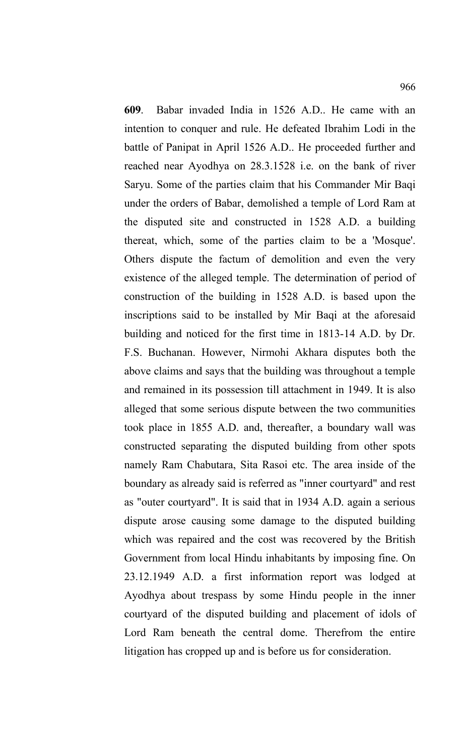**609**. Babar invaded India in 1526 A.D.. He came with an intention to conquer and rule. He defeated Ibrahim Lodi in the battle of Panipat in April 1526 A.D.. He proceeded further and reached near Ayodhya on 28.3.1528 i.e. on the bank of river Saryu. Some of the parties claim that his Commander Mir Baqi under the orders of Babar, demolished a temple of Lord Ram at the disputed site and constructed in 1528 A.D. a building thereat, which, some of the parties claim to be a 'Mosque'. Others dispute the factum of demolition and even the very existence of the alleged temple. The determination of period of construction of the building in 1528 A.D. is based upon the inscriptions said to be installed by Mir Baqi at the aforesaid building and noticed for the first time in 1813-14 A.D. by Dr. F.S. Buchanan. However, Nirmohi Akhara disputes both the above claims and says that the building was throughout a temple and remained in its possession till attachment in 1949. It is also alleged that some serious dispute between the two communities took place in 1855 A.D. and, thereafter, a boundary wall was constructed separating the disputed building from other spots namely Ram Chabutara, Sita Rasoi etc. The area inside of the boundary as already said is referred as "inner courtyard" and rest as "outer courtyard". It is said that in 1934 A.D. again a serious dispute arose causing some damage to the disputed building which was repaired and the cost was recovered by the British Government from local Hindu inhabitants by imposing fine. On 23.12.1949 A.D. a first information report was lodged at Ayodhya about trespass by some Hindu people in the inner courtyard of the disputed building and placement of idols of Lord Ram beneath the central dome. Therefrom the entire litigation has cropped up and is before us for consideration.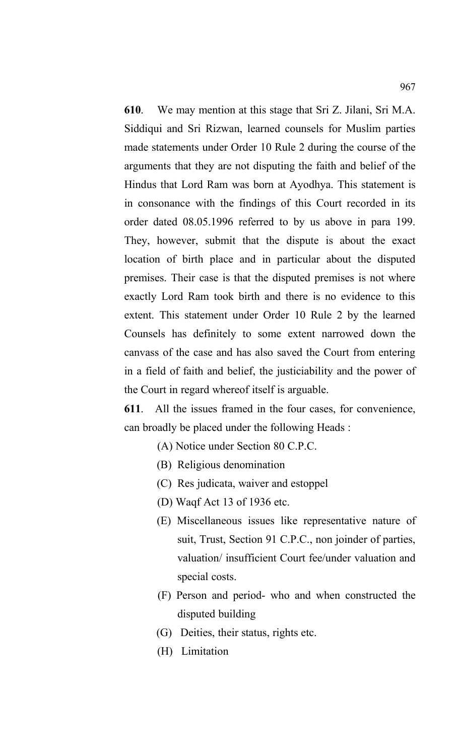**610**. We may mention at this stage that Sri Z. Jilani, Sri M.A. Siddiqui and Sri Rizwan, learned counsels for Muslim parties made statements under Order 10 Rule 2 during the course of the arguments that they are not disputing the faith and belief of the Hindus that Lord Ram was born at Ayodhya. This statement is in consonance with the findings of this Court recorded in its order dated 08.05.1996 referred to by us above in para 199. They, however, submit that the dispute is about the exact location of birth place and in particular about the disputed premises. Their case is that the disputed premises is not where exactly Lord Ram took birth and there is no evidence to this extent. This statement under Order 10 Rule 2 by the learned Counsels has definitely to some extent narrowed down the canvass of the case and has also saved the Court from entering in a field of faith and belief, the justiciability and the power of the Court in regard whereof itself is arguable.

**611**. All the issues framed in the four cases, for convenience, can broadly be placed under the following Heads :

- (A) Notice under Section 80 C.P.C.
- (B) Religious denomination
- (C) Res judicata, waiver and estoppel
- (D) Waqf Act 13 of 1936 etc.
- (E) Miscellaneous issues like representative nature of suit, Trust, Section 91 C.P.C., non joinder of parties, valuation/ insufficient Court fee/under valuation and special costs.
- (F) Person and period- who and when constructed the disputed building
- (G) Deities, their status, rights etc.
- (H) Limitation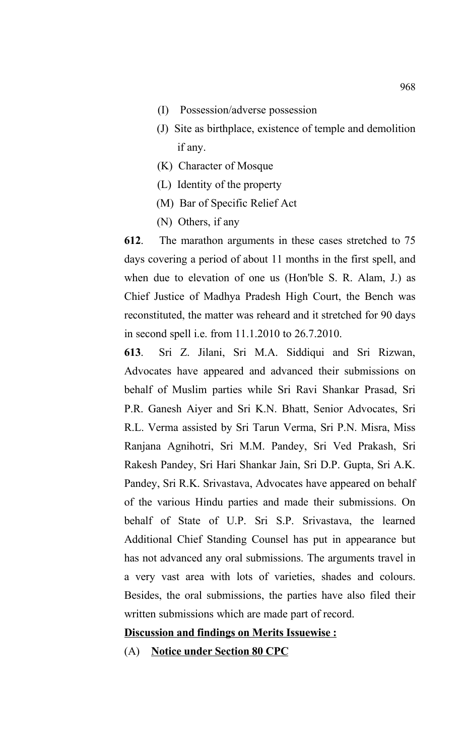- (I) Possession/adverse possession
- (J) Site as birthplace, existence of temple and demolition if any.
- (K) Character of Mosque
- (L) Identity of the property
- (M) Bar of Specific Relief Act
- (N) Others, if any

**612**. The marathon arguments in these cases stretched to 75 days covering a period of about 11 months in the first spell, and when due to elevation of one us (Hon'ble S. R. Alam, J.) as Chief Justice of Madhya Pradesh High Court, the Bench was reconstituted, the matter was reheard and it stretched for 90 days in second spell i.e. from 11.1.2010 to 26.7.2010.

**613**. Sri Z. Jilani, Sri M.A. Siddiqui and Sri Rizwan, Advocates have appeared and advanced their submissions on behalf of Muslim parties while Sri Ravi Shankar Prasad, Sri P.R. Ganesh Aiyer and Sri K.N. Bhatt, Senior Advocates, Sri R.L. Verma assisted by Sri Tarun Verma, Sri P.N. Misra, Miss Ranjana Agnihotri, Sri M.M. Pandey, Sri Ved Prakash, Sri Rakesh Pandey, Sri Hari Shankar Jain, Sri D.P. Gupta, Sri A.K. Pandey, Sri R.K. Srivastava, Advocates have appeared on behalf of the various Hindu parties and made their submissions. On behalf of State of U.P. Sri S.P. Srivastava, the learned Additional Chief Standing Counsel has put in appearance but has not advanced any oral submissions. The arguments travel in a very vast area with lots of varieties, shades and colours. Besides, the oral submissions, the parties have also filed their written submissions which are made part of record.

# **Discussion and findings on Merits Issuewise :**

(A) **Notice under Section 80 CPC**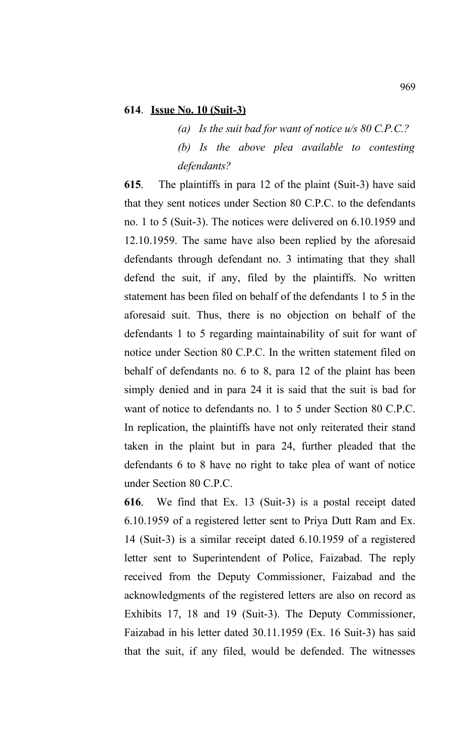### **614**. **Issue No. 10 (Suit-3)**

*(a) Is the suit bad for want of notice u/s 80 C.P.C.? (b) Is the above plea available to contesting defendants?*

**615**. The plaintiffs in para 12 of the plaint (Suit-3) have said that they sent notices under Section 80 C.P.C. to the defendants no. 1 to 5 (Suit-3). The notices were delivered on 6.10.1959 and 12.10.1959. The same have also been replied by the aforesaid defendants through defendant no. 3 intimating that they shall defend the suit, if any, filed by the plaintiffs. No written statement has been filed on behalf of the defendants 1 to 5 in the aforesaid suit. Thus, there is no objection on behalf of the defendants 1 to 5 regarding maintainability of suit for want of notice under Section 80 C.P.C. In the written statement filed on behalf of defendants no. 6 to 8, para 12 of the plaint has been simply denied and in para 24 it is said that the suit is bad for want of notice to defendants no. 1 to 5 under Section 80 C.P.C. In replication, the plaintiffs have not only reiterated their stand taken in the plaint but in para 24, further pleaded that the defendants 6 to 8 have no right to take plea of want of notice under Section 80 C.P.C.

**616**. We find that Ex. 13 (Suit-3) is a postal receipt dated 6.10.1959 of a registered letter sent to Priya Dutt Ram and Ex. 14 (Suit-3) is a similar receipt dated 6.10.1959 of a registered letter sent to Superintendent of Police, Faizabad. The reply received from the Deputy Commissioner, Faizabad and the acknowledgments of the registered letters are also on record as Exhibits 17, 18 and 19 (Suit-3). The Deputy Commissioner, Faizabad in his letter dated 30.11.1959 (Ex. 16 Suit-3) has said that the suit, if any filed, would be defended. The witnesses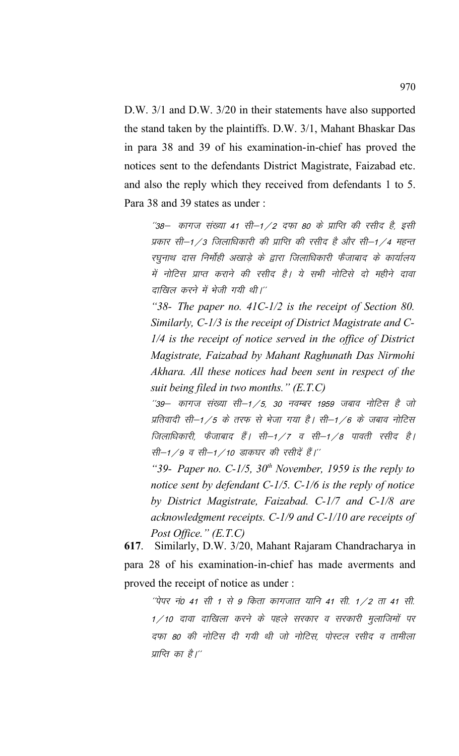D.W. 3/1 and D.W. 3/20 in their statements have also supported the stand taken by the plaintiffs. D.W. 3/1, Mahant Bhaskar Das in para 38 and 39 of his examination-in-chief has proved the notices sent to the defendants District Magistrate, Faizabad etc. and also the reply which they received from defendants 1 to 5. Para 38 and 39 states as under :

 $^{\prime\prime}$ 38— कागज संख्या 41 सी–1 / 2 दफा 80 के प्राप्ति की रसीद है, इसी प्रकार सी—1 /3 जिलाधिकारी की प्राप्ति की रसीद है और सी—1 /4 महत्त रघुनाथ दास निर्मोही अखाड़े के द्वारा जिलाधिकारी फैजाबाद के कार्यालय में नोटिस प्राप्त कराने की रसीद है। ये सभी नोटिसे दो महीने दावा दाखिल करने में भेजी गयी थी।''

*"38- The paper no. 41C-1/2 is the receipt of Section 80. Similarly, C-1/3 is the receipt of District Magistrate and C-1/4 is the receipt of notice served in the office of District Magistrate, Faizabad by Mahant Raghunath Das Nirmohi Akhara. All these notices had been sent in respect of the suit being filed in two months." (E.T.C)*

 $"39-$  कागज संख्या सी $-1/5$ , 30 नवम्बर 1959 जबाव नोटिस है जो प्रतिवादी सी–1/5 के तरफ से भेजा गया है। सी–1/6 के जबाव नोटिस जिलाधिकारी, फेंजाबाद हैं। सी–1 ⁄7 व सी–1 ⁄8 पावती रसीद है। सी–1/9 व सी–1/10 डाकघर की रसीदें हैं।''

*"39- Paper no. C-1/5, 30th November, 1959 is the reply to notice sent by defendant C-1/5. C-1/6 is the reply of notice by District Magistrate, Faizabad. C-1/7 and C-1/8 are acknowledgment receipts. C-1/9 and C-1/10 are receipts of Post Office." (E.T.C)*

**617**. Similarly, D.W. 3/20, Mahant Rajaram Chandracharya in para 28 of his examination-in-chief has made averments and proved the receipt of notice as under :

 $\hat{p}$ पेपर नं0 41 सी 1 से 9 किता कागजात यानि 41 सी. 1/2 ता 41 सी.  $1/10$  दावा दाखिला करने के पहले सरकार व सरकारी मुलाजिमों पर दफा 80 की नोटिस दी गयी थी जो नोटिस, पोस्टल रसीद व तामीला प्राप्ति का है।''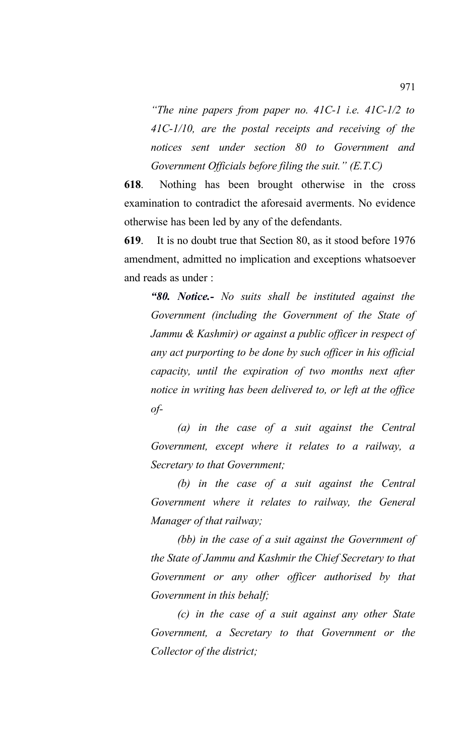*"The nine papers from paper no. 41C-1 i.e. 41C-1/2 to 41C-1/10, are the postal receipts and receiving of the notices sent under section 80 to Government and Government Officials before filing the suit." (E.T.C)*

**618**. Nothing has been brought otherwise in the cross examination to contradict the aforesaid averments. No evidence otherwise has been led by any of the defendants.

**619**. It is no doubt true that Section 80, as it stood before 1976 amendment, admitted no implication and exceptions whatsoever and reads as under :

*"80. Notice.- No suits shall be instituted against the Government (including the Government of the State of Jammu & Kashmir) or against a public officer in respect of any act purporting to be done by such officer in his official capacity, until the expiration of two months next after notice in writing has been delivered to, or left at the office of-*

*(a) in the case of a suit against the Central Government, except where it relates to a railway, a Secretary to that Government;*

*(b) in the case of a suit against the Central Government where it relates to railway, the General Manager of that railway;*

*(bb) in the case of a suit against the Government of the State of Jammu and Kashmir the Chief Secretary to that Government or any other officer authorised by that Government in this behalf;*

*(c) in the case of a suit against any other State Government, a Secretary to that Government or the Collector of the district;*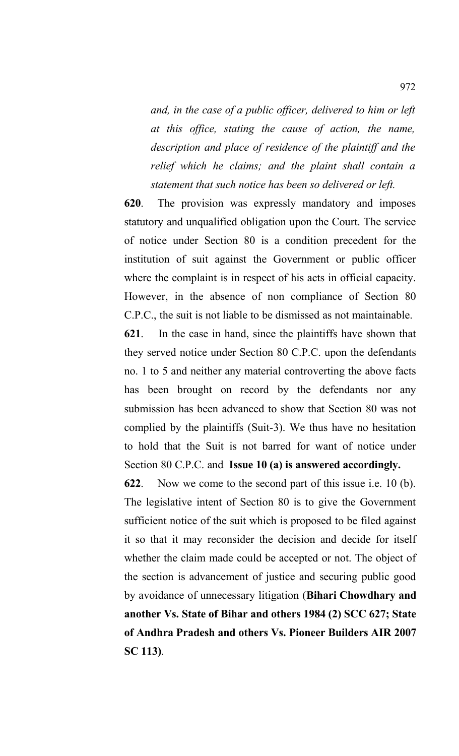*and, in the case of a public officer, delivered to him or left at this office, stating the cause of action, the name, description and place of residence of the plaintiff and the relief which he claims; and the plaint shall contain a statement that such notice has been so delivered or left.*

**620**. The provision was expressly mandatory and imposes statutory and unqualified obligation upon the Court. The service of notice under Section 80 is a condition precedent for the institution of suit against the Government or public officer where the complaint is in respect of his acts in official capacity. However, in the absence of non compliance of Section 80 C.P.C., the suit is not liable to be dismissed as not maintainable.

**621**. In the case in hand, since the plaintiffs have shown that they served notice under Section 80 C.P.C. upon the defendants no. 1 to 5 and neither any material controverting the above facts has been brought on record by the defendants nor any submission has been advanced to show that Section 80 was not complied by the plaintiffs (Suit-3). We thus have no hesitation to hold that the Suit is not barred for want of notice under Section 80 C.P.C. and **Issue 10 (a) is answered accordingly.**

**622**. Now we come to the second part of this issue i.e. 10 (b). The legislative intent of Section 80 is to give the Government sufficient notice of the suit which is proposed to be filed against it so that it may reconsider the decision and decide for itself whether the claim made could be accepted or not. The object of the section is advancement of justice and securing public good by avoidance of unnecessary litigation (**Bihari Chowdhary and another Vs. State of Bihar and others 1984 (2) SCC 627; State of Andhra Pradesh and others Vs. Pioneer Builders AIR 2007 SC 113)**.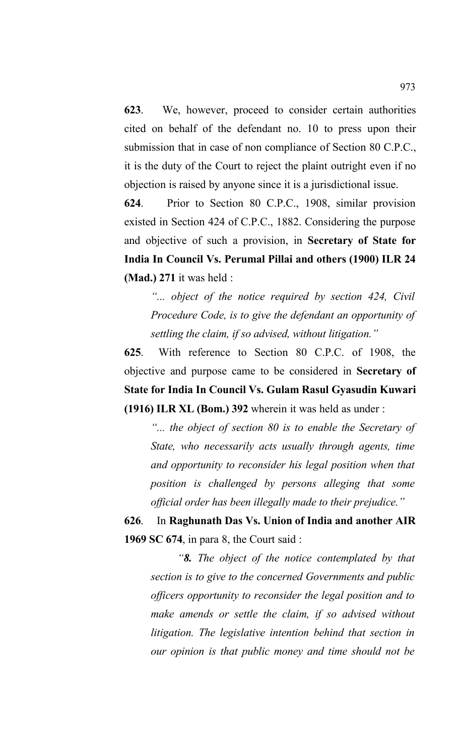**623**. We, however, proceed to consider certain authorities cited on behalf of the defendant no. 10 to press upon their submission that in case of non compliance of Section 80 C.P.C., it is the duty of the Court to reject the plaint outright even if no objection is raised by anyone since it is a jurisdictional issue.

**624**. Prior to Section 80 C.P.C., 1908, similar provision existed in Section 424 of C.P.C., 1882. Considering the purpose and objective of such a provision, in **Secretary of State for India In Council Vs. Perumal Pillai and others (1900) ILR 24 (Mad.) 271** it was held :

*"... object of the notice required by section 424, Civil Procedure Code, is to give the defendant an opportunity of settling the claim, if so advised, without litigation."*

**625**. With reference to Section 80 C.P.C. of 1908, the objective and purpose came to be considered in **Secretary of State for India In Council Vs. Gulam Rasul Gyasudin Kuwari (1916) ILR XL (Bom.) 392** wherein it was held as under :

*"... the object of section 80 is to enable the Secretary of State, who necessarily acts usually through agents, time and opportunity to reconsider his legal position when that position is challenged by persons alleging that some official order has been illegally made to their prejudice."*

**626**. In **Raghunath Das Vs. Union of India and another AIR 1969 SC 674**, in para 8, the Court said :

*"8. The object of the notice contemplated by that section is to give to the concerned Governments and public officers opportunity to reconsider the legal position and to make amends or settle the claim, if so advised without litigation. The legislative intention behind that section in our opinion is that public money and time should not be*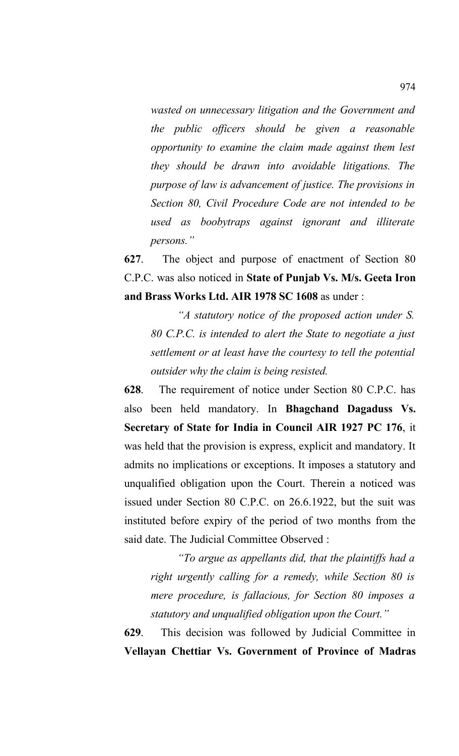*wasted on unnecessary litigation and the Government and the public officers should be given a reasonable opportunity to examine the claim made against them lest they should be drawn into avoidable litigations. The purpose of law is advancement of justice. The provisions in Section 80, Civil Procedure Code are not intended to be used as boobytraps against ignorant and illiterate persons."*

**627**. The object and purpose of enactment of Section 80 C.P.C. was also noticed in **State of Punjab Vs. M/s. Geeta Iron and Brass Works Ltd. AIR 1978 SC 1608** as under :

*"A statutory notice of the proposed action under S. 80 C.P.C. is intended to alert the State to negotiate a just settlement or at least have the courtesy to tell the potential outsider why the claim is being resisted.* 

**628**. The requirement of notice under Section 80 C.P.C. has also been held mandatory. In **Bhagchand Dagaduss Vs. Secretary of State for India in Council AIR 1927 PC 176**, it was held that the provision is express, explicit and mandatory. It admits no implications or exceptions. It imposes a statutory and unqualified obligation upon the Court. Therein a noticed was issued under Section 80 C.P.C. on 26.6.1922, but the suit was instituted before expiry of the period of two months from the said date. The Judicial Committee Observed :

*"To argue as appellants did, that the plaintiffs had a right urgently calling for a remedy, while Section 80 is mere procedure, is fallacious, for Section 80 imposes a statutory and unqualified obligation upon the Court."*

**629**. This decision was followed by Judicial Committee in **Vellayan Chettiar Vs. Government of Province of Madras**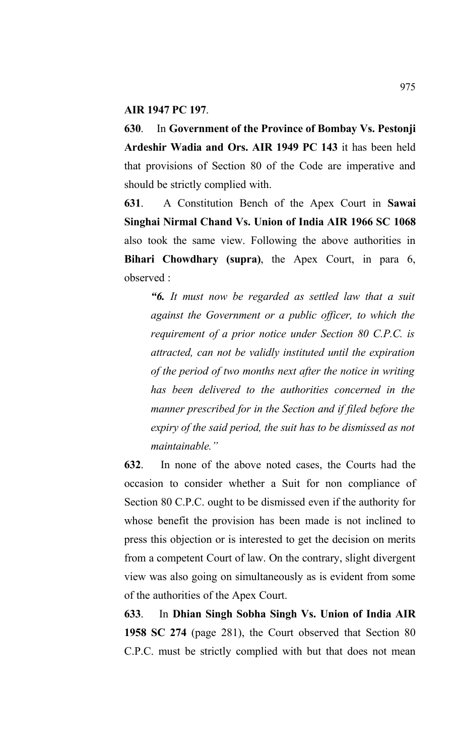#### **AIR 1947 PC 197**.

**630**. In **Government of the Province of Bombay Vs. Pestonji Ardeshir Wadia and Ors. AIR 1949 PC 143** it has been held that provisions of Section 80 of the Code are imperative and should be strictly complied with.

**631**. A Constitution Bench of the Apex Court in **Sawai Singhai Nirmal Chand Vs. Union of India AIR 1966 SC 1068** also took the same view. Following the above authorities in **Bihari Chowdhary (supra)**, the Apex Court, in para 6, observed :

*"6. It must now be regarded as settled law that a suit against the Government or a public officer, to which the requirement of a prior notice under Section 80 C.P.C. is attracted, can not be validly instituted until the expiration of the period of two months next after the notice in writing has been delivered to the authorities concerned in the manner prescribed for in the Section and if filed before the expiry of the said period, the suit has to be dismissed as not maintainable."*

**632**. In none of the above noted cases, the Courts had the occasion to consider whether a Suit for non compliance of Section 80 C.P.C. ought to be dismissed even if the authority for whose benefit the provision has been made is not inclined to press this objection or is interested to get the decision on merits from a competent Court of law. On the contrary, slight divergent view was also going on simultaneously as is evident from some of the authorities of the Apex Court.

**633**. In **Dhian Singh Sobha Singh Vs. Union of India AIR 1958 SC 274** (page 281), the Court observed that Section 80 C.P.C. must be strictly complied with but that does not mean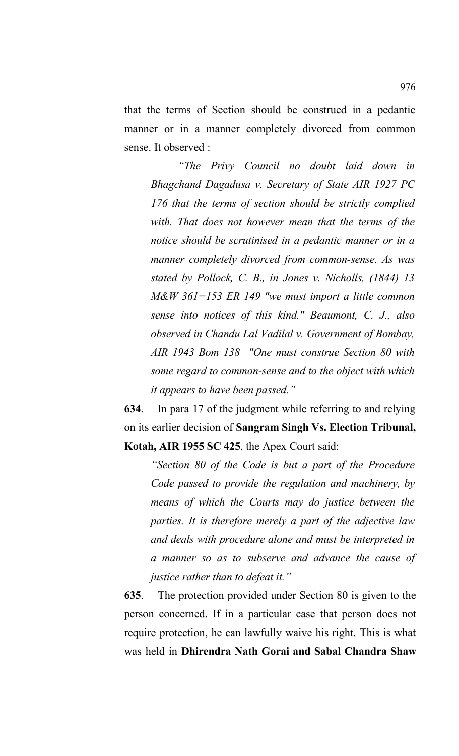that the terms of Section should be construed in a pedantic manner or in a manner completely divorced from common sense. It observed :

*"The Privy Council no doubt laid down in Bhagchand Dagadusa v. Secretary of State AIR 1927 PC 176 that the terms of section should be strictly complied with. That does not however mean that the terms of the notice should be scrutinised in a pedantic manner or in a manner completely divorced from common-sense. As was stated by Pollock, C. B., in Jones v. Nicholls, (1844) 13 M&W 361=153 ER 149 "we must import a little common sense into notices of this kind." Beaumont, C. J., also observed in Chandu Lal Vadilal v. Government of Bombay, AIR 1943 Bom 138 "One must construe Section 80 with some regard to common-sense and to the object with which it appears to have been passed."*

**634**.In para 17 of the judgment while referring to and relying on its earlier decision of **Sangram Singh Vs. Election Tribunal, Kotah, AIR 1955 SC 425**, the Apex Court said:

*"Section 80 of the Code is but a part of the Procedure Code passed to provide the regulation and machinery, by means of which the Courts may do justice between the parties. It is therefore merely a part of the adjective law and deals with procedure alone and must be interpreted in a manner so as to subserve and advance the cause of justice rather than to defeat it."*

**635**. The protection provided under Section 80 is given to the person concerned. If in a particular case that person does not require protection, he can lawfully waive his right. This is what was held in **Dhirendra Nath Gorai and Sabal Chandra Shaw**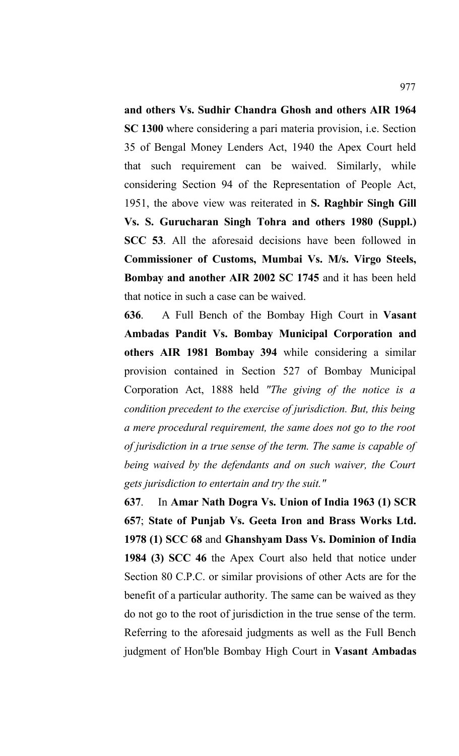**and others Vs. Sudhir Chandra Ghosh and others AIR 1964 SC 1300** where considering a pari materia provision, i.e. Section 35 of Bengal Money Lenders Act, 1940 the Apex Court held that such requirement can be waived. Similarly, while considering Section 94 of the Representation of People Act, 1951, the above view was reiterated in **S. Raghbir Singh Gill Vs. S. Gurucharan Singh Tohra and others 1980 (Suppl.) SCC 53**. All the aforesaid decisions have been followed in **Commissioner of Customs, Mumbai Vs. M/s. Virgo Steels, Bombay and another AIR 2002 SC 1745** and it has been held that notice in such a case can be waived.

**636**. A Full Bench of the Bombay High Court in **Vasant Ambadas Pandit Vs. Bombay Municipal Corporation and others AIR 1981 Bombay 394** while considering a similar provision contained in Section 527 of Bombay Municipal Corporation Act, 1888 held *"The giving of the notice is a condition precedent to the exercise of jurisdiction. But, this being a mere procedural requirement, the same does not go to the root of jurisdiction in a true sense of the term. The same is capable of being waived by the defendants and on such waiver, the Court gets jurisdiction to entertain and try the suit."* 

**637**. In **Amar Nath Dogra Vs. Union of India 1963 (1) SCR 657**; **State of Punjab Vs. Geeta Iron and Brass Works Ltd. 1978 (1) SCC 68** and **Ghanshyam Dass Vs. Dominion of India 1984 (3) SCC 46** the Apex Court also held that notice under Section 80 C.P.C. or similar provisions of other Acts are for the benefit of a particular authority. The same can be waived as they do not go to the root of jurisdiction in the true sense of the term. Referring to the aforesaid judgments as well as the Full Bench judgment of Hon'ble Bombay High Court in **Vasant Ambadas**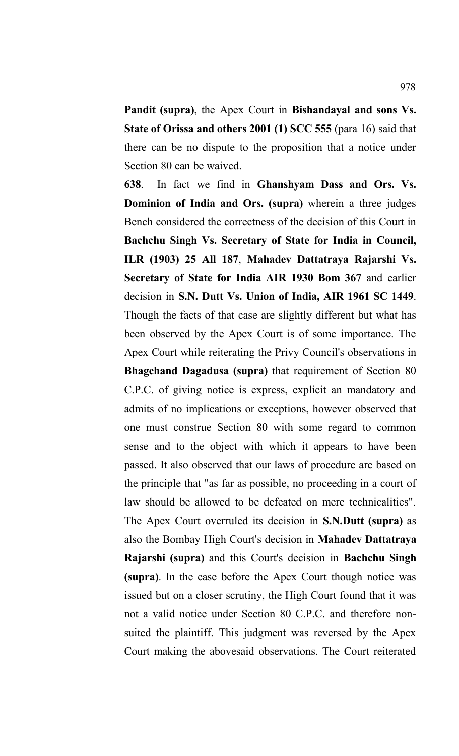**Pandit (supra)**, the Apex Court in **Bishandayal and sons Vs. State of Orissa and others 2001 (1) SCC 555** (para 16) said that there can be no dispute to the proposition that a notice under Section 80 can be waived.

**638**. In fact we find in **Ghanshyam Dass and Ors. Vs. Dominion of India and Ors. (supra)** wherein a three judges Bench considered the correctness of the decision of this Court in **Bachchu Singh Vs. Secretary of State for India in Council, ILR (1903) 25 All 187**, **Mahadev Dattatraya Rajarshi Vs. Secretary of State for India AIR 1930 Bom 367** and earlier decision in **S.N. Dutt Vs. Union of India, AIR 1961 SC 1449**. Though the facts of that case are slightly different but what has been observed by the Apex Court is of some importance. The Apex Court while reiterating the Privy Council's observations in **Bhagchand Dagadusa (supra)** that requirement of Section 80 C.P.C. of giving notice is express, explicit an mandatory and admits of no implications or exceptions, however observed that one must construe Section 80 with some regard to common sense and to the object with which it appears to have been passed. It also observed that our laws of procedure are based on the principle that "as far as possible, no proceeding in a court of law should be allowed to be defeated on mere technicalities". The Apex Court overruled its decision in **S.N.Dutt (supra)** as also the Bombay High Court's decision in **Mahadev Dattatraya Rajarshi (supra)** and this Court's decision in **Bachchu Singh (supra)**. In the case before the Apex Court though notice was issued but on a closer scrutiny, the High Court found that it was not a valid notice under Section 80 C.P.C. and therefore nonsuited the plaintiff. This judgment was reversed by the Apex Court making the abovesaid observations. The Court reiterated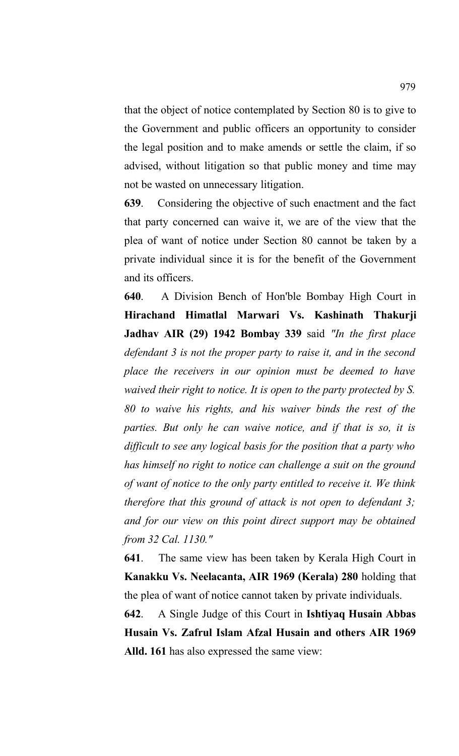that the object of notice contemplated by Section 80 is to give to the Government and public officers an opportunity to consider the legal position and to make amends or settle the claim, if so advised, without litigation so that public money and time may not be wasted on unnecessary litigation.

**639**. Considering the objective of such enactment and the fact that party concerned can waive it, we are of the view that the plea of want of notice under Section 80 cannot be taken by a private individual since it is for the benefit of the Government and its officers.

**640**. A Division Bench of Hon'ble Bombay High Court in **Hirachand Himatlal Marwari Vs. Kashinath Thakurji Jadhav AIR (29) 1942 Bombay 339** said *"In the first place defendant 3 is not the proper party to raise it, and in the second place the receivers in our opinion must be deemed to have waived their right to notice. It is open to the party protected by S. 80 to waive his rights, and his waiver binds the rest of the parties. But only he can waive notice, and if that is so, it is difficult to see any logical basis for the position that a party who has himself no right to notice can challenge a suit on the ground of want of notice to the only party entitled to receive it. We think therefore that this ground of attack is not open to defendant 3; and for our view on this point direct support may be obtained from 32 Cal. 1130."*

**641**. The same view has been taken by Kerala High Court in **Kanakku Vs. Neelacanta, AIR 1969 (Kerala) 280** holding that the plea of want of notice cannot taken by private individuals.

**642**. A Single Judge of this Court in **Ishtiyaq Husain Abbas Husain Vs. Zafrul Islam Afzal Husain and others AIR 1969 Alld. 161** has also expressed the same view: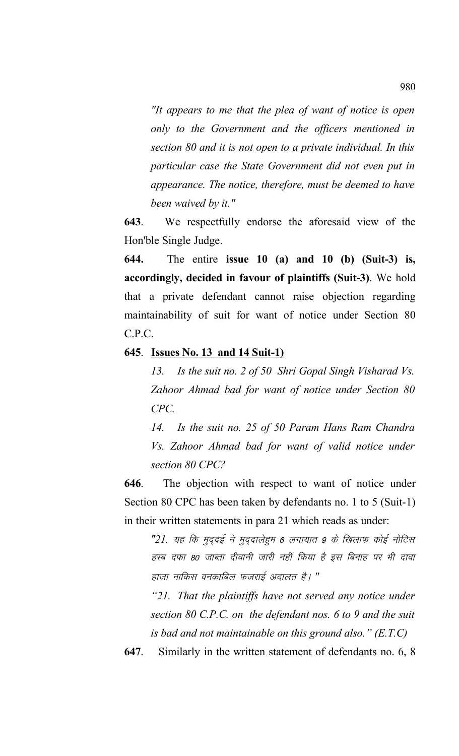*"It appears to me that the plea of want of notice is open only to the Government and the officers mentioned in section 80 and it is not open to a private individual. In this particular case the State Government did not even put in appearance. The notice, therefore, must be deemed to have been waived by it."*

**643**. We respectfully endorse the aforesaid view of the Hon'ble Single Judge.

**644.** The entire **issue 10 (a) and 10 (b) (Suit-3) is, accordingly, decided in favour of plaintiffs (Suit-3)**. We hold that a private defendant cannot raise objection regarding maintainability of suit for want of notice under Section 80 C.P.C.

## **645**. **Issues No. 13 and 14 Suit-1)**

*13. Is the suit no. 2 of 50 Shri Gopal Singh Visharad Vs. Zahoor Ahmad bad for want of notice under Section 80 CPC.*

*14. Is the suit no. 25 of 50 Param Hans Ram Chandra Vs. Zahoor Ahmad bad for want of valid notice under section 80 CPC?*

**646**. The objection with respect to want of notice under Section 80 CPC has been taken by defendants no. 1 to 5 (Suit-1) in their written statements in para 21 which reads as under:

"21. यह कि मुददई ने मुददालेहुम 6 लगायात 9 के खिलाफ कोई नोटिस हस्ब दफा 80 जाब्ता दीवानी जारी नहीं किया है इस बिनाह पर भी दावा हाजा नाकिस वनकाबिल फजराई अदालत है। **"** 

*"21. That the plaintiffs have not served any notice under section 80 C.P.C. on the defendant nos. 6 to 9 and the suit is bad and not maintainable on this ground also." (E.T.C)*

**647**. Similarly in the written statement of defendants no. 6, 8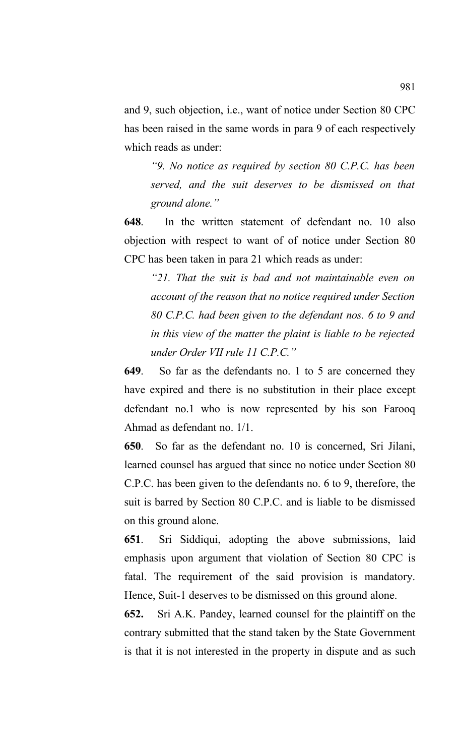and 9, such objection, i.e., want of notice under Section 80 CPC has been raised in the same words in para 9 of each respectively which reads as under:

*"9. No notice as required by section 80 C.P.C. has been served, and the suit deserves to be dismissed on that ground alone."* 

**648**. In the written statement of defendant no. 10 also objection with respect to want of of notice under Section 80 CPC has been taken in para 21 which reads as under:

*"21. That the suit is bad and not maintainable even on account of the reason that no notice required under Section 80 C.P.C. had been given to the defendant nos. 6 to 9 and in this view of the matter the plaint is liable to be rejected under Order VII rule 11 C.P.C."*

**649**. So far as the defendants no. 1 to 5 are concerned they have expired and there is no substitution in their place except defendant no.1 who is now represented by his son Farooq Ahmad as defendant no. 1/1.

**650**. So far as the defendant no. 10 is concerned, Sri Jilani, learned counsel has argued that since no notice under Section 80 C.P.C. has been given to the defendants no. 6 to 9, therefore, the suit is barred by Section 80 C.P.C. and is liable to be dismissed on this ground alone.

**651**. Sri Siddiqui, adopting the above submissions, laid emphasis upon argument that violation of Section 80 CPC is fatal. The requirement of the said provision is mandatory. Hence, Suit-1 deserves to be dismissed on this ground alone.

**652.** Sri A.K. Pandey, learned counsel for the plaintiff on the contrary submitted that the stand taken by the State Government is that it is not interested in the property in dispute and as such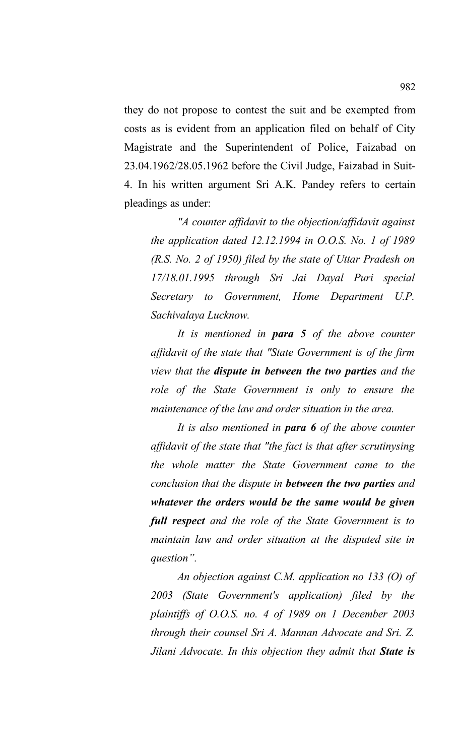they do not propose to contest the suit and be exempted from costs as is evident from an application filed on behalf of City Magistrate and the Superintendent of Police, Faizabad on 23.04.1962/28.05.1962 before the Civil Judge, Faizabad in Suit-4. In his written argument Sri A.K. Pandey refers to certain pleadings as under:

*"A counter affidavit to the objection/affidavit against the application dated 12.12.1994 in O.O.S. No. 1 of 1989 (R.S. No. 2 of 1950) filed by the state of Uttar Pradesh on 17/18.01.1995 through Sri Jai Dayal Puri special Secretary to Government, Home Department U.P. Sachivalaya Lucknow.*

*It is mentioned in para 5 of the above counter affidavit of the state that "State Government is of the firm view that the dispute in between the two parties and the role of the State Government is only to ensure the maintenance of the law and order situation in the area.*

*It is also mentioned in para 6 of the above counter affidavit of the state that "the fact is that after scrutinysing the whole matter the State Government came to the conclusion that the dispute in between the two parties and whatever the orders would be the same would be given full respect and the role of the State Government is to maintain law and order situation at the disputed site in question".*

*An objection against C.M. application no 133 (O) of 2003 (State Government's application) filed by the plaintiffs of O.O.S. no. 4 of 1989 on 1 December 2003 through their counsel Sri A. Mannan Advocate and Sri. Z. Jilani Advocate. In this objection they admit that State is*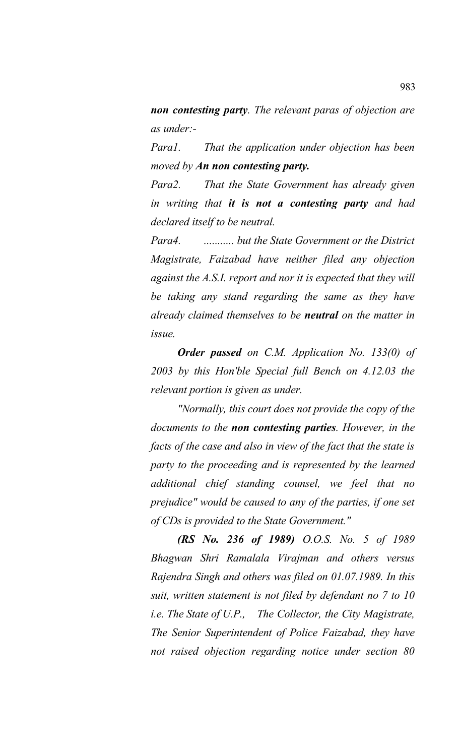*non contesting party. The relevant paras of objection are as under:-* 

*Para1. That the application under objection has been moved by An non contesting party.* 

*Para2. That the State Government has already given in writing that it is not a contesting party and had declared itself to be neutral.*

*Para4. ........... but the State Government or the District Magistrate, Faizabad have neither filed any objection against the A.S.I. report and nor it is expected that they will be taking any stand regarding the same as they have already claimed themselves to be neutral on the matter in issue.*

*Order passed on C.M. Application No. 133(0) of 2003 by this Hon'ble Special full Bench on 4.12.03 the relevant portion is given as under.*

*"Normally, this court does not provide the copy of the documents to the non contesting parties. However, in the facts of the case and also in view of the fact that the state is party to the proceeding and is represented by the learned additional chief standing counsel, we feel that no prejudice" would be caused to any of the parties, if one set of CDs is provided to the State Government."*

*(RS No. 236 of 1989) O.O.S. No. 5 of 1989 Bhagwan Shri Ramalala Virajman and others versus Rajendra Singh and others was filed on 01.07.1989. In this suit, written statement is not filed by defendant no 7 to 10 i.e. The State of U.P., The Collector, the City Magistrate, The Senior Superintendent of Police Faizabad, they have not raised objection regarding notice under section 80*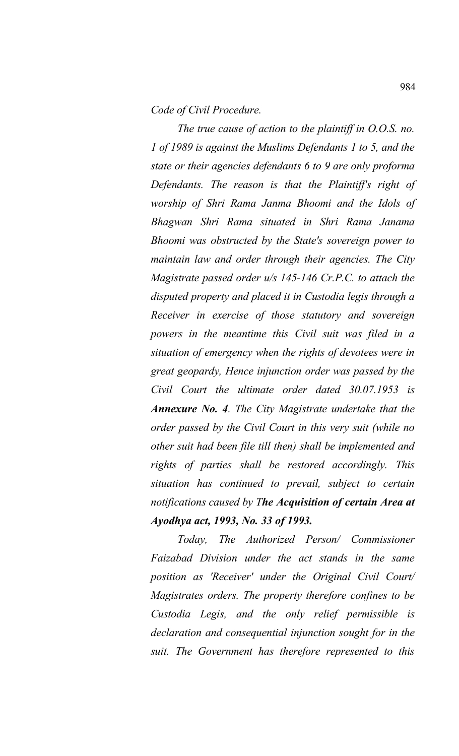*Code of Civil Procedure.*

*The true cause of action to the plaintiff in O.O.S. no. 1 of 1989 is against the Muslims Defendants 1 to 5, and the state or their agencies defendants 6 to 9 are only proforma Defendants. The reason is that the Plaintiff's right of worship of Shri Rama Janma Bhoomi and the Idols of Bhagwan Shri Rama situated in Shri Rama Janama Bhoomi was obstructed by the State's sovereign power to maintain law and order through their agencies. The City Magistrate passed order u/s 145-146 Cr.P.C. to attach the disputed property and placed it in Custodia legis through a Receiver in exercise of those statutory and sovereign powers in the meantime this Civil suit was filed in a situation of emergency when the rights of devotees were in great geopardy, Hence injunction order was passed by the Civil Court the ultimate order dated 30.07.1953 is Annexure No. 4. The City Magistrate undertake that the order passed by the Civil Court in this very suit (while no other suit had been file till then) shall be implemented and rights of parties shall be restored accordingly. This situation has continued to prevail, subject to certain notifications caused by The Acquisition of certain Area at Ayodhya act, 1993, No. 33 of 1993.*

*Today, The Authorized Person/ Commissioner Faizabad Division under the act stands in the same position as 'Receiver' under the Original Civil Court/ Magistrates orders. The property therefore confines to be Custodia Legis, and the only relief permissible is declaration and consequential injunction sought for in the suit. The Government has therefore represented to this*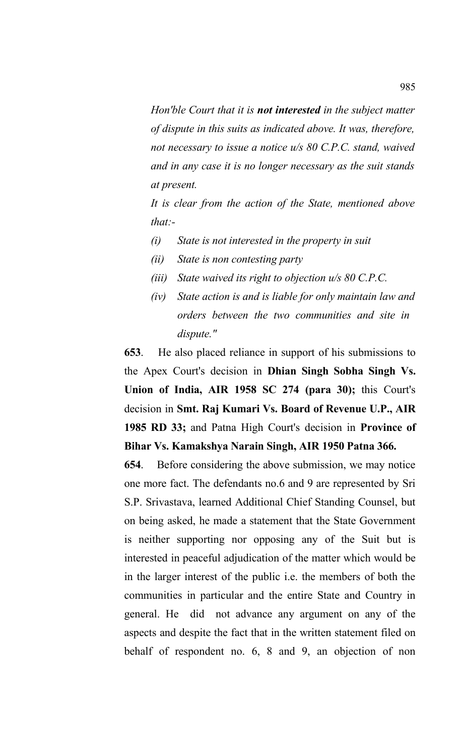*Hon'ble Court that it is not interested in the subject matter of dispute in this suits as indicated above. It was, therefore, not necessary to issue a notice u/s 80 C.P.C. stand, waived and in any case it is no longer necessary as the suit stands at present.* 

 *It is clear from the action of the State, mentioned above that:-*

- *(i) State is not interested in the property in suit*
- *(ii) State is non contesting party*
- *(iii) State waived its right to objection u/s 80 C.P.C.*
- *(iv) State action is and is liable for only maintain law and orders between the two communities and site in dispute."*

**653**. He also placed reliance in support of his submissions to the Apex Court's decision in **Dhian Singh Sobha Singh Vs. Union of India, AIR 1958 SC 274 (para 30);** this Court's decision in **Smt. Raj Kumari Vs. Board of Revenue U.P., AIR 1985 RD 33;** and Patna High Court's decision in **Province of Bihar Vs. Kamakshya Narain Singh, AIR 1950 Patna 366.** 

**654**. Before considering the above submission, we may notice one more fact. The defendants no.6 and 9 are represented by Sri S.P. Srivastava, learned Additional Chief Standing Counsel, but on being asked, he made a statement that the State Government is neither supporting nor opposing any of the Suit but is interested in peaceful adjudication of the matter which would be in the larger interest of the public i.e. the members of both the communities in particular and the entire State and Country in general. He did not advance any argument on any of the aspects and despite the fact that in the written statement filed on behalf of respondent no. 6, 8 and 9, an objection of non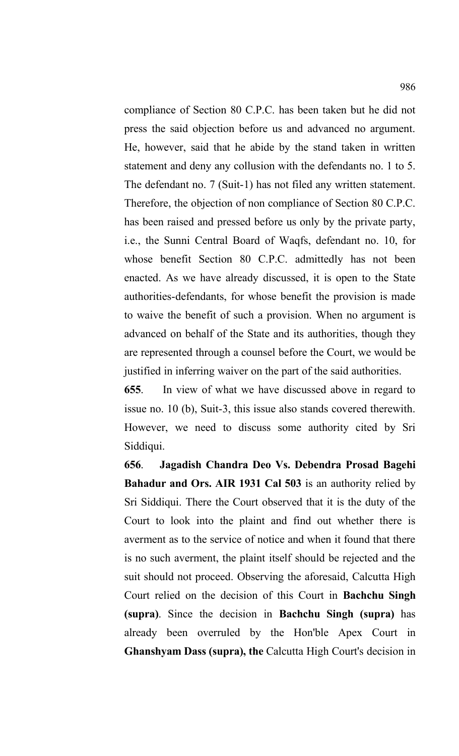compliance of Section 80 C.P.C. has been taken but he did not press the said objection before us and advanced no argument. He, however, said that he abide by the stand taken in written statement and deny any collusion with the defendants no. 1 to 5. The defendant no. 7 (Suit-1) has not filed any written statement. Therefore, the objection of non compliance of Section 80 C.P.C. has been raised and pressed before us only by the private party, i.e., the Sunni Central Board of Waqfs, defendant no. 10, for whose benefit Section 80 C.P.C. admittedly has not been enacted. As we have already discussed, it is open to the State authorities-defendants, for whose benefit the provision is made to waive the benefit of such a provision. When no argument is advanced on behalf of the State and its authorities, though they are represented through a counsel before the Court, we would be justified in inferring waiver on the part of the said authorities.

**655**. In view of what we have discussed above in regard to issue no. 10 (b), Suit-3, this issue also stands covered therewith. However, we need to discuss some authority cited by Sri Siddiqui.

**656**. **Jagadish Chandra Deo Vs. Debendra Prosad Bagehi Bahadur and Ors. AIR 1931 Cal 503** is an authority relied by Sri Siddiqui. There the Court observed that it is the duty of the Court to look into the plaint and find out whether there is averment as to the service of notice and when it found that there is no such averment, the plaint itself should be rejected and the suit should not proceed. Observing the aforesaid, Calcutta High Court relied on the decision of this Court in **Bachchu Singh (supra)**. Since the decision in **Bachchu Singh (supra)** has already been overruled by the Hon'ble Apex Court in **Ghanshyam Dass (supra), the** Calcutta High Court's decision in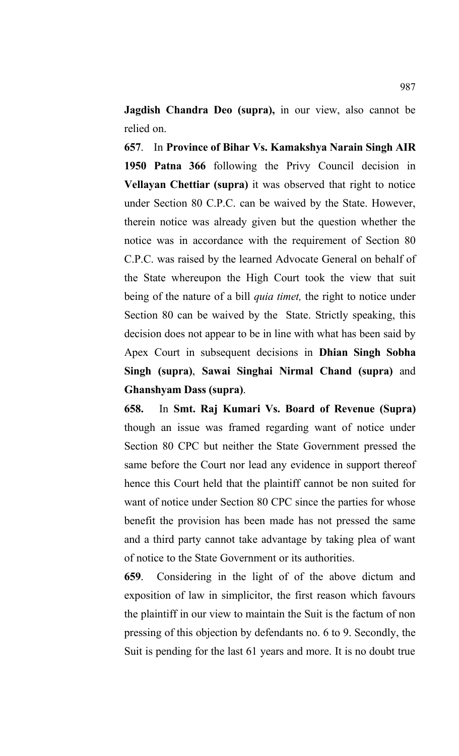**Jagdish Chandra Deo (supra),** in our view, also cannot be relied on.

**657**. In **Province of Bihar Vs. Kamakshya Narain Singh AIR 1950 Patna 366** following the Privy Council decision in **Vellayan Chettiar (supra)** it was observed that right to notice under Section 80 C.P.C. can be waived by the State. However, therein notice was already given but the question whether the notice was in accordance with the requirement of Section 80 C.P.C. was raised by the learned Advocate General on behalf of the State whereupon the High Court took the view that suit being of the nature of a bill *quia timet,* the right to notice under Section 80 can be waived by the State. Strictly speaking, this decision does not appear to be in line with what has been said by Apex Court in subsequent decisions in **Dhian Singh Sobha Singh (supra)**, **Sawai Singhai Nirmal Chand (supra)** and **Ghanshyam Dass (supra)**.

**658.** In **Smt. Raj Kumari Vs. Board of Revenue (Supra)** though an issue was framed regarding want of notice under Section 80 CPC but neither the State Government pressed the same before the Court nor lead any evidence in support thereof hence this Court held that the plaintiff cannot be non suited for want of notice under Section 80 CPC since the parties for whose benefit the provision has been made has not pressed the same and a third party cannot take advantage by taking plea of want of notice to the State Government or its authorities.

**659**. Considering in the light of of the above dictum and exposition of law in simplicitor, the first reason which favours the plaintiff in our view to maintain the Suit is the factum of non pressing of this objection by defendants no. 6 to 9. Secondly, the Suit is pending for the last 61 years and more. It is no doubt true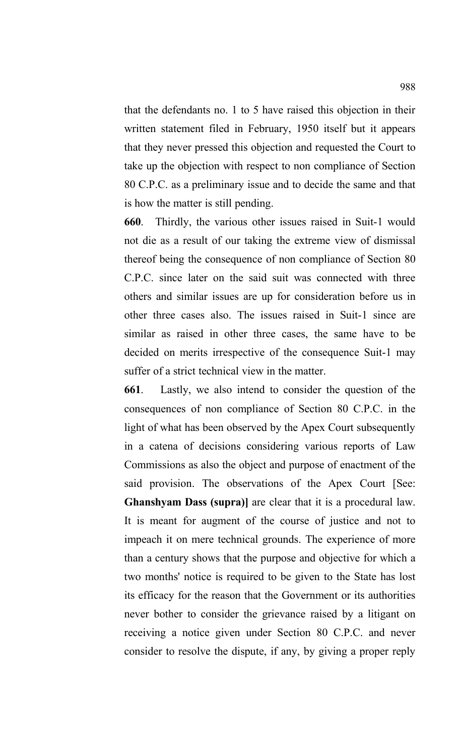that the defendants no. 1 to 5 have raised this objection in their written statement filed in February, 1950 itself but it appears that they never pressed this objection and requested the Court to take up the objection with respect to non compliance of Section 80 C.P.C. as a preliminary issue and to decide the same and that is how the matter is still pending.

**660**. Thirdly, the various other issues raised in Suit-1 would not die as a result of our taking the extreme view of dismissal thereof being the consequence of non compliance of Section 80 C.P.C. since later on the said suit was connected with three others and similar issues are up for consideration before us in other three cases also. The issues raised in Suit-1 since are similar as raised in other three cases, the same have to be decided on merits irrespective of the consequence Suit-1 may suffer of a strict technical view in the matter.

**661**. Lastly, we also intend to consider the question of the consequences of non compliance of Section 80 C.P.C. in the light of what has been observed by the Apex Court subsequently in a catena of decisions considering various reports of Law Commissions as also the object and purpose of enactment of the said provision. The observations of the Apex Court [See: **Ghanshyam Dass (supra)]** are clear that it is a procedural law. It is meant for augment of the course of justice and not to impeach it on mere technical grounds. The experience of more than a century shows that the purpose and objective for which a two months' notice is required to be given to the State has lost its efficacy for the reason that the Government or its authorities never bother to consider the grievance raised by a litigant on receiving a notice given under Section 80 C.P.C. and never consider to resolve the dispute, if any, by giving a proper reply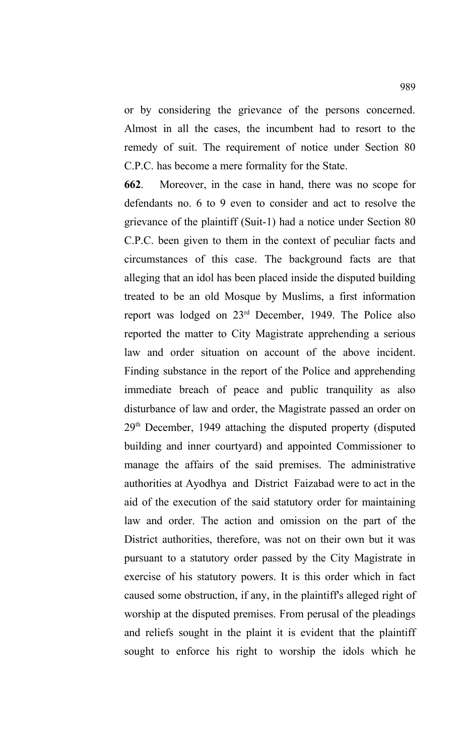or by considering the grievance of the persons concerned. Almost in all the cases, the incumbent had to resort to the remedy of suit. The requirement of notice under Section 80 C.P.C. has become a mere formality for the State.

**662**. Moreover, in the case in hand, there was no scope for defendants no. 6 to 9 even to consider and act to resolve the grievance of the plaintiff (Suit-1) had a notice under Section 80 C.P.C. been given to them in the context of peculiar facts and circumstances of this case. The background facts are that alleging that an idol has been placed inside the disputed building treated to be an old Mosque by Muslims, a first information report was lodged on 23rd December, 1949. The Police also reported the matter to City Magistrate apprehending a serious law and order situation on account of the above incident. Finding substance in the report of the Police and apprehending immediate breach of peace and public tranquility as also disturbance of law and order, the Magistrate passed an order on 29th December, 1949 attaching the disputed property (disputed building and inner courtyard) and appointed Commissioner to manage the affairs of the said premises. The administrative authorities at Ayodhya and District Faizabad were to act in the aid of the execution of the said statutory order for maintaining law and order. The action and omission on the part of the District authorities, therefore, was not on their own but it was pursuant to a statutory order passed by the City Magistrate in exercise of his statutory powers. It is this order which in fact caused some obstruction, if any, in the plaintiff's alleged right of worship at the disputed premises. From perusal of the pleadings and reliefs sought in the plaint it is evident that the plaintiff sought to enforce his right to worship the idols which he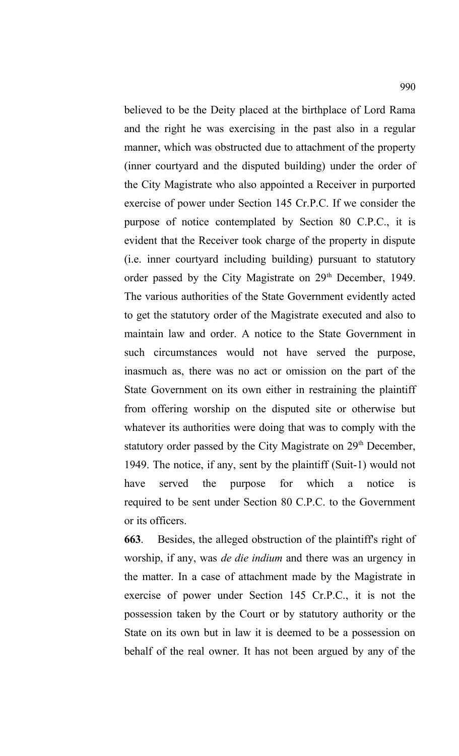believed to be the Deity placed at the birthplace of Lord Rama and the right he was exercising in the past also in a regular manner, which was obstructed due to attachment of the property (inner courtyard and the disputed building) under the order of the City Magistrate who also appointed a Receiver in purported exercise of power under Section 145 Cr.P.C. If we consider the purpose of notice contemplated by Section 80 C.P.C., it is evident that the Receiver took charge of the property in dispute (i.e. inner courtyard including building) pursuant to statutory order passed by the City Magistrate on 29<sup>th</sup> December, 1949. The various authorities of the State Government evidently acted to get the statutory order of the Magistrate executed and also to maintain law and order. A notice to the State Government in such circumstances would not have served the purpose, inasmuch as, there was no act or omission on the part of the State Government on its own either in restraining the plaintiff from offering worship on the disputed site or otherwise but whatever its authorities were doing that was to comply with the statutory order passed by the City Magistrate on 29<sup>th</sup> December, 1949. The notice, if any, sent by the plaintiff (Suit-1) would not have served the purpose for which a notice is required to be sent under Section 80 C.P.C. to the Government or its officers.

**663**. Besides, the alleged obstruction of the plaintiff's right of worship, if any, was *de die indium* and there was an urgency in the matter. In a case of attachment made by the Magistrate in exercise of power under Section 145 Cr.P.C., it is not the possession taken by the Court or by statutory authority or the State on its own but in law it is deemed to be a possession on behalf of the real owner. It has not been argued by any of the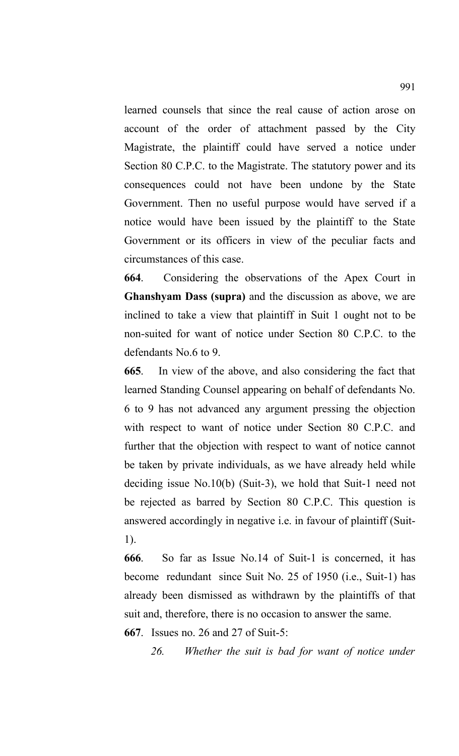learned counsels that since the real cause of action arose on account of the order of attachment passed by the City Magistrate, the plaintiff could have served a notice under Section 80 C.P.C. to the Magistrate. The statutory power and its consequences could not have been undone by the State Government. Then no useful purpose would have served if a notice would have been issued by the plaintiff to the State Government or its officers in view of the peculiar facts and circumstances of this case.

**664**. Considering the observations of the Apex Court in **Ghanshyam Dass (supra)** and the discussion as above, we are inclined to take a view that plaintiff in Suit 1 ought not to be non-suited for want of notice under Section 80 C.P.C. to the defendants No.6 to 9.

**665**. In view of the above, and also considering the fact that learned Standing Counsel appearing on behalf of defendants No. 6 to 9 has not advanced any argument pressing the objection with respect to want of notice under Section 80 C.P.C. and further that the objection with respect to want of notice cannot be taken by private individuals, as we have already held while deciding issue No.10(b) (Suit-3), we hold that Suit-1 need not be rejected as barred by Section 80 C.P.C. This question is answered accordingly in negative i.e. in favour of plaintiff (Suit-1).

**666**. So far as Issue No.14 of Suit-1 is concerned, it has become redundant since Suit No. 25 of 1950 (i.e., Suit-1) has already been dismissed as withdrawn by the plaintiffs of that suit and, therefore, there is no occasion to answer the same.

**667**. Issues no. 26 and 27 of Suit-5:

*26. Whether the suit is bad for want of notice under*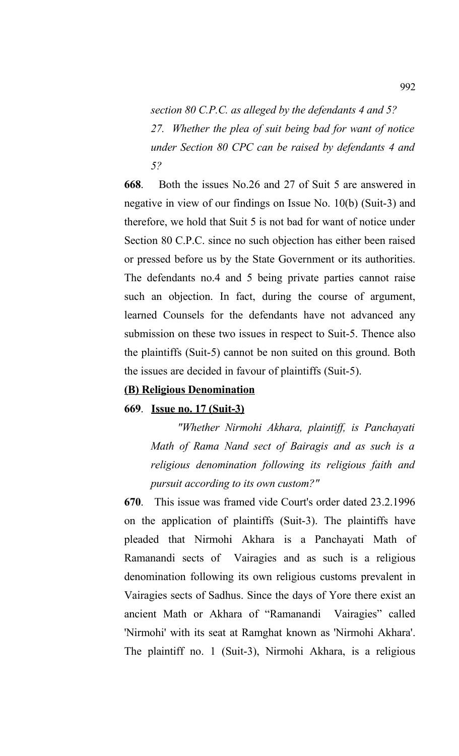*section 80 C.P.C. as alleged by the defendants 4 and 5? 27. Whether the plea of suit being bad for want of notice under Section 80 CPC can be raised by defendants 4 and 5?*

**668**. Both the issues No.26 and 27 of Suit 5 are answered in negative in view of our findings on Issue No. 10(b) (Suit-3) and therefore, we hold that Suit 5 is not bad for want of notice under Section 80 C.P.C. since no such objection has either been raised or pressed before us by the State Government or its authorities. The defendants no.4 and 5 being private parties cannot raise such an objection. In fact, during the course of argument, learned Counsels for the defendants have not advanced any submission on these two issues in respect to Suit-5. Thence also the plaintiffs (Suit-5) cannot be non suited on this ground. Both the issues are decided in favour of plaintiffs (Suit-5).

### **(B) Religious Denomination**

### **669**. **Issue no. 17 (Suit-3)**

*"Whether Nirmohi Akhara, plaintiff, is Panchayati Math of Rama Nand sect of Bairagis and as such is a religious denomination following its religious faith and pursuit according to its own custom?"*

**670**. This issue was framed vide Court's order dated 23.2.1996 on the application of plaintiffs (Suit-3). The plaintiffs have pleaded that Nirmohi Akhara is a Panchayati Math of Ramanandi sects of Vairagies and as such is a religious denomination following its own religious customs prevalent in Vairagies sects of Sadhus. Since the days of Yore there exist an ancient Math or Akhara of "Ramanandi Vairagies" called 'Nirmohi' with its seat at Ramghat known as 'Nirmohi Akhara'. The plaintiff no. 1 (Suit-3), Nirmohi Akhara, is a religious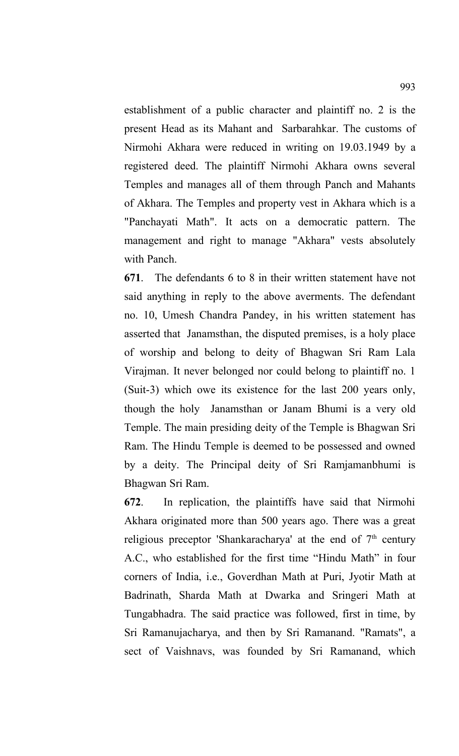establishment of a public character and plaintiff no. 2 is the present Head as its Mahant and Sarbarahkar. The customs of Nirmohi Akhara were reduced in writing on 19.03.1949 by a registered deed. The plaintiff Nirmohi Akhara owns several Temples and manages all of them through Panch and Mahants of Akhara. The Temples and property vest in Akhara which is a "Panchayati Math". It acts on a democratic pattern. The management and right to manage "Akhara" vests absolutely with Panch.

**671**. The defendants 6 to 8 in their written statement have not said anything in reply to the above averments. The defendant no. 10, Umesh Chandra Pandey, in his written statement has asserted that Janamsthan, the disputed premises, is a holy place of worship and belong to deity of Bhagwan Sri Ram Lala Virajman. It never belonged nor could belong to plaintiff no. 1 (Suit-3) which owe its existence for the last 200 years only, though the holy Janamsthan or Janam Bhumi is a very old Temple. The main presiding deity of the Temple is Bhagwan Sri Ram. The Hindu Temple is deemed to be possessed and owned by a deity. The Principal deity of Sri Ramjamanbhumi is Bhagwan Sri Ram.

**672**. In replication, the plaintiffs have said that Nirmohi Akhara originated more than 500 years ago. There was a great religious preceptor 'Shankaracharya' at the end of  $7<sup>th</sup>$  century A.C., who established for the first time "Hindu Math" in four corners of India, i.e., Goverdhan Math at Puri, Jyotir Math at Badrinath, Sharda Math at Dwarka and Sringeri Math at Tungabhadra. The said practice was followed, first in time, by Sri Ramanujacharya, and then by Sri Ramanand. "Ramats", a sect of Vaishnavs, was founded by Sri Ramanand, which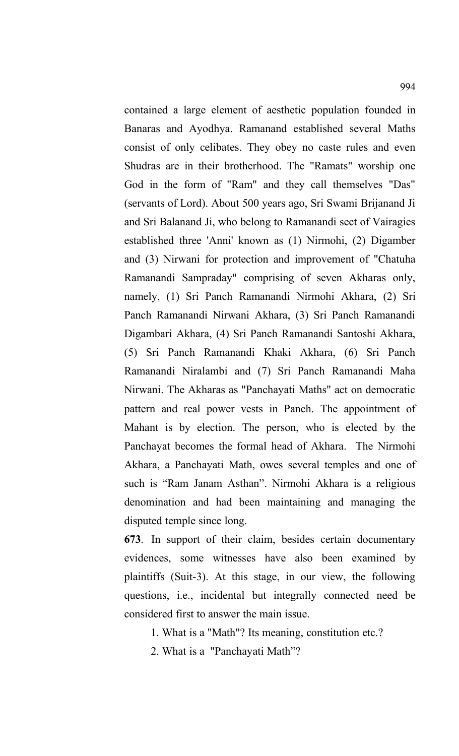contained a large element of aesthetic population founded in Banaras and Ayodhya. Ramanand established several Maths consist of only celibates. They obey no caste rules and even Shudras are in their brotherhood. The "Ramats" worship one God in the form of "Ram" and they call themselves "Das" (servants of Lord). About 500 years ago, Sri Swami Brijanand Ji and Sri Balanand Ji, who belong to Ramanandi sect of Vairagies established three 'Anni' known as (1) Nirmohi, (2) Digamber and (3) Nirwani for protection and improvement of "Chatuha Ramanandi Sampraday" comprising of seven Akharas only, namely, (1) Sri Panch Ramanandi Nirmohi Akhara, (2) Sri Panch Ramanandi Nirwani Akhara, (3) Sri Panch Ramanandi Digambari Akhara, (4) Sri Panch Ramanandi Santoshi Akhara, (5) Sri Panch Ramanandi Khaki Akhara, (6) Sri Panch Ramanandi Niralambi and (7) Sri Panch Ramanandi Maha Nirwani. The Akharas as "Panchayati Maths" act on democratic pattern and real power vests in Panch. The appointment of Mahant is by election. The person, who is elected by the Panchayat becomes the formal head of Akhara. The Nirmohi Akhara, a Panchayati Math, owes several temples and one of such is "Ram Janam Asthan". Nirmohi Akhara is a religious denomination and had been maintaining and managing the disputed temple since long.

**673**. In support of their claim, besides certain documentary evidences, some witnesses have also been examined by plaintiffs (Suit-3). At this stage, in our view, the following questions, i.e., incidental but integrally connected need be considered first to answer the main issue.

- 1. What is a "Math"? Its meaning, constitution etc.?
- 2. What is a "Panchayati Math"?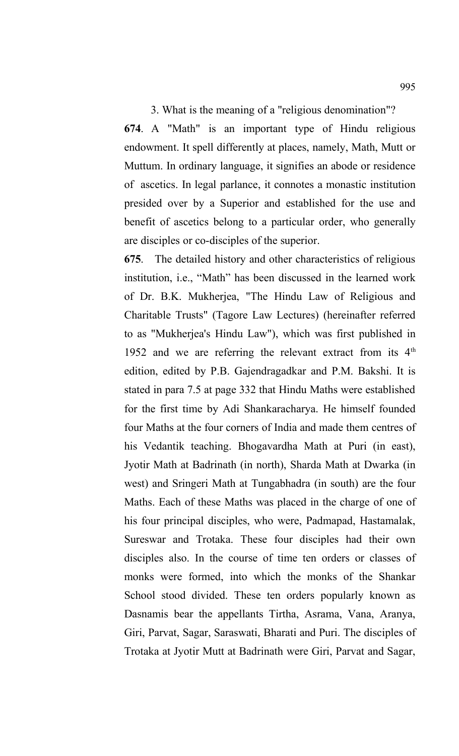### 3. What is the meaning of a "religious denomination"?

**674**. A "Math" is an important type of Hindu religious endowment. It spell differently at places, namely, Math, Mutt or Muttum. In ordinary language, it signifies an abode or residence of ascetics. In legal parlance, it connotes a monastic institution presided over by a Superior and established for the use and benefit of ascetics belong to a particular order, who generally are disciples or co-disciples of the superior.

**675**. The detailed history and other characteristics of religious institution, i.e., "Math" has been discussed in the learned work of Dr. B.K. Mukherjea, "The Hindu Law of Religious and Charitable Trusts" (Tagore Law Lectures) (hereinafter referred to as "Mukherjea's Hindu Law"), which was first published in 1952 and we are referring the relevant extract from its  $4<sup>th</sup>$ edition, edited by P.B. Gajendragadkar and P.M. Bakshi. It is stated in para 7.5 at page 332 that Hindu Maths were established for the first time by Adi Shankaracharya. He himself founded four Maths at the four corners of India and made them centres of his Vedantik teaching. Bhogavardha Math at Puri (in east), Jyotir Math at Badrinath (in north), Sharda Math at Dwarka (in west) and Sringeri Math at Tungabhadra (in south) are the four Maths. Each of these Maths was placed in the charge of one of his four principal disciples, who were, Padmapad, Hastamalak, Sureswar and Trotaka. These four disciples had their own disciples also. In the course of time ten orders or classes of monks were formed, into which the monks of the Shankar School stood divided. These ten orders popularly known as Dasnamis bear the appellants Tirtha, Asrama, Vana, Aranya, Giri, Parvat, Sagar, Saraswati, Bharati and Puri. The disciples of Trotaka at Jyotir Mutt at Badrinath were Giri, Parvat and Sagar,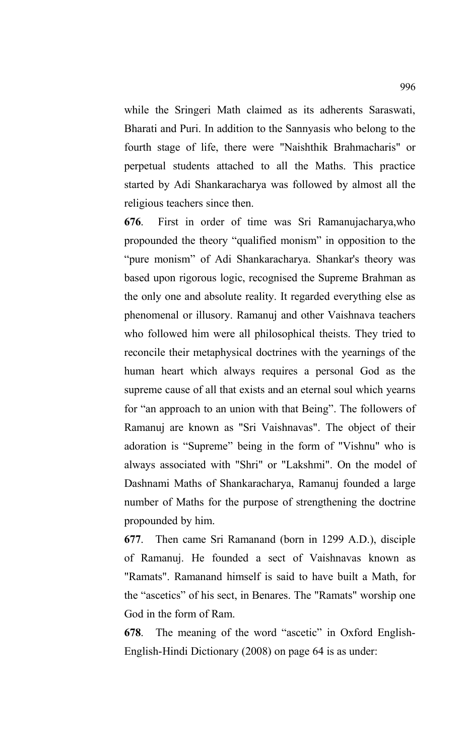while the Sringeri Math claimed as its adherents Saraswati, Bharati and Puri. In addition to the Sannyasis who belong to the fourth stage of life, there were "Naishthik Brahmacharis" or perpetual students attached to all the Maths. This practice started by Adi Shankaracharya was followed by almost all the religious teachers since then.

**676**. First in order of time was Sri Ramanujacharya,who propounded the theory "qualified monism" in opposition to the "pure monism" of Adi Shankaracharya. Shankar's theory was based upon rigorous logic, recognised the Supreme Brahman as the only one and absolute reality. It regarded everything else as phenomenal or illusory. Ramanuj and other Vaishnava teachers who followed him were all philosophical theists. They tried to reconcile their metaphysical doctrines with the yearnings of the human heart which always requires a personal God as the supreme cause of all that exists and an eternal soul which yearns for "an approach to an union with that Being". The followers of Ramanuj are known as "Sri Vaishnavas". The object of their adoration is "Supreme" being in the form of "Vishnu" who is always associated with "Shri" or "Lakshmi". On the model of Dashnami Maths of Shankaracharya, Ramanuj founded a large number of Maths for the purpose of strengthening the doctrine propounded by him.

**677**. Then came Sri Ramanand (born in 1299 A.D.), disciple of Ramanuj. He founded a sect of Vaishnavas known as "Ramats". Ramanand himself is said to have built a Math, for the "ascetics" of his sect, in Benares. The "Ramats" worship one God in the form of Ram.

**678**. The meaning of the word "ascetic" in Oxford English-English-Hindi Dictionary (2008) on page 64 is as under: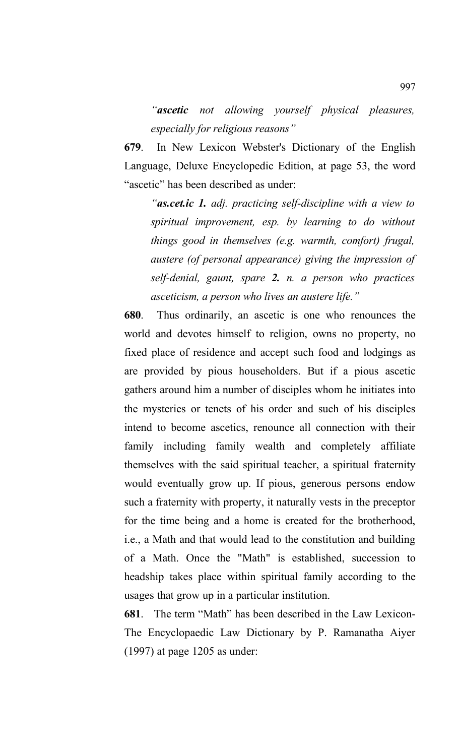*"ascetic not allowing yourself physical pleasures, especially for religious reasons"*

**679**. In New Lexicon Webster's Dictionary of the English Language, Deluxe Encyclopedic Edition, at page 53, the word "ascetic" has been described as under:

*"as.cet.ic 1. adj. practicing self-discipline with a view to spiritual improvement, esp. by learning to do without things good in themselves (e.g. warmth, comfort) frugal, austere (of personal appearance) giving the impression of self-denial, gaunt, spare 2. n. a person who practices asceticism, a person who lives an austere life."*

**680**. Thus ordinarily, an ascetic is one who renounces the world and devotes himself to religion, owns no property, no fixed place of residence and accept such food and lodgings as are provided by pious householders. But if a pious ascetic gathers around him a number of disciples whom he initiates into the mysteries or tenets of his order and such of his disciples intend to become ascetics, renounce all connection with their family including family wealth and completely affiliate themselves with the said spiritual teacher, a spiritual fraternity would eventually grow up. If pious, generous persons endow such a fraternity with property, it naturally vests in the preceptor for the time being and a home is created for the brotherhood, i.e., a Math and that would lead to the constitution and building of a Math. Once the "Math" is established, succession to headship takes place within spiritual family according to the usages that grow up in a particular institution.

**681**. The term "Math" has been described in the Law Lexicon-The Encyclopaedic Law Dictionary by P. Ramanatha Aiyer (1997) at page 1205 as under: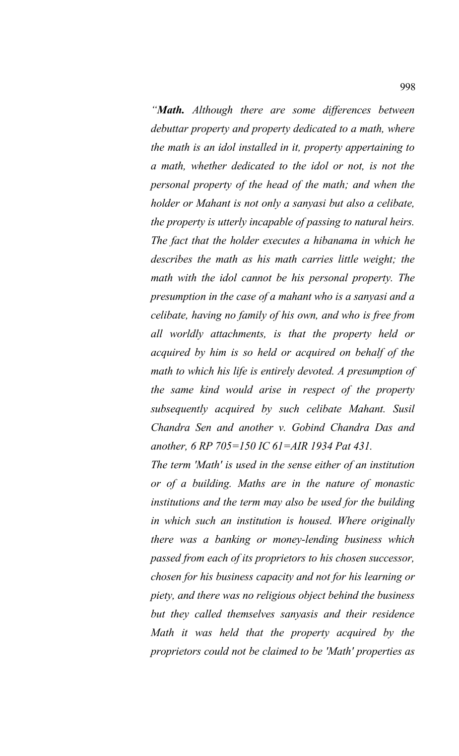*"Math. Although there are some differences between debuttar property and property dedicated to a math, where the math is an idol installed in it, property appertaining to a math, whether dedicated to the idol or not, is not the personal property of the head of the math; and when the holder or Mahant is not only a sanyasi but also a celibate, the property is utterly incapable of passing to natural heirs. The fact that the holder executes a hibanama in which he describes the math as his math carries little weight; the math with the idol cannot be his personal property. The presumption in the case of a mahant who is a sanyasi and a celibate, having no family of his own, and who is free from all worldly attachments, is that the property held or acquired by him is so held or acquired on behalf of the math to which his life is entirely devoted. A presumption of the same kind would arise in respect of the property subsequently acquired by such celibate Mahant. Susil Chandra Sen and another v. Gobind Chandra Das and another, 6 RP 705=150 IC 61=AIR 1934 Pat 431.*

*The term 'Math' is used in the sense either of an institution or of a building. Maths are in the nature of monastic institutions and the term may also be used for the building in which such an institution is housed. Where originally there was a banking or money-lending business which passed from each of its proprietors to his chosen successor, chosen for his business capacity and not for his learning or piety, and there was no religious object behind the business but they called themselves sanyasis and their residence Math it was held that the property acquired by the proprietors could not be claimed to be 'Math' properties as*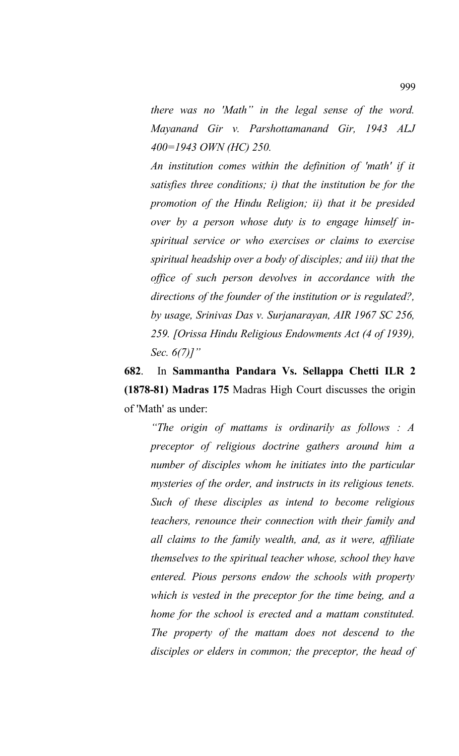*there was no 'Math" in the legal sense of the word. Mayanand Gir v. Parshottamanand Gir, 1943 ALJ 400=1943 OWN (HC) 250.*

*An institution comes within the definition of 'math' if it satisfies three conditions; i) that the institution be for the promotion of the Hindu Religion; ii) that it be presided over by a person whose duty is to engage himself inspiritual service or who exercises or claims to exercise spiritual headship over a body of disciples; and iii) that the office of such person devolves in accordance with the directions of the founder of the institution or is regulated?, by usage, Srinivas Das v. Surjanarayan, AIR 1967 SC 256, 259. [Orissa Hindu Religious Endowments Act (4 of 1939), Sec. 6(7)]"*

**682**. In **Sammantha Pandara Vs. Sellappa Chetti ILR 2 (1878-81) Madras 175** Madras High Court discusses the origin of 'Math' as under:

*"The origin of mattams is ordinarily as follows : A preceptor of religious doctrine gathers around him a number of disciples whom he initiates into the particular mysteries of the order, and instructs in its religious tenets. Such of these disciples as intend to become religious teachers, renounce their connection with their family and all claims to the family wealth, and, as it were, affiliate themselves to the spiritual teacher whose, school they have entered. Pious persons endow the schools with property which is vested in the preceptor for the time being, and a home for the school is erected and a mattam constituted. The property of the mattam does not descend to the disciples or elders in common; the preceptor, the head of*